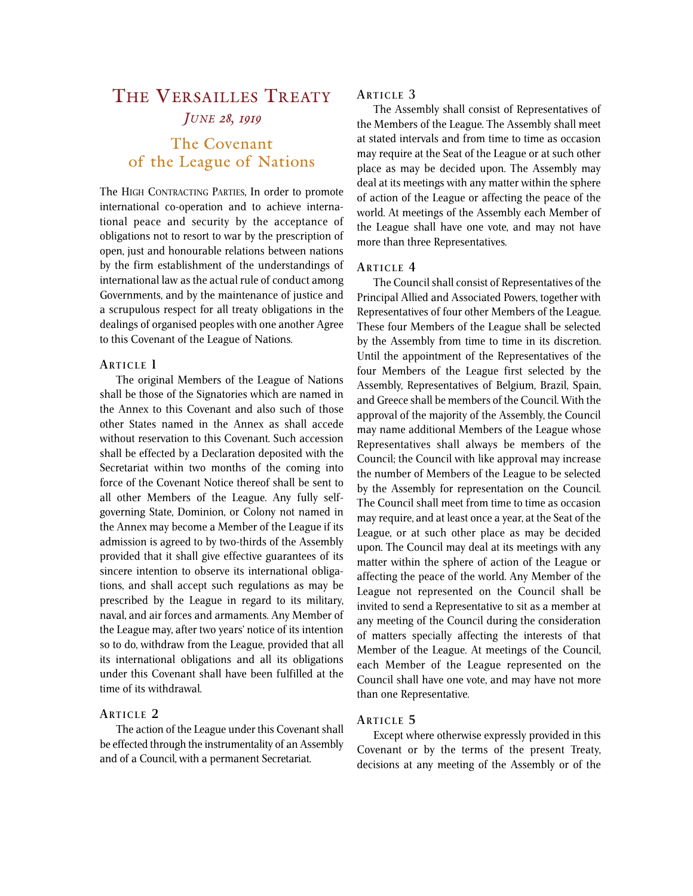# THE VERSAILLES TREATY *JUNE 28, 1919*

# The Covenant of the League of Nations

The HIGH CONTRACTING PARTIES, In order to promote international co-operation and to achieve international peace and security by the acceptance of obligations not to resort to war by the prescription of open, just and honourable relations between nations by the firm establishment of the understandings of international law as the actual rule of conduct among Governments, and by the maintenance of justice and a scrupulous respect for all treaty obligations in the dealings of organised peoples with one another Agree to this Covenant of the League of Nations.

#### **ARTICLE 1**

The original Members of the League of Nations shall be those of the Signatories which are named in the Annex to this Covenant and also such of those other States named in the Annex as shall accede without reservation to this Covenant. Such accession shall be effected by a Declaration deposited with the Secretariat within two months of the coming into force of the Covenant Notice thereof shall be sent to all other Members of the League. Any fully selfgoverning State, Dominion, or Colony not named in the Annex may become a Member of the League if its admission is agreed to by two-thirds of the Assembly provided that it shall give effective guarantees of its sincere intention to observe its international obligations, and shall accept such regulations as may be prescribed by the League in regard to its military, naval, and air forces and armaments. Any Member of the League may, after two years' notice of its intention so to do, withdraw from the League, provided that all its international obligations and all its obligations under this Covenant shall have been fulfilled at the time of its withdrawal.

#### **ARTICLE 2**

The action of the League under this Covenant shall be effected through the instrumentality of an Assembly and of a Council, with a permanent Secretariat.

## **ARTICLE 3**

The Assembly shall consist of Representatives of the Members of the League. The Assembly shall meet at stated intervals and from time to time as occasion may require at the Seat of the League or at such other place as may be decided upon. The Assembly may deal at its meetings with any matter within the sphere of action of the League or affecting the peace of the world. At meetings of the Assembly each Member of the League shall have one vote, and may not have more than three Representatives.

#### **ARTICLE 4**

The Council shall consist of Representatives of the Principal Allied and Associated Powers, together with Representatives of four other Members of the League. These four Members of the League shall be selected by the Assembly from time to time in its discretion. Until the appointment of the Representatives of the four Members of the League first selected by the Assembly, Representatives of Belgium, Brazil, Spain, and Greece shall be members of the Council. With the approval of the majority of the Assembly, the Council may name additional Members of the League whose Representatives shall always be members of the Council; the Council with like approval may increase the number of Members of the League to be selected by the Assembly for representation on the Council. The Council shall meet from time to time as occasion may require, and at least once a year, at the Seat of the League, or at such other place as may be decided upon. The Council may deal at its meetings with any matter within the sphere of action of the League or affecting the peace of the world. Any Member of the League not represented on the Council shall be invited to send a Representative to sit as a member at any meeting of the Council during the consideration of matters specially affecting the interests of that Member of the League. At meetings of the Council, each Member of the League represented on the Council shall have one vote, and may have not more than one Representative.

## **ARTICLE 5**

Except where otherwise expressly provided in this Covenant or by the terms of the present Treaty, decisions at any meeting of the Assembly or of the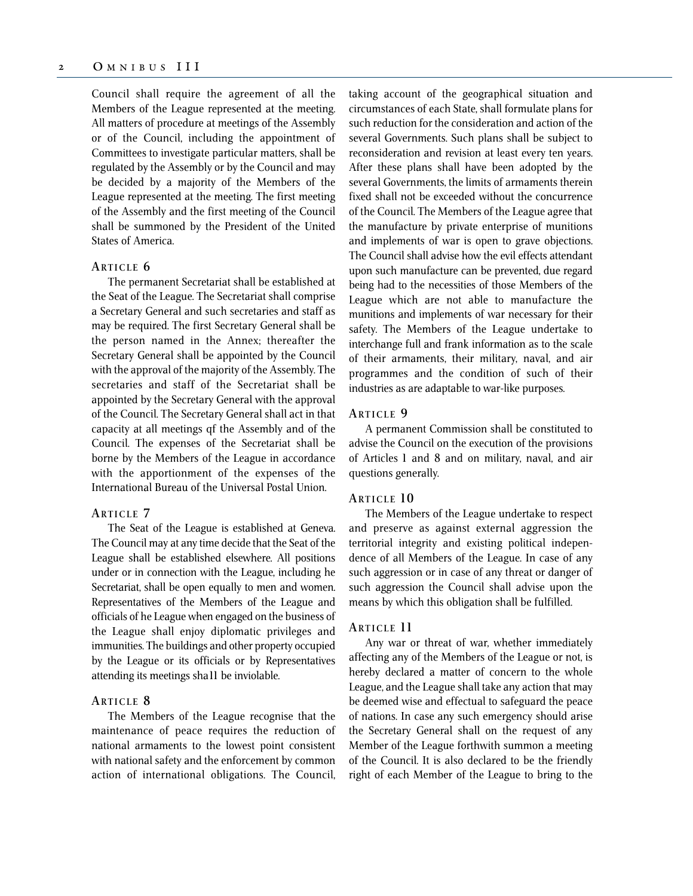Council shall require the agreement of all the Members of the League represented at the meeting. All matters of procedure at meetings of the Assembly or of the Council, including the appointment of Committees to investigate particular matters, shall be regulated by the Assembly or by the Council and may be decided by a majority of the Members of the League represented at the meeting. The first meeting of the Assembly and the first meeting of the Council shall be summoned by the President of the United States of America.

#### **ARTICLE 6**

The permanent Secretariat shall be established at the Seat of the League. The Secretariat shall comprise a Secretary General and such secretaries and staff as may be required. The first Secretary General shall be the person named in the Annex; thereafter the Secretary General shall be appointed by the Council with the approval of the majority of the Assembly. The secretaries and staff of the Secretariat shall be appointed by the Secretary General with the approval of the Council. The Secretary General shall act in that capacity at all meetings qf the Assembly and of the Council. The expenses of the Secretariat shall be borne by the Members of the League in accordance with the apportionment of the expenses of the International Bureau of the Universal Postal Union.

#### **ARTICLE 7**

The Seat of the League is established at Geneva. The Council may at any time decide that the Seat of the League shall be established elsewhere. All positions under or in connection with the League, including he Secretariat, shall be open equally to men and women. Representatives of the Members of the League and officials of he League when engaged on the business of the League shall enjoy diplomatic privileges and immunities. The buildings and other property occupied by the League or its officials or by Representatives attending its meetings sha11 be inviolable.

#### **ARTICLE 8**

The Members of the League recognise that the maintenance of peace requires the reduction of national armaments to the lowest point consistent with national safety and the enforcement by common action of international obligations. The Council, taking account of the geographical situation and circumstances of each State, shall formulate plans for such reduction for the consideration and action of the several Governments. Such plans shall be subject to reconsideration and revision at least every ten years. After these plans shall have been adopted by the several Governments, the limits of armaments therein fixed shall not be exceeded without the concurrence of the Council. The Members of the League agree that the manufacture by private enterprise of munitions and implements of war is open to grave objections. The Council shall advise how the evil effects attendant upon such manufacture can be prevented, due regard being had to the necessities of those Members of the League which are not able to manufacture the munitions and implements of war necessary for their safety. The Members of the League undertake to interchange full and frank information as to the scale of their armaments, their military, naval, and air programmes and the condition of such of their industries as are adaptable to war-like purposes.

#### **ARTICLE 9**

A permanent Commission shall be constituted to advise the Council on the execution of the provisions of Articles 1 and 8 and on military, naval, and air questions generally.

#### **ARTICLE 10**

The Members of the League undertake to respect and preserve as against external aggression the territorial integrity and existing political independence of all Members of the League. In case of any such aggression or in case of any threat or danger of such aggression the Council shall advise upon the means by which this obligation shall be fulfilled.

## **ARTICLE 11**

Any war or threat of war, whether immediately affecting any of the Members of the League or not, is hereby declared a matter of concern to the whole League, and the League shall take any action that may be deemed wise and effectual to safeguard the peace of nations. In case any such emergency should arise the Secretary General shall on the request of any Member of the League forthwith summon a meeting of the Council. It is also declared to be the friendly right of each Member of the League to bring to the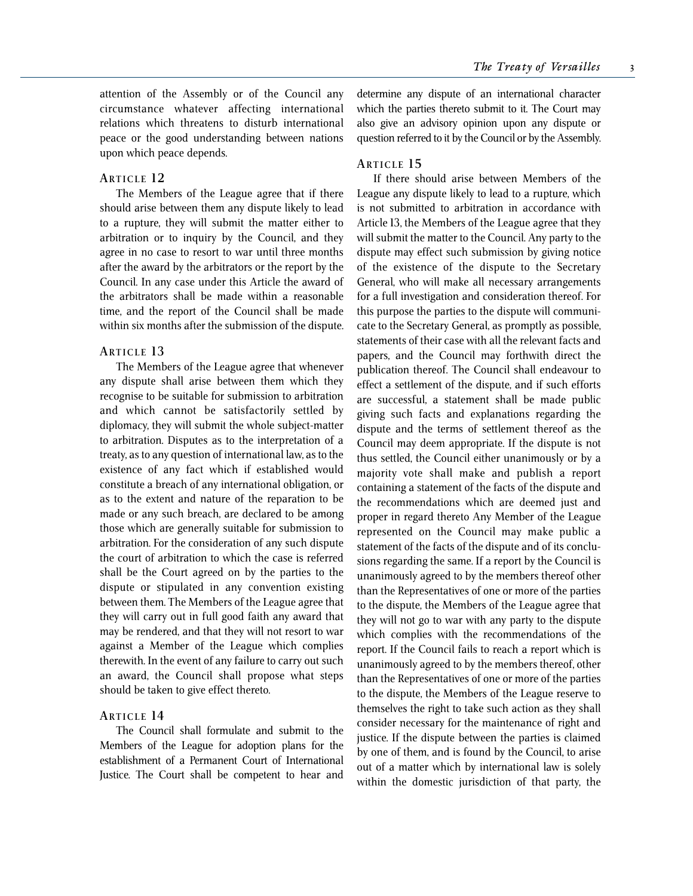attention of the Assembly or of the Council any circumstance whatever affecting international relations which threatens to disturb international peace or the good understanding between nations upon which peace depends.

#### **ARTICLE 12**

The Members of the League agree that if there should arise between them any dispute likely to lead to a rupture, they will submit the matter either to arbitration or to inquiry by the Council, and they agree in no case to resort to war until three months after the award by the arbitrators or the report by the Council. In any case under this Article the award of the arbitrators shall be made within a reasonable time, and the report of the Council shall be made within six months after the submission of the dispute.

#### **ARTICLE 13**

The Members of the League agree that whenever any dispute shall arise between them which they recognise to be suitable for submission to arbitration and which cannot be satisfactorily settled by diplomacy, they will submit the whole subject-matter to arbitration. Disputes as to the interpretation of a treaty, as to any question of international law, as to the existence of any fact which if established would constitute a breach of any international obligation, or as to the extent and nature of the reparation to be made or any such breach, are declared to be among those which are generally suitable for submission to arbitration. For the consideration of any such dispute the court of arbitration to which the case is referred shall be the Court agreed on by the parties to the dispute or stipulated in any convention existing between them. The Members of the League agree that they will carry out in full good faith any award that may be rendered, and that they will not resort to war against a Member of the League which complies therewith. In the event of any failure to carry out such an award, the Council shall propose what steps should be taken to give effect thereto.

#### **ARTICLE 14**

The Council shall formulate and submit to the Members of the League for adoption plans for the establishment of a Permanent Court of International Justice. The Court shall be competent to hear and determine any dispute of an international character which the parties thereto submit to it. The Court may also give an advisory opinion upon any dispute or question referred to it by the Council or by the Assembly.

## **ARTICLE 15**

If there should arise between Members of the League any dispute likely to lead to a rupture, which is not submitted to arbitration in accordance with Article 13, the Members of the League agree that they will submit the matter to the Council. Any party to the dispute may effect such submission by giving notice of the existence of the dispute to the Secretary General, who will make all necessary arrangements for a full investigation and consideration thereof. For this purpose the parties to the dispute will communicate to the Secretary General, as promptly as possible, statements of their case with all the relevant facts and papers, and the Council may forthwith direct the publication thereof. The Council shall endeavour to effect a settlement of the dispute, and if such efforts are successful, a statement shall be made public giving such facts and explanations regarding the dispute and the terms of settlement thereof as the Council may deem appropriate. If the dispute is not thus settled, the Council either unanimously or by a majority vote shall make and publish a report containing a statement of the facts of the dispute and the recommendations which are deemed just and proper in regard thereto Any Member of the League represented on the Council may make public a statement of the facts of the dispute and of its conclusions regarding the same. If a report by the Council is unanimously agreed to by the members thereof other than the Representatives of one or more of the parties to the dispute, the Members of the League agree that they will not go to war with any party to the dispute which complies with the recommendations of the report. If the Council fails to reach a report which is unanimously agreed to by the members thereof, other than the Representatives of one or more of the parties to the dispute, the Members of the League reserve to themselves the right to take such action as they shall consider necessary for the maintenance of right and justice. If the dispute between the parties is claimed by one of them, and is found by the Council, to arise out of a matter which by international law is solely within the domestic jurisdiction of that party, the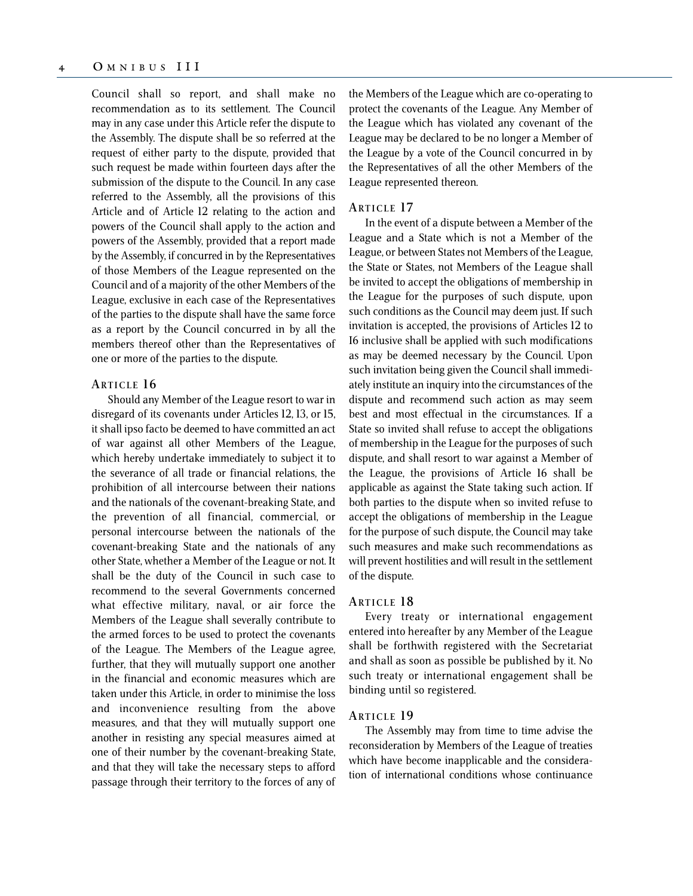Council shall so report, and shall make no recommendation as to its settlement. The Council may in any case under this Article refer the dispute to the Assembly. The dispute shall be so referred at the request of either party to the dispute, provided that such request be made within fourteen days after the submission of the dispute to the Council. In any case referred to the Assembly, all the provisions of this Article and of Article 12 relating to the action and powers of the Council shall apply to the action and powers of the Assembly, provided that a report made by the Assembly, if concurred in by the Representatives of those Members of the League represented on the Council and of a majority of the other Members of the League, exclusive in each case of the Representatives of the parties to the dispute shall have the same force as a report by the Council concurred in by all the members thereof other than the Representatives of one or more of the parties to the dispute.

#### **ARTICLE 16**

Should any Member of the League resort to war in disregard of its covenants under Articles 12, 13, or 15, it shall ipso facto be deemed to have committed an act of war against all other Members of the League, which hereby undertake immediately to subject it to the severance of all trade or financial relations, the prohibition of all intercourse between their nations and the nationals of the covenant-breaking State, and the prevention of all financial, commercial, or personal intercourse between the nationals of the covenant-breaking State and the nationals of any other State, whether a Member of the League or not. It shall be the duty of the Council in such case to recommend to the several Governments concerned what effective military, naval, or air force the Members of the League shall severally contribute to the armed forces to be used to protect the covenants of the League. The Members of the League agree, further, that they will mutually support one another in the financial and economic measures which are taken under this Article, in order to minimise the loss and inconvenience resulting from the above measures, and that they will mutually support one another in resisting any special measures aimed at one of their number by the covenant-breaking State, and that they will take the necessary steps to afford passage through their territory to the forces of any of the Members of the League which are co-operating to protect the covenants of the League. Any Member of the League which has violated any covenant of the League may be declared to be no longer a Member of the League by a vote of the Council concurred in by the Representatives of all the other Members of the League represented thereon.

#### **ARTICLE 17**

In the event of a dispute between a Member of the League and a State which is not a Member of the League, or between States not Members of the League, the State or States, not Members of the League shall be invited to accept the obligations of membership in the League for the purposes of such dispute, upon such conditions as the Council may deem just. If such invitation is accepted, the provisions of Articles 12 to I6 inclusive shall be applied with such modifications as may be deemed necessary by the Council. Upon such invitation being given the Council shall immediately institute an inquiry into the circumstances of the dispute and recommend such action as may seem best and most effectual in the circumstances. If a State so invited shall refuse to accept the obligations of membership in the League for the purposes of such dispute, and shall resort to war against a Member of the League, the provisions of Article 16 shall be applicable as against the State taking such action. If both parties to the dispute when so invited refuse to accept the obligations of membership in the League for the purpose of such dispute, the Council may take such measures and make such recommendations as will prevent hostilities and will result in the settlement of the dispute.

#### **ARTICLE 18**

Every treaty or international engagement entered into hereafter by any Member of the League shall be forthwith registered with the Secretariat and shall as soon as possible be published by it. No such treaty or international engagement shall be binding until so registered.

#### **ARTICLE 19**

The Assembly may from time to time advise the reconsideration by Members of the League of treaties which have become inapplicable and the consideration of international conditions whose continuance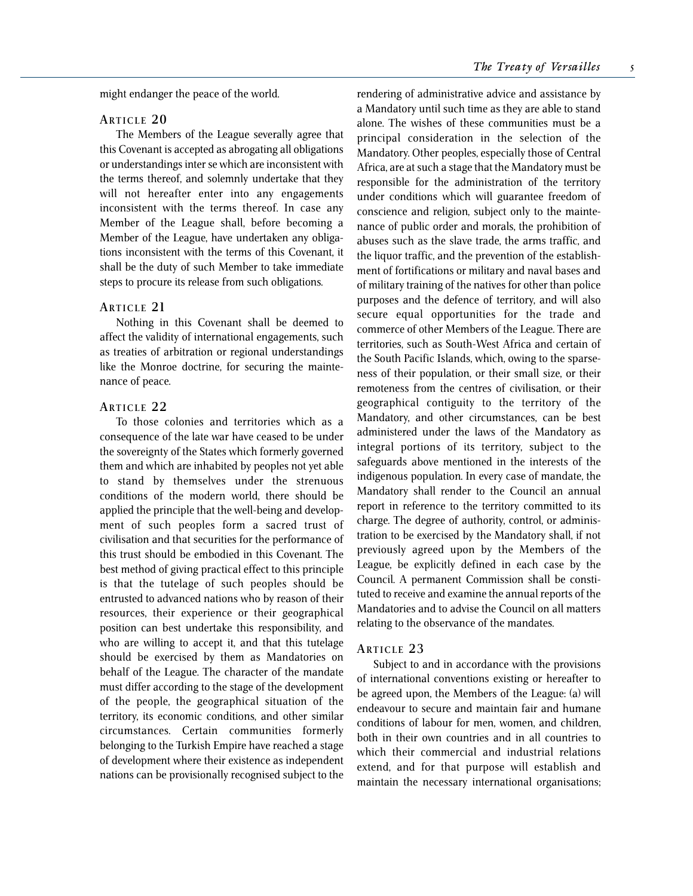might endanger the peace of the world.

#### **ARTICLE 2 0**

The Members of the League severally agree that this Covenant is accepted as abrogating all obligations or understandings inter se which are inconsistent with the terms thereof, and solemnly undertake that they will not hereafter enter into any engagements inconsistent with the terms thereof. In case any Member of the League shall, before becoming a Member of the League, have undertaken any obligations inconsistent with the terms of this Covenant, it shall be the duty of such Member to take immediate steps to procure its release from such obligations.

#### **ARTICLE 21**

Nothing in this Covenant shall be deemed to affect the validity of international engagements, such as treaties of arbitration or regional understandings like the Monroe doctrine, for securing the maintenance of peace.

#### **ARTICLE 2 2**

To those colonies and territories which as a consequence of the late war have ceased to be under the sovereignty of the States which formerly governed them and which are inhabited by peoples not yet able to stand by themselves under the strenuous conditions of the modern world, there should be applied the principle that the well-being and development of such peoples form a sacred trust of civilisation and that securities for the performance of this trust should be embodied in this Covenant. The best method of giving practical effect to this principle is that the tutelage of such peoples should be entrusted to advanced nations who by reason of their resources, their experience or their geographical position can best undertake this responsibility, and who are willing to accept it, and that this tutelage should be exercised by them as Mandatories on behalf of the League. The character of the mandate must differ according to the stage of the development of the people, the geographical situation of the territory, its economic conditions, and other similar circumstances. Certain communities formerly belonging to the Turkish Empire have reached a stage of development where their existence as independent nations can be provisionally recognised subject to the

rendering of administrative advice and assistance by a Mandatory until such time as they are able to stand alone. The wishes of these communities must be a principal consideration in the selection of the Mandatory. Other peoples, especially those of Central Africa, are at such a stage that the Mandatory must be responsible for the administration of the territory under conditions which will guarantee freedom of conscience and religion, subject only to the maintenance of public order and morals, the prohibition of abuses such as the slave trade, the arms traffic, and the liquor traffic, and the prevention of the establishment of fortifications or military and naval bases and of military training of the natives for other than police purposes and the defence of territory, and will also secure equal opportunities for the trade and commerce of other Members of the League. There are territories, such as South-West Africa and certain of the South Pacific Islands, which, owing to the sparseness of their population, or their small size, or their remoteness from the centres of civilisation, or their geographical contiguity to the territory of the Mandatory, and other circumstances, can be best administered under the laws of the Mandatory as integral portions of its territory, subject to the safeguards above mentioned in the interests of the indigenous population. In every case of mandate, the Mandatory shall render to the Council an annual report in reference to the territory committed to its charge. The degree of authority, control, or administration to be exercised by the Mandatory shall, if not previously agreed upon by the Members of the League, be explicitly defined in each case by the Council. A permanent Commission shall be constituted to receive and examine the annual reports of the Mandatories and to advise the Council on all matters relating to the observance of the mandates.

#### **ARTICLE 2 3**

Subject to and in accordance with the provisions of international conventions existing or hereafter to be agreed upon, the Members of the League: (a) will endeavour to secure and maintain fair and humane conditions of labour for men, women, and children, both in their own countries and in all countries to which their commercial and industrial relations extend, and for that purpose will establish and maintain the necessary international organisations;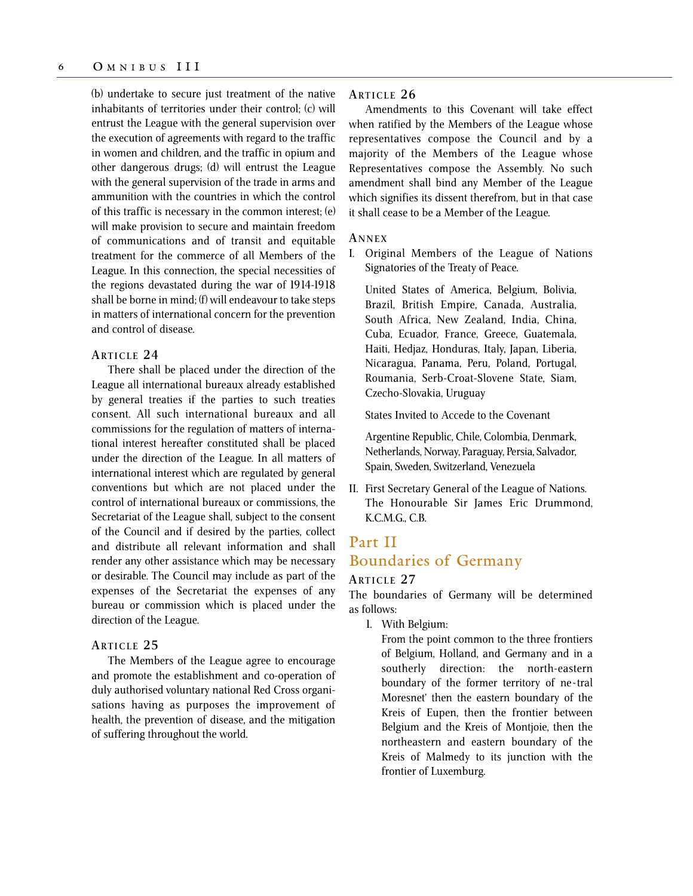(b) undertake to secure just treatment of the native inhabitants of territories under their control; (c) will entrust the League with the general supervision over the execution of agreements with regard to the traffic in women and children, and the traffic in opium and other dangerous drugs; (d) will entrust the League with the general supervision of the trade in arms and ammunition with the countries in which the control of this traffic is necessary in the common interest; (e) will make provision to secure and maintain freedom of communications and of transit and equitable treatment for the commerce of all Members of the League. In this connection, the special necessities of the regions devastated during the war of 1914-1918 shall be borne in mind; (f) will endeavour to take steps in matters of international concern for the prevention and control of disease.

## **ARTICLE 2 4**

There shall be placed under the direction of the League all international bureaux already established by general treaties if the parties to such treaties consent. All such international bureaux and all commissions for the regulation of matters of international interest hereafter constituted shall be placed under the direction of the League. In all matters of international interest which are regulated by general conventions but which are not placed under the control of international bureaux or commissions, the Secretariat of the League shall, subject to the consent of the Council and if desired by the parties, collect and distribute all relevant information and shall render any other assistance which may be necessary or desirable. The Council may include as part of the expenses of the Secretariat the expenses of any bureau or commission which is placed under the direction of the League.

#### **ARTICLE 2 5**

The Members of the League agree to encourage and promote the establishment and co-operation of duly authorised voluntary national Red Cross organisations having as purposes the improvement of health, the prevention of disease, and the mitigation of suffering throughout the world.

## **ARTICLE 2 6**

Amendments to this Covenant will take effect when ratified by the Members of the League whose representatives compose the Council and by a majority of the Members of the League whose Representatives compose the Assembly. No such amendment shall bind any Member of the League which signifies its dissent therefrom, but in that case it shall cease to be a Member of the League.

#### **A NNEX**

I. Original Members of the League of Nations Signatories of the Treaty of Peace.

United States of America, Belgium, Bolivia, Brazil, British Empire, Canada, Australia, South Africa, New Zealand, India, China, Cuba, Ecuador, France, Greece, Guatemala, Haiti, Hedjaz, Honduras, Italy, Japan, Liberia, Nicaragua, Panama, Peru, Poland, Portugal, Roumania, Serb-Croat-Slovene State, Siam, Czecho-Slovakia, Uruguay

States Invited to Accede to the Covenant

Argentine Republic, Chile, Colombia, Denmark, Netherlands, Norway, Paraguay, Persia, Salvador, Spain, Sweden, Switzerland, Venezuela

II. First Secretary General of the League of Nations. The Honourable Sir James Eric Drummond, K.C.M.G., C.B.

## Part II Boundaries of Germany

## **ARTICLE 2 7**

The boundaries of Germany will be determined as follows:

1. With Belgium:

From the point common to the three frontiers of Belgium, Holland, and Germany and in a southerly direction: the north-eastern boundary of the former territory of ne~tral Moresnet' then the eastern boundary of the Kreis of Eupen, then the frontier between Belgium and the Kreis of Montjoie, then the northeastern and eastern boundary of the Kreis of Malmedy to its junction with the frontier of Luxemburg.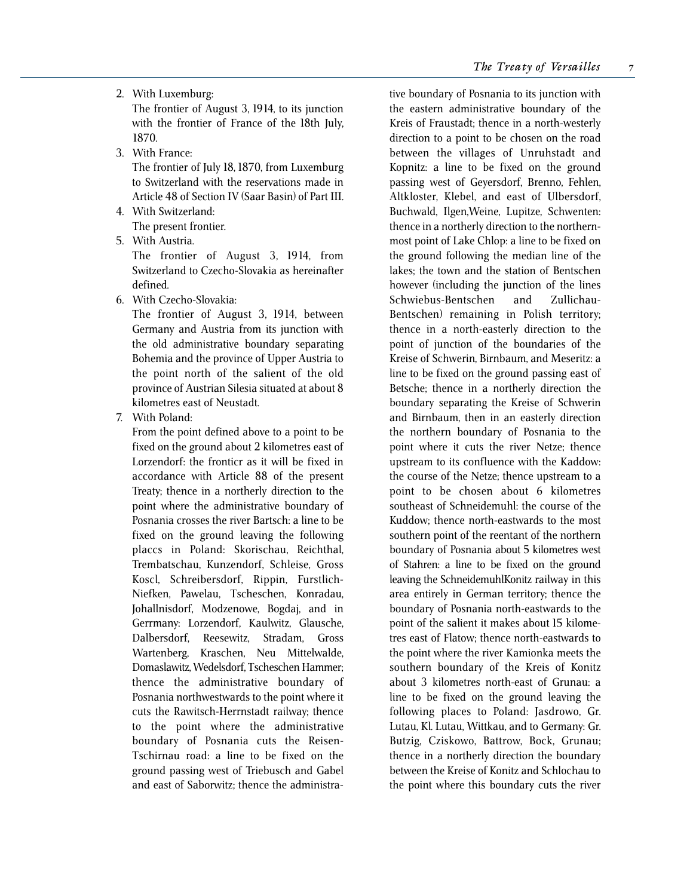2. With Luxemburg:

The frontier of August 3, 1914, to its junction with the frontier of France of the 18th July, 1870.

- 3. With France: The frontier of July 18, 1870, from Luxemburg to Switzerland with the reservations made in Article 48 of Section IV (Saar Basin) of Part III.
- 4. With Switzerland: The present frontier.
- 5. With Austria.

The frontier of August 3, 1914, from Switzerland to Czecho-Slovakia as hereinafter defined.

6. With Czecho-Slovakia:

The frontier of August 3, 1914, between Germany and Austria from its junction with the old administrative boundary separating Bohemia and the province of Upper Austria to the point north of the salient of the old province of Austrian Silesia situated at about 8 kilometres east of Neustadt.

7. With Poland:

From the point defined above to a point to be fixed on the ground about 2 kilometres east of Lorzendorf: the fronticr as it will be fixed in accordance with Article 88 of the present Treaty; thence in a northerly direction to the point where the administrative boundary of Posnania crosses the river Bartsch: a line to be fixed on the ground leaving the following placcs in Poland: Skorischau, Reichthal, Trembatschau, Kunzendorf, Schleise, Gross Koscl, Schreibersdorf, Rippin, Furstlich-Niefken, Pawelau, Tscheschen, Konradau, Johallnisdorf, Modzenowe, Bogdaj, and in Gerrmany: Lorzendorf, Kaulwitz, Glausche, Dalbersdorf, Reesewitz, Stradam, Gross Wartenberg, Kraschen, Neu Mittelwalde, Domaslawitz, Wedelsdorf, Tscheschen Hammer; thence the administrative boundary of Posnania northwestwards to the point where it cuts the Rawitsch-Herrnstadt railway; thence to the point where the administrative boundary of Posnania cuts the Reisen-Tschirnau road: a line to be fixed on the ground passing west of Triebusch and Gabel and east of Saborwitz; thence the administra-

tive boundary of Posnania to its junction with the eastern administrative boundary of the Kreis of Fraustadt; thence in a north-westerly direction to a point to be chosen on the road between the villages of Unruhstadt and Kopnitz: a line to be fixed on the ground passing west of Geyersdorf, Brenno, Fehlen, Altkloster, Klebel, and east of Ulbersdorf, Buchwald, Ilgen,Weine, Lupitze, Schwenten: thence in a northerly direction to the northernmost point of Lake Chlop: a line to be fixed on the ground following the median line of the lakes; the town and the station of Bentschen however (including the junction of the lines Schwiebus-Bentschen and Zullichau-Bentschen) remaining in Polish territory; thence in a north-easterly direction to the point of junction of the boundaries of the Kreise of Schwerin, Birnbaum, and Meseritz: a line to be fixed on the ground passing east of Betsche; thence in a northerly direction the boundary separating the Kreise of Schwerin and Birnbaum, then in an easterly direction the northern boundary of Posnania to the point where it cuts the river Netze; thence upstream to its confluence with the Kaddow: the course of the Netze; thence upstream to a point to be chosen about 6 kilometres southeast of Schneidemuhl: the course of the Kuddow; thence north-eastwards to the most southern point of the reentant of the northern boundary of Posnania about 5 kilometres west of Stahren: a line to be fixed on the ground leaving the SchneidemuhlKonitz railway in this area entirely in German territory; thence the boundary of Posnania north-eastwards to the point of the salient it makes about 15 kilometres east of Flatow; thence north-eastwards to the point where the river Kamionka meets the southern boundary of the Kreis of Konitz about 3 kilometres north-east of Grunau: a line to be fixed on the ground leaving the following places to Poland: Jasdrowo, Gr. Lutau, Kl. Lutau, Wittkau, and to Germany: Gr. Butzig, Cziskowo, Battrow, Bock, Grunau; thence in a northerly direction the boundary between the Kreise of Konitz and Schlochau to the point where this boundary cuts the river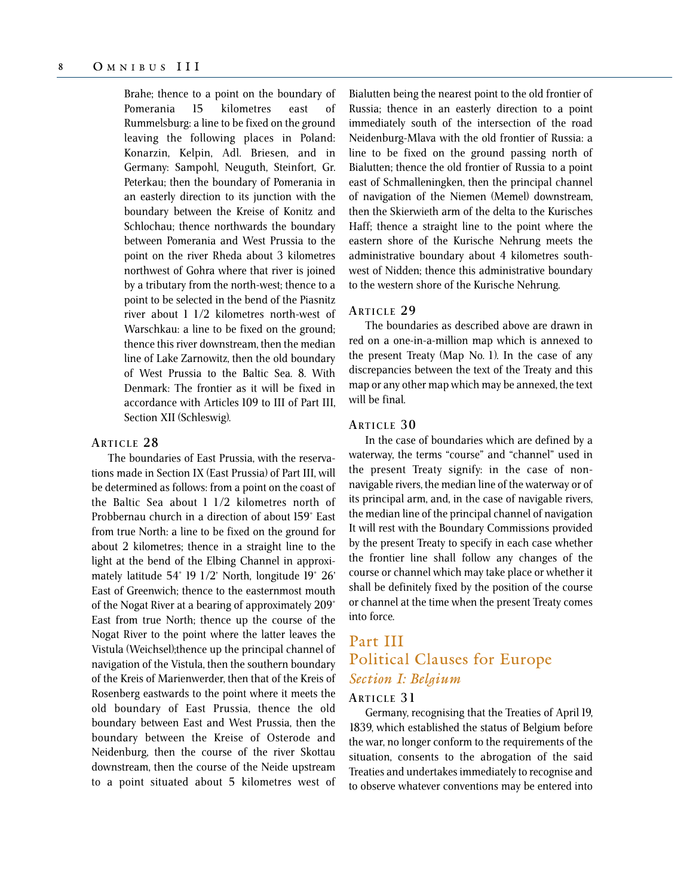Brahe; thence to a point on the boundary of Pomerania 15 kilometres east of Rummelsburg: a line to be fixed on the ground leaving the following places in Poland: Konarzin, Kelpin, Adl. Briesen, and in Germany: Sampohl, Neuguth, Steinfort, Gr. Peterkau; then the boundary of Pomerania in an easterly direction to its junction with the boundary between the Kreise of Konitz and Schlochau; thence northwards the boundary between Pomerania and West Prussia to the point on the river Rheda about 3 kilometres northwest of Gohra where that river is joined by a tributary from the north-west; thence to a point to be selected in the bend of the Piasnitz river about 1 1/2 kilometres north-west of Warschkau: a line to be fixed on the ground; thence this river downstream, then the median line of Lake Zarnowitz, then the old boundary of West Prussia to the Baltic Sea. 8. With Denmark: The frontier as it will be fixed in accordance with Articles 109 to III of Part III, Section XII (Schleswig).

## **ARTICLE 2 8**

The boundaries of East Prussia, with the reservations made in Section IX (East Prussia) of Part III, will be determined as follows: from a point on the coast of the Baltic Sea about 1 1/2 kilometres north of Probbernau church in a direction of about 159° East from true North: a line to be fixed on the ground for about 2 kilometres; thence in a straight line to the light at the bend of the Elbing Channel in approximately latitude 54° 19 1/2' North, longitude 19° 26' East of Greenwich; thence to the easternmost mouth of the Nogat River at a bearing of approximately 209° East from true North; thence up the course of the Nogat River to the point where the latter leaves the Vistula (Weichsel);thence up the principal channel of navigation of the Vistula, then the southern boundary of the Kreis of Marienwerder, then that of the Kreis of Rosenberg eastwards to the point where it meets the old boundary of East Prussia, thence the old boundary between East and West Prussia, then the boundary between the Kreise of Osterode and Neidenburg, then the course of the river Skottau downstream, then the course of the Neide upstream to a point situated about 5 kilometres west of Bialutten being the nearest point to the old frontier of Russia; thence in an easterly direction to a point immediately south of the intersection of the road Neidenburg-Mlava with the old frontier of Russia: a line to be fixed on the ground passing north of Bialutten; thence the old frontier of Russia to a point east of Schmalleningken, then the principal channel of navigation of the Niemen (Memel) downstream, then the Skierwieth arm of the delta to the Kurisches Haff; thence a straight line to the point where the eastern shore of the Kurische Nehrung meets the administrative boundary about 4 kilometres southwest of Nidden; thence this administrative boundary to the western shore of the Kurische Nehrung.

## **ARTICLE 2 9**

The boundaries as described above are drawn in red on a one-in-a-million map which is annexed to the present Treaty (Map No. 1). In the case of any discrepancies between the text of the Treaty and this map or any other map which may be annexed, the text will be final.

## **ARTICLE 3 0**

In the case of boundaries which are defined by a waterway, the terms "course" and "channel" used in the present Treaty signify: in the case of nonnavigable rivers, the median line of the waterway or of its principal arm, and, in the case of navigable rivers, the median line of the principal channel of navigation It will rest with the Boundary Commissions provided by the present Treaty to specify in each case whether the frontier line shall follow any changes of the course or channel which may take place or whether it shall be definitely fixed by the position of the course or channel at the time when the present Treaty comes into force.

# Part III Political Clauses for Europe *Section I: Belgium*

## **ARTICLE 3 1**

Germany, recognising that the Treaties of April 19, 1839, which established the status of Belgium before the war, no longer conform to the requirements of the situation, consents to the abrogation of the said Treaties and undertakes immediately to recognise and to observe whatever conventions may be entered into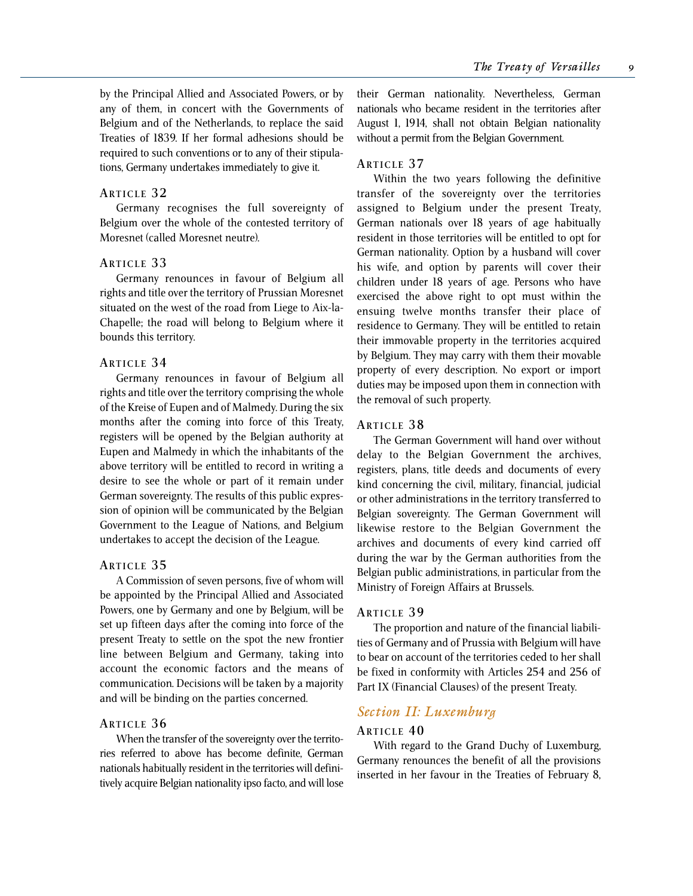by the Principal Allied and Associated Powers, or by any of them, in concert with the Governments of Belgium and of the Netherlands, to replace the said Treaties of 1839. If her formal adhesions should be required to such conventions or to any of their stipulations, Germany undertakes immediately to give it.

#### **ARTICLE 3 2**

Germany recognises the full sovereignty of Belgium over the whole of the contested territory of Moresnet (called Moresnet neutre).

#### **ARTICLE 3 3**

Germany renounces in favour of Belgium all rights and title over the territory of Prussian Moresnet situated on the west of the road from Liege to Aix-la-Chapelle; the road will belong to Belgium where it bounds this territory.

#### **ARTICLE 3 4**

Germany renounces in favour of Belgium all rights and title over the territory comprising the whole of the Kreise of Eupen and of Malmedy. During the six months after the coming into force of this Treaty, registers will be opened by the Belgian authority at Eupen and Malmedy in which the inhabitants of the above territory will be entitled to record in writing a desire to see the whole or part of it remain under German sovereignty. The results of this public expression of opinion will be communicated by the Belgian Government to the League of Nations, and Belgium undertakes to accept the decision of the League.

#### **ARTICLE 3 5**

A Commission of seven persons, five of whom will be appointed by the Principal Allied and Associated Powers, one by Germany and one by Belgium, will be set up fifteen days after the coming into force of the present Treaty to settle on the spot the new frontier line between Belgium and Germany, taking into account the economic factors and the means of communication. Decisions will be taken by a majority and will be binding on the parties concerned.

#### **ARTICLE 3 6**

When the transfer of the sovereignty over the territories referred to above has become definite, German nationals habitually resident in the territories will definitively acquire Belgian nationality ipso facto, and will lose

their German nationality. Nevertheless, German nationals who became resident in the territories after August 1, 1914, shall not obtain Belgian nationality without a permit from the Belgian Government.

#### **ARTICLE 3 7**

Within the two years following the definitive transfer of the sovereignty over the territories assigned to Belgium under the present Treaty, German nationals over 18 years of age habitually resident in those territories will be entitled to opt for German nationality. Option by a husband will cover his wife, and option by parents will cover their children under 18 years of age. Persons who have exercised the above right to opt must within the ensuing twelve months transfer their place of residence to Germany. They will be entitled to retain their immovable property in the territories acquired by Belgium. They may carry with them their movable property of every description. No export or import duties may be imposed upon them in connection with the removal of such property.

#### **ARTICLE 3 8**

The German Government will hand over without delay to the Belgian Government the archives, registers, plans, title deeds and documents of every kind concerning the civil, military, financial, judicial or other administrations in the territory transferred to Belgian sovereignty. The German Government will likewise restore to the Belgian Government the archives and documents of every kind carried off during the war by the German authorities from the Belgian public administrations, in particular from the Ministry of Foreign Affairs at Brussels.

#### **ARTICLE 3 9**

The proportion and nature of the financial liabilities of Germany and of Prussia with Belgium will have to bear on account of the territories ceded to her shall be fixed in conformity with Articles 254 and 256 of Part IX (Financial Clauses) of the present Treaty.

## *Section II: Luxemburg*

#### **ARTICLE 4 0**

With regard to the Grand Duchy of Luxemburg, Germany renounces the benefit of all the provisions inserted in her favour in the Treaties of February 8,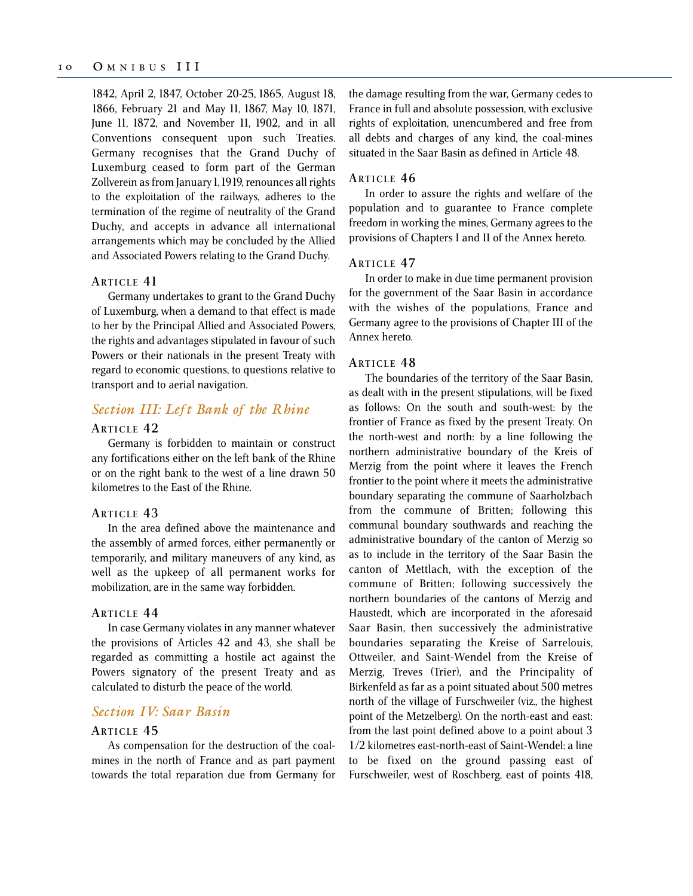1842, April 2, 1847, October 20-25, 1865, August 18, 1866, February 21 and May 11, 1867, May 10, 1871, June 11, 1872, and November 11, 1902, and in all Conventions consequent upon such Treaties. Germany recognises that the Grand Duchy of Luxemburg ceased to form part of the German Zollverein as from January 1, 1919, renounces all rights to the exploitation of the railways, adheres to the termination of the regime of neutrality of the Grand Duchy, and accepts in advance all international arrangements which may be concluded by the Allied and Associated Powers relating to the Grand Duchy.

#### **ARTICLE 41**

Germany undertakes to grant to the Grand Duchy of Luxemburg, when a demand to that effect is made to her by the Principal Allied and Associated Powers, the rights and advantages stipulated in favour of such Powers or their nationals in the present Treaty with regard to economic questions, to questions relative to transport and to aerial navigation.

## *Section III: Left Bank of the Rhine*

## **ARTICLE 4 2**

Germany is forbidden to maintain or construct any fortifications either on the left bank of the Rhine or on the right bank to the west of a line drawn 50 kilometres to the East of the Rhine.

#### **ARTICLE 4 3**

In the area defined above the maintenance and the assembly of armed forces, either permanently or temporarily, and military maneuvers of any kind, as well as the upkeep of all permanent works for mobilization, are in the same way forbidden.

#### **ARTICLE 4 4**

In case Germany violates in any manner whatever the provisions of Articles 42 and 43, she shall be regarded as committing a hostile act against the Powers signatory of the present Treaty and as calculated to disturb the peace of the world.

## *Section IV: Saar Basin*

## **ARTICLE 4 5**

As compensation for the destruction of the coalmines in the north of France and as part payment towards the total reparation due from Germany for the damage resulting from the war, Germany cedes to France in full and absolute possession, with exclusive rights of exploitation, unencumbered and free from all debts and charges of any kind, the coal-mines situated in the Saar Basin as defined in Article 48.

## **ARTICLE 4 6**

In order to assure the rights and welfare of the population and to guarantee to France complete freedom in working the mines, Germany agrees to the provisions of Chapters I and II of the Annex hereto.

#### **ARTICLE 4 7**

In order to make in due time permanent provision for the government of the Saar Basin in accordance with the wishes of the populations, France and Germany agree to the provisions of Chapter III of the Annex hereto.

#### **ARTICLE 4 8**

The boundaries of the territory of the Saar Basin, as dealt with in the present stipulations, will be fixed as follows: On the south and south-west: by the frontier of France as fixed by the present Treaty. On the north-west and north: by a line following the northern administrative boundary of the Kreis of Merzig from the point where it leaves the French frontier to the point where it meets the administrative boundary separating the commune of Saarholzbach from the commune of Britten; following this communal boundary southwards and reaching the administrative boundary of the canton of Merzig so as to include in the territory of the Saar Basin the canton of Mettlach, with the exception of the commune of Britten; following successively the northern boundaries of the cantons of Merzig and Haustedt, which are incorporated in the aforesaid Saar Basin, then successively the administrative boundaries separating the Kreise of Sarrelouis, Ottweiler, and Saint-Wendel from the Kreise of Merzig, Treves (Trier), and the Principality of Birkenfeld as far as a point situated about 500 metres north of the village of Furschweiler (viz., the highest point of the Metzelberg). On the north-east and east: from the last point defined above to a point about 3 1/2 kilometres east-north-east of Saint-Wendel: a line to be fixed on the ground passing east of Furschweiler, west of Roschberg, east of points 418,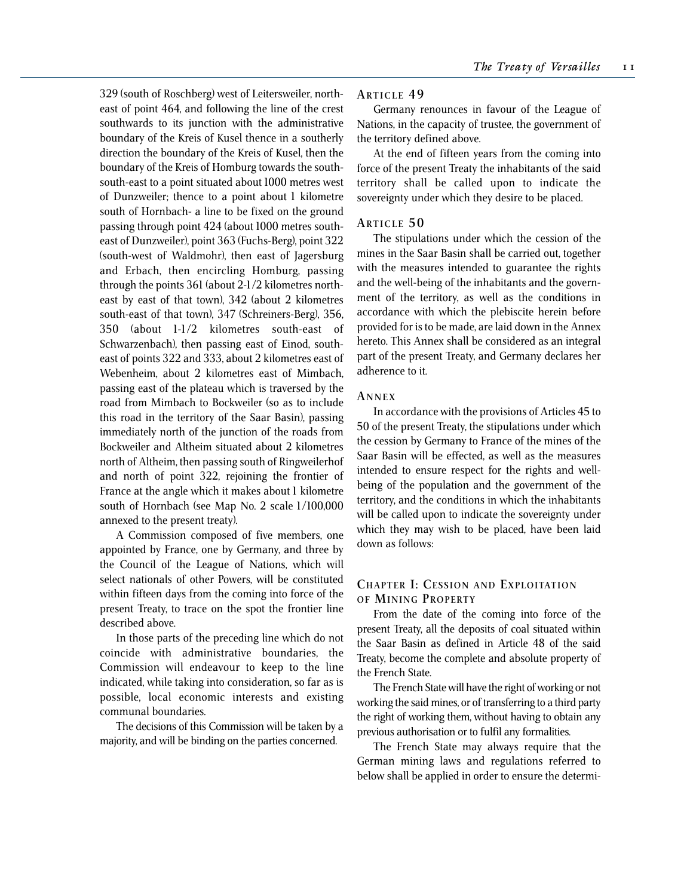329 (south of Roschberg) west of Leitersweiler, northeast of point 464, and following the line of the crest southwards to its junction with the administrative boundary of the Kreis of Kusel thence in a southerly direction the boundary of the Kreis of Kusel, then the boundary of the Kreis of Homburg towards the southsouth-east to a point situated about 1000 metres west of Dunzweiler; thence to a point about 1 kilometre south of Hornbach- a line to be fixed on the ground passing through point 424 (about 1000 metres southeast of Dunzweiler), point 363 (Fuchs-Berg), point 322 (south-west of Waldmohr), then east of Jagersburg and Erbach, then encircling Homburg, passing through the points 361 (about 2-1/2 kilometres northeast by east of that town), 342 (about 2 kilometres south-east of that town), 347 (Schreiners-Berg), 356, 350 (about 1-1/2 kilometres south-east of Schwarzenbach), then passing east of Einod, southeast of points 322 and 333, about 2 kilometres east of Webenheim, about 2 kilometres east of Mimbach, passing east of the plateau which is traversed by the road from Mimbach to Bockweiler (so as to include this road in the territory of the Saar Basin), passing immediately north of the junction of the roads from Bockweiler and Altheim situated about 2 kilometres north of Altheim, then passing south of Ringweilerhof and north of point 322, rejoining the frontier of France at the angle which it makes about 1 kilometre south of Hornbach (see Map No. 2 scale 1/100,000 annexed to the present treaty).

A Commission composed of five members, one appointed by France, one by Germany, and three by the Council of the League of Nations, which will select nationals of other Powers, will be constituted within fifteen days from the coming into force of the present Treaty, to trace on the spot the frontier line described above.

In those parts of the preceding line which do not coincide with administrative boundaries, the Commission will endeavour to keep to the line indicated, while taking into consideration, so far as is possible, local economic interests and existing communal boundaries.

The decisions of this Commission will be taken by a majority, and will be binding on the parties concerned.

#### **ARTICLE 4 9**

Germany renounces in favour of the League of Nations, in the capacity of trustee, the government of the territory defined above.

At the end of fifteen years from the coming into force of the present Treaty the inhabitants of the said territory shall be called upon to indicate the sovereignty under which they desire to be placed.

#### **ARTICLE 5 0**

The stipulations under which the cession of the mines in the Saar Basin shall be carried out, together with the measures intended to guarantee the rights and the well-being of the inhabitants and the government of the territory, as well as the conditions in accordance with which the plebiscite herein before provided for is to be made, are laid down in the Annex hereto. This Annex shall be considered as an integral part of the present Treaty, and Germany declares her adherence to it.

#### **A NNEX**

In accordance with the provisions of Articles 45 to 50 of the present Treaty, the stipulations under which the cession by Germany to France of the mines of the Saar Basin will be effected, as well as the measures intended to ensure respect for the rights and wellbeing of the population and the government of the territory, and the conditions in which the inhabitants will be called upon to indicate the sovereignty under which they may wish to be placed, have been laid down as follows:

#### **CHAPTER I: CESSION AND EXPLOITATION O F MINING PROPERTY**

From the date of the coming into force of the present Treaty, all the deposits of coal situated within the Saar Basin as defined in Article 48 of the said Treaty, become the complete and absolute property of the French State.

The French State will have the right of working or not working the said mines, or of transferring to a third party the right of working them, without having to obtain any previous authorisation or to fulfil any formalities.

The French State may always require that the German mining laws and regulations referred to below shall be applied in order to ensure the determi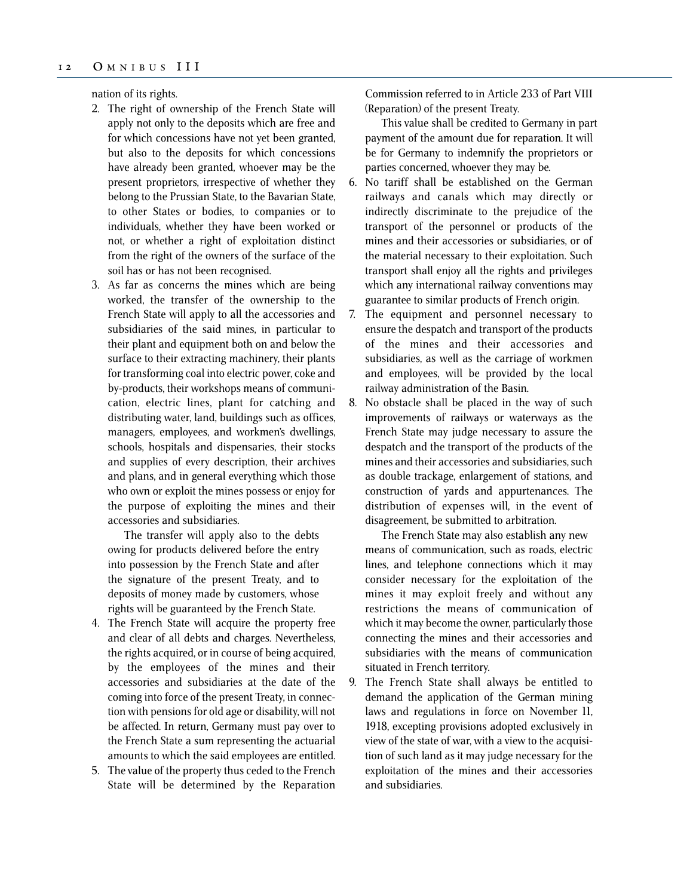nation of its rights.

- 2. The right of ownership of the French State will apply not only to the deposits which are free and for which concessions have not yet been granted, but also to the deposits for which concessions have already been granted, whoever may be the present proprietors, irrespective of whether they belong to the Prussian State, to the Bavarian State, to other States or bodies, to companies or to individuals, whether they have been worked or not, or whether a right of exploitation distinct from the right of the owners of the surface of the soil has or has not been recognised.
- 3. As far as concerns the mines which are being worked, the transfer of the ownership to the French State will apply to all the accessories and subsidiaries of the said mines, in particular to their plant and equipment both on and below the surface to their extracting machinery, their plants for transforming coal into electric power, coke and by-products, their workshops means of communication, electric lines, plant for catching and distributing water, land, buildings such as offices, managers, employees, and workmen's dwellings, schools, hospitals and dispensaries, their stocks and supplies of every description, their archives and plans, and in general everything which those who own or exploit the mines possess or enjoy for the purpose of exploiting the mines and their accessories and subsidiaries.

The transfer will apply also to the debts owing for products delivered before the entry into possession by the French State and after the signature of the present Treaty, and to deposits of money made by customers, whose rights will be guaranteed by the French State.

- 4. The French State will acquire the property free and clear of all debts and charges. Nevertheless, the rights acquired, or in course of being acquired, by the employees of the mines and their accessories and subsidiaries at the date of the coming into force of the present Treaty, in connection with pensions for old age or disability, will not be affected. In return, Germany must pay over to the French State a sum representing the actuarial amounts to which the said employees are entitled.
- 5. The value of the property thus ceded to the French State will be determined by the Reparation

Commission referred to in Article 233 of Part VIII (Reparation) of the present Treaty.

This value shall be credited to Germany in part payment of the amount due for reparation. It will be for Germany to indemnify the proprietors or parties concerned, whoever they may be.

- 6. No tariff shall be established on the German railways and canals which may directly or indirectly discriminate to the prejudice of the transport of the personnel or products of the mines and their accessories or subsidiaries, or of the material necessary to their exploitation. Such transport shall enjoy all the rights and privileges which any international railway conventions may guarantee to similar products of French origin.
- 7. The equipment and personnel necessary to ensure the despatch and transport of the products of the mines and their accessories and subsidiaries, as well as the carriage of workmen and employees, will be provided by the local railway administration of the Basin.
- 8. No obstacle shall be placed in the way of such improvements of railways or waterways as the French State may judge necessary to assure the despatch and the transport of the products of the mines and their accessories and subsidiaries, such as double trackage, enlargement of stations, and construction of yards and appurtenances. The distribution of expenses will, in the event of disagreement, be submitted to arbitration.

The French State may also establish any new means of communication, such as roads, electric lines, and telephone connections which it may consider necessary for the exploitation of the mines it may exploit freely and without any restrictions the means of communication of which it may become the owner, particularly those connecting the mines and their accessories and subsidiaries with the means of communication situated in French territory.

9. The French State shall always be entitled to demand the application of the German mining laws and regulations in force on November 11, 1918, excepting provisions adopted exclusively in view of the state of war, with a view to the acquisition of such land as it may judge necessary for the exploitation of the mines and their accessories and subsidiaries.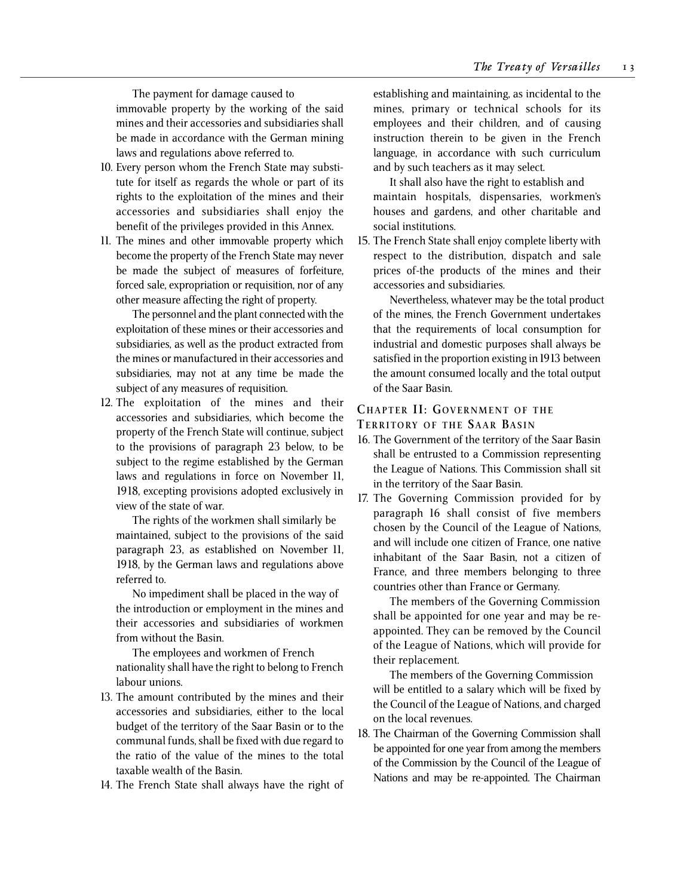The payment for damage caused to immovable property by the working of the said mines and their accessories and subsidiaries shall be made in accordance with the German mining laws and regulations above referred to.

- 10. Every person whom the French State may substitute for itself as regards the whole or part of its rights to the exploitation of the mines and their accessories and subsidiaries shall enjoy the benefit of the privileges provided in this Annex.
- 11. The mines and other immovable property which become the property of the French State may never be made the subject of measures of forfeiture, forced sale, expropriation or requisition, nor of any other measure affecting the right of property.

The personnel and the plant connected with the exploitation of these mines or their accessories and subsidiaries, as well as the product extracted from the mines or manufactured in their accessories and subsidiaries, may not at any time be made the subject of any measures of requisition.

12. The exploitation of the mines and their accessories and subsidiaries, which become the property of the French State will continue, subject to the provisions of paragraph 23 below, to be subject to the regime established by the German laws and regulations in force on November 11, 1918, excepting provisions adopted exclusively in view of the state of war.

The rights of the workmen shall similarly be maintained, subject to the provisions of the said paragraph 23, as established on November 11, 1918, by the German laws and regulations above referred to.

No impediment shall be placed in the way of the introduction or employment in the mines and their accessories and subsidiaries of workmen from without the Basin.

The employees and workmen of French nationality shall have the right to belong to French labour unions.

- 13. The amount contributed by the mines and their accessories and subsidiaries, either to the local budget of the territory of the Saar Basin or to the communal funds, shall be fixed with due regard to the ratio of the value of the mines to the total taxable wealth of the Basin.
- 14. The French State shall always have the right of

establishing and maintaining, as incidental to the mines, primary or technical schools for its employees and their children, and of causing instruction therein to be given in the French language, in accordance with such curriculum and by such teachers as it may select.

It shall also have the right to establish and maintain hospitals, dispensaries, workmen's houses and gardens, and other charitable and social institutions.

15. The French State shall enjoy complete liberty with respect to the distribution, dispatch and sale prices of-the products of the mines and their accessories and subsidiaries.

Nevertheless, whatever may be the total product of the mines, the French Government undertakes that the requirements of local consumption for industrial and domestic purposes shall always be satisfied in the proportion existing in 1913 between the amount consumed locally and the total output of the Saar Basin.

## **CHAPTER II: GOVERNMENT OF THE**

**TERRITORY OF THE SAAR BASIN**

- 16. The Government of the territory of the Saar Basin shall be entrusted to a Commission representing the League of Nations. This Commission shall sit in the territory of the Saar Basin.
- 17. The Governing Commission provided for by paragraph 16 shall consist of five members chosen by the Council of the League of Nations, and will include one citizen of France, one native inhabitant of the Saar Basin, not a citizen of France, and three members belonging to three countries other than France or Germany.

The members of the Governing Commission shall be appointed for one year and may be reappointed. They can be removed by the Council of the League of Nations, which will provide for their replacement.

The members of the Governing Commission will be entitled to a salary which will be fixed by the Council of the League of Nations, and charged on the local revenues.

18. The Chairman of the Governing Commission shall be appointed for one year from among the members of the Commission by the Council of the League of Nations and may be re-appointed. The Chairman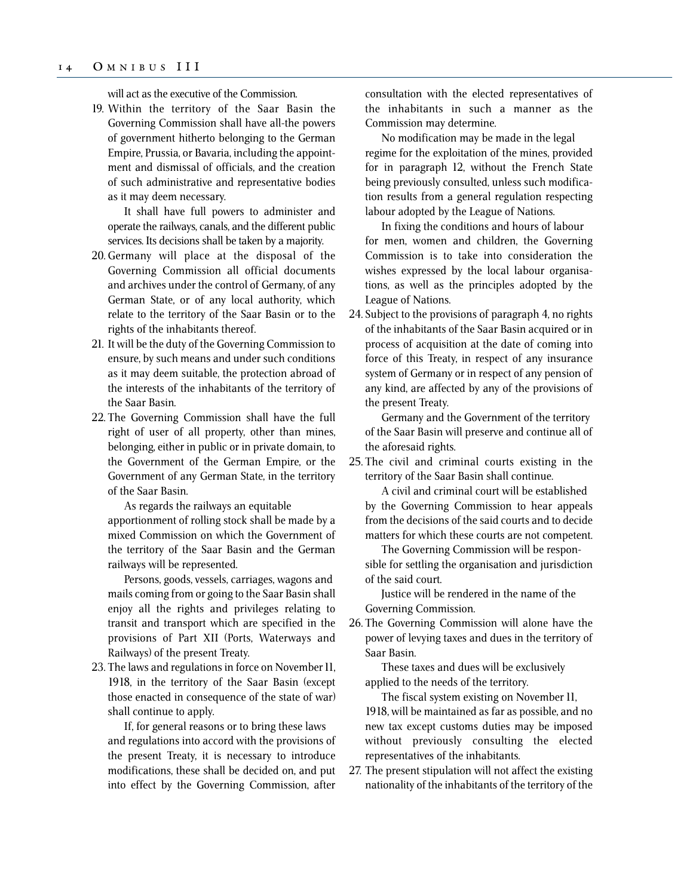#### 1 4 O MNIBUS III

will act as the executive of the Commission.

19. Within the territory of the Saar Basin the Governing Commission shall have all-the powers of government hitherto belonging to the German Empire, Prussia, or Bavaria, including the appointment and dismissal of officials, and the creation of such administrative and representative bodies as it may deem necessary.

It shall have full powers to administer and operate the railways, canals, and the different public services. Its decisions shall be taken by a majority.

- 20. Germany will place at the disposal of the Governing Commission all official documents and archives under the control of Germany, of any German State, or of any local authority, which relate to the territory of the Saar Basin or to the rights of the inhabitants thereof.
- 21. It will be the duty of the Governing Commission to ensure, by such means and under such conditions as it may deem suitable, the protection abroad of the interests of the inhabitants of the territory of the Saar Basin.
- 22. The Governing Commission shall have the full right of user of all property, other than mines, belonging, either in public or in private domain, to the Government of the German Empire, or the Government of any German State, in the territory of the Saar Basin.

As regards the railways an equitable apportionment of rolling stock shall be made by a mixed Commission on which the Government of the territory of the Saar Basin and the German railways will be represented.

Persons, goods, vessels, carriages, wagons and mails coming from or going to the Saar Basin shall enjoy all the rights and privileges relating to transit and transport which are specified in the provisions of Part XII (Ports, Waterways and Railways) of the present Treaty.

23. The laws and regulations in force on November 11, 1918, in the territory of the Saar Basin (except those enacted in consequence of the state of war) shall continue to apply.

If, for general reasons or to bring these laws and regulations into accord with the provisions of the present Treaty, it is necessary to introduce modifications, these shall be decided on, and put into effect by the Governing Commission, after consultation with the elected representatives of the inhabitants in such a manner as the Commission may determine.

No modification may be made in the legal regime for the exploitation of the mines, provided for in paragraph 12, without the French State being previously consulted, unless such modification results from a general regulation respecting labour adopted by the League of Nations.

In fixing the conditions and hours of labour for men, women and children, the Governing Commission is to take into consideration the wishes expressed by the local labour organisations, as well as the principles adopted by the League of Nations.

24. Subject to the provisions of paragraph 4, no rights of the inhabitants of the Saar Basin acquired or in process of acquisition at the date of coming into force of this Treaty, in respect of any insurance system of Germany or in respect of any pension of any kind, are affected by any of the provisions of the present Treaty.

Germany and the Government of the territory of the Saar Basin will preserve and continue all of the aforesaid rights.

25. The civil and criminal courts existing in the territory of the Saar Basin shall continue.

A civil and criminal court will be established by the Governing Commission to hear appeals from the decisions of the said courts and to decide matters for which these courts are not competent.

The Governing Commission will be responsible for settling the organisation and jurisdiction of the said court.

Justice will be rendered in the name of the Governing Commission.

26. The Governing Commission will alone have the power of levying taxes and dues in the territory of Saar Basin.

These taxes and dues will be exclusively applied to the needs of the territory.

The fiscal system existing on November 11, 1918, will be maintained as far as possible, and no new tax except customs duties may be imposed without previously consulting the elected representatives of the inhabitants.

27. The present stipulation will not affect the existing nationality of the inhabitants of the territory of the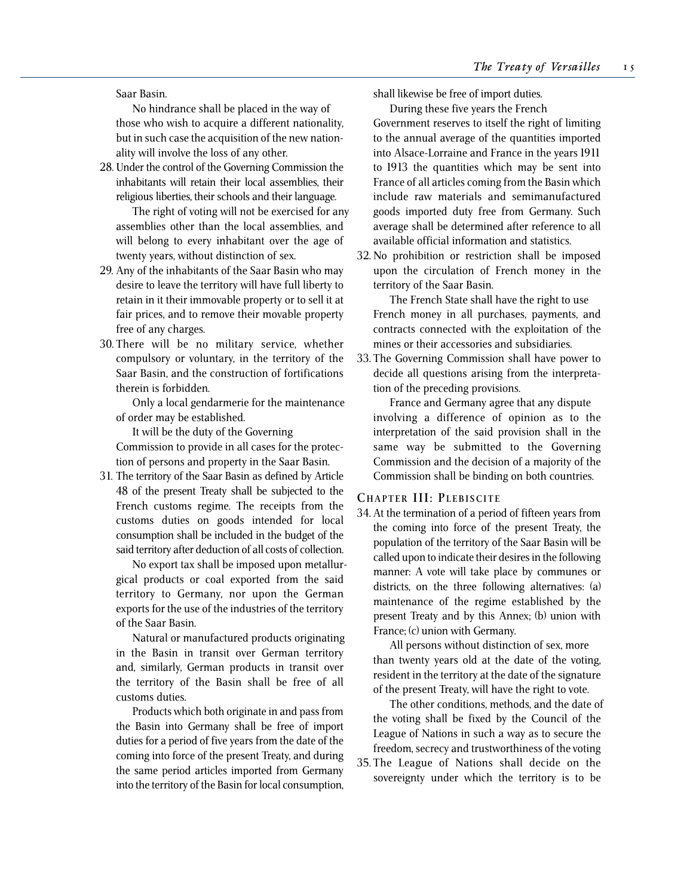Saar Basin.

No hindrance shall be placed in the way of those who wish to acquire a different nationality, but in such case the acquisition of the new nationality will involve the loss of any other.

28. Under the control of the Governing Commission the inhabitants will retain their local assemblies, their religious liberties, their schools and their language.

The right of voting will not be exercised for any assemblies other than the local assemblies, and will belong to every inhabitant over the age of twenty years, without distinction of sex.

- 29. Any of the inhabitants of the Saar Basin who may desire to leave the territory will have full liberty to retain in it their immovable property or to sell it at fair prices, and to remove their movable property free of any charges.
- 30. There will be no military service, whether compulsory or voluntary, in the territory of the Saar Basin, and the construction of fortifications therein is forbidden.

Only a local gendarmerie for the maintenance of order may be established.

It will be the duty of the Governing Commission to provide in all cases for the protection of persons and property in the Saar Basin.

31. The territory of the Saar Basin as defined by Article 48 of the present Treaty shall be subjected to the French customs regime. The receipts from the customs duties on goods intended for local consumption shall be included in the budget of the said territory after deduction of all costs of collection.

No export tax shall be imposed upon metallurgical products or coal exported from the said territory to Germany, nor upon the German exports for the use of the industries of the territory of the Saar Basin.

Natural or manufactured products originating in the Basin in transit over German territory and, similarly, German products in transit over the territory of the Basin shall be free of all customs duties.

Products which both originate in and pass from the Basin into Germany shall be free of import duties for a period of five years from the date of the coming into force of the present Treaty, and during the same period articles imported from Germany into the territory of the Basin for local consumption, shall likewise be free of import duties.

During these five years the French

Government reserves to itself the right of limiting to the annual average of the quantities imported into Alsace-Lorraine and France in the years 1911 to 1913 the quantities which may be sent into France of all articles coming from the Basin which include raw materials and semimanufactured goods imported duty free from Germany. Such average shall be determined after reference to all available official information and statistics.

32. No prohibition or restriction shall be imposed upon the circulation of French money in the territory of the Saar Basin.

The French State shall have the right to use French money in all purchases, payments, and contracts connected with the exploitation of the mines or their accessories and subsidiaries.

33. The Governing Commission shall have power to decide all questions arising from the interpretation of the preceding provisions.

France and Germany agree that any dispute involving a difference of opinion as to the interpretation of the said provision shall in the same way be submitted to the Governing Commission and the decision of a majority of the Commission shall be binding on both countries.

#### **CHAPTER III: PLEBISCITE**

34. At the termination of a period of fifteen years from the coming into force of the present Treaty, the population of the territory of the Saar Basin will be called upon to indicate their desires in the following manner: A vote will take place by communes or districts, on the three following alternatives: (a) maintenance of the regime established by the present Treaty and by this Annex; (b) union with France; (c) union with Germany.

All persons without distinction of sex, more than twenty years old at the date of the voting, resident in the territory at the date of the signature of the present Treaty, will have the right to vote.

The other conditions, methods, and the date of the voting shall be fixed by the Council of the League of Nations in such a way as to secure the freedom, secrecy and trustworthiness of the voting

35. The League of Nations shall decide on the sovereignty under which the territory is to be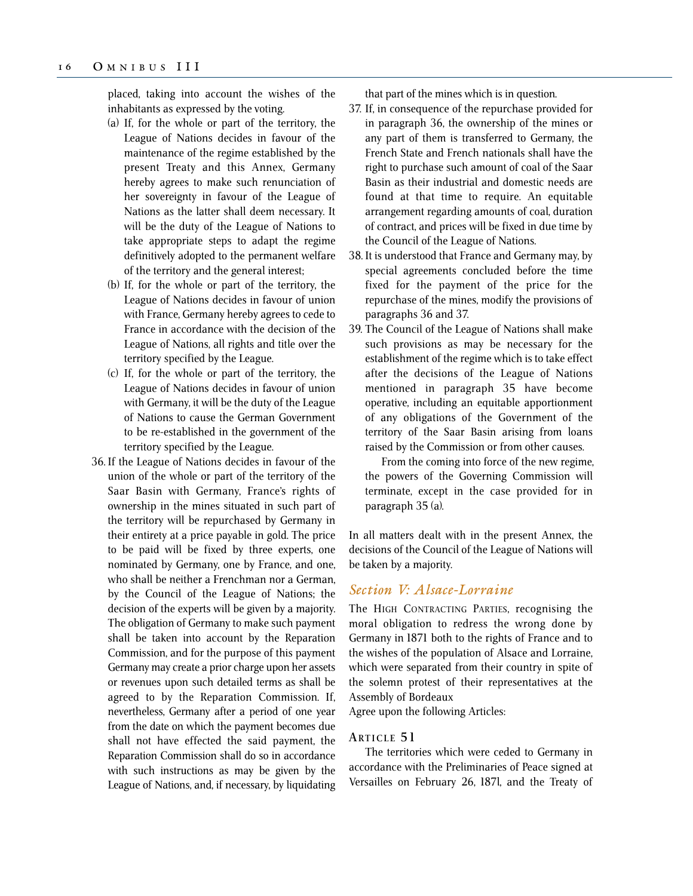placed, taking into account the wishes of the inhabitants as expressed by the voting.

- (a) If, for the whole or part of the territory, the League of Nations decides in favour of the maintenance of the regime established by the present Treaty and this Annex, Germany hereby agrees to make such renunciation of her sovereignty in favour of the League of Nations as the latter shall deem necessary. It will be the duty of the League of Nations to take appropriate steps to adapt the regime definitively adopted to the permanent welfare of the territory and the general interest;
- (b) If, for the whole or part of the territory, the League of Nations decides in favour of union with France, Germany hereby agrees to cede to France in accordance with the decision of the League of Nations, all rights and title over the territory specified by the League.
- (c) If, for the whole or part of the territory, the League of Nations decides in favour of union with Germany, it will be the duty of the League of Nations to cause the German Government to be re-established in the government of the territory specified by the League.
- 36. If the League of Nations decides in favour of the union of the whole or part of the territory of the Saar Basin with Germany, France's rights of ownership in the mines situated in such part of the territory will be repurchased by Germany in their entirety at a price payable in gold. The price to be paid will be fixed by three experts, one nominated by Germany, one by France, and one, who shall be neither a Frenchman nor a German, by the Council of the League of Nations; the decision of the experts will be given by a majority. The obligation of Germany to make such payment shall be taken into account by the Reparation Commission, and for the purpose of this payment Germany may create a prior charge upon her assets or revenues upon such detailed terms as shall be agreed to by the Reparation Commission. If, nevertheless, Germany after a period of one year from the date on which the payment becomes due shall not have effected the said payment, the Reparation Commission shall do so in accordance with such instructions as may be given by the League of Nations, and, if necessary, by liquidating

that part of the mines which is in question.

- 37. If, in consequence of the repurchase provided for in paragraph 36, the ownership of the mines or any part of them is transferred to Germany, the French State and French nationals shall have the right to purchase such amount of coal of the Saar Basin as their industrial and domestic needs are found at that time to require. An equitable arrangement regarding amounts of coal, duration of contract, and prices will be fixed in due time by the Council of the League of Nations.
- 38. It is understood that France and Germany may, by special agreements concluded before the time fixed for the payment of the price for the repurchase of the mines, modify the provisions of paragraphs 36 and 37.
- 39. The Council of the League of Nations shall make such provisions as may be necessary for the establishment of the regime which is to take effect after the decisions of the League of Nations mentioned in paragraph 35 have become operative, including an equitable apportionment of any obligations of the Government of the territory of the Saar Basin arising from loans raised by the Commission or from other causes.

From the coming into force of the new regime, the powers of the Governing Commission will terminate, except in the case provided for in paragraph 35 (a).

In all matters dealt with in the present Annex, the decisions of the Council of the League of Nations will be taken by a majority.

## *Section V: Alsace-Lorraine*

The HIGH CONTRACTING PARTIES, recognising the moral obligation to redress the wrong done by Germany in 1871 both to the rights of France and to the wishes of the population of Alsace and Lorraine, which were separated from their country in spite of the solemn protest of their representatives at the Assembly of Bordeaux

Agree upon the following Articles:

#### **ARTICLE 5 1**

The territories which were ceded to Germany in accordance with the Preliminaries of Peace signed at Versailles on February 26, 187l, and the Treaty of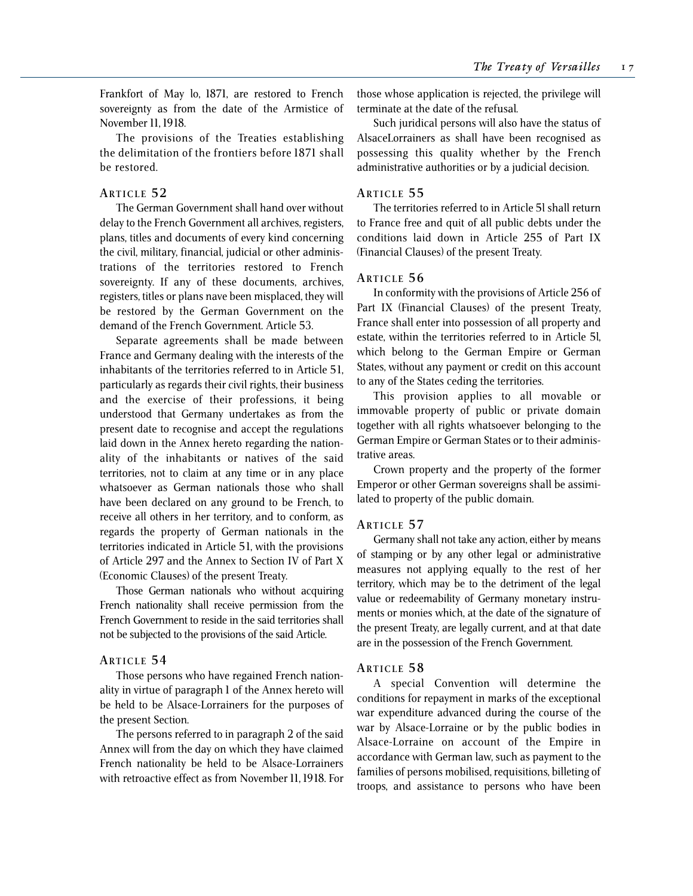Frankfort of May lo, 1871, are restored to French sovereignty as from the date of the Armistice of November 11, 1918.

The provisions of the Treaties establishing the delimitation of the frontiers before 1871 shall be restored.

#### **ARTICLE 5 2**

The German Government shall hand over without delay to the French Government all archives, registers, plans, titles and documents of every kind concerning the civil, military, financial, judicial or other administrations of the territories restored to French sovereignty. If any of these documents, archives, registers, titles or plans nave been misplaced, they will be restored by the German Government on the demand of the French Government. Article 53.

Separate agreements shall be made between France and Germany dealing with the interests of the inhabitants of the territories referred to in Article 51, particularly as regards their civil rights, their business and the exercise of their professions, it being understood that Germany undertakes as from the present date to recognise and accept the regulations laid down in the Annex hereto regarding the nationality of the inhabitants or natives of the said territories, not to claim at any time or in any place whatsoever as German nationals those who shall have been declared on any ground to be French, to receive all others in her territory, and to conform, as regards the property of German nationals in the territories indicated in Article 51, with the provisions of Article 297 and the Annex to Section IV of Part X (Economic Clauses) of the present Treaty.

Those German nationals who without acquiring French nationality shall receive permission from the French Government to reside in the said territories shall not be subjected to the provisions of the said Article.

#### **ARTICLE 5 4**

Those persons who have regained French nationality in virtue of paragraph 1 of the Annex hereto will be held to be Alsace-Lorrainers for the purposes of the present Section.

The persons referred to in paragraph 2 of the said Annex will from the day on which they have claimed French nationality be held to be Alsace-Lorrainers with retroactive effect as from November 11, 1918. For those whose application is rejected, the privilege will terminate at the date of the refusal.

Such juridical persons will also have the status of AlsaceLorrainers as shall have been recognised as possessing this quality whether by the French administrative authorities or by a judicial decision.

#### **ARTICLE 5 5**

The territories referred to in Article 5l shall return to France free and quit of all public debts under the conditions laid down in Article 255 of Part IX (Financial Clauses) of the present Treaty.

#### **ARTICLE 5 6**

In conformity with the provisions of Article 256 of Part IX (Financial Clauses) of the present Treaty, France shall enter into possession of all property and estate, within the territories referred to in Article 5l, which belong to the German Empire or German States, without any payment or credit on this account to any of the States ceding the territories.

This provision applies to all movable or immovable property of public or private domain together with all rights whatsoever belonging to the German Empire or German States or to their administrative areas.

Crown property and the property of the former Emperor or other German sovereigns shall be assimilated to property of the public domain.

#### **ARTICLE 5 7**

Germany shall not take any action, either by means of stamping or by any other legal or administrative measures not applying equally to the rest of her territory, which may be to the detriment of the legal value or redeemability of Germany monetary instruments or monies which, at the date of the signature of the present Treaty, are legally current, and at that date are in the possession of the French Government.

#### **ARTICLE 5 8**

A special Convention will determine the conditions for repayment in marks of the exceptional war expenditure advanced during the course of the war by Alsace-Lorraine or by the public bodies in Alsace-Lorraine on account of the Empire in accordance with German law, such as payment to the families of persons mobilised, requisitions, billeting of troops, and assistance to persons who have been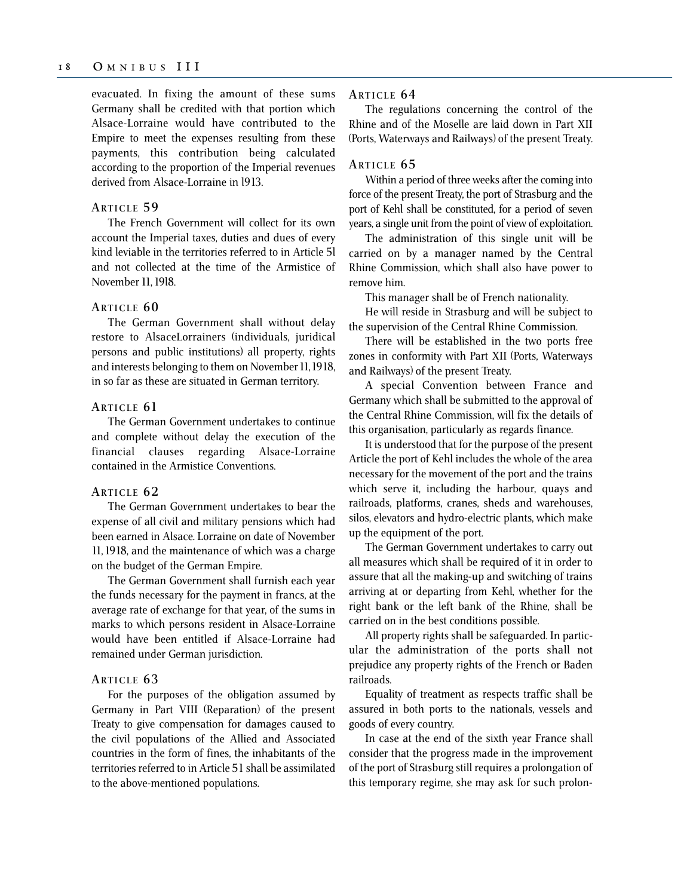evacuated. In fixing the amount of these sums Germany shall be credited with that portion which Alsace-Lorraine would have contributed to the Empire to meet the expenses resulting from these payments, this contribution being calculated according to the proportion of the Imperial revenues derived from Alsace-Lorraine in l913.

## **ARTICLE 5 9**

The French Government will collect for its own account the Imperial taxes, duties and dues of every kind leviable in the territories referred to in Article 5l and not collected at the time of the Armistice of November 11, 19l8.

#### **ARTICLE 6 0**

The German Government shall without delay restore to AlsaceLorrainers (individuals, juridical persons and public institutions) all property, rights and interests belonging to them on November 11, 1918, in so far as these are situated in German territory.

#### **ARTICLE 61**

The German Government undertakes to continue and complete without delay the execution of the financial clauses regarding Alsace-Lorraine contained in the Armistice Conventions.

#### **ARTICLE 6 2**

The German Government undertakes to bear the expense of all civil and military pensions which had been earned in Alsace. Lorraine on date of November 11, 1918, and the maintenance of which was a charge on the budget of the German Empire.

The German Government shall furnish each year the funds necessary for the payment in francs, at the average rate of exchange for that year, of the sums in marks to which persons resident in Alsace-Lorraine would have been entitled if Alsace-Lorraine had remained under German jurisdiction.

#### **ARTICLE 6 3**

For the purposes of the obligation assumed by Germany in Part VIII (Reparation) of the present Treaty to give compensation for damages caused to the civil populations of the Allied and Associated countries in the form of fines, the inhabitants of the territories referred to in Article 51 shall be assimilated to the above-mentioned populations.

#### **ARTICLE 6 4**

The regulations concerning the control of the Rhine and of the Moselle are laid down in Part XII (Ports, Waterways and Railways) of the present Treaty.

## **ARTICLE 6 5**

Within a period of three weeks after the coming into force of the present Treaty, the port of Strasburg and the port of Kehl shall be constituted, for a period of seven years, a single unit from the point of view of exploitation.

The administration of this single unit will be carried on by a manager named by the Central Rhine Commission, which shall also have power to remove him.

This manager shall be of French nationality.

He will reside in Strasburg and will be subject to the supervision of the Central Rhine Commission.

There will be established in the two ports free zones in conformity with Part XII (Ports, Waterways and Railways) of the present Treaty.

A special Convention between France and Germany which shall be submitted to the approval of the Central Rhine Commission, will fix the details of this organisation, particularly as regards finance.

It is understood that for the purpose of the present Article the port of Kehl includes the whole of the area necessary for the movement of the port and the trains which serve it, including the harbour, quays and railroads, platforms, cranes, sheds and warehouses, silos, elevators and hydro-electric plants, which make up the equipment of the port.

The German Government undertakes to carry out all measures which shall be required of it in order to assure that all the making-up and switching of trains arriving at or departing from Kehl, whether for the right bank or the left bank of the Rhine, shall be carried on in the best conditions possible.

All property rights shall be safeguarded. In particular the administration of the ports shall not prejudice any property rights of the French or Baden railroads.

Equality of treatment as respects traffic shall be assured in both ports to the nationals, vessels and goods of every country.

In case at the end of the sixth year France shall consider that the progress made in the improvement of the port of Strasburg still requires a prolongation of this temporary regime, she may ask for such prolon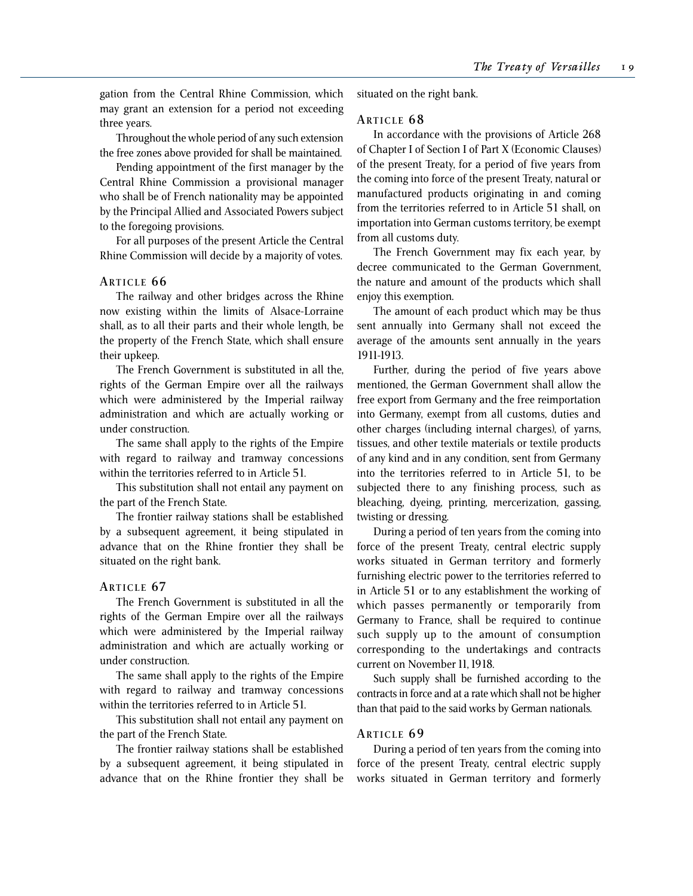gation from the Central Rhine Commission, which may grant an extension for a period not exceeding three years.

Throughout the whole period of any such extension the free zones above provided for shall be maintained.

Pending appointment of the first manager by the Central Rhine Commission a provisional manager who shall be of French nationality may be appointed by the Principal Allied and Associated Powers subject to the foregoing provisions.

For all purposes of the present Article the Central Rhine Commission will decide by a majority of votes.

#### **ARTICLE 6 6**

The railway and other bridges across the Rhine now existing within the limits of Alsace-Lorraine shall, as to all their parts and their whole length, be the property of the French State, which shall ensure their upkeep.

The French Government is substituted in all the, rights of the German Empire over all the railways which were administered by the Imperial railway administration and which are actually working or under construction.

The same shall apply to the rights of the Empire with regard to railway and tramway concessions within the territories referred to in Article 51.

This substitution shall not entail any payment on the part of the French State.

The frontier railway stations shall be established by a subsequent agreement, it being stipulated in advance that on the Rhine frontier they shall be situated on the right bank.

#### **ARTICLE 67**

The French Government is substituted in all the rights of the German Empire over all the railways which were administered by the Imperial railway administration and which are actually working or under construction.

The same shall apply to the rights of the Empire with regard to railway and tramway concessions within the territories referred to in Article 51.

This substitution shall not entail any payment on the part of the French State.

The frontier railway stations shall be established by a subsequent agreement, it being stipulated in advance that on the Rhine frontier they shall be situated on the right bank.

#### **ARTICLE 6 8**

In accordance with the provisions of Article 268 of Chapter I of Section I of Part X (Economic Clauses) of the present Treaty, for a period of five years from the coming into force of the present Treaty, natural or manufactured products originating in and coming from the territories referred to in Article 51 shall, on importation into German customs territory, be exempt from all customs duty.

The French Government may fix each year, by decree communicated to the German Government, the nature and amount of the products which shall enjoy this exemption.

The amount of each product which may be thus sent annually into Germany shall not exceed the average of the amounts sent annually in the years 1911-1913.

Further, during the period of five years above mentioned, the German Government shall allow the free export from Germany and the free reimportation into Germany, exempt from all customs, duties and other charges (including internal charges), of yarns, tissues, and other textile materials or textile products of any kind and in any condition, sent from Germany into the territories referred to in Article 51, to be subjected there to any finishing process, such as bleaching, dyeing, printing, mercerization, gassing, twisting or dressing.

During a period of ten years from the coming into force of the present Treaty, central electric supply works situated in German territory and formerly furnishing electric power to the territories referred to in Article 51 or to any establishment the working of which passes permanently or temporarily from Germany to France, shall be required to continue such supply up to the amount of consumption corresponding to the undertakings and contracts current on November 11, 1918.

Such supply shall be furnished according to the contracts in force and at a rate which shall not be higher than that paid to the said works by German nationals.

#### **ARTICLE 6 9**

During a period of ten years from the coming into force of the present Treaty, central electric supply works situated in German territory and formerly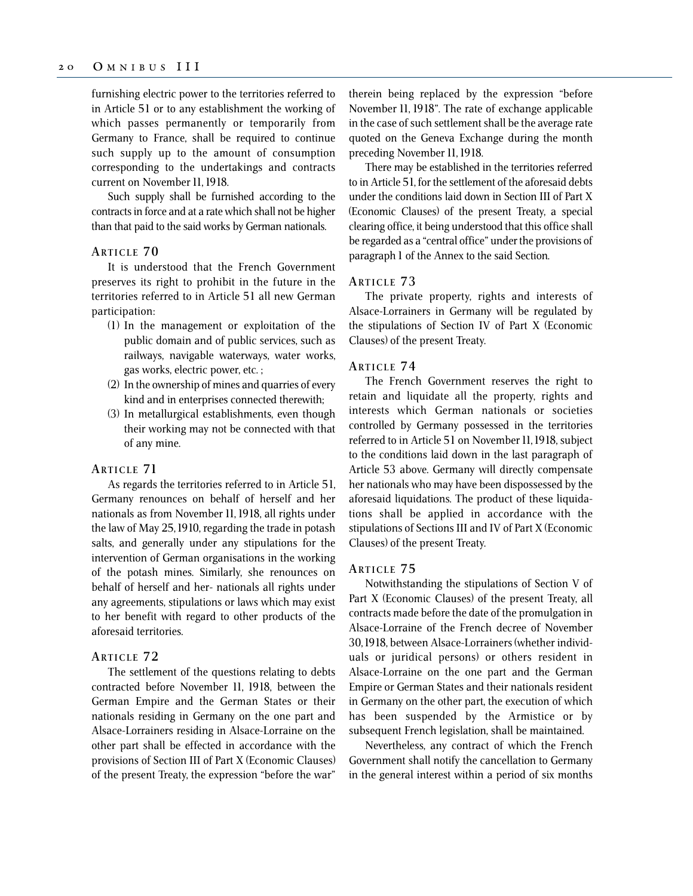furnishing electric power to the territories referred to in Article 51 or to any establishment the working of which passes permanently or temporarily from Germany to France, shall be required to continue such supply up to the amount of consumption corresponding to the undertakings and contracts current on November 11, 1918.

Such supply shall be furnished according to the contracts in force and at a rate which shall not be higher than that paid to the said works by German nationals.

## **ARTICLE 7 0**

It is understood that the French Government preserves its right to prohibit in the future in the territories referred to in Article 51 all new German participation:

- (1) In the management or exploitation of the public domain and of public services, such as railways, navigable waterways, water works, gas works, electric power, etc. ;
- (2) In the ownership of mines and quarries of every kind and in enterprises connected therewith;
- (3) In metallurgical establishments, even though their working may not be connected with that of any mine.

#### **ARTICLE 71**

As regards the territories referred to in Article 51, Germany renounces on behalf of herself and her nationals as from November 11, 1918, all rights under the law of May 25, 1910, regarding the trade in potash salts, and generally under any stipulations for the intervention of German organisations in the working of the potash mines. Similarly, she renounces on behalf of herself and her- nationals all rights under any agreements, stipulations or laws which may exist to her benefit with regard to other products of the aforesaid territories.

## **ARTICLE 7 2**

The settlement of the questions relating to debts contracted before November 11, 1918, between the German Empire and the German States or their nationals residing in Germany on the one part and Alsace-Lorrainers residing in Alsace-Lorraine on the other part shall be effected in accordance with the provisions of Section III of Part X (Economic Clauses) of the present Treaty, the expression "before the war"

therein being replaced by the expression "before November 11, 1918". The rate of exchange applicable in the case of such settlement shall be the average rate quoted on the Geneva Exchange during the month preceding November 11, 1918.

There may be established in the territories referred to in Article 51, for the settlement of the aforesaid debts under the conditions laid down in Section III of Part X (Economic Clauses) of the present Treaty, a special clearing office, it being understood that this office shall be regarded as a "central office" under the provisions of paragraph 1 of the Annex to the said Section.

#### **ARTICLE 7 3**

The private property, rights and interests of Alsace-Lorrainers in Germany will be regulated by the stipulations of Section IV of Part X (Economic Clauses) of the present Treaty.

#### **ARTICLE 7 4**

The French Government reserves the right to retain and liquidate all the property, rights and interests which German nationals or societies controlled by Germany possessed in the territories referred to in Article 51 on November 11, 1918, subject to the conditions laid down in the last paragraph of Article 53 above. Germany will directly compensate her nationals who may have been dispossessed by the aforesaid liquidations. The product of these liquidations shall be applied in accordance with the stipulations of Sections III and IV of Part X (Economic Clauses) of the present Treaty.

#### **ARTICLE 7 5**

Notwithstanding the stipulations of Section V of Part X (Economic Clauses) of the present Treaty, all contracts made before the date of the promulgation in Alsace-Lorraine of the French decree of November 30, 1918, between Alsace-Lorrainers (whether individuals or juridical persons) or others resident in Alsace-Lorraine on the one part and the German Empire or German States and their nationals resident in Germany on the other part, the execution of which has been suspended by the Armistice or by subsequent French legislation, shall be maintained.

Nevertheless, any contract of which the French Government shall notify the cancellation to Germany in the general interest within a period of six months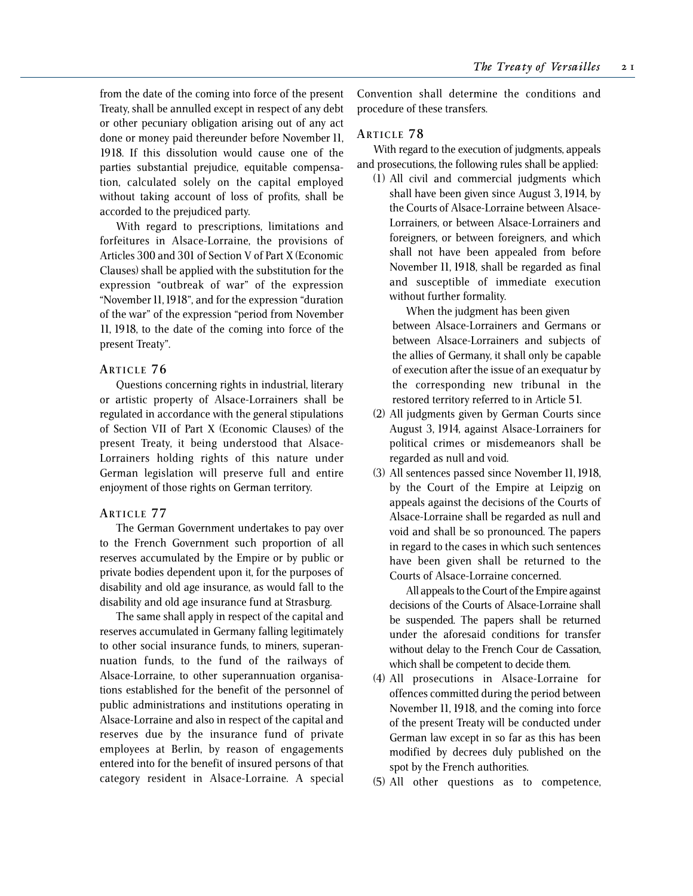from the date of the coming into force of the present Treaty, shall be annulled except in respect of any debt or other pecuniary obligation arising out of any act done or money paid thereunder before November 11, 1918. If this dissolution would cause one of the parties substantial prejudice, equitable compensation, calculated solely on the capital employed without taking account of loss of profits, shall be accorded to the prejudiced party.

With regard to prescriptions, limitations and forfeitures in Alsace-Lorraine, the provisions of Articles 300 and 301 of Section V of Part X (Economic Clauses) shall be applied with the substitution for the expression "outbreak of war" of the expression "November 11, 1918", and for the expression "duration of the war" of the expression "period from November 11, 1918, to the date of the coming into force of the present Treaty".

## **ARTICLE 7 6**

Questions concerning rights in industrial, literary or artistic property of Alsace-Lorrainers shall be regulated in accordance with the general stipulations of Section VII of Part X (Economic Clauses) of the present Treaty, it being understood that Alsace-Lorrainers holding rights of this nature under German legislation will preserve full and entire enjoyment of those rights on German territory.

## **ARTICLE 7 7**

The German Government undertakes to pay over to the French Government such proportion of all reserves accumulated by the Empire or by public or private bodies dependent upon it, for the purposes of disability and old age insurance, as would fall to the disability and old age insurance fund at Strasburg.

The same shall apply in respect of the capital and reserves accumulated in Germany falling legitimately to other social insurance funds, to miners, superannuation funds, to the fund of the railways of Alsace-Lorraine, to other superannuation organisations established for the benefit of the personnel of public administrations and institutions operating in Alsace-Lorraine and also in respect of the capital and reserves due by the insurance fund of private employees at Berlin, by reason of engagements entered into for the benefit of insured persons of that category resident in Alsace-Lorraine. A special

Convention shall determine the conditions and procedure of these transfers.

## **ARTICLE 78**

With regard to the execution of judgments, appeals and prosecutions, the following rules shall be applied:

(1) All civil and commercial judgments which shall have been given since August 3, 1914, by the Courts of Alsace-Lorraine between Alsace-Lorrainers, or between Alsace-Lorrainers and foreigners, or between foreigners, and which shall not have been appealed from before November 11, 1918, shall be regarded as final and susceptible of immediate execution without further formality.

When the judgment has been given between Alsace-Lorrainers and Germans or between Alsace-Lorrainers and subjects of the allies of Germany, it shall only be capable of execution after the issue of an exequatur by the corresponding new tribunal in the restored territory referred to in Article 51.

- (2) All judgments given by German Courts since August 3, 1914, against Alsace-Lorrainers for political crimes or misdemeanors shall be regarded as null and void.
- (3) All sentences passed since November 11, 1918, by the Court of the Empire at Leipzig on appeals against the decisions of the Courts of Alsace-Lorraine shall be regarded as null and void and shall be so pronounced. The papers in regard to the cases in which such sentences have been given shall be returned to the Courts of Alsace-Lorraine concerned.

All appeals to the Court of the Empire against decisions of the Courts of Alsace-Lorraine shall be suspended. The papers shall be returned under the aforesaid conditions for transfer without delay to the French Cour de Cassation, which shall be competent to decide them.

- (4) All prosecutions in Alsace-Lorraine for offences committed during the period between November 11, 1918, and the coming into force of the present Treaty will be conducted under German law except in so far as this has been modified by decrees duly published on the spot by the French authorities.
- (5) All other questions as to competence,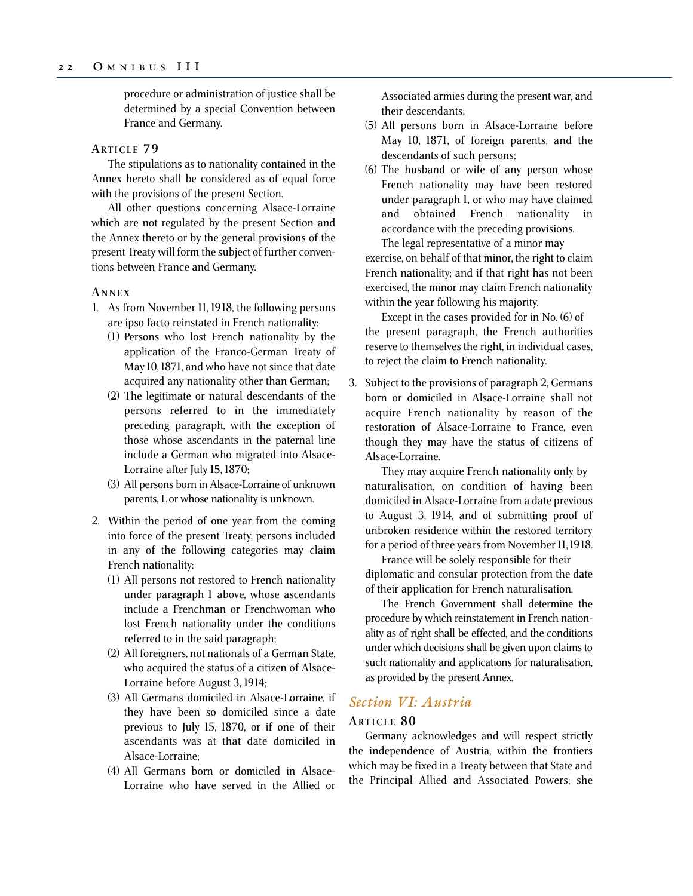procedure or administration of justice shall be determined by a special Convention between France and Germany.

#### **ARTICLE 7 9**

The stipulations as to nationality contained in the Annex hereto shall be considered as of equal force with the provisions of the present Section.

All other questions concerning Alsace-Lorraine which are not regulated by the present Section and the Annex thereto or by the general provisions of the present Treaty will form the subject of further conventions between France and Germany.

#### **A NNEX**

- 1. As from November 11, 1918, the following persons are ipso facto reinstated in French nationality:
	- (1) Persons who lost French nationality by the application of the Franco-German Treaty of May 10, 1871, and who have not since that date acquired any nationality other than German;
	- (2) The legitimate or natural descendants of the persons referred to in the immediately preceding paragraph, with the exception of those whose ascendants in the paternal line include a German who migrated into Alsace-Lorraine after July 15, 1870;
	- (3) All persons born in Alsace-Lorraine of unknown parents, L or whose nationality is unknown.
- 2. Within the period of one year from the coming into force of the present Treaty, persons included in any of the following categories may claim French nationality:
	- (1) All persons not restored to French nationality under paragraph 1 above, whose ascendants include a Frenchman or Frenchwoman who lost French nationality under the conditions referred to in the said paragraph;
	- (2) All foreigners, not nationals of a German State, who acquired the status of a citizen of Alsace-Lorraine before August 3, 1914;
	- (3) All Germans domiciled in Alsace-Lorraine, if they have been so domiciled since a date previous to July 15, 1870, or if one of their ascendants was at that date domiciled in Alsace-Lorraine;
	- (4) All Germans born or domiciled in Alsace-Lorraine who have served in the Allied or

Associated armies during the present war, and their descendants;

- (5) All persons born in Alsace-Lorraine before May 10, 1871, of foreign parents, and the descendants of such persons;
- (6) The husband or wife of any person whose French nationality may have been restored under paragraph 1, or who may have claimed and obtained French nationality in accordance with the preceding provisions. The legal representative of a minor may

exercise, on behalf of that minor, the right to claim French nationality; and if that right has not been exercised, the minor may claim French nationality within the year following his majority.

Except in the cases provided for in No. (6) of the present paragraph, the French authorities reserve to themselves the right, in individual cases, to reject the claim to French nationality.

3. Subject to the provisions of paragraph 2, Germans born or domiciled in Alsace-Lorraine shall not acquire French nationality by reason of the restoration of Alsace-Lorraine to France, even though they may have the status of citizens of Alsace-Lorraine.

They may acquire French nationality only by naturalisation, on condition of having been domiciled in Alsace-Lorraine from a date previous to August 3, 1914, and of submitting proof of unbroken residence within the restored territory for a period of three years from November 11, 1918.

France will be solely responsible for their diplomatic and consular protection from the date of their application for French naturalisation.

The French Government shall determine the procedure by which reinstatement in French nationality as of right shall be effected, and the conditions under which decisions shall be given upon claims to such nationality and applications for naturalisation, as provided by the present Annex.

## *Section VI: Austria*

## **ARTICLE 8 0**

Germany acknowledges and will respect strictly the independence of Austria, within the frontiers which may be fixed in a Treaty between that State and the Principal Allied and Associated Powers; she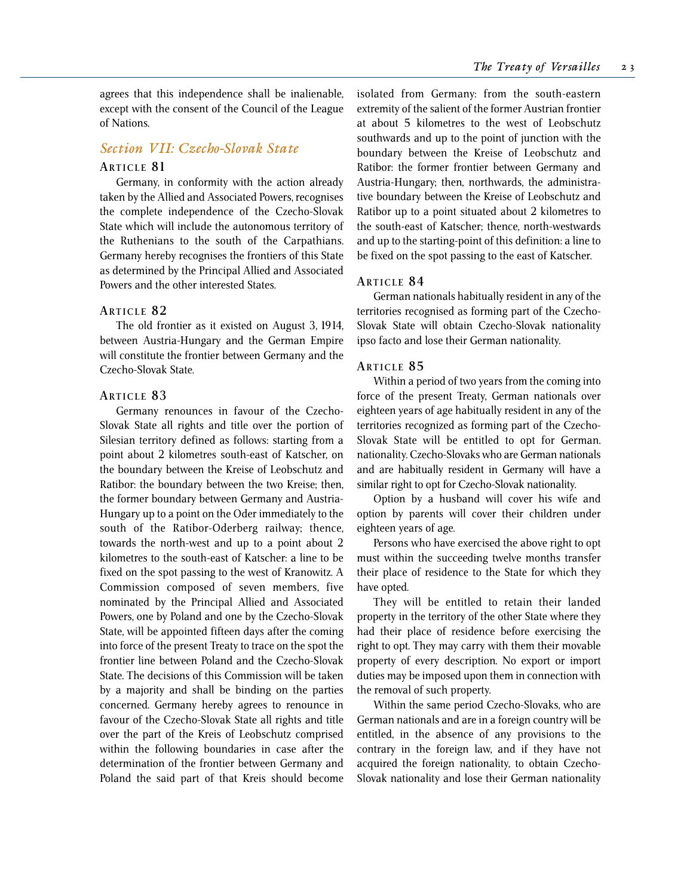agrees that this independence shall be inalienable, except with the consent of the Council of the League of Nations.

## *Section VII: Czecho-Slovak State*

#### **ARTICLE 81**

Germany, in conformity with the action already taken by the Allied and Associated Powers, recognises the complete independence of the Czecho-Slovak State which will include the autonomous territory of the Ruthenians to the south of the Carpathians. Germany hereby recognises the frontiers of this State as determined by the Principal Allied and Associated Powers and the other interested States.

#### **ARTICLE 8 2**

The old frontier as it existed on August 3, 1914, between Austria-Hungary and the German Empire will constitute the frontier between Germany and the Czecho-Slovak State.

#### **ARTICLE 8 3**

Germany renounces in favour of the Czecho-Slovak State all rights and title over the portion of Silesian territory defined as follows: starting from a point about 2 kilometres south-east of Katscher, on the boundary between the Kreise of Leobschutz and Ratibor: the boundary between the two Kreise; then, the former boundary between Germany and Austria-Hungary up to a point on the Oder immediately to the south of the Ratibor-Oderberg railway; thence, towards the north-west and up to a point about 2 kilometres to the south-east of Katscher: a line to be fixed on the spot passing to the west of Kranowitz. A Commission composed of seven members, five nominated by the Principal Allied and Associated Powers, one by Poland and one by the Czecho-Slovak State, will be appointed fifteen days after the coming into force of the present Treaty to trace on the spot the frontier line between Poland and the Czecho-Slovak State. The decisions of this Commission will be taken by a majority and shall be binding on the parties concerned. Germany hereby agrees to renounce in favour of the Czecho-Slovak State all rights and title over the part of the Kreis of Leobschutz comprised within the following boundaries in case after the determination of the frontier between Germany and Poland the said part of that Kreis should become isolated from Germany: from the south-eastern extremity of the salient of the former Austrian frontier at about 5 kilometres to the west of Leobschutz southwards and up to the point of junction with the boundary between the Kreise of Leobschutz and Ratibor: the former frontier between Germany and Austria-Hungary; then, northwards, the administrative boundary between the Kreise of Leobschutz and Ratibor up to a point situated about 2 kilometres to the south-east of Katscher; thence, north-westwards and up to the starting-point of this definition: a line to be fixed on the spot passing to the east of Katscher.

#### **ARTICLE 8 4**

German nationals habitually resident in any of the territories recognised as forming part of the Czecho-Slovak State will obtain Czecho-Slovak nationality ipso facto and lose their German nationality.

#### **ARTICLE 8 5**

Within a period of two years from the coming into force of the present Treaty, German nationals over eighteen years of age habitually resident in any of the territories recognized as forming part of the Czecho-Slovak State will be entitled to opt for German. nationality. Czecho-Slovaks who are German nationals and are habitually resident in Germany will have a similar right to opt for Czecho-Slovak nationality.

Option by a husband will cover his wife and option by parents will cover their children under eighteen years of age.

Persons who have exercised the above right to opt must within the succeeding twelve months transfer their place of residence to the State for which they have opted.

They will be entitled to retain their landed property in the territory of the other State where they had their place of residence before exercising the right to opt. They may carry with them their movable property of every description. No export or import duties may be imposed upon them in connection with the removal of such property.

Within the same period Czecho-Slovaks, who are German nationals and are in a foreign country will be entitled, in the absence of any provisions to the contrary in the foreign law, and if they have not acquired the foreign nationality, to obtain Czecho-Slovak nationality and lose their German nationality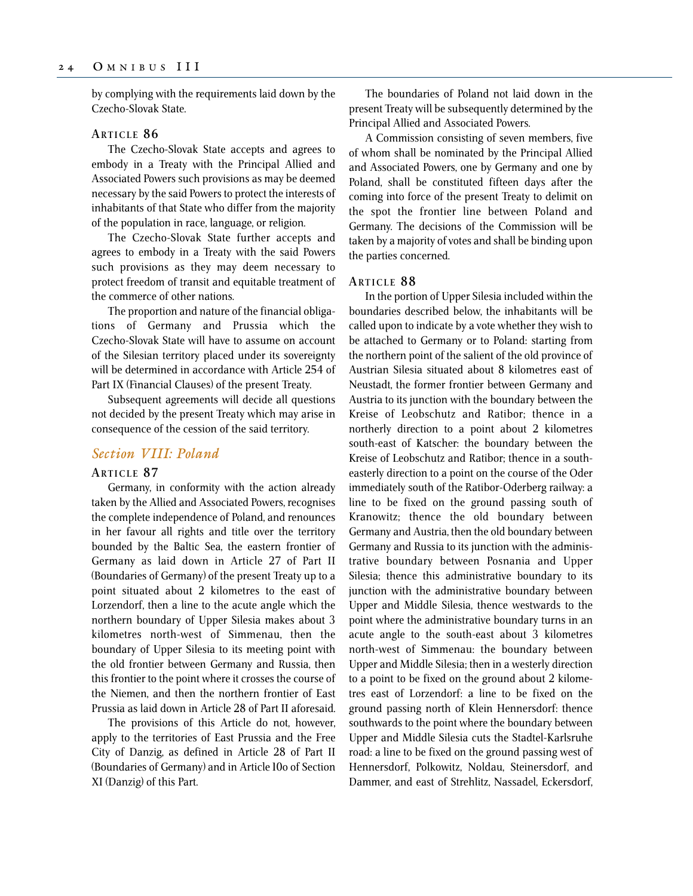by complying with the requirements laid down by the Czecho-Slovak State.

#### **ARTICLE 8 6**

The Czecho-Slovak State accepts and agrees to embody in a Treaty with the Principal Allied and Associated Powers such provisions as may be deemed necessary by the said Powers to protect the interests of inhabitants of that State who differ from the majority of the population in race, language, or religion.

The Czecho-Slovak State further accepts and agrees to embody in a Treaty with the said Powers such provisions as they may deem necessary to protect freedom of transit and equitable treatment of the commerce of other nations.

The proportion and nature of the financial obligations of Germany and Prussia which the Czecho-Slovak State will have to assume on account of the Silesian territory placed under its sovereignty will be determined in accordance with Article 254 of Part IX (Financial Clauses) of the present Treaty.

Subsequent agreements will decide all questions not decided by the present Treaty which may arise in consequence of the cession of the said territory.

#### *Section VIII: Poland*

#### **ARTICLE 8 7**

Germany, in conformity with the action already taken by the Allied and Associated Powers, recognises the complete independence of Poland, and renounces in her favour all rights and title over the territory bounded by the Baltic Sea, the eastern frontier of Germany as laid down in Article 27 of Part II (Boundaries of Germany) of the present Treaty up to a point situated about 2 kilometres to the east of Lorzendorf, then a line to the acute angle which the northern boundary of Upper Silesia makes about 3 kilometres north-west of Simmenau, then the boundary of Upper Silesia to its meeting point with the old frontier between Germany and Russia, then this frontier to the point where it crosses the course of the Niemen, and then the northern frontier of East Prussia as laid down in Article 28 of Part II aforesaid.

The provisions of this Article do not, however, apply to the territories of East Prussia and the Free City of Danzig, as defined in Article 28 of Part II (Boundaries of Germany) and in Article 10o of Section XI (Danzig) of this Part.

The boundaries of Poland not laid down in the present Treaty will be subsequently determined by the Principal Allied and Associated Powers.

A Commission consisting of seven members, five of whom shall be nominated by the Principal Allied and Associated Powers, one by Germany and one by Poland, shall be constituted fifteen days after the coming into force of the present Treaty to delimit on the spot the frontier line between Poland and Germany. The decisions of the Commission will be taken by a majority of votes and shall be binding upon the parties concerned.

#### **ARTICLE 8 8**

In the portion of Upper Silesia included within the boundaries described below, the inhabitants will be called upon to indicate by a vote whether they wish to be attached to Germany or to Poland: starting from the northern point of the salient of the old province of Austrian Silesia situated about 8 kilometres east of Neustadt, the former frontier between Germany and Austria to its junction with the boundary between the Kreise of Leobschutz and Ratibor; thence in a northerly direction to a point about 2 kilometres south-east of Katscher: the boundary between the Kreise of Leobschutz and Ratibor; thence in a southeasterly direction to a point on the course of the Oder immediately south of the Ratibor-Oderberg railway: a line to be fixed on the ground passing south of Kranowitz; thence the old boundary between Germany and Austria, then the old boundary between Germany and Russia to its junction with the administrative boundary between Posnania and Upper Silesia; thence this administrative boundary to its junction with the administrative boundary between Upper and Middle Silesia, thence westwards to the point where the administrative boundary turns in an acute angle to the south-east about 3 kilometres north-west of Simmenau: the boundary between Upper and Middle Silesia; then in a westerly direction to a point to be fixed on the ground about 2 kilometres east of Lorzendorf: a line to be fixed on the ground passing north of Klein Hennersdorf: thence southwards to the point where the boundary between Upper and Middle Silesia cuts the Stadtel-Karlsruhe road: a line to be fixed on the ground passing west of Hennersdorf, Polkowitz, Noldau, Steinersdorf, and Dammer, and east of Strehlitz, Nassadel, Eckersdorf,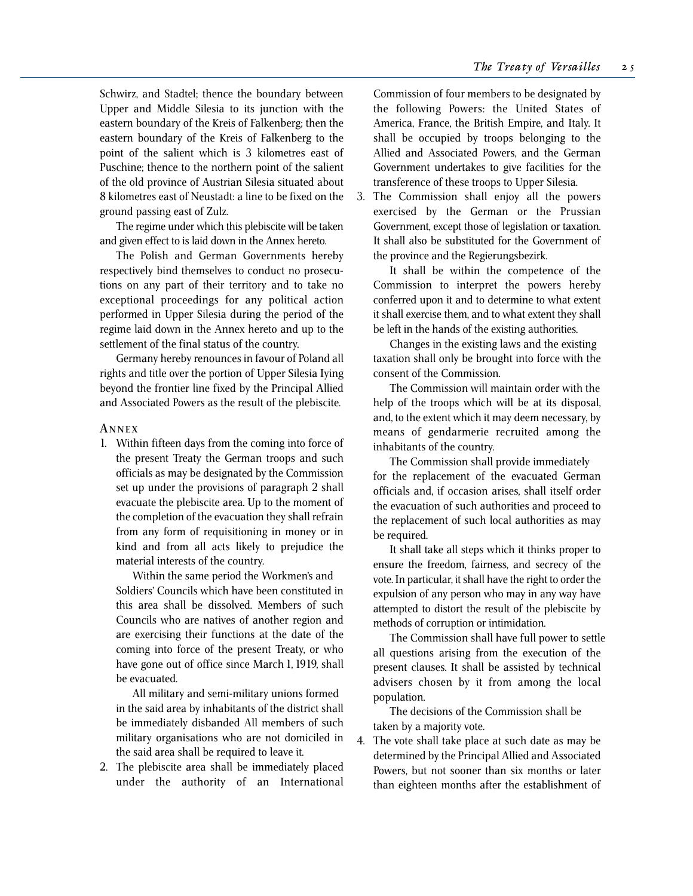Schwirz, and Stadtel; thence the boundary between Upper and Middle Silesia to its junction with the eastern boundary of the Kreis of Falkenberg; then the eastern boundary of the Kreis of Falkenberg to the point of the salient which is 3 kilometres east of Puschine; thence to the northern point of the salient of the old province of Austrian Silesia situated about 8 kilometres east of Neustadt: a line to be fixed on the ground passing east of Zulz.

The regime under which this plebiscite will be taken and given effect to is laid down in the Annex hereto.

The Polish and German Governments hereby respectively bind themselves to conduct no prosecutions on any part of their territory and to take no exceptional proceedings for any political action performed in Upper Silesia during the period of the regime laid down in the Annex hereto and up to the settlement of the final status of the country.

Germany hereby renounces in favour of Poland all rights and title over the portion of Upper Silesia Iying beyond the frontier line fixed by the Principal Allied and Associated Powers as the result of the plebiscite.

#### **A NNEX**

1. Within fifteen days from the coming into force of the present Treaty the German troops and such officials as may be designated by the Commission set up under the provisions of paragraph 2 shall evacuate the plebiscite area. Up to the moment of the completion of the evacuation they shall refrain from any form of requisitioning in money or in kind and from all acts likely to prejudice the material interests of the country.

Within the same period the Workmen's and Soldiers' Councils which have been constituted in this area shall be dissolved. Members of such Councils who are natives of another region and are exercising their functions at the date of the coming into force of the present Treaty, or who have gone out of office since March 1, 1919, shall be evacuated.

All military and semi-military unions formed in the said area by inhabitants of the district shall be immediately disbanded All members of such military organisations who are not domiciled in the said area shall be required to leave it.

2. The plebiscite area shall be immediately placed under the authority of an International

Commission of four members to be designated by the following Powers: the United States of America, France, the British Empire, and Italy. It shall be occupied by troops belonging to the Allied and Associated Powers, and the German Government undertakes to give facilities for the transference of these troops to Upper Silesia.

3. The Commission shall enjoy all the powers exercised by the German or the Prussian Government, except those of legislation or taxation. It shall also be substituted for the Government of the province and the Regierungsbezirk.

It shall be within the competence of the Commission to interpret the powers hereby conferred upon it and to determine to what extent it shall exercise them, and to what extent they shall be left in the hands of the existing authorities.

Changes in the existing laws and the existing taxation shall only be brought into force with the consent of the Commission.

The Commission will maintain order with the help of the troops which will be at its disposal, and, to the extent which it may deem necessary, by means of gendarmerie recruited among the inhabitants of the country.

The Commission shall provide immediately for the replacement of the evacuated German officials and, if occasion arises, shall itself order the evacuation of such authorities and proceed to the replacement of such local authorities as may be required.

It shall take all steps which it thinks proper to ensure the freedom, fairness, and secrecy of the vote. In particular, it shall have the right to order the expulsion of any person who may in any way have attempted to distort the result of the plebiscite by methods of corruption or intimidation.

The Commission shall have full power to settle all questions arising from the execution of the present clauses. It shall be assisted by technical advisers chosen by it from among the local population.

The decisions of the Commission shall be taken by a majority vote.

4. The vote shall take place at such date as may be determined by the Principal Allied and Associated Powers, but not sooner than six months or later than eighteen months after the establishment of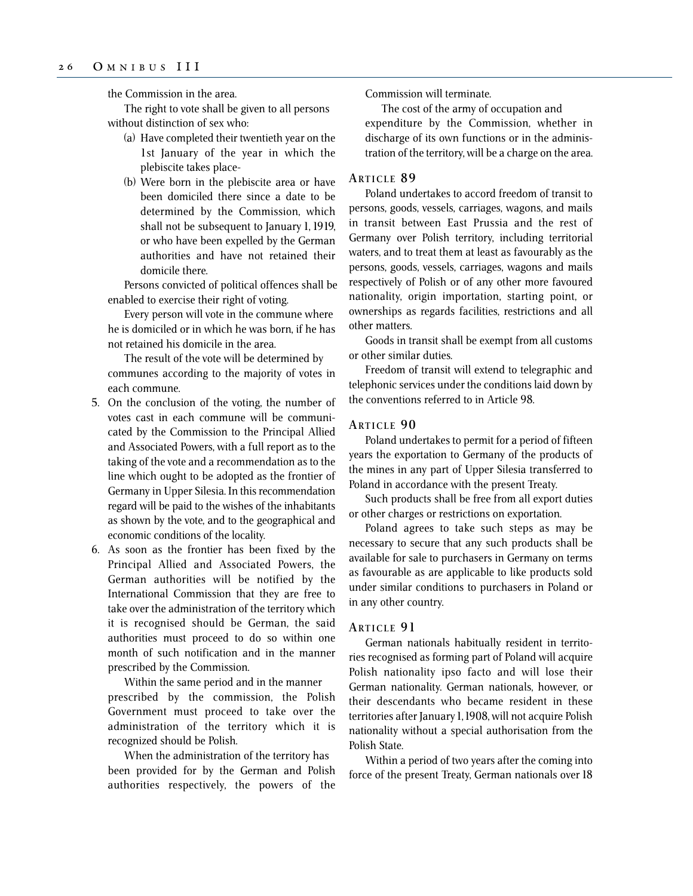the Commission in the area.

The right to vote shall be given to all persons without distinction of sex who:

- (a) Have completed their twentieth year on the 1st January of the year in which the plebiscite takes place-
- (b) Were born in the plebiscite area or have been domiciled there since a date to be determined by the Commission, which shall not be subsequent to January 1, 1919, or who have been expelled by the German authorities and have not retained their domicile there.

Persons convicted of political offences shall be enabled to exercise their right of voting.

Every person will vote in the commune where he is domiciled or in which he was born, if he has not retained his domicile in the area.

The result of the vote will be determined by communes according to the majority of votes in each commune.

- 5. On the conclusion of the voting, the number of votes cast in each commune will be communicated by the Commission to the Principal Allied and Associated Powers, with a full report as to the taking of the vote and a recommendation as to the line which ought to be adopted as the frontier of Germany in Upper Silesia. In this recommendation regard will be paid to the wishes of the inhabitants as shown by the vote, and to the geographical and economic conditions of the locality.
- 6. As soon as the frontier has been fixed by the Principal Allied and Associated Powers, the German authorities will be notified by the International Commission that they are free to take over the administration of the territory which it is recognised should be German, the said authorities must proceed to do so within one month of such notification and in the manner prescribed by the Commission.

Within the same period and in the manner prescribed by the commission, the Polish Government must proceed to take over the administration of the territory which it is recognized should be Polish.

When the administration of the territory has been provided for by the German and Polish authorities respectively, the powers of the Commission will terminate.

The cost of the army of occupation and expenditure by the Commission, whether in discharge of its own functions or in the administration of the territory, will be a charge on the area.

## **ARTICLE 8 9**

Poland undertakes to accord freedom of transit to persons, goods, vessels, carriages, wagons, and mails in transit between East Prussia and the rest of Germany over Polish territory, including territorial waters, and to treat them at least as favourably as the persons, goods, vessels, carriages, wagons and mails respectively of Polish or of any other more favoured nationality, origin importation, starting point, or ownerships as regards facilities, restrictions and all other matters.

Goods in transit shall be exempt from all customs or other similar duties.

Freedom of transit will extend to telegraphic and telephonic services under the conditions laid down by the conventions referred to in Article 98.

## **ARTICLE 9 0**

Poland undertakes to permit for a period of fifteen years the exportation to Germany of the products of the mines in any part of Upper Silesia transferred to Poland in accordance with the present Treaty.

Such products shall be free from all export duties or other charges or restrictions on exportation.

Poland agrees to take such steps as may be necessary to secure that any such products shall be available for sale to purchasers in Germany on terms as favourable as are applicable to like products sold under similar conditions to purchasers in Poland or in any other country.

### **ARTICLE 9 1**

German nationals habitually resident in territories recognised as forming part of Poland will acquire Polish nationality ipso facto and will lose their German nationality. German nationals, however, or their descendants who became resident in these territories after January 1, 1908, will not acquire Polish nationality without a special authorisation from the Polish State.

Within a period of two years after the coming into force of the present Treaty, German nationals over 18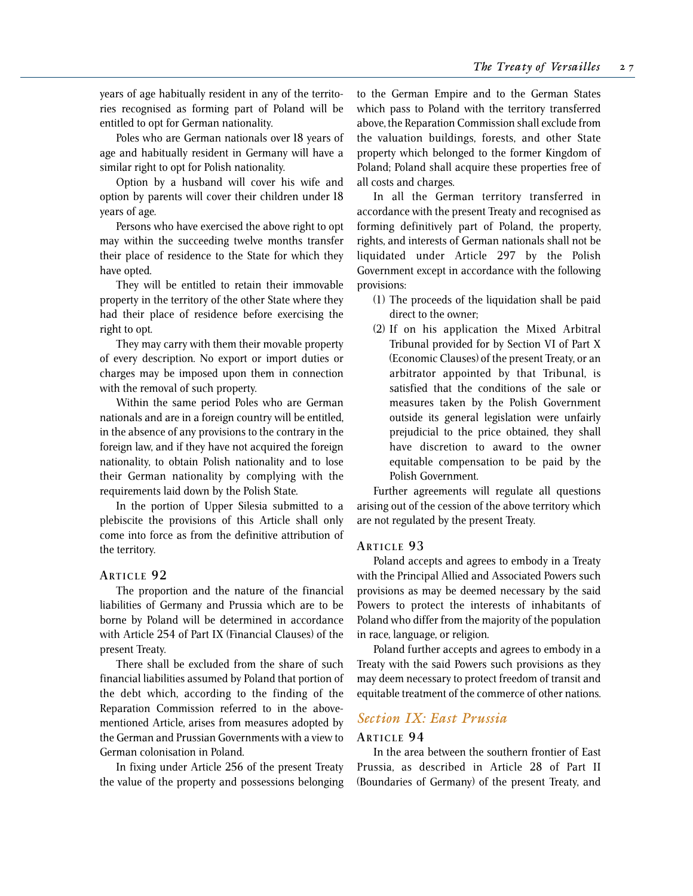years of age habitually resident in any of the territories recognised as forming part of Poland will be entitled to opt for German nationality.

Poles who are German nationals over 18 years of age and habitually resident in Germany will have a similar right to opt for Polish nationality.

Option by a husband will cover his wife and option by parents will cover their children under 18 years of age.

Persons who have exercised the above right to opt may within the succeeding twelve months transfer their place of residence to the State for which they have opted.

They will be entitled to retain their immovable property in the territory of the other State where they had their place of residence before exercising the right to opt.

They may carry with them their movable property of every description. No export or import duties or charges may be imposed upon them in connection with the removal of such property.

Within the same period Poles who are German nationals and are in a foreign country will be entitled, in the absence of any provisions to the contrary in the foreign law, and if they have not acquired the foreign nationality, to obtain Polish nationality and to lose their German nationality by complying with the requirements laid down by the Polish State.

In the portion of Upper Silesia submitted to a plebiscite the provisions of this Article shall only come into force as from the definitive attribution of the territory.

#### **ARTICLE 9 2**

The proportion and the nature of the financial liabilities of Germany and Prussia which are to be borne by Poland will be determined in accordance with Article 254 of Part IX (Financial Clauses) of the present Treaty.

There shall be excluded from the share of such financial liabilities assumed by Poland that portion of the debt which, according to the finding of the Reparation Commission referred to in the abovementioned Article, arises from measures adopted by the German and Prussian Governments with a view to German colonisation in Poland.

In fixing under Article 256 of the present Treaty the value of the property and possessions belonging to the German Empire and to the German States which pass to Poland with the territory transferred above, the Reparation Commission shall exclude from the valuation buildings, forests, and other State property which belonged to the former Kingdom of Poland; Poland shall acquire these properties free of all costs and charges.

In all the German territory transferred in accordance with the present Treaty and recognised as forming definitively part of Poland, the property, rights, and interests of German nationals shall not be liquidated under Article 297 by the Polish Government except in accordance with the following provisions:

- (1) The proceeds of the liquidation shall be paid direct to the owner;
- (2) If on his application the Mixed Arbitral Tribunal provided for by Section VI of Part X (Economic Clauses) of the present Treaty, or an arbitrator appointed by that Tribunal, is satisfied that the conditions of the sale or measures taken by the Polish Government outside its general legislation were unfairly prejudicial to the price obtained, they shall have discretion to award to the owner equitable compensation to be paid by the Polish Government.

Further agreements will regulate all questions arising out of the cession of the above territory which are not regulated by the present Treaty.

#### **ARTICLE 9 3**

Poland accepts and agrees to embody in a Treaty with the Principal Allied and Associated Powers such provisions as may be deemed necessary by the said Powers to protect the interests of inhabitants of Poland who differ from the majority of the population in race, language, or religion.

Poland further accepts and agrees to embody in a Treaty with the said Powers such provisions as they may deem necessary to protect freedom of transit and equitable treatment of the commerce of other nations.

## *Section IX: East Prussia*

#### **ARTICLE 9 4**

In the area between the southern frontier of East Prussia, as described in Article 28 of Part II (Boundaries of Germany) of the present Treaty, and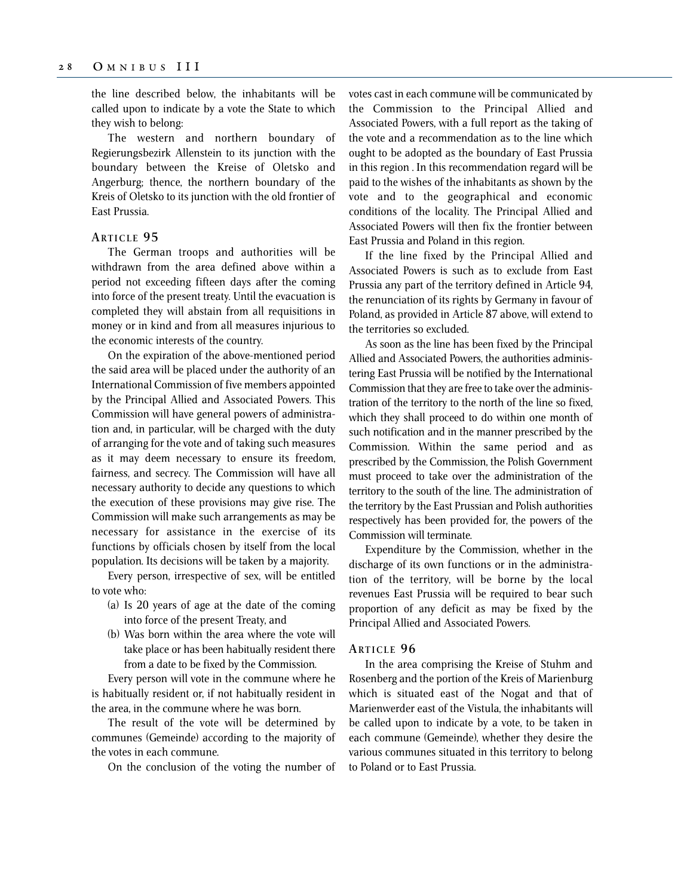the line described below, the inhabitants will be called upon to indicate by a vote the State to which they wish to belong:

The western and northern boundary of Regierungsbezirk Allenstein to its junction with the boundary between the Kreise of Oletsko and Angerburg; thence, the northern boundary of the Kreis of Oletsko to its junction with the old frontier of East Prussia.

## **ARTICLE 9 5**

The German troops and authorities will be withdrawn from the area defined above within a period not exceeding fifteen days after the coming into force of the present treaty. Until the evacuation is completed they will abstain from all requisitions in money or in kind and from all measures injurious to the economic interests of the country.

On the expiration of the above-mentioned period the said area will be placed under the authority of an International Commission of five members appointed by the Principal Allied and Associated Powers. This Commission will have general powers of administration and, in particular, will be charged with the duty of arranging for the vote and of taking such measures as it may deem necessary to ensure its freedom, fairness, and secrecy. The Commission will have all necessary authority to decide any questions to which the execution of these provisions may give rise. The Commission will make such arrangements as may be necessary for assistance in the exercise of its functions by officials chosen by itself from the local population. Its decisions will be taken by a majority.

Every person, irrespective of sex, will be entitled to vote who:

- (a) Is 20 years of age at the date of the coming into force of the present Treaty, and
- (b) Was born within the area where the vote will take place or has been habitually resident there from a date to be fixed by the Commission.

Every person will vote in the commune where he is habitually resident or, if not habitually resident in the area, in the commune where he was born.

The result of the vote will be determined by communes (Gemeinde) according to the majority of the votes in each commune.

On the conclusion of the voting the number of

votes cast in each commune will be communicated by the Commission to the Principal Allied and Associated Powers, with a full report as the taking of the vote and a recommendation as to the line which ought to be adopted as the boundary of East Prussia in this region . In this recommendation regard will be paid to the wishes of the inhabitants as shown by the vote and to the geographical and economic conditions of the locality. The Principal Allied and Associated Powers will then fix the frontier between East Prussia and Poland in this region.

If the line fixed by the Principal Allied and Associated Powers is such as to exclude from East Prussia any part of the territory defined in Article 94, the renunciation of its rights by Germany in favour of Poland, as provided in Article 87 above, will extend to the territories so excluded.

As soon as the line has been fixed by the Principal Allied and Associated Powers, the authorities administering East Prussia will be notified by the International Commission that they are free to take over the administration of the territory to the north of the line so fixed, which they shall proceed to do within one month of such notification and in the manner prescribed by the Commission. Within the same period and as prescribed by the Commission, the Polish Government must proceed to take over the administration of the territory to the south of the line. The administration of the territory by the East Prussian and Polish authorities respectively has been provided for, the powers of the Commission will terminate.

Expenditure by the Commission, whether in the discharge of its own functions or in the administration of the territory, will be borne by the local revenues East Prussia will be required to bear such proportion of any deficit as may be fixed by the Principal Allied and Associated Powers.

#### **ARTICLE 9 6**

In the area comprising the Kreise of Stuhm and Rosenberg and the portion of the Kreis of Marienburg which is situated east of the Nogat and that of Marienwerder east of the Vistula, the inhabitants will be called upon to indicate by a vote, to be taken in each commune (Gemeinde), whether they desire the various communes situated in this territory to belong to Poland or to East Prussia.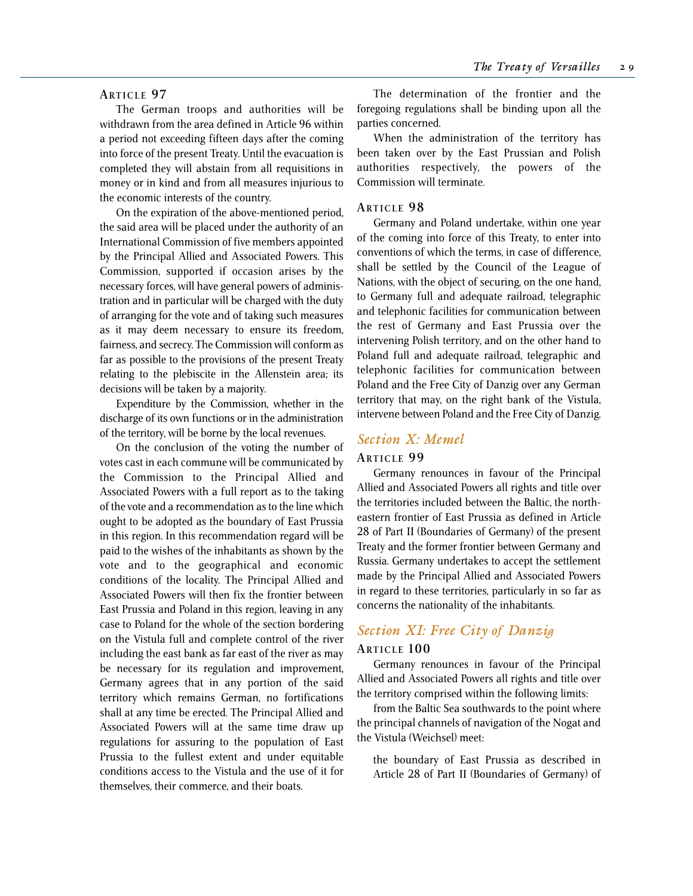## **ARTICLE 9 7**

The German troops and authorities will be withdrawn from the area defined in Article 96 within a period not exceeding fifteen days after the coming into force of the present Treaty. Until the evacuation is completed they will abstain from all requisitions in money or in kind and from all measures injurious to the economic interests of the country.

On the expiration of the above-mentioned period, the said area will be placed under the authority of an International Commission of five members appointed by the Principal Allied and Associated Powers. This Commission, supported if occasion arises by the necessary forces, will have general powers of administration and in particular will be charged with the duty of arranging for the vote and of taking such measures as it may deem necessary to ensure its freedom, fairness, and secrecy. The Commission will conform as far as possible to the provisions of the present Treaty relating to the plebiscite in the Allenstein area; its decisions will be taken by a majority.

Expenditure by the Commission, whether in the discharge of its own functions or in the administration of the territory, will be borne by the local revenues.

On the conclusion of the voting the number of votes cast in each commune will be communicated by the Commission to the Principal Allied and Associated Powers with a full report as to the taking of the vote and a recommendation as to the line which ought to be adopted as the boundary of East Prussia in this region. In this recommendation regard will be paid to the wishes of the inhabitants as shown by the vote and to the geographical and economic conditions of the locality. The Principal Allied and Associated Powers will then fix the frontier between East Prussia and Poland in this region, leaving in any case to Poland for the whole of the section bordering on the Vistula full and complete control of the river including the east bank as far east of the river as may be necessary for its regulation and improvement, Germany agrees that in any portion of the said territory which remains German, no fortifications shall at any time be erected. The Principal Allied and Associated Powers will at the same time draw up regulations for assuring to the population of East Prussia to the fullest extent and under equitable conditions access to the Vistula and the use of it for themselves, their commerce, and their boats.

The determination of the frontier and the foregoing regulations shall be binding upon all the parties concerned.

When the administration of the territory has been taken over by the East Prussian and Polish authorities respectively, the powers of the Commission will terminate.

#### **ARTICLE 9 8**

Germany and Poland undertake, within one year of the coming into force of this Treaty, to enter into conventions of which the terms, in case of difference, shall be settled by the Council of the League of Nations, with the object of securing, on the one hand, to Germany full and adequate railroad, telegraphic and telephonic facilities for communication between the rest of Germany and East Prussia over the intervening Polish territory, and on the other hand to Poland full and adequate railroad, telegraphic and telephonic facilities for communication between Poland and the Free City of Danzig over any German territory that may, on the right bank of the Vistula, intervene between Poland and the Free City of Danzig.

## *Section X: Memel*

#### **ARTICLE 9 9**

Germany renounces in favour of the Principal Allied and Associated Powers all rights and title over the territories included between the Baltic, the northeastern frontier of East Prussia as defined in Article 28 of Part II (Boundaries of Germany) of the present Treaty and the former frontier between Germany and Russia. Germany undertakes to accept the settlement made by the Principal Allied and Associated Powers in regard to these territories, particularly in so far as concerns the nationality of the inhabitants.

# *Section XI: Free City of Danzig*

## **ARTICLE 100**

Germany renounces in favour of the Principal Allied and Associated Powers all rights and title over the territory comprised within the following limits:

from the Baltic Sea southwards to the point where the principal channels of navigation of the Nogat and the Vistula (Weichsel) meet:

the boundary of East Prussia as described in Article 28 of Part II (Boundaries of Germany) of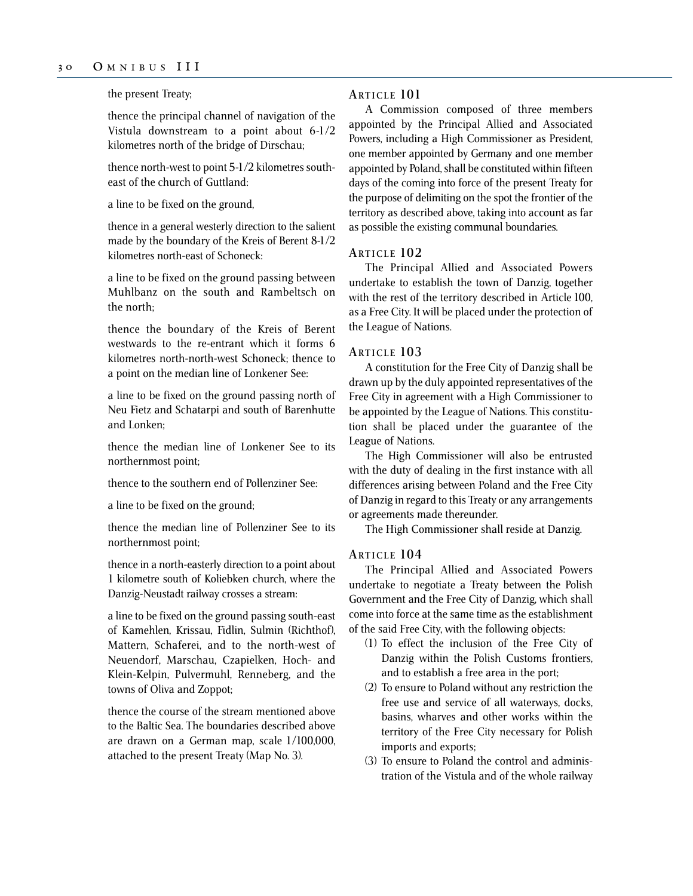the present Treaty;

thence the principal channel of navigation of the Vistula downstream to a point about 6-1/2 kilometres north of the bridge of Dirschau;

thence north-west to point 5-1/2 kilometres southeast of the church of Guttland:

a line to be fixed on the ground,

thence in a general westerly direction to the salient made by the boundary of the Kreis of Berent 8-1/2 kilometres north-east of Schoneck:

a line to be fixed on the ground passing between Muhlbanz on the south and Rambeltsch on the north;

thence the boundary of the Kreis of Berent westwards to the re-entrant which it forms 6 kilometres north-north-west Schoneck; thence to a point on the median line of Lonkener See:

a line to be fixed on the ground passing north of Neu Fietz and Schatarpi and south of Barenhutte and Lonken;

thence the median line of Lonkener See to its northernmost point;

thence to the southern end of Pollenziner See:

a line to be fixed on the ground;

thence the median line of Pollenziner See to its northernmost point;

thence in a north-easterly direction to a point about 1 kilometre south of Koliebken church, where the Danzig-Neustadt railway crosses a stream:

a line to be fixed on the ground passing south-east of Kamehlen, Krissau, Fidlin, Sulmin (Richthof), Mattern, Schaferei, and to the north-west of Neuendorf, Marschau, Czapielken, Hoch- and Klein-Kelpin, Pulvermuhl, Renneberg, and the towns of Oliva and Zoppot;

thence the course of the stream mentioned above to the Baltic Sea. The boundaries described above are drawn on a German map, scale 1/100,000, attached to the present Treaty (Map No. 3).

#### **ARTICLE 101**

A Commission composed of three members appointed by the Principal Allied and Associated Powers, including a High Commissioner as President, one member appointed by Germany and one member appointed by Poland, shall be constituted within fifteen days of the coming into force of the present Treaty for the purpose of delimiting on the spot the frontier of the territory as described above, taking into account as far as possible the existing communal boundaries.

#### **ARTICLE 102**

The Principal Allied and Associated Powers undertake to establish the town of Danzig, together with the rest of the territory described in Article 100, as a Free City. It will be placed under the protection of the League of Nations.

#### **ARTICLE 103**

A constitution for the Free City of Danzig shall be drawn up by the duly appointed representatives of the Free City in agreement with a High Commissioner to be appointed by the League of Nations. This constitution shall be placed under the guarantee of the League of Nations.

The High Commissioner will also be entrusted with the duty of dealing in the first instance with all differences arising between Poland and the Free City of Danzig in regard to this Treaty or any arrangements or agreements made thereunder.

The High Commissioner shall reside at Danzig.

#### **ARTICLE 104**

The Principal Allied and Associated Powers undertake to negotiate a Treaty between the Polish Government and the Free City of Danzig, which shall come into force at the same time as the establishment of the said Free City, with the following objects:

- (1) To effect the inclusion of the Free City of Danzig within the Polish Customs frontiers, and to establish a free area in the port;
- (2) To ensure to Poland without any restriction the free use and service of all waterways, docks, basins, wharves and other works within the territory of the Free City necessary for Polish imports and exports;
- (3) To ensure to Poland the control and administration of the Vistula and of the whole railway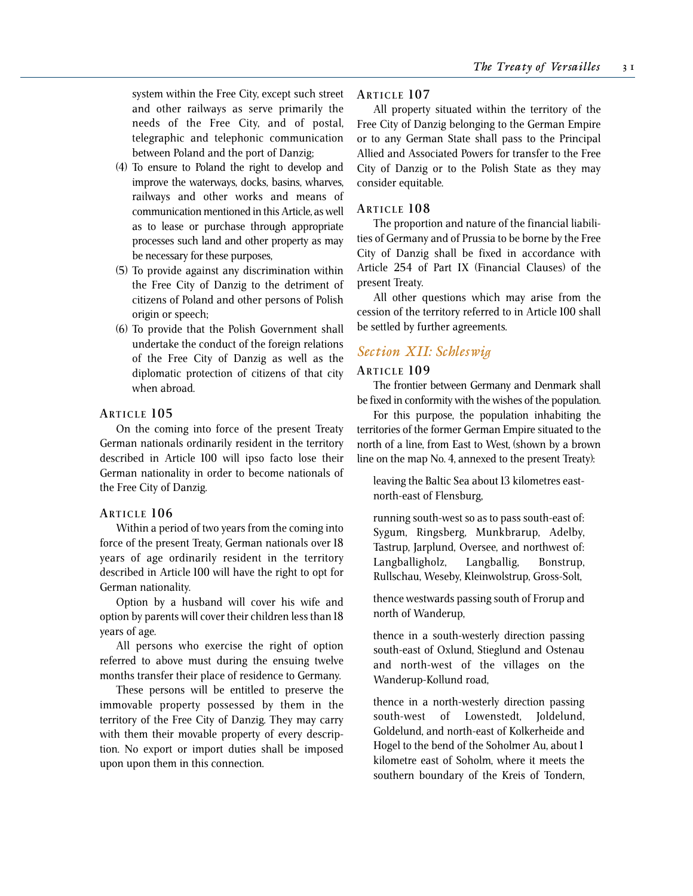system within the Free City, except such street and other railways as serve primarily the needs of the Free City, and of postal, telegraphic and telephonic communication between Poland and the port of Danzig;

- (4) To ensure to Poland the right to develop and improve the waterways, docks, basins, wharves, railways and other works and means of communication mentioned in this Article, as well as to lease or purchase through appropriate processes such land and other property as may be necessary for these purposes,
- (5) To provide against any discrimination within the Free City of Danzig to the detriment of citizens of Poland and other persons of Polish origin or speech;
- (6) To provide that the Polish Government shall undertake the conduct of the foreign relations of the Free City of Danzig as well as the diplomatic protection of citizens of that city when abroad.

#### **ARTICLE 105**

On the coming into force of the present Treaty German nationals ordinarily resident in the territory described in Article 100 will ipso facto lose their German nationality in order to become nationals of the Free City of Danzig.

#### **ARTICLE 106**

Within a period of two years from the coming into force of the present Treaty, German nationals over 18 years of age ordinarily resident in the territory described in Article 100 will have the right to opt for German nationality.

Option by a husband will cover his wife and option by parents will cover their children less than 18 years of age.

All persons who exercise the right of option referred to above must during the ensuing twelve months transfer their place of residence to Germany.

These persons will be entitled to preserve the immovable property possessed by them in the territory of the Free City of Danzig. They may carry with them their movable property of every description. No export or import duties shall be imposed upon upon them in this connection.

#### **ARTICLE 107**

All property situated within the territory of the Free City of Danzig belonging to the German Empire or to any German State shall pass to the Principal Allied and Associated Powers for transfer to the Free City of Danzig or to the Polish State as they may consider equitable.

#### **ARTICLE 108**

The proportion and nature of the financial liabilities of Germany and of Prussia to be borne by the Free City of Danzig shall be fixed in accordance with Article 254 of Part IX (Financial Clauses) of the present Treaty.

All other questions which may arise from the cession of the territory referred to in Article 100 shall be settled by further agreements.

## *Section XII: Schleswig*

#### **ARTICLE 109**

The frontier between Germany and Denmark shall be fixed in conformity with the wishes of the population.

For this purpose, the population inhabiting the territories of the former German Empire situated to the north of a line, from East to West, (shown by a brown line on the map No. 4, annexed to the present Treaty):

leaving the Baltic Sea about 13 kilometres eastnorth-east of Flensburg,

running south-west so as to pass south-east of: Sygum, Ringsberg, Munkbrarup, Adelby, Tastrup, Jarplund, Oversee, and northwest of: Langballigholz, Langballig, Bonstrup, Rullschau, Weseby, Kleinwolstrup, Gross-Solt,

thence westwards passing south of Frorup and north of Wanderup,

thence in a south-westerly direction passing south-east of Oxlund, Stieglund and Ostenau and north-west of the villages on the Wanderup-Kollund road,

thence in a north-westerly direction passing south-west of Lowenstedt, Joldelund, Goldelund, and north-east of Kolkerheide and Hogel to the bend of the Soholmer Au, about 1 kilometre east of Soholm, where it meets the southern boundary of the Kreis of Tondern,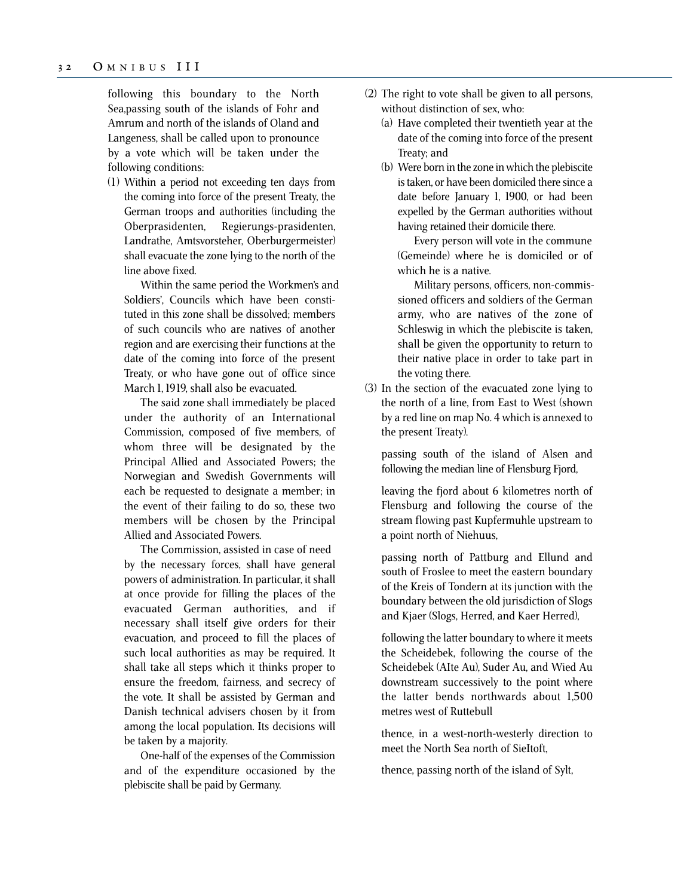following this boundary to the North Sea,passing south of the islands of Fohr and Amrum and north of the islands of Oland and Langeness, shall be called upon to pronounce by a vote which will be taken under the following conditions:

(1) Within a period not exceeding ten days from the coming into force of the present Treaty, the German troops and authorities (including the Oberprasidenten, Regierungs-prasidenten, Landrathe, Amtsvorsteher, Oberburgermeister) shall evacuate the zone lying to the north of the line above fixed.

Within the same period the Workmen's and Soldiers', Councils which have been constituted in this zone shall be dissolved; members of such councils who are natives of another region and are exercising their functions at the date of the coming into force of the present Treaty, or who have gone out of office since March 1, 1919, shall also be evacuated.

The said zone shall immediately be placed under the authority of an International Commission, composed of five members, of whom three will be designated by the Principal Allied and Associated Powers; the Norwegian and Swedish Governments will each be requested to designate a member; in the event of their failing to do so, these two members will be chosen by the Principal Allied and Associated Powers.

The Commission, assisted in case of need by the necessary forces, shall have general powers of administration. In particular, it shall at once provide for filling the places of the evacuated German authorities, and if necessary shall itself give orders for their evacuation, and proceed to fill the places of such local authorities as may be required. It shall take all steps which it thinks proper to ensure the freedom, fairness, and secrecy of the vote. It shall be assisted by German and Danish technical advisers chosen by it from among the local population. Its decisions will be taken by a majority.

One-half of the expenses of the Commission and of the expenditure occasioned by the plebiscite shall be paid by Germany.

- (2) The right to vote shall be given to all persons, without distinction of sex, who:
	- (a) Have completed their twentieth year at the date of the coming into force of the present Treaty; and
	- (b) Were born in the zone in which the plebiscite is taken, or have been domiciled there since a date before January 1, 1900, or had been expelled by the German authorities without having retained their domicile there.

Every person will vote in the commune (Gemeinde) where he is domiciled or of which he is a native.

Military persons, officers, non-commissioned officers and soldiers of the German army, who are natives of the zone of Schleswig in which the plebiscite is taken, shall be given the opportunity to return to their native place in order to take part in the voting there.

(3) In the section of the evacuated zone lying to the north of a line, from East to West (shown by a red line on map No. 4 which is annexed to the present Treaty).

passing south of the island of Alsen and following the median line of Flensburg Fjord,

leaving the fjord about 6 kilometres north of Flensburg and following the course of the stream flowing past Kupfermuhle upstream to a point north of Niehuus,

passing north of Pattburg and Ellund and south of Froslee to meet the eastern boundary of the Kreis of Tondern at its junction with the boundary between the old jurisdiction of Slogs and Kjaer (Slogs, Herred, and Kaer Herred),

following the latter boundary to where it meets the Scheidebek, following the course of the Scheidebek (AIte Au), Suder Au, and Wied Au downstream successively to the point where the latter bends northwards about 1,500 metres west of Ruttebull

thence, in a west-north-westerly direction to meet the North Sea north of SieItoft,

thence, passing north of the island of Sylt,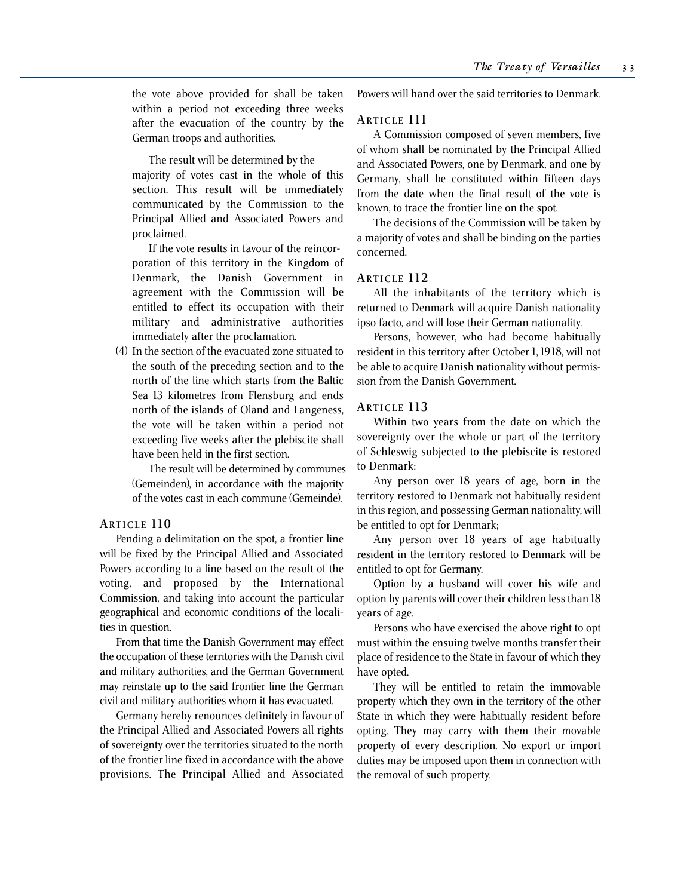the vote above provided for shall be taken within a period not exceeding three weeks after the evacuation of the country by the German troops and authorities.

The result will be determined by the majority of votes cast in the whole of this section. This result will be immediately communicated by the Commission to the Principal Allied and Associated Powers and proclaimed.

If the vote results in favour of the reincorporation of this territory in the Kingdom of Denmark, the Danish Government in agreement with the Commission will be entitled to effect its occupation with their military and administrative authorities immediately after the proclamation.

(4) In the section of the evacuated zone situated to the south of the preceding section and to the north of the line which starts from the Baltic Sea 13 kilometres from Flensburg and ends north of the islands of Oland and Langeness, the vote will be taken within a period not exceeding five weeks after the plebiscite shall have been held in the first section.

The result will be determined by communes (Gemeinden), in accordance with the majority of the votes cast in each commune (Gemeinde).

#### **ARTICLE 110**

Pending a delimitation on the spot, a frontier line will be fixed by the Principal Allied and Associated Powers according to a line based on the result of the voting, and proposed by the International Commission, and taking into account the particular geographical and economic conditions of the localities in question.

From that time the Danish Government may effect the occupation of these territories with the Danish civil and military authorities, and the German Government may reinstate up to the said frontier line the German civil and military authorities whom it has evacuated.

Germany hereby renounces definitely in favour of the Principal Allied and Associated Powers all rights of sovereignty over the territories situated to the north of the frontier line fixed in accordance with the above provisions. The Principal Allied and Associated Powers will hand over the said territories to Denmark.

#### **ARTICLE 111**

A Commission composed of seven members, five of whom shall be nominated by the Principal Allied and Associated Powers, one by Denmark, and one by Germany, shall be constituted within fifteen days from the date when the final result of the vote is known, to trace the frontier line on the spot.

The decisions of the Commission will be taken by a majority of votes and shall be binding on the parties concerned.

#### **ARTICLE 112**

All the inhabitants of the territory which is returned to Denmark will acquire Danish nationality ipso facto, and will lose their German nationality.

Persons, however, who had become habitually resident in this territory after October 1, 1918, will not be able to acquire Danish nationality without permission from the Danish Government.

#### **ARTICLE 113**

Within two years from the date on which the sovereignty over the whole or part of the territory of Schleswig subjected to the plebiscite is restored to Denmark:

Any person over 18 years of age, born in the territory restored to Denmark not habitually resident in this region, and possessing German nationality, will be entitled to opt for Denmark;

Any person over 18 years of age habitually resident in the territory restored to Denmark will be entitled to opt for Germany.

Option by a husband will cover his wife and option by parents will cover their children less than 18 years of age.

Persons who have exercised the above right to opt must within the ensuing twelve months transfer their place of residence to the State in favour of which they have opted.

They will be entitled to retain the immovable property which they own in the territory of the other State in which they were habitually resident before opting. They may carry with them their movable property of every description. No export or import duties may be imposed upon them in connection with the removal of such property.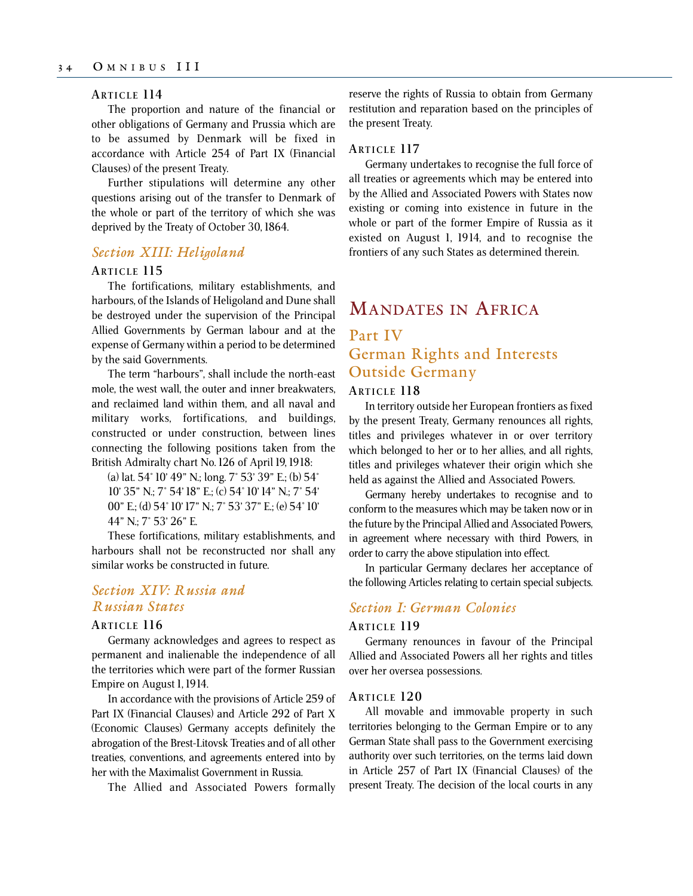#### **ARTICLE 114**

The proportion and nature of the financial or other obligations of Germany and Prussia which are to be assumed by Denmark will be fixed in accordance with Article 254 of Part IX (Financial Clauses) of the present Treaty.

Further stipulations will determine any other questions arising out of the transfer to Denmark of the whole or part of the territory of which she was deprived by the Treaty of October 30, 1864.

## *Section XIII: Heligoland*

#### **ARTICLE 115**

The fortifications, military establishments, and harbours, of the Islands of Heligoland and Dune shall be destroyed under the supervision of the Principal Allied Governments by German labour and at the expense of Germany within a period to be determined by the said Governments.

The term "harbours", shall include the north-east mole, the west wall, the outer and inner breakwaters, and reclaimed land within them, and all naval and military works, fortifications, and buildings, constructed or under construction, between lines connecting the following positions taken from the British Admiralty chart No. 126 of April 19, 1918:

(a) lat. 54° 10' 49" N.; long. 7° 53' 39" E.; (b) 54° 10' 35" N.; 7° 54' 18" E.; (c) 54° 10' 14" N.; 7° 54' 00" E.; (d) 54° 10' 17" N.; 7° 53' 37" E.; (e) 54° 10' 44" N.; 7° 53' 26" E.

These fortifications, military establishments, and harbours shall not be reconstructed nor shall any similar works be constructed in future.

## *Section XIV: Russia and Russian States*

#### **ARTICLE 116**

Germany acknowledges and agrees to respect as permanent and inalienable the independence of all the territories which were part of the former Russian Empire on August 1, 1914.

In accordance with the provisions of Article 259 of Part IX (Financial Clauses) and Article 292 of Part X (Economic Clauses) Germany accepts definitely the abrogation of the Brest-Litovsk Treaties and of all other treaties, conventions, and agreements entered into by her with the Maximalist Government in Russia.

The Allied and Associated Powers formally

reserve the rights of Russia to obtain from Germany restitution and reparation based on the principles of the present Treaty.

## **ARTICLE 117**

Germany undertakes to recognise the full force of all treaties or agreements which may be entered into by the Allied and Associated Powers with States now existing or coming into existence in future in the whole or part of the former Empire of Russia as it existed on August 1, 1914, and to recognise the frontiers of any such States as determined therein.

# MANDATES IN AFRICA

## Part IV German Rights and Interests Outside Germany

#### **ARTICLE 118**

In territory outside her European frontiers as fixed by the present Treaty, Germany renounces all rights, titles and privileges whatever in or over territory which belonged to her or to her allies, and all rights, titles and privileges whatever their origin which she held as against the Allied and Associated Powers.

Germany hereby undertakes to recognise and to conform to the measures which may be taken now or in the future by the Principal Allied and Associated Powers, in agreement where necessary with third Powers, in order to carry the above stipulation into effect.

In particular Germany declares her acceptance of the following Articles relating to certain special subjects.

## *Section I: German Colonies*

#### **ARTICLE 119**

Germany renounces in favour of the Principal Allied and Associated Powers all her rights and titles over her oversea possessions.

#### **ARTICLE 120**

All movable and immovable property in such territories belonging to the German Empire or to any German State shall pass to the Government exercising authority over such territories, on the terms laid down in Article 257 of Part IX (Financial Clauses) of the present Treaty. The decision of the local courts in any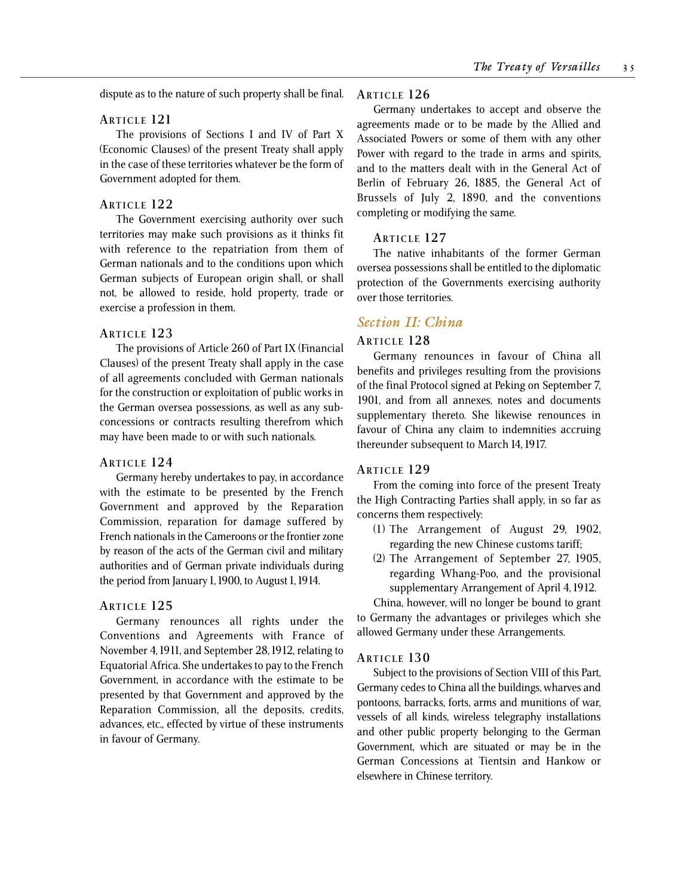dispute as to the nature of such property shall be final.

#### **ARTICLE 121**

The provisions of Sections I and IV of Part X (Economic Clauses) of the present Treaty shall apply in the case of these territories whatever be the form of Government adopted for them.

## **ARTICLE 122**

The Government exercising authority over such territories may make such provisions as it thinks fit with reference to the repatriation from them of German nationals and to the conditions upon which German subjects of European origin shall, or shall not, be allowed to reside, hold property, trade or exercise a profession in them.

#### **ARTICLE 123**

The provisions of Article 260 of Part IX (Financial Clauses) of the present Treaty shall apply in the case of all agreements concluded with German nationals for the construction or exploitation of public works in the German oversea possessions, as well as any subconcessions or contracts resulting therefrom which may have been made to or with such nationals.

#### **ARTICLE 124**

Germany hereby undertakes to pay, in accordance with the estimate to be presented by the French Government and approved by the Reparation Commission, reparation for damage suffered by French nationals in the Cameroons or the frontier zone by reason of the acts of the German civil and military authorities and of German private individuals during the period from January 1, 1900, to August 1, 1914.

#### **ARTICLE 125**

Germany renounces all rights under the Conventions and Agreements with France of November 4, 1911, and September 28, 1912, relating to Equatorial Africa. She undertakes to pay to the French Government, in accordance with the estimate to be presented by that Government and approved by the Reparation Commission, all the deposits, credits, advances, etc., effected by virtue of these instruments in favour of Germany.

#### **ARTICLE 126**

Germany undertakes to accept and observe the agreements made or to be made by the Allied and Associated Powers or some of them with any other Power with regard to the trade in arms and spirits, and to the matters dealt with in the General Act of Berlin of February 26, 1885, the General Act of Brussels of July 2, 1890, and the conventions completing or modifying the same.

## **ARTICLE 127**

The native inhabitants of the former German oversea possessions shall be entitled to the diplomatic protection of the Governments exercising authority over those territories.

## *Section II: China*

#### **ARTICLE 128**

Germany renounces in favour of China all benefits and privileges resulting from the provisions of the final Protocol signed at Peking on September 7, 1901, and from all annexes, notes and documents supplementary thereto. She likewise renounces in favour of China any claim to indemnities accruing thereunder subsequent to March 14, 1917.

#### **ARTICLE 129**

From the coming into force of the present Treaty the High Contracting Parties shall apply, in so far as concerns them respectively:

- (1) The Arrangement of August 29, 1902, regarding the new Chinese customs tariff;
- (2) The Arrangement of September 27, 1905, regarding Whang-Poo, and the provisional supplementary Arrangement of April 4, 1912.

China, however, will no longer be bound to grant to Germany the advantages or privileges which she allowed Germany under these Arrangements.

#### **ARTICLE 130**

Subject to the provisions of Section VIII of this Part, Germany cedes to China all the buildings, wharves and pontoons, barracks, forts, arms and munitions of war, vessels of all kinds, wireless telegraphy installations and other public property belonging to the German Government, which are situated or may be in the German Concessions at Tientsin and Hankow or elsewhere in Chinese territory.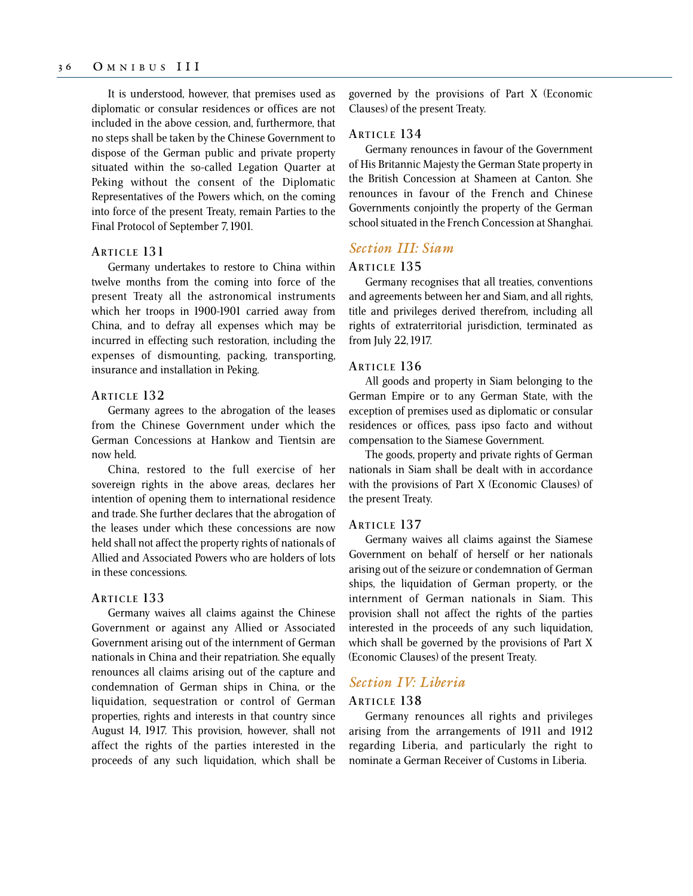It is understood, however, that premises used as diplomatic or consular residences or offices are not included in the above cession, and, furthermore, that no steps shall be taken by the Chinese Government to dispose of the German public and private property situated within the so-called Legation Quarter at Peking without the consent of the Diplomatic Representatives of the Powers which, on the coming into force of the present Treaty, remain Parties to the Final Protocol of September 7, 1901.

#### **ARTICLE 131**

Germany undertakes to restore to China within twelve months from the coming into force of the present Treaty all the astronomical instruments which her troops in 1900-1901 carried away from China, and to defray all expenses which may be incurred in effecting such restoration, including the expenses of dismounting, packing, transporting, insurance and installation in Peking.

### **ARTICLE 132**

Germany agrees to the abrogation of the leases from the Chinese Government under which the German Concessions at Hankow and Tientsin are now held.

China, restored to the full exercise of her sovereign rights in the above areas, declares her intention of opening them to international residence and trade. She further declares that the abrogation of the leases under which these concessions are now held shall not affect the property rights of nationals of Allied and Associated Powers who are holders of lots in these concessions.

#### **ARTICLE 133**

Germany waives all claims against the Chinese Government or against any Allied or Associated Government arising out of the internment of German nationals in China and their repatriation. She equally renounces all claims arising out of the capture and condemnation of German ships in China, or the liquidation, sequestration or control of German properties, rights and interests in that country since August 14, 1917. This provision, however, shall not affect the rights of the parties interested in the proceeds of any such liquidation, which shall be governed by the provisions of Part X (Economic Clauses) of the present Treaty.

## **ARTICLE 134**

Germany renounces in favour of the Government of His Britannic Majesty the German State property in the British Concession at Shameen at Canton. She renounces in favour of the French and Chinese Governments conjointly the property of the German school situated in the French Concession at Shanghai.

## *Section III: Siam*

#### **ARTICLE 135**

Germany recognises that all treaties, conventions and agreements between her and Siam, and all rights, title and privileges derived therefrom, including all rights of extraterritorial jurisdiction, terminated as from July 22, 1917.

#### **ARTICLE 136**

All goods and property in Siam belonging to the German Empire or to any German State, with the exception of premises used as diplomatic or consular residences or offices, pass ipso facto and without compensation to the Siamese Government.

The goods, property and private rights of German nationals in Siam shall be dealt with in accordance with the provisions of Part X (Economic Clauses) of the present Treaty.

#### **ARTICLE 137**

Germany waives all claims against the Siamese Government on behalf of herself or her nationals arising out of the seizure or condemnation of German ships, the liquidation of German property, or the internment of German nationals in Siam. This provision shall not affect the rights of the parties interested in the proceeds of any such liquidation, which shall be governed by the provisions of Part X (Economic Clauses) of the present Treaty.

#### *Section IV: Liberia*

#### **ARTICLE 138**

Germany renounces all rights and privileges arising from the arrangements of 1911 and 1912 regarding Liberia, and particularly the right to nominate a German Receiver of Customs in Liberia.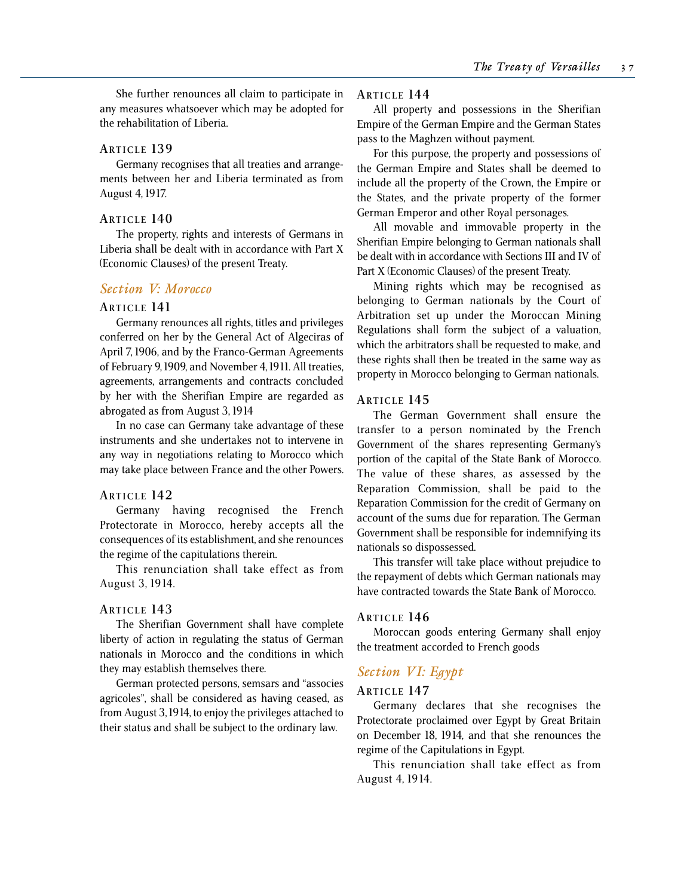She further renounces all claim to participate in any measures whatsoever which may be adopted for the rehabilitation of Liberia.

### **ARTICLE 139**

Germany recognises that all treaties and arrangements between her and Liberia terminated as from August 4, 1917.

### **ARTICLE 14 0**

The property, rights and interests of Germans in Liberia shall be dealt with in accordance with Part X (Economic Clauses) of the present Treaty.

## *Section V: Morocco*

### **ARTICLE 141**

Germany renounces all rights, titles and privileges conferred on her by the General Act of Algeciras of April 7, 1906, and by the Franco-German Agreements of February 9, 1909, and November 4, 1911. All treaties, agreements, arrangements and contracts concluded by her with the Sherifian Empire are regarded as abrogated as from August 3, 1914

In no case can Germany take advantage of these instruments and she undertakes not to intervene in any way in negotiations relating to Morocco which may take place between France and the other Powers.

### **ARTICLE 14 2**

Germany having recognised the French Protectorate in Morocco, hereby accepts all the consequences of its establishment, and she renounces the regime of the capitulations therein.

This renunciation shall take effect as from August 3, 1914.

## **ARTICLE 14 3**

The Sherifian Government shall have complete liberty of action in regulating the status of German nationals in Morocco and the conditions in which they may establish themselves there.

German protected persons, semsars and "associes agricoles", shall be considered as having ceased, as from August 3, 1914, to enjoy the privileges attached to their status and shall be subject to the ordinary law.

### **ARTICLE 14 4**

All property and possessions in the Sherifian Empire of the German Empire and the German States pass to the Maghzen without payment.

For this purpose, the property and possessions of the German Empire and States shall be deemed to include all the property of the Crown, the Empire or the States, and the private property of the former German Emperor and other Royal personages.

All movable and immovable property in the Sherifian Empire belonging to German nationals shall be dealt with in accordance with Sections III and IV of Part X (Economic Clauses) of the present Treaty.

Mining rights which may be recognised as belonging to German nationals by the Court of Arbitration set up under the Moroccan Mining Regulations shall form the subject of a valuation, which the arbitrators shall be requested to make, and these rights shall then be treated in the same way as property in Morocco belonging to German nationals.

### **ARTICLE 14 5**

The German Government shall ensure the transfer to a person nominated by the French Government of the shares representing Germany's portion of the capital of the State Bank of Morocco. The value of these shares, as assessed by the Reparation Commission, shall be paid to the Reparation Commission for the credit of Germany on account of the sums due for reparation. The German Government shall be responsible for indemnifying its nationals so dispossessed.

This transfer will take place without prejudice to the repayment of debts which German nationals may have contracted towards the State Bank of Morocco.

#### **ARTICLE 14 6**

Moroccan goods entering Germany shall enjoy the treatment accorded to French goods

## *Section VI: Egypt*

## **ARTICLE 14 7**

Germany declares that she recognises the Protectorate proclaimed over Egypt by Great Britain on December 18, 1914, and that she renounces the regime of the Capitulations in Egypt.

This renunciation shall take effect as from August 4, 1914.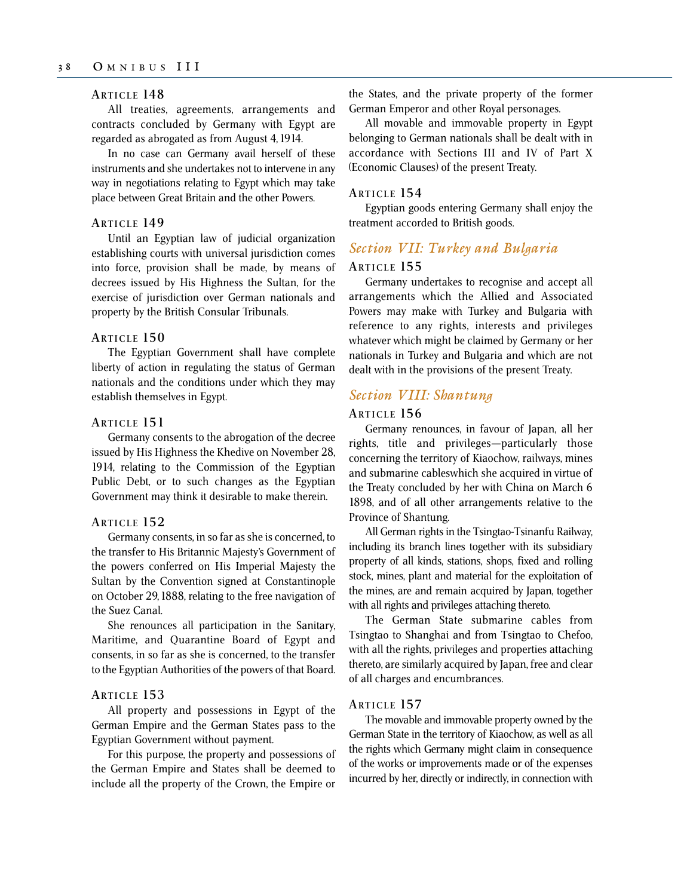## **ARTICLE 14 8**

All treaties, agreements, arrangements and contracts concluded by Germany with Egypt are regarded as abrogated as from August 4, 1914.

In no case can Germany avail herself of these instruments and she undertakes not to intervene in any way in negotiations relating to Egypt which may take place between Great Britain and the other Powers.

### **ARTICLE 14 9**

Until an Egyptian law of judicial organization establishing courts with universal jurisdiction comes into force, provision shall be made, by means of decrees issued by His Highness the Sultan, for the exercise of jurisdiction over German nationals and property by the British Consular Tribunals.

### **ARTICLE 150**

The Egyptian Government shall have complete liberty of action in regulating the status of German nationals and the conditions under which they may establish themselves in Egypt.

### **ARTICLE 151**

Germany consents to the abrogation of the decree issued by His Highness the Khedive on November 28, 1914, relating to the Commission of the Egyptian Public Debt, or to such changes as the Egyptian Government may think it desirable to make therein.

### **ARTICLE 152**

Germany consents, in so far as she is concerned, to the transfer to His Britannic Majesty's Government of the powers conferred on His Imperial Majesty the Sultan by the Convention signed at Constantinople on October 29, 1888, relating to the free navigation of the Suez Canal.

She renounces all participation in the Sanitary, Maritime, and Quarantine Board of Egypt and consents, in so far as she is concerned, to the transfer to the Egyptian Authorities of the powers of that Board.

#### **ARTICLE 153**

All property and possessions in Egypt of the German Empire and the German States pass to the Egyptian Government without payment.

For this purpose, the property and possessions of the German Empire and States shall be deemed to include all the property of the Crown, the Empire or the States, and the private property of the former German Emperor and other Royal personages.

All movable and immovable property in Egypt belonging to German nationals shall be dealt with in accordance with Sections III and IV of Part X (Economic Clauses) of the present Treaty.

#### **ARTICLE 154**

Egyptian goods entering Germany shall enjoy the treatment accorded to British goods.

## *Section VII: Turkey and Bulgaria*

### **ARTICLE 155**

Germany undertakes to recognise and accept all arrangements which the Allied and Associated Powers may make with Turkey and Bulgaria with reference to any rights, interests and privileges whatever which might be claimed by Germany or her nationals in Turkey and Bulgaria and which are not dealt with in the provisions of the present Treaty.

## *Section VIII: Shantung*

### **ARTICLE 156**

Germany renounces, in favour of Japan, all her rights, title and privileges—particularly those concerning the territory of Kiaochow, railways, mines and submarine cableswhich she acquired in virtue of the Treaty concluded by her with China on March 6 1898, and of all other arrangements relative to the Province of Shantung.

All German rights in the Tsingtao-Tsinanfu Railway, including its branch lines together with its subsidiary property of all kinds, stations, shops, fixed and rolling stock, mines, plant and material for the exploitation of the mines, are and remain acquired by Japan, together with all rights and privileges attaching thereto.

The German State submarine cables from Tsingtao to Shanghai and from Tsingtao to Chefoo, with all the rights, privileges and properties attaching thereto, are similarly acquired by Japan, free and clear of all charges and encumbrances.

## **ARTICLE 157**

The movable and immovable property owned by the German State in the territory of Kiaochow, as well as all the rights which Germany might claim in consequence of the works or improvements made or of the expenses incurred by her, directly or indirectly, in connection with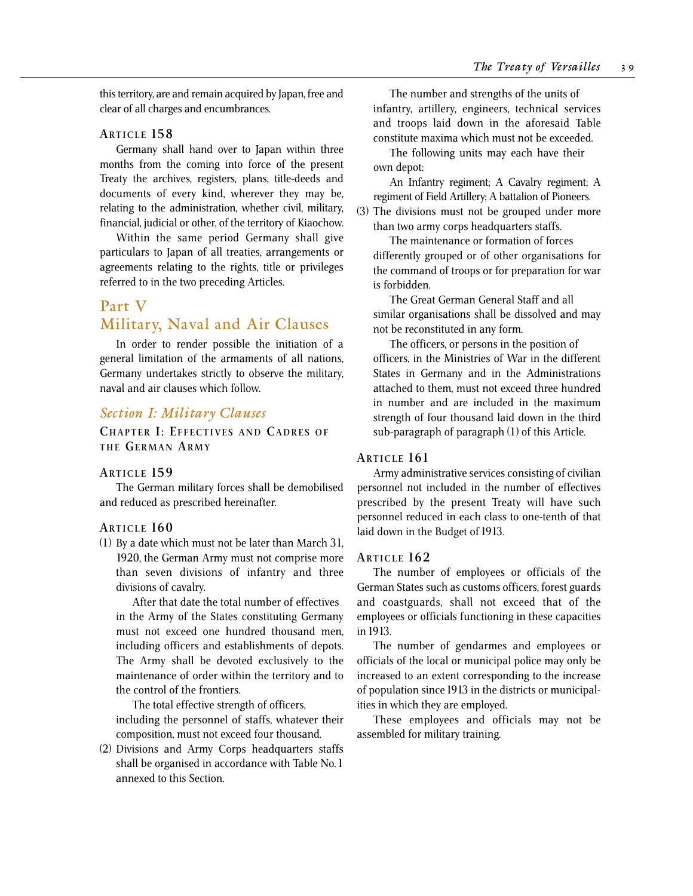this territory, are and remain acquired by Japan, free and clear of all charges and encumbrances.

## **ARTICLE 158**

Germany shall hand over to Japan within three months from the coming into force of the present Treaty the archives, registers, plans, title-deeds and documents of every kind, wherever they may be, relating to the administration, whether civil, military, financial, judicial or other, of the territory of Kiaochow.

Within the same period Germany shall give particulars to Japan of all treaties, arrangements or agreements relating to the rights, title or privileges referred to in the two preceding Articles.

## Part V

# Military, Naval and Air Clauses

In order to render possible the initiation of a general limitation of the armaments of all nations, Germany undertakes strictly to observe the military, naval and air clauses which follow.

## *Section I: Military Clauses*

**CHAPTER I: EFFECTIVES AND CADRES OF THE GERMAN ARMY**

## **ARTICLE 159**

The German military forces shall be demobilised and reduced as prescribed hereinafter.

### **ARTICLE 160**

(1) By a date which must not be later than March 31, 1920, the German Army must not comprise more than seven divisions of infantry and three divisions of cavalry.

After that date the total number of effectives in the Army of the States constituting Germany must not exceed one hundred thousand men, including officers and establishments of depots. The Army shall be devoted exclusively to the maintenance of order within the territory and to the control of the frontiers.

The total effective strength of officers, including the personnel of staffs, whatever their composition, must not exceed four thousand.

(2) Divisions and Army Corps headquarters staffs shall be organised in accordance with Table No. 1 annexed to this Section.

The number and strengths of the units of infantry, artillery, engineers, technical services and troops laid down in the aforesaid Table constitute maxima which must not be exceeded.

The following units may each have their own depot:

An Infantry regiment; A Cavalry regiment; A regiment of Field Artillery; A battalion of Pioneers. (3) The divisions must not be grouped under more

than two army corps headquarters staffs.

The maintenance or formation of forces differently grouped or of other organisations for the command of troops or for preparation for war is forbidden.

The Great German General Staff and all similar organisations shall be dissolved and may not be reconstituted in any form.

The officers, or persons in the position of officers, in the Ministries of War in the different States in Germany and in the Administrations attached to them, must not exceed three hundred in number and are included in the maximum strength of four thousand laid down in the third sub-paragraph of paragraph (1) of this Article.

## **ARTICLE 161**

Army administrative services consisting of civilian personnel not included in the number of effectives prescribed by the present Treaty will have such personnel reduced in each class to one-tenth of that laid down in the Budget of 1913.

### **ARTICLE 162**

The number of employees or officials of the German States such as customs officers, forest guards and coastguards, shall not exceed that of the employees or officials functioning in these capacities in 1913.

The number of gendarmes and employees or officials of the local or municipal police may only be increased to an extent corresponding to the increase of population since 1913 in the districts or municipalities in which they are employed.

These employees and officials may not be assembled for military training.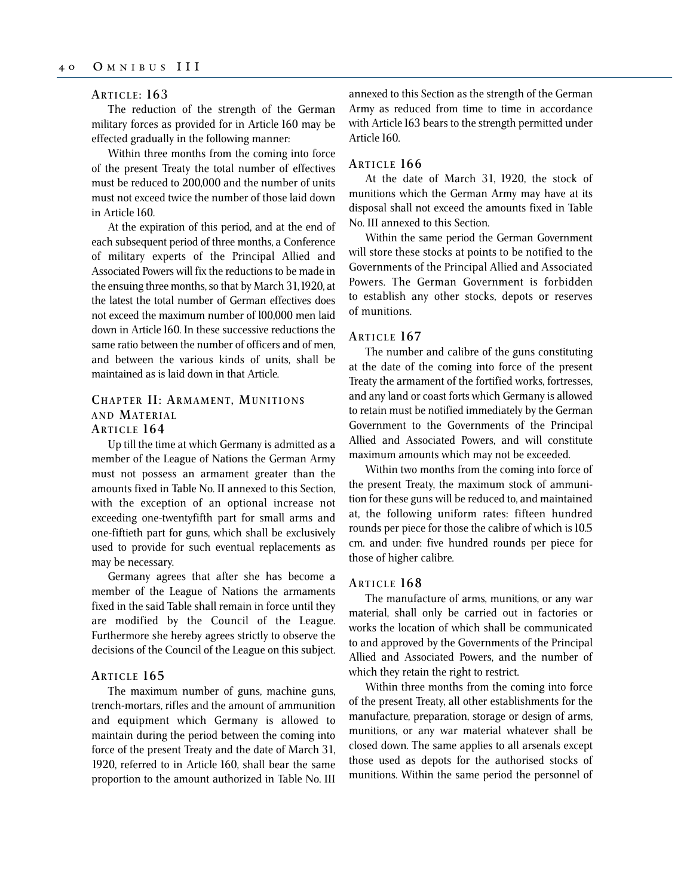## **ARTICLE : 163**

The reduction of the strength of the German military forces as provided for in Article 160 may be effected gradually in the following manner:

Within three months from the coming into force of the present Treaty the total number of effectives must be reduced to 200,000 and the number of units must not exceed twice the number of those laid down in Article 160.

At the expiration of this period, and at the end of each subsequent period of three months, a Conference of military experts of the Principal Allied and Associated Powers will fix the reductions to be made in the ensuing three months, so that by March 31, 1920, at the latest the total number of German effectives does not exceed the maximum number of l00,000 men laid down in Article 160. In these successive reductions the same ratio between the number of officers and of men, and between the various kinds of units, shall be maintained as is laid down in that Article.

# **CHAPTER II: ARMAMENT, MUNITIONS AND MATERIAL**

## **ARTICLE 164**

Up till the time at which Germany is admitted as a member of the League of Nations the German Army must not possess an armament greater than the amounts fixed in Table No. II annexed to this Section, with the exception of an optional increase not exceeding one-twentyfifth part for small arms and one-fiftieth part for guns, which shall be exclusively used to provide for such eventual replacements as may be necessary.

Germany agrees that after she has become a member of the League of Nations the armaments fixed in the said Table shall remain in force until they are modified by the Council of the League. Furthermore she hereby agrees strictly to observe the decisions of the Council of the League on this subject.

### **ARTICLE 165**

The maximum number of guns, machine guns, trench-mortars, rifles and the amount of ammunition and equipment which Germany is allowed to maintain during the period between the coming into force of the present Treaty and the date of March 31, 1920, referred to in Article 160, shall bear the same proportion to the amount authorized in Table No. III annexed to this Section as the strength of the German Army as reduced from time to time in accordance with Article 163 bears to the strength permitted under Article 160.

## **ARTICLE 166**

At the date of March 31, 1920, the stock of munitions which the German Army may have at its disposal shall not exceed the amounts fixed in Table No. III annexed to this Section.

Within the same period the German Government will store these stocks at points to be notified to the Governments of the Principal Allied and Associated Powers. The German Government is forbidden to establish any other stocks, depots or reserves of munitions.

#### **ARTICLE 167**

The number and calibre of the guns constituting at the date of the coming into force of the present Treaty the armament of the fortified works, fortresses, and any land or coast forts which Germany is allowed to retain must be notified immediately by the German Government to the Governments of the Principal Allied and Associated Powers, and will constitute maximum amounts which may not be exceeded.

Within two months from the coming into force of the present Treaty, the maximum stock of ammunition for these guns will be reduced to, and maintained at, the following uniform rates: fifteen hundred rounds per piece for those the calibre of which is 10.5 cm. and under: five hundred rounds per piece for those of higher calibre.

### **ARTICLE 168**

The manufacture of arms, munitions, or any war material, shall only be carried out in factories or works the location of which shall be communicated to and approved by the Governments of the Principal Allied and Associated Powers, and the number of which they retain the right to restrict.

Within three months from the coming into force of the present Treaty, all other establishments for the manufacture, preparation, storage or design of arms, munitions, or any war material whatever shall be closed down. The same applies to all arsenals except those used as depots for the authorised stocks of munitions. Within the same period the personnel of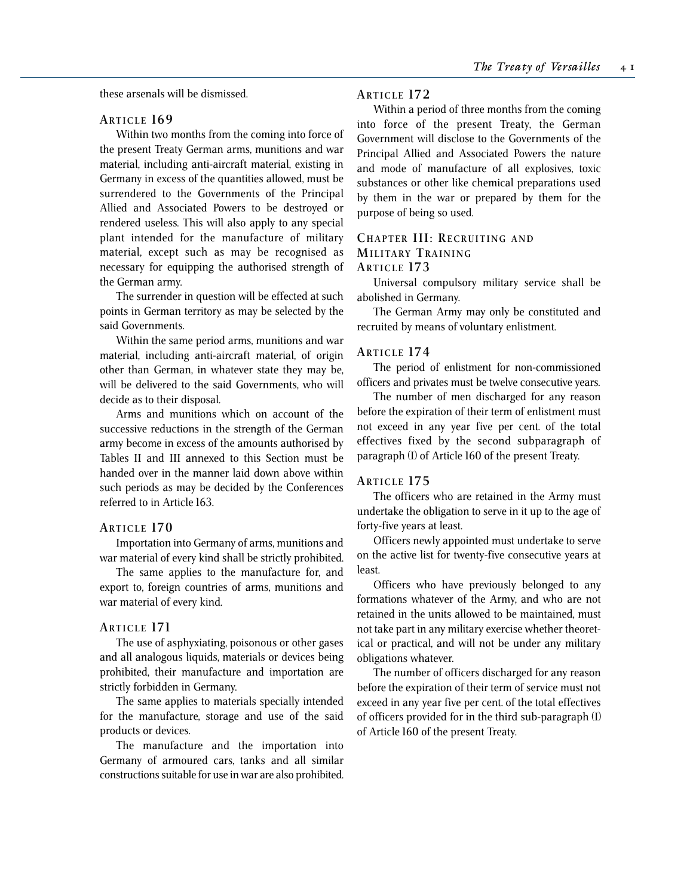these arsenals will be dismissed.

## **ARTICLE 169**

Within two months from the coming into force of the present Treaty German arms, munitions and war material, including anti-aircraft material, existing in Germany in excess of the quantities allowed, must be surrendered to the Governments of the Principal Allied and Associated Powers to be destroyed or rendered useless. This will also apply to any special plant intended for the manufacture of military material, except such as may be recognised as necessary for equipping the authorised strength of the German army.

The surrender in question will be effected at such points in German territory as may be selected by the said Governments.

Within the same period arms, munitions and war material, including anti-aircraft material, of origin other than German, in whatever state they may be, will be delivered to the said Governments, who will decide as to their disposal.

Arms and munitions which on account of the successive reductions in the strength of the German army become in excess of the amounts authorised by Tables II and III annexed to this Section must be handed over in the manner laid down above within such periods as may be decided by the Conferences referred to in Article 163.

### **ARTICLE 170**

Importation into Germany of arms, munitions and war material of every kind shall be strictly prohibited.

The same applies to the manufacture for, and export to, foreign countries of arms, munitions and war material of every kind.

### **ARTICLE 171**

The use of asphyxiating, poisonous or other gases and all analogous liquids, materials or devices being prohibited, their manufacture and importation are strictly forbidden in Germany.

The same applies to materials specially intended for the manufacture, storage and use of the said products or devices.

The manufacture and the importation into Germany of armoured cars, tanks and all similar constructions suitable for use in war are also prohibited.

### **ARTICLE 172**

Within a period of three months from the coming into force of the present Treaty, the German Government will disclose to the Governments of the Principal Allied and Associated Powers the nature and mode of manufacture of all explosives, toxic substances or other like chemical preparations used by them in the war or prepared by them for the purpose of being so used.

## **CHAPTER III: RECRUITING AND MILITARY TRAINING ARTICLE 173**

Universal compulsory military service shall be abolished in Germany.

The German Army may only be constituted and recruited by means of voluntary enlistment.

### **ARTICLE 174**

The period of enlistment for non-commissioned officers and privates must be twelve consecutive years.

The number of men discharged for any reason before the expiration of their term of enlistment must not exceed in any year five per cent. of the total effectives fixed by the second subparagraph of paragraph (I) of Article 160 of the present Treaty.

### **ARTICLE 175**

The officers who are retained in the Army must undertake the obligation to serve in it up to the age of forty-five years at least.

Officers newly appointed must undertake to serve on the active list for twenty-five consecutive years at least.

Officers who have previously belonged to any formations whatever of the Army, and who are not retained in the units allowed to be maintained, must not take part in any military exercise whether theoretical or practical, and will not be under any military obligations whatever.

The number of officers discharged for any reason before the expiration of their term of service must not exceed in any year five per cent. of the total effectives of officers provided for in the third sub-paragraph (I) of Article 160 of the present Treaty.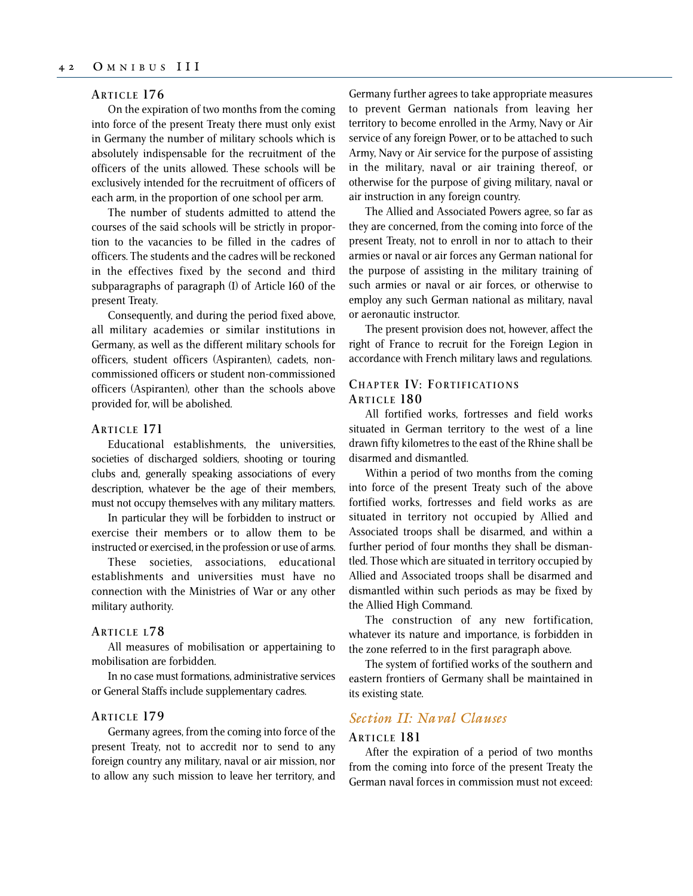## **ARTICLE 176**

On the expiration of two months from the coming into force of the present Treaty there must only exist in Germany the number of military schools which is absolutely indispensable for the recruitment of the officers of the units allowed. These schools will be exclusively intended for the recruitment of officers of each arm, in the proportion of one school per arm.

The number of students admitted to attend the courses of the said schools will be strictly in proportion to the vacancies to be filled in the cadres of officers. The students and the cadres will be reckoned in the effectives fixed by the second and third subparagraphs of paragraph (I) of Article 160 of the present Treaty.

Consequently, and during the period fixed above, all military academies or similar institutions in Germany, as well as the different military schools for officers, student officers (Aspiranten), cadets, noncommissioned officers or student non-commissioned officers (Aspiranten), other than the schools above provided for, will be abolished.

## **ARTICLE 171**

Educational establishments, the universities, societies of discharged soldiers, shooting or touring clubs and, generally speaking associations of every description, whatever be the age of their members, must not occupy themselves with any military matters.

In particular they will be forbidden to instruct or exercise their members or to allow them to be instructed or exercised, in the profession or use of arms.

These societies, associations, educational establishments and universities must have no connection with the Ministries of War or any other military authority.

## **ARTICLE L78**

All measures of mobilisation or appertaining to mobilisation are forbidden.

In no case must formations, administrative services or General Staffs include supplementary cadres.

### **ARTICLE 179**

Germany agrees, from the coming into force of the present Treaty, not to accredit nor to send to any foreign country any military, naval or air mission, nor to allow any such mission to leave her territory, and Germany further agrees to take appropriate measures to prevent German nationals from leaving her territory to become enrolled in the Army, Navy or Air service of any foreign Power, or to be attached to such Army, Navy or Air service for the purpose of assisting in the military, naval or air training thereof, or otherwise for the purpose of giving military, naval or air instruction in any foreign country.

The Allied and Associated Powers agree, so far as they are concerned, from the coming into force of the present Treaty, not to enroll in nor to attach to their armies or naval or air forces any German national for the purpose of assisting in the military training of such armies or naval or air forces, or otherwise to employ any such German national as military, naval or aeronautic instructor.

The present provision does not, however, affect the right of France to recruit for the Foreign Legion in accordance with French military laws and regulations.

## **CHAPTER IV: FORTIFICATIONS ARTICLE 180**

All fortified works, fortresses and field works situated in German territory to the west of a line drawn fifty kilometres to the east of the Rhine shall be disarmed and dismantled.

Within a period of two months from the coming into force of the present Treaty such of the above fortified works, fortresses and field works as are situated in territory not occupied by Allied and Associated troops shall be disarmed, and within a further period of four months they shall be dismantled. Those which are situated in territory occupied by Allied and Associated troops shall be disarmed and dismantled within such periods as may be fixed by the Allied High Command.

The construction of any new fortification, whatever its nature and importance, is forbidden in the zone referred to in the first paragraph above.

The system of fortified works of the southern and eastern frontiers of Germany shall be maintained in its existing state.

## *Section II: Naval Clauses*

## **ARTICLE 181**

After the expiration of a period of two months from the coming into force of the present Treaty the German naval forces in commission must not exceed: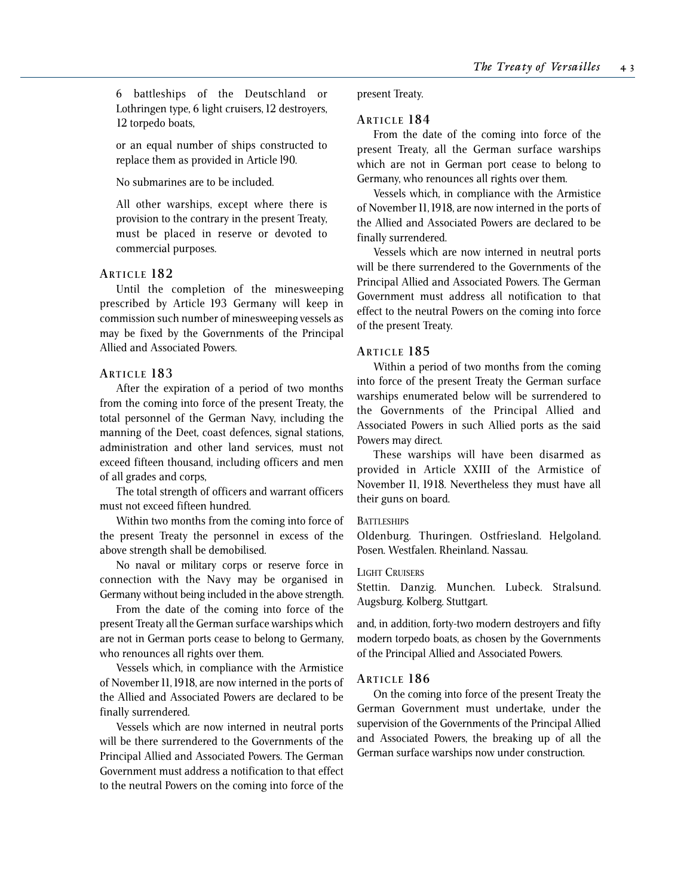6 battleships of the Deutschland or Lothringen type, 6 light cruisers, 12 destroyers, 12 torpedo boats,

or an equal number of ships constructed to replace them as provided in Article l90.

No submarines are to be included.

All other warships, except where there is provision to the contrary in the present Treaty, must be placed in reserve or devoted to commercial purposes.

## **ARTICLE 182**

Until the completion of the minesweeping prescribed by Article 193 Germany will keep in commission such number of minesweeping vessels as may be fixed by the Governments of the Principal Allied and Associated Powers.

## **ARTICLE 183**

After the expiration of a period of two months from the coming into force of the present Treaty, the total personnel of the German Navy, including the manning of the Deet, coast defences, signal stations, administration and other land services, must not exceed fifteen thousand, including officers and men of all grades and corps,

The total strength of officers and warrant officers must not exceed fifteen hundred.

Within two months from the coming into force of the present Treaty the personnel in excess of the above strength shall be demobilised.

No naval or military corps or reserve force in connection with the Navy may be organised in Germany without being included in the above strength.

From the date of the coming into force of the present Treaty all the German surface warships which are not in German ports cease to belong to Germany, who renounces all rights over them.

Vessels which, in compliance with the Armistice of November 11, 1918, are now interned in the ports of the Allied and Associated Powers are declared to be finally surrendered.

Vessels which are now interned in neutral ports will be there surrendered to the Governments of the Principal Allied and Associated Powers. The German Government must address a notification to that effect to the neutral Powers on the coming into force of the

present Treaty.

## **ARTICLE 184**

From the date of the coming into force of the present Treaty, all the German surface warships which are not in German port cease to belong to Germany, who renounces all rights over them.

Vessels which, in compliance with the Armistice of November 11, 1918, are now interned in the ports of the Allied and Associated Powers are declared to be finally surrendered.

Vessels which are now interned in neutral ports will be there surrendered to the Governments of the Principal Allied and Associated Powers. The German Government must address all notification to that effect to the neutral Powers on the coming into force of the present Treaty.

## **ARTICLE 185**

Within a period of two months from the coming into force of the present Treaty the German surface warships enumerated below will be surrendered to the Governments of the Principal Allied and Associated Powers in such Allied ports as the said Powers may direct.

These warships will have been disarmed as provided in Article XXIII of the Armistice of November 11, 1918. Nevertheless they must have all their guns on board.

## **BATTLESHIPS**

Oldenburg. Thuringen. Ostfriesland. Helgoland. Posen. Westfalen. Rheinland. Nassau.

### LIGHT CRUISERS

Stettin. Danzig. Munchen. Lubeck. Stralsund. Augsburg. Kolberg. Stuttgart.

and, in addition, forty-two modern destroyers and fifty modern torpedo boats, as chosen by the Governments of the Principal Allied and Associated Powers.

## **ARTICLE 186**

On the coming into force of the present Treaty the German Government must undertake, under the supervision of the Governments of the Principal Allied and Associated Powers, the breaking up of all the German surface warships now under construction.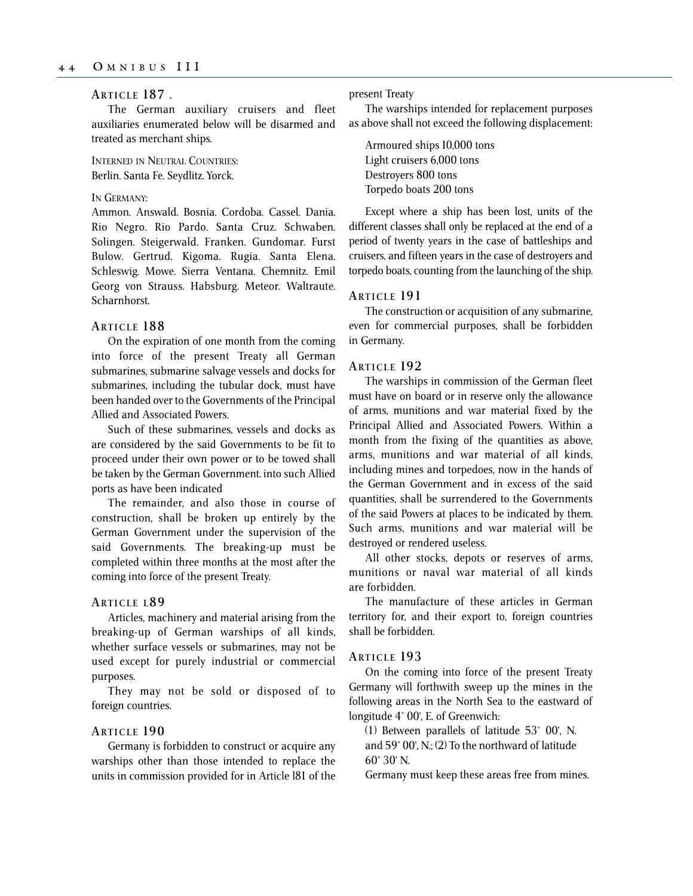## **ARTICLE 187 .**

The German auxiliary cruisers and fleet auxiliaries enumerated below will be disarmed and treated as merchant ships.

INTERNED IN NEUTRAL COUNTRIES: Berlin. Santa Fe. Seydlitz. Yorck.

### IN GERMANY:

Ammon. Answald. Bosnia. Cordoba. Cassel. Dania. Rio Negro. Rio Pardo. Santa Cruz. Schwaben. Solingen. Steigerwald. Franken. Gundomar. Furst Bulow. Gertrud. Kigoma. Rugia. Santa Elena. Schleswig. Mowe. Sierra Ventana. Chemnitz. Emil Georg von Strauss. Habsburg. Meteor. Waltraute. Scharnhorst.

### **ARTICLE 188**

On the expiration of one month from the coming into force of the present Treaty all German submarines, submarine salvage vessels and docks for submarines, including the tubular dock, must have been handed over to the Governments of the Principal Allied and Associated Powers.

Such of these submarines, vessels and docks as are considered by the said Governments to be fit to proceed under their own power or to be towed shall be taken by the German Government. into such Allied ports as have been indicated

The remainder, and also those in course of construction, shall be broken up entirely by the German Government under the supervision of the said Governments. The breaking-up must be completed within three months at the most after the coming into force of the present Treaty.

### **ARTICLE L8 9**

Articles, machinery and material arising from the breaking-up of German warships of all kinds, whether surface vessels or submarines, may not be used except for purely industrial or commercial purposes.

They may not be sold or disposed of to foreign countries.

## **ARTICLE 190**

Germany is forbidden to construct or acquire any warships other than those intended to replace the units in commission provided for in Article l81 of the present Treaty

The warships intended for replacement purposes as above shall not exceed the following displacement:

Armoured ships 10,000 tons Light cruisers 6,000 tons Destroyers 800 tons Torpedo boats 200 tons

Except where a ship has been lost, units of the different classes shall only be replaced at the end of a period of twenty years in the case of battleships and cruisers, and fifteen years in the case of destroyers and torpedo boats, counting from the launching of the ship.

### **ARTICLE 191**

The construction or acquisition of any submarine, even for commercial purposes, shall be forbidden in Germany.

## **ARTICLE 192**

The warships in commission of the German fleet must have on board or in reserve only the allowance of arms, munitions and war material fixed by the Principal Allied and Associated Powers. Within a month from the fixing of the quantities as above, arms, munitions and war material of all kinds, including mines and torpedoes, now in the hands of the German Government and in excess of the said quantities, shall be surrendered to the Governments of the said Powers at places to be indicated by them. Such arms, munitions and war material will be destroyed or rendered useless.

All other stocks, depots or reserves of arms, munitions or naval war material of all kinds are forbidden.

The manufacture of these articles in German territory for, and their export to, foreign countries shall be forbidden.

### **ARTICLE 193**

On the coming into force of the present Treaty Germany will forthwith sweep up the mines in the following areas in the North Sea to the eastward of longitude 4° 00', E. of Greenwich:

(1) Between parallels of latitude 53° 00', N. and 59° 00', N.; (2) To the northward of latitude 60° 30' N.

Germany must keep these areas free from mines.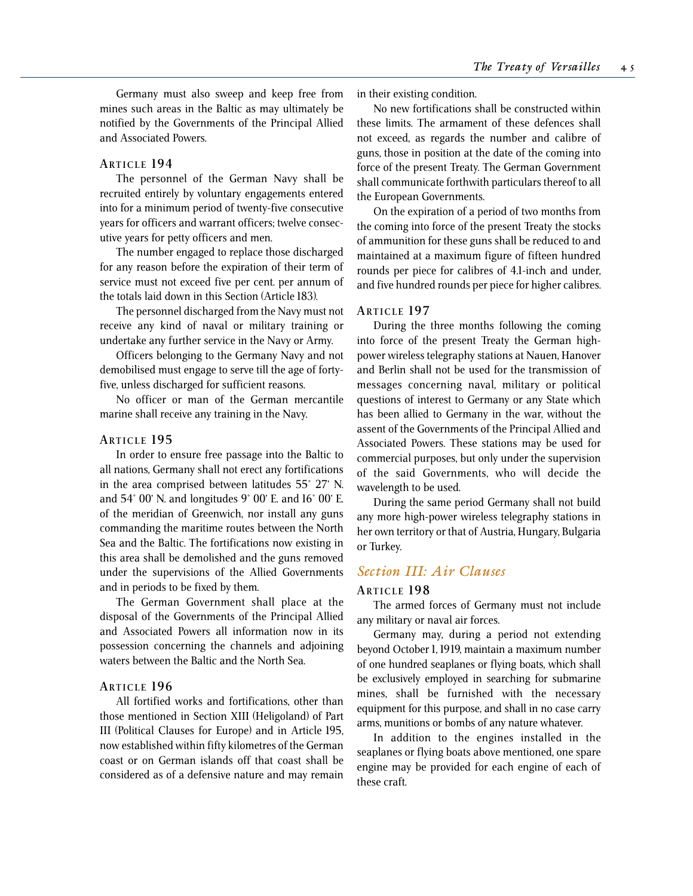Germany must also sweep and keep free from mines such areas in the Baltic as may ultimately be notified by the Governments of the Principal Allied and Associated Powers.

### **ARTICLE 194**

The personnel of the German Navy shall be recruited entirely by voluntary engagements entered into for a minimum period of twenty-five consecutive years for officers and warrant officers; twelve consecutive years for petty officers and men.

The number engaged to replace those discharged for any reason before the expiration of their term of service must not exceed five per cent. per annum of the totals laid down in this Section (Article 183).

The personnel discharged from the Navy must not receive any kind of naval or military training or undertake any further service in the Navy or Army.

Officers belonging to the Germany Navy and not demobilised must engage to serve till the age of fortyfive, unless discharged for sufficient reasons.

No officer or man of the German mercantile marine shall receive any training in the Navy.

### **ARTICLE 195**

In order to ensure free passage into the Baltic to all nations, Germany shall not erect any fortifications in the area comprised between latitudes 55° 27' N. and 54° 00' N. and longitudes 9° 00' E. and 16° 00' E. of the meridian of Greenwich, nor install any guns commanding the maritime routes between the North Sea and the Baltic. The fortifications now existing in this area shall be demolished and the guns removed under the supervisions of the Allied Governments and in periods to be fixed by them.

The German Government shall place at the disposal of the Governments of the Principal Allied and Associated Powers all information now in its possession concerning the channels and adjoining waters between the Baltic and the North Sea.

### **ARTICLE 196**

All fortified works and fortifications, other than those mentioned in Section XIII (Heligoland) of Part III (Political Clauses for Europe) and in Article 195, now established within fifty kilometres of the German coast or on German islands off that coast shall be considered as of a defensive nature and may remain in their existing condition.

No new fortifications shall be constructed within these limits. The armament of these defences shall not exceed, as regards the number and calibre of guns, those in position at the date of the coming into force of the present Treaty. The German Government shall communicate forthwith particulars thereof to all the European Governments.

On the expiration of a period of two months from the coming into force of the present Treaty the stocks of ammunition for these guns shall be reduced to and maintained at a maximum figure of fifteen hundred rounds per piece for calibres of 4.1-inch and under, and five hundred rounds per piece for higher calibres.

## **ARTICLE 197**

During the three months following the coming into force of the present Treaty the German highpower wireless telegraphy stations at Nauen, Hanover and Berlin shall not be used for the transmission of messages concerning naval, military or political questions of interest to Germany or any State which has been allied to Germany in the war, without the assent of the Governments of the Principal Allied and Associated Powers. These stations may be used for commercial purposes, but only under the supervision of the said Governments, who will decide the wavelength to be used.

During the same period Germany shall not build any more high-power wireless telegraphy stations in her own territory or that of Austria, Hungary, Bulgaria or Turkey.

## *Section III: Air Clauses*

## **ARTICLE 198**

The armed forces of Germany must not include any military or naval air forces.

Germany may, during a period not extending beyond October 1, 1919, maintain a maximum number of one hundred seaplanes or flying boats, which shall be exclusively employed in searching for submarine mines, shall be furnished with the necessary equipment for this purpose, and shall in no case carry arms, munitions or bombs of any nature whatever.

In addition to the engines installed in the seaplanes or flying boats above mentioned, one spare engine may be provided for each engine of each of these craft.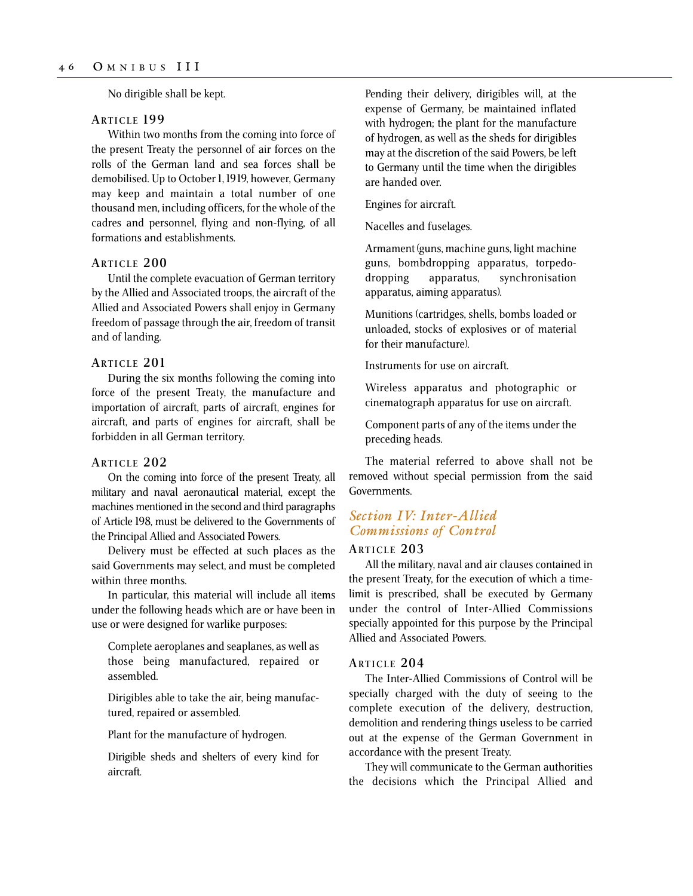No dirigible shall be kept.

### **ARTICLE 199**

Within two months from the coming into force of the present Treaty the personnel of air forces on the rolls of the German land and sea forces shall be demobilised. Up to October 1, 1919, however, Germany may keep and maintain a total number of one thousand men, including officers, for the whole of the cadres and personnel, flying and non-flying, of all formations and establishments.

### **ARTICLE 200**

Until the complete evacuation of German territory by the Allied and Associated troops, the aircraft of the Allied and Associated Powers shall enjoy in Germany freedom of passage through the air, freedom of transit and of landing.

### **ARTICLE 201**

During the six months following the coming into force of the present Treaty, the manufacture and importation of aircraft, parts of aircraft, engines for aircraft, and parts of engines for aircraft, shall be forbidden in all German territory.

### **ARTICLE 202**

On the coming into force of the present Treaty, all military and naval aeronautical material, except the machines mentioned in the second and third paragraphs of Article 198, must be delivered to the Governments of the Principal Allied and Associated Powers.

Delivery must be effected at such places as the said Governments may select, and must be completed within three months.

In particular, this material will include all items under the following heads which are or have been in use or were designed for warlike purposes:

Complete aeroplanes and seaplanes, as well as those being manufactured, repaired or assembled.

Dirigibles able to take the air, being manufactured, repaired or assembled.

Plant for the manufacture of hydrogen.

Dirigible sheds and shelters of every kind for aircraft.

Pending their delivery, dirigibles will, at the expense of Germany, be maintained inflated with hydrogen; the plant for the manufacture of hydrogen, as well as the sheds for dirigibles may at the discretion of the said Powers, be left to Germany until the time when the dirigibles are handed over.

Engines for aircraft.

Nacelles and fuselages.

Armament (guns, machine guns, light machine guns, bombdropping apparatus, torpedodropping apparatus, synchronisation apparatus, aiming apparatus).

Munitions (cartridges, shells, bombs loaded or unloaded, stocks of explosives or of material for their manufacture).

Instruments for use on aircraft.

Wireless apparatus and photographic or cinematograph apparatus for use on aircraft.

Component parts of any of the items under the preceding heads.

The material referred to above shall not be removed without special permission from the said Governments.

## *Section IV: Inter-Allied Commissions of Control*

## **ARTICLE 203**

All the military, naval and air clauses contained in the present Treaty, for the execution of which a timelimit is prescribed, shall be executed by Germany under the control of Inter-Allied Commissions specially appointed for this purpose by the Principal Allied and Associated Powers.

## **ARTICLE 204**

The Inter-Allied Commissions of Control will be specially charged with the duty of seeing to the complete execution of the delivery, destruction, demolition and rendering things useless to be carried out at the expense of the German Government in accordance with the present Treaty.

They will communicate to the German authorities the decisions which the Principal Allied and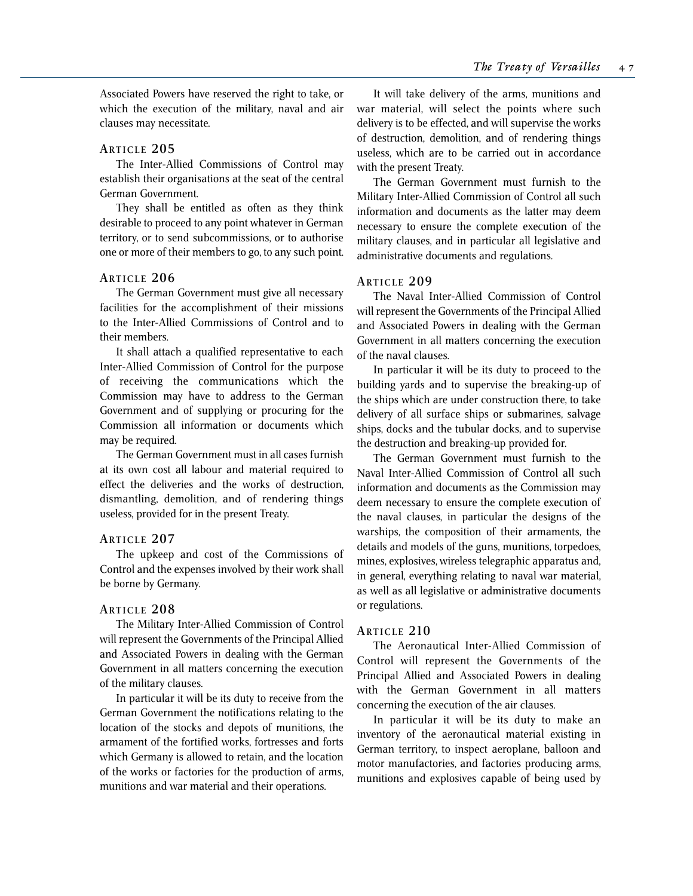Associated Powers have reserved the right to take, or which the execution of the military, naval and air clauses may necessitate.

## **ARTICLE 205**

The Inter-Allied Commissions of Control may establish their organisations at the seat of the central German Government.

They shall be entitled as often as they think desirable to proceed to any point whatever in German territory, or to send subcommissions, or to authorise one or more of their members to go, to any such point.

### **ARTICLE 206**

The German Government must give all necessary facilities for the accomplishment of their missions to the Inter-Allied Commissions of Control and to their members.

It shall attach a qualified representative to each Inter-Allied Commission of Control for the purpose of receiving the communications which the Commission may have to address to the German Government and of supplying or procuring for the Commission all information or documents which may be required.

The German Government must in all cases furnish at its own cost all labour and material required to effect the deliveries and the works of destruction, dismantling, demolition, and of rendering things useless, provided for in the present Treaty.

### **ARTICLE 207**

The upkeep and cost of the Commissions of Control and the expenses involved by their work shall be borne by Germany.

## **ARTICLE 208**

The Military Inter-Allied Commission of Control will represent the Governments of the Principal Allied and Associated Powers in dealing with the German Government in all matters concerning the execution of the military clauses.

In particular it will be its duty to receive from the German Government the notifications relating to the location of the stocks and depots of munitions, the armament of the fortified works, fortresses and forts which Germany is allowed to retain, and the location of the works or factories for the production of arms, munitions and war material and their operations.

It will take delivery of the arms, munitions and war material, will select the points where such delivery is to be effected, and will supervise the works of destruction, demolition, and of rendering things useless, which are to be carried out in accordance with the present Treaty.

The German Government must furnish to the Military Inter-Allied Commission of Control all such information and documents as the latter may deem necessary to ensure the complete execution of the military clauses, and in particular all legislative and administrative documents and regulations.

### **ARTICLE 209**

The Naval Inter-Allied Commission of Control will represent the Governments of the Principal Allied and Associated Powers in dealing with the German Government in all matters concerning the execution of the naval clauses.

In particular it will be its duty to proceed to the building yards and to supervise the breaking-up of the ships which are under construction there, to take delivery of all surface ships or submarines, salvage ships, docks and the tubular docks, and to supervise the destruction and breaking-up provided for.

The German Government must furnish to the Naval Inter-Allied Commission of Control all such information and documents as the Commission may deem necessary to ensure the complete execution of the naval clauses, in particular the designs of the warships, the composition of their armaments, the details and models of the guns, munitions, torpedoes, mines, explosives, wireless telegraphic apparatus and, in general, everything relating to naval war material, as well as all legislative or administrative documents or regulations.

### **ARTICLE 210**

The Aeronautical Inter-Allied Commission of Control will represent the Governments of the Principal Allied and Associated Powers in dealing with the German Government in all matters concerning the execution of the air clauses.

In particular it will be its duty to make an inventory of the aeronautical material existing in German territory, to inspect aeroplane, balloon and motor manufactories, and factories producing arms, munitions and explosives capable of being used by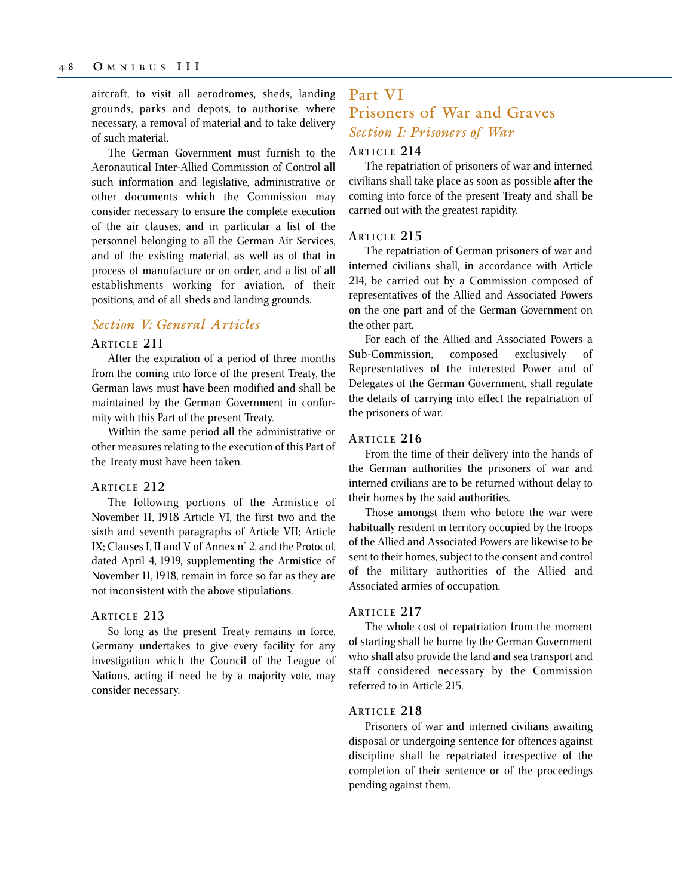## aircraft, to visit all aerodromes, sheds, landing grounds, parks and depots, to authorise, where necessary, a removal of material and to take delivery of such material.

The German Government must furnish to the Aeronautical Inter-Allied Commission of Control all such information and legislative, administrative or other documents which the Commission may consider necessary to ensure the complete execution of the air clauses, and in particular a list of the personnel belonging to all the German Air Services, and of the existing material, as well as of that in process of manufacture or on order, and a list of all establishments working for aviation, of their positions, and of all sheds and landing grounds.

## *Section V: General Articles*

## **ARTICLE 211**

After the expiration of a period of three months from the coming into force of the present Treaty, the German laws must have been modified and shall be maintained by the German Government in conformity with this Part of the present Treaty.

Within the same period all the administrative or other measures relating to the execution of this Part of the Treaty must have been taken.

### **ARTICLE 212**

The following portions of the Armistice of November 11, 1918 Article VI, the first two and the sixth and seventh paragraphs of Article VII; Article IX; Clauses I, II and V of Annex n° 2, and the Protocol, dated April 4, 1919, supplementing the Armistice of November 11, 1918, remain in force so far as they are not inconsistent with the above stipulations.

## **ARTICLE 213**

So long as the present Treaty remains in force, Germany undertakes to give every facility for any investigation which the Council of the League of Nations, acting if need be by a majority vote, may consider necessary.

# Part VI Prisoners of War and Graves *Section I: Prisoners of War*

## **ARTICLE 214**

The repatriation of prisoners of war and interned civilians shall take place as soon as possible after the coming into force of the present Treaty and shall be carried out with the greatest rapidity.

## **ARTICLE 215**

The repatriation of German prisoners of war and interned civilians shall, in accordance with Article 214, be carried out by a Commission composed of representatives of the Allied and Associated Powers on the one part and of the German Government on the other part.

For each of the Allied and Associated Powers a Sub-Commission, composed exclusively of Representatives of the interested Power and of Delegates of the German Government, shall regulate the details of carrying into effect the repatriation of the prisoners of war.

### **ARTICLE 216**

From the time of their delivery into the hands of the German authorities the prisoners of war and interned civilians are to be returned without delay to their homes by the said authorities.

Those amongst them who before the war were habitually resident in territory occupied by the troops of the Allied and Associated Powers are likewise to be sent to their homes, subject to the consent and control of the military authorities of the Allied and Associated armies of occupation.

### **ARTICLE 217**

The whole cost of repatriation from the moment of starting shall be borne by the German Government who shall also provide the land and sea transport and staff considered necessary by the Commission referred to in Article 215.

## **ARTICLE 218**

Prisoners of war and interned civilians awaiting disposal or undergoing sentence for offences against discipline shall be repatriated irrespective of the completion of their sentence or of the proceedings pending against them.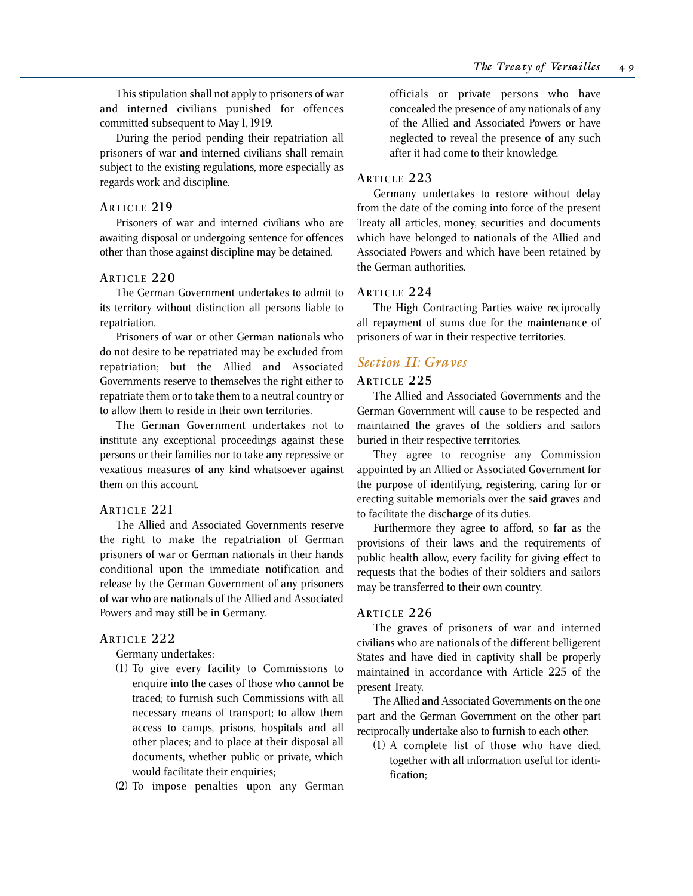This stipulation shall not apply to prisoners of war and interned civilians punished for offences committed subsequent to May 1, 1919.

During the period pending their repatriation all prisoners of war and interned civilians shall remain subject to the existing regulations, more especially as regards work and discipline.

## **ARTICLE 219**

Prisoners of war and interned civilians who are awaiting disposal or undergoing sentence for offences other than those against discipline may be detained.

## **ARTICLE 220**

The German Government undertakes to admit to its territory without distinction all persons liable to repatriation.

Prisoners of war or other German nationals who do not desire to be repatriated may be excluded from repatriation; but the Allied and Associated Governments reserve to themselves the right either to repatriate them or to take them to a neutral country or to allow them to reside in their own territories.

The German Government undertakes not to institute any exceptional proceedings against these persons or their families nor to take any repressive or vexatious measures of any kind whatsoever against them on this account.

## **ARTICLE 221**

The Allied and Associated Governments reserve the right to make the repatriation of German prisoners of war or German nationals in their hands conditional upon the immediate notification and release by the German Government of any prisoners of war who are nationals of the Allied and Associated Powers and may still be in Germany.

## **ARTICLE 222**

Germany undertakes:

- (1) To give every facility to Commissions to enquire into the cases of those who cannot be traced; to furnish such Commissions with all necessary means of transport; to allow them access to camps, prisons, hospitals and all other places; and to place at their disposal all documents, whether public or private, which would facilitate their enquiries;
- (2) To impose penalties upon any German

officials or private persons who have concealed the presence of any nationals of any of the Allied and Associated Powers or have neglected to reveal the presence of any such after it had come to their knowledge.

## **ARTICLE 223**

Germany undertakes to restore without delay from the date of the coming into force of the present Treaty all articles, money, securities and documents which have belonged to nationals of the Allied and Associated Powers and which have been retained by the German authorities.

## **ARTICLE 224**

The High Contracting Parties waive reciprocally all repayment of sums due for the maintenance of prisoners of war in their respective territories.

## *Section II: Graves*

## **ARTICLE 225**

The Allied and Associated Governments and the German Government will cause to be respected and maintained the graves of the soldiers and sailors buried in their respective territories.

They agree to recognise any Commission appointed by an Allied or Associated Government for the purpose of identifying, registering, caring for or erecting suitable memorials over the said graves and to facilitate the discharge of its duties.

Furthermore they agree to afford, so far as the provisions of their laws and the requirements of public health allow, every facility for giving effect to requests that the bodies of their soldiers and sailors may be transferred to their own country.

## **ARTICLE 226**

The graves of prisoners of war and interned civilians who are nationals of the different belligerent States and have died in captivity shall be properly maintained in accordance with Article 225 of the present Treaty.

The Allied and Associated Governments on the one part and the German Government on the other part reciprocally undertake also to furnish to each other:

(1) A complete list of those who have died, together with all information useful for identification;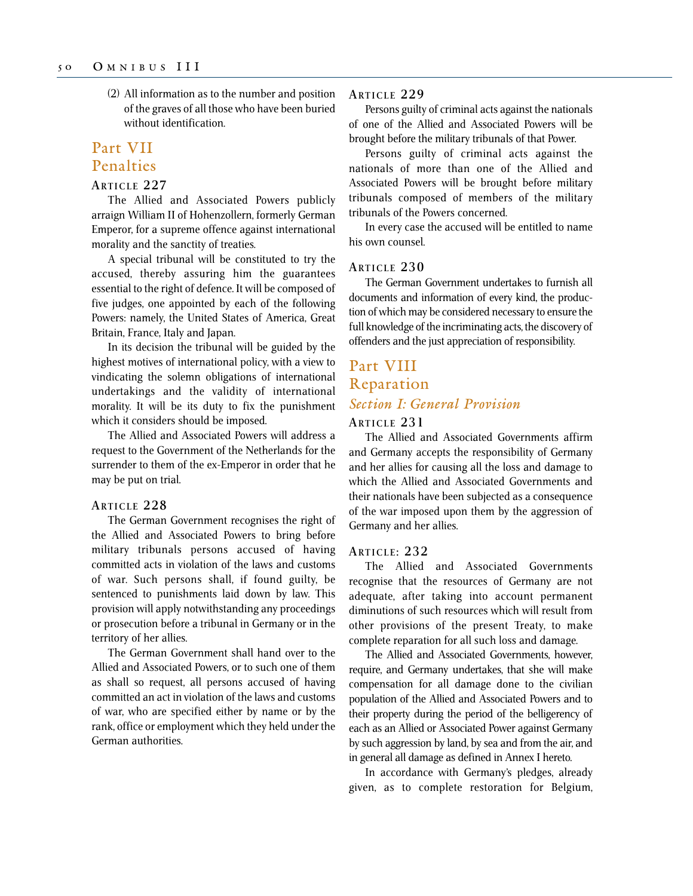(2) All information as to the number and position of the graves of all those who have been buried without identification.

# Part VII Penalties

### **ARTICLE 227**

The Allied and Associated Powers publicly arraign William II of Hohenzollern, formerly German Emperor, for a supreme offence against international morality and the sanctity of treaties.

A special tribunal will be constituted to try the accused, thereby assuring him the guarantees essential to the right of defence. It will be composed of five judges, one appointed by each of the following Powers: namely, the United States of America, Great Britain, France, Italy and Japan.

In its decision the tribunal will be guided by the highest motives of international policy, with a view to vindicating the solemn obligations of international undertakings and the validity of international morality. It will be its duty to fix the punishment which it considers should be imposed.

The Allied and Associated Powers will address a request to the Government of the Netherlands for the surrender to them of the ex-Emperor in order that he may be put on trial.

### **ARTICLE 228**

The German Government recognises the right of the Allied and Associated Powers to bring before military tribunals persons accused of having committed acts in violation of the laws and customs of war. Such persons shall, if found guilty, be sentenced to punishments laid down by law. This provision will apply notwithstanding any proceedings or prosecution before a tribunal in Germany or in the territory of her allies.

The German Government shall hand over to the Allied and Associated Powers, or to such one of them as shall so request, all persons accused of having committed an act in violation of the laws and customs of war, who are specified either by name or by the rank, office or employment which they held under the German authorities.

### **ARTICLE 229**

Persons guilty of criminal acts against the nationals of one of the Allied and Associated Powers will be brought before the military tribunals of that Power.

Persons guilty of criminal acts against the nationals of more than one of the Allied and Associated Powers will be brought before military tribunals composed of members of the military tribunals of the Powers concerned.

In every case the accused will be entitled to name his own counsel.

#### **ARTICLE 230**

The German Government undertakes to furnish all documents and information of every kind, the production of which may be considered necessary to ensure the full knowledge of the incriminating acts, the discovery of offenders and the just appreciation of responsibility.

# Part VIII Reparation *Section I: General Provision*

### **ARTICLE 231**

The Allied and Associated Governments affirm and Germany accepts the responsibility of Germany and her allies for causing all the loss and damage to which the Allied and Associated Governments and their nationals have been subjected as a consequence of the war imposed upon them by the aggression of Germany and her allies.

#### **ARTICLE : 232**

The Allied and Associated Governments recognise that the resources of Germany are not adequate, after taking into account permanent diminutions of such resources which will result from other provisions of the present Treaty, to make complete reparation for all such loss and damage.

The Allied and Associated Governments, however, require, and Germany undertakes, that she will make compensation for all damage done to the civilian population of the Allied and Associated Powers and to their property during the period of the belligerency of each as an Allied or Associated Power against Germany by such aggression by land, by sea and from the air, and in general all damage as defined in Annex I hereto.

In accordance with Germany's pledges, already given, as to complete restoration for Belgium,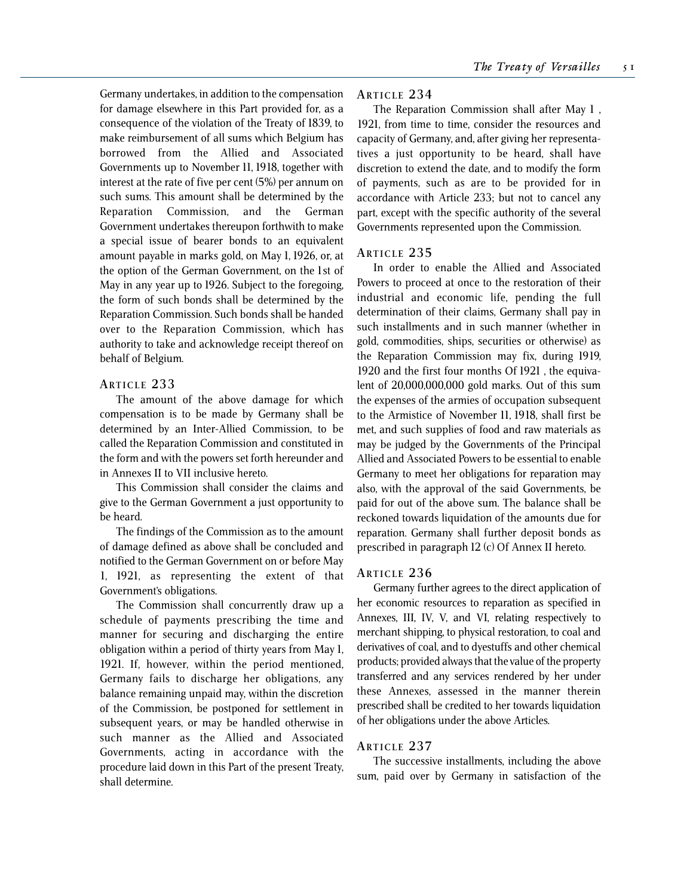Germany undertakes, in addition to the compensation for damage elsewhere in this Part provided for, as a consequence of the violation of the Treaty of 1839, to make reimbursement of all sums which Belgium has borrowed from the Allied and Associated Governments up to November 11, 1918, together with interest at the rate of five per cent (5%) per annum on such sums. This amount shall be determined by the Reparation Commission, and the German Government undertakes thereupon forthwith to make a special issue of bearer bonds to an equivalent amount payable in marks gold, on May 1, 1926, or, at the option of the German Government, on the 1st of May in any year up to 1926. Subject to the foregoing, the form of such bonds shall be determined by the Reparation Commission. Such bonds shall be handed over to the Reparation Commission, which has authority to take and acknowledge receipt thereof on behalf of Belgium.

### **ARTICLE 233**

The amount of the above damage for which compensation is to be made by Germany shall be determined by an Inter-Allied Commission, to be called the Reparation Commission and constituted in the form and with the powers set forth hereunder and in Annexes II to VII inclusive hereto.

This Commission shall consider the claims and give to the German Government a just opportunity to be heard.

The findings of the Commission as to the amount of damage defined as above shall be concluded and notified to the German Government on or before May 1, 1921, as representing the extent of that Government's obligations.

The Commission shall concurrently draw up a schedule of payments prescribing the time and manner for securing and discharging the entire obligation within a period of thirty years from May 1, 1921. If, however, within the period mentioned, Germany fails to discharge her obligations, any balance remaining unpaid may, within the discretion of the Commission, be postponed for settlement in subsequent years, or may be handled otherwise in such manner as the Allied and Associated Governments, acting in accordance with the procedure laid down in this Part of the present Treaty, shall determine.

### **ARTICLE 234**

The Reparation Commission shall after May 1 , 1921, from time to time, consider the resources and capacity of Germany, and, after giving her representatives a just opportunity to be heard, shall have discretion to extend the date, and to modify the form of payments, such as are to be provided for in accordance with Article 233; but not to cancel any part, except with the specific authority of the several Governments represented upon the Commission.

#### **ARTICLE 235**

In order to enable the Allied and Associated Powers to proceed at once to the restoration of their industrial and economic life, pending the full determination of their claims, Germany shall pay in such installments and in such manner (whether in gold, commodities, ships, securities or otherwise) as the Reparation Commission may fix, during 1919, 1920 and the first four months Of 1921 , the equivalent of 20,000,000,000 gold marks. Out of this sum the expenses of the armies of occupation subsequent to the Armistice of November 11, 1918, shall first be met, and such supplies of food and raw materials as may be judged by the Governments of the Principal Allied and Associated Powers to be essential to enable Germany to meet her obligations for reparation may also, with the approval of the said Governments, be paid for out of the above sum. The balance shall be reckoned towards liquidation of the amounts due for reparation. Germany shall further deposit bonds as prescribed in paragraph 12 (c) Of Annex II hereto.

### **ARTICLE 236**

Germany further agrees to the direct application of her economic resources to reparation as specified in Annexes, III, IV, V, and VI, relating respectively to merchant shipping, to physical restoration, to coal and derivatives of coal, and to dyestuffs and other chemical products; provided always that the value of the property transferred and any services rendered by her under these Annexes, assessed in the manner therein prescribed shall be credited to her towards liquidation of her obligations under the above Articles.

### **ARTICLE 237**

The successive installments, including the above sum, paid over by Germany in satisfaction of the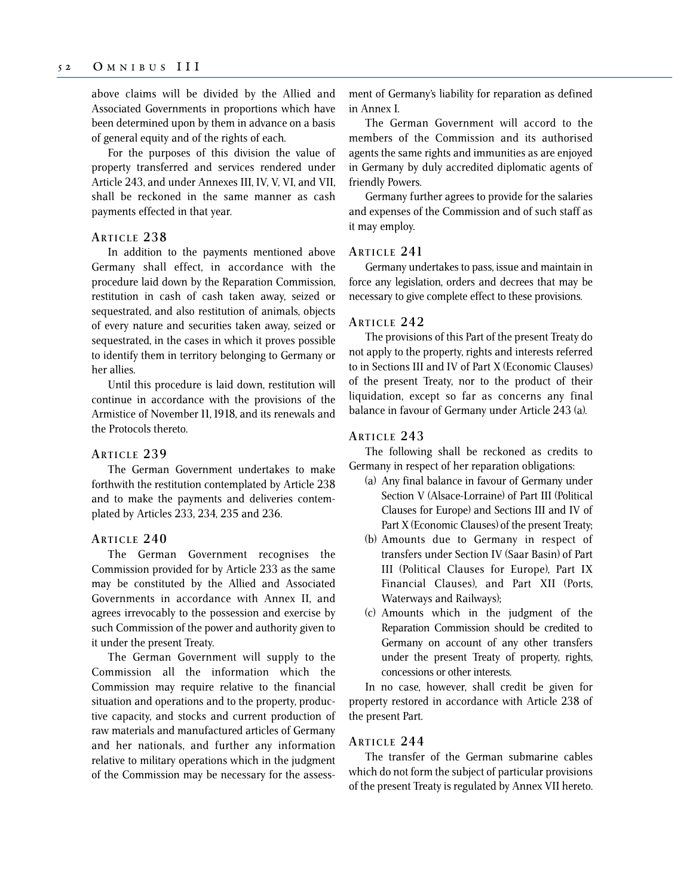above claims will be divided by the Allied and Associated Governments in proportions which have been determined upon by them in advance on a basis of general equity and of the rights of each.

For the purposes of this division the value of property transferred and services rendered under Article 243, and under Annexes III, IV, V, VI, and VII, shall be reckoned in the same manner as cash payments effected in that year.

## **ARTICLE 238**

In addition to the payments mentioned above Germany shall effect, in accordance with the procedure laid down by the Reparation Commission, restitution in cash of cash taken away, seized or sequestrated, and also restitution of animals, objects of every nature and securities taken away, seized or sequestrated, in the cases in which it proves possible to identify them in territory belonging to Germany or her allies.

Until this procedure is laid down, restitution will continue in accordance with the provisions of the Armistice of November 11, 1918, and its renewals and the Protocols thereto.

### **ARTICLE 239**

The German Government undertakes to make forthwith the restitution contemplated by Article 238 and to make the payments and deliveries contemplated by Articles 233, 234, 235 and 236.

### **ARTICLE 240**

The German Government recognises the Commission provided for by Article 233 as the same may be constituted by the Allied and Associated Governments in accordance with Annex II, and agrees irrevocably to the possession and exercise by such Commission of the power and authority given to it under the present Treaty.

The German Government will supply to the Commission all the information which the Commission may require relative to the financial situation and operations and to the property, productive capacity, and stocks and current production of raw materials and manufactured articles of Germany and her nationals, and further any information relative to military operations which in the judgment of the Commission may be necessary for the assessment of Germany's liability for reparation as defined in Annex I.

The German Government will accord to the members of the Commission and its authorised agents the same rights and immunities as are enjoyed in Germany by duly accredited diplomatic agents of friendly Powers.

Germany further agrees to provide for the salaries and expenses of the Commission and of such staff as it may employ.

### **ARTICLE 241**

Germany undertakes to pass, issue and maintain in force any legislation, orders and decrees that may be necessary to give complete effect to these provisions.

#### **ARTICLE 242**

The provisions of this Part of the present Treaty do not apply to the property, rights and interests referred to in Sections III and IV of Part X (Economic Clauses) of the present Treaty, nor to the product of their liquidation, except so far as concerns any final balance in favour of Germany under Article 243 (a).

## **ARTICLE 243**

The following shall be reckoned as credits to Germany in respect of her reparation obligations:

- (a) Any final balance in favour of Germany under Section V (Alsace-Lorraine) of Part III (Political Clauses for Europe) and Sections III and IV of Part X (Economic Clauses) of the present Treaty;
- (b) Amounts due to Germany in respect of transfers under Section IV (Saar Basin) of Part III (Political Clauses for Europe), Part IX Financial Clauses), and Part XII (Ports, Waterways and Railways);
- (c) Amounts which in the judgment of the Reparation Commission should be credited to Germany on account of any other transfers under the present Treaty of property, rights, concessions or other interests.

In no case, however, shall credit be given for property restored in accordance with Article 238 of the present Part.

## **ARTICLE 244**

The transfer of the German submarine cables which do not form the subject of particular provisions of the present Treaty is regulated by Annex VII hereto.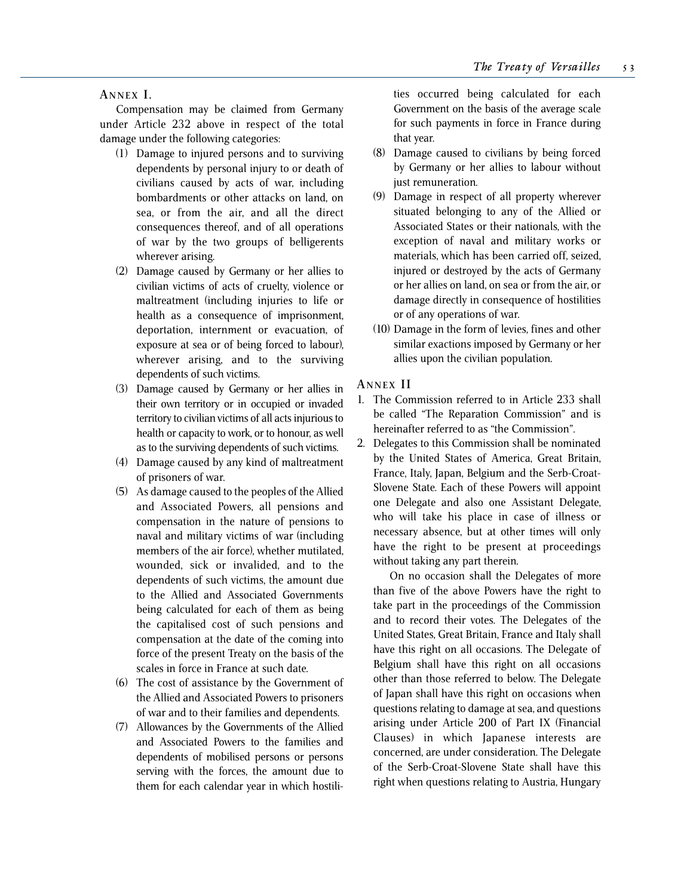**A NNEX I .**

Compensation may be claimed from Germany under Article 232 above in respect of the total damage under the following categories:

- (1) Damage to injured persons and to surviving dependents by personal injury to or death of civilians caused by acts of war, including bombardments or other attacks on land, on sea, or from the air, and all the direct consequences thereof, and of all operations of war by the two groups of belligerents wherever arising.
- (2) Damage caused by Germany or her allies to civilian victims of acts of cruelty, violence or maltreatment (including injuries to life or health as a consequence of imprisonment, deportation, internment or evacuation, of exposure at sea or of being forced to labour), wherever arising, and to the surviving dependents of such victims.
- (3) Damage caused by Germany or her allies in their own territory or in occupied or invaded territory to civilian victims of all acts injurious to health or capacity to work, or to honour, as well as to the surviving dependents of such victims.
- (4) Damage caused by any kind of maltreatment of prisoners of war.
- (5) As damage caused to the peoples of the Allied and Associated Powers, all pensions and compensation in the nature of pensions to naval and military victims of war (including members of the air force), whether mutilated, wounded, sick or invalided, and to the dependents of such victims, the amount due to the Allied and Associated Governments being calculated for each of them as being the capitalised cost of such pensions and compensation at the date of the coming into force of the present Treaty on the basis of the scales in force in France at such date.
- (6) The cost of assistance by the Government of the Allied and Associated Powers to prisoners of war and to their families and dependents.
- (7) Allowances by the Governments of the Allied and Associated Powers to the families and dependents of mobilised persons or persons serving with the forces, the amount due to them for each calendar year in which hostili-

ties occurred being calculated for each Government on the basis of the average scale for such payments in force in France during that year.

- (8) Damage caused to civilians by being forced by Germany or her allies to labour without just remuneration.
- (9) Damage in respect of all property wherever situated belonging to any of the Allied or Associated States or their nationals, with the exception of naval and military works or materials, which has been carried off, seized, injured or destroyed by the acts of Germany or her allies on land, on sea or from the air, or damage directly in consequence of hostilities or of any operations of war.
- (10) Damage in the form of levies, fines and other similar exactions imposed by Germany or her allies upon the civilian population.

## **A NNEX I I**

- 1. The Commission referred to in Article 233 shall be called "The Reparation Commission" and is hereinafter referred to as "the Commission".
- 2. Delegates to this Commission shall be nominated by the United States of America, Great Britain, France, Italy, Japan, Belgium and the Serb-Croat-Slovene State. Each of these Powers will appoint one Delegate and also one Assistant Delegate, who will take his place in case of illness or necessary absence, but at other times will only have the right to be present at proceedings without taking any part therein.

On no occasion shall the Delegates of more than five of the above Powers have the right to take part in the proceedings of the Commission and to record their votes. The Delegates of the United States, Great Britain, France and Italy shall have this right on all occasions. The Delegate of Belgium shall have this right on all occasions other than those referred to below. The Delegate of Japan shall have this right on occasions when questions relating to damage at sea, and questions arising under Article 200 of Part IX (Financial Clauses) in which Japanese interests are concerned, are under consideration. The Delegate of the Serb-Croat-Slovene State shall have this right when questions relating to Austria, Hungary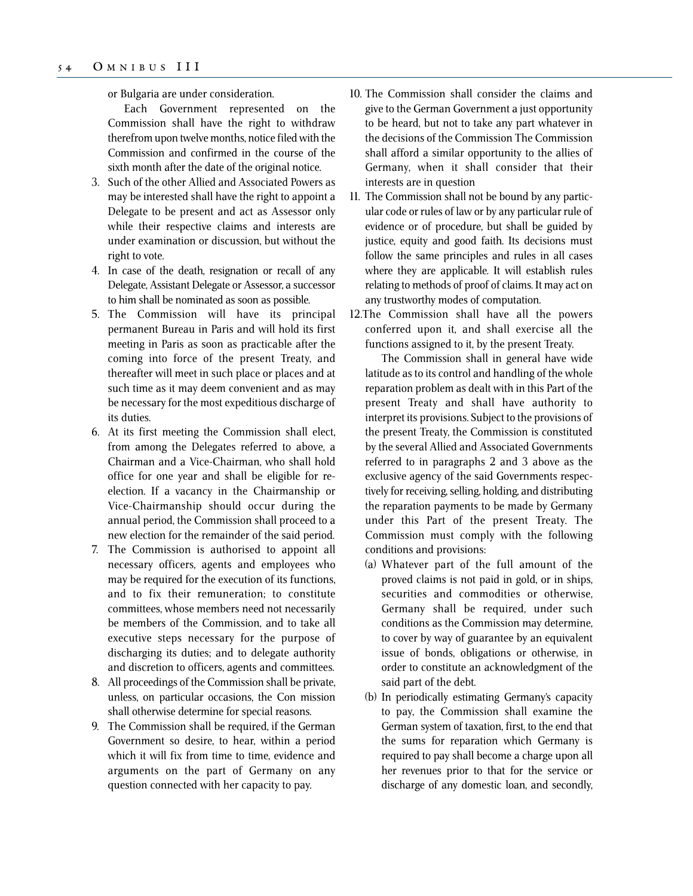or Bulgaria are under consideration.

Each Government represented on the Commission shall have the right to withdraw therefrom upon twelve months, notice filed with the Commission and confirmed in the course of the sixth month after the date of the original notice.

- 3. Such of the other Allied and Associated Powers as may be interested shall have the right to appoint a Delegate to be present and act as Assessor only while their respective claims and interests are under examination or discussion, but without the right to vote.
- 4. In case of the death, resignation or recall of any Delegate, Assistant Delegate or Assessor, a successor to him shall be nominated as soon as possible.
- 5. The Commission will have its principal permanent Bureau in Paris and will hold its first meeting in Paris as soon as practicable after the coming into force of the present Treaty, and thereafter will meet in such place or places and at such time as it may deem convenient and as may be necessary for the most expeditious discharge of its duties.
- 6. At its first meeting the Commission shall elect, from among the Delegates referred to above, a Chairman and a Vice-Chairman, who shall hold office for one year and shall be eligible for reelection. If a vacancy in the Chairmanship or Vice-Chairmanship should occur during the annual period, the Commission shall proceed to a new election for the remainder of the said period.
- 7. The Commission is authorised to appoint all necessary officers, agents and employees who may be required for the execution of its functions, and to fix their remuneration; to constitute committees, whose members need not necessarily be members of the Commission, and to take all executive steps necessary for the purpose of discharging its duties; and to delegate authority and discretion to officers, agents and committees.
- 8. All proceedings of the Commission shall be private, unless, on particular occasions, the Con mission shall otherwise determine for special reasons.
- 9. The Commission shall be required, if the German Government so desire, to hear, within a period which it will fix from time to time, evidence and arguments on the part of Germany on any question connected with her capacity to pay.
- 10. The Commission shall consider the claims and give to the German Government a just opportunity to be heard, but not to take any part whatever in the decisions of the Commission The Commission shall afford a similar opportunity to the allies of Germany, when it shall consider that their interests are in question
- 11. The Commission shall not be bound by any particular code or rules of law or by any particular rule of evidence or of procedure, but shall be guided by justice, equity and good faith. Its decisions must follow the same principles and rules in all cases where they are applicable. It will establish rules relating to methods of proof of claims. It may act on any trustworthy modes of computation.
- 12.The Commission shall have all the powers conferred upon it, and shall exercise all the functions assigned to it, by the present Treaty.

The Commission shall in general have wide latitude as to its control and handling of the whole reparation problem as dealt with in this Part of the present Treaty and shall have authority to interpret its provisions. Subject to the provisions of the present Treaty, the Commission is constituted by the several Allied and Associated Governments referred to in paragraphs 2 and 3 above as the exclusive agency of the said Governments respectively for receiving, selling, holding, and distributing the reparation payments to be made by Germany under this Part of the present Treaty. The Commission must comply with the following conditions and provisions:

- (a) Whatever part of the full amount of the proved claims is not paid in gold, or in ships, securities and commodities or otherwise, Germany shall be required, under such conditions as the Commission may determine, to cover by way of guarantee by an equivalent issue of bonds, obligations or otherwise, in order to constitute an acknowledgment of the said part of the debt.
- (b) In periodically estimating Germany's capacity to pay, the Commission shall examine the German system of taxation, first, to the end that the sums for reparation which Germany is required to pay shall become a charge upon all her revenues prior to that for the service or discharge of any domestic loan, and secondly,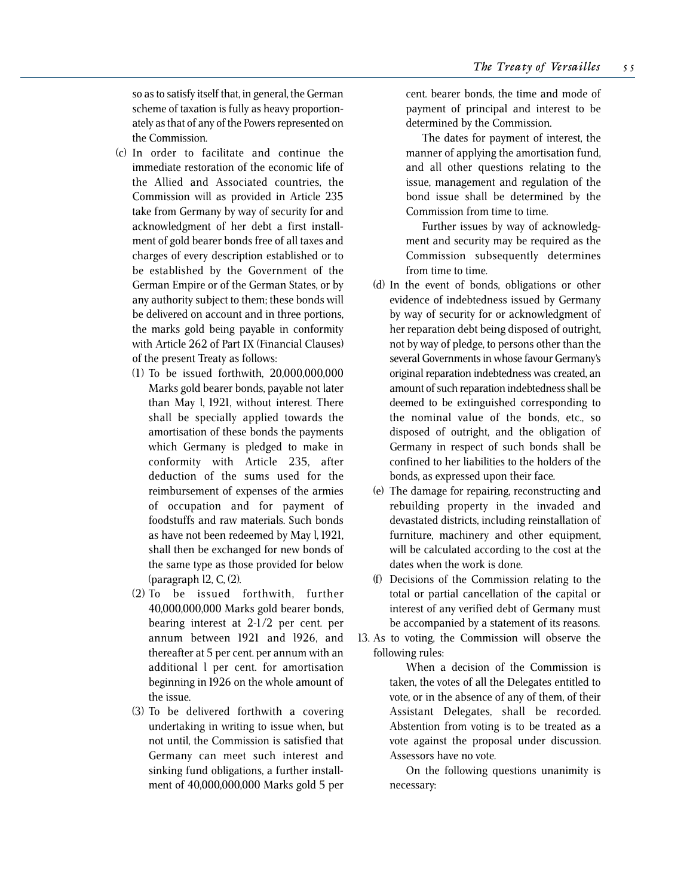so as to satisfy itself that, in general, the German scheme of taxation is fully as heavy proportionately as that of any of the Powers represented on the Commission.

- (c) In order to facilitate and continue the immediate restoration of the economic life of the Allied and Associated countries, the Commission will as provided in Article 235 take from Germany by way of security for and acknowledgment of her debt a first installment of gold bearer bonds free of all taxes and charges of every description established or to be established by the Government of the German Empire or of the German States, or by any authority subject to them; these bonds will be delivered on account and in three portions, the marks gold being payable in conformity with Article 262 of Part IX (Financial Clauses) of the present Treaty as follows:
	- (1) To be issued forthwith, 20,000,000,000 Marks gold bearer bonds, payable not later than May l, 1921, without interest. There shall be specially applied towards the amortisation of these bonds the payments which Germany is pledged to make in conformity with Article 235, after deduction of the sums used for the reimbursement of expenses of the armies of occupation and for payment of foodstuffs and raw materials. Such bonds as have not been redeemed by May l, 1921, shall then be exchanged for new bonds of the same type as those provided for below (paragraph l2, C, (2).
	- (2) To be issued forthwith, further 40,000,000,000 Marks gold bearer bonds, bearing interest at 2-1/2 per cent. per annum between 1921 and l926, and thereafter at 5 per cent. per annum with an additional l per cent. for amortisation beginning in 1926 on the whole amount of the issue.
	- (3) To be delivered forthwith a covering undertaking in writing to issue when, but not until, the Commission is satisfied that Germany can meet such interest and sinking fund obligations, a further installment of 40,000,000,000 Marks gold 5 per

cent. bearer bonds, the time and mode of payment of principal and interest to be determined by the Commission.

The dates for payment of interest, the manner of applying the amortisation fund, and all other questions relating to the issue, management and regulation of the bond issue shall be determined by the Commission from time to time.

Further issues by way of acknowledgment and security may be required as the Commission subsequently determines from time to time.

- (d) In the event of bonds, obligations or other evidence of indebtedness issued by Germany by way of security for or acknowledgment of her reparation debt being disposed of outright, not by way of pledge, to persons other than the several Governments in whose favour Germany's original reparation indebtedness was created, an amount of such reparation indebtedness shall be deemed to be extinguished corresponding to the nominal value of the bonds, etc., so disposed of outright, and the obligation of Germany in respect of such bonds shall be confined to her liabilities to the holders of the bonds, as expressed upon their face.
- (e) The damage for repairing, reconstructing and rebuilding property in the invaded and devastated districts, including reinstallation of furniture, machinery and other equipment, will be calculated according to the cost at the dates when the work is done.
- (f) Decisions of the Commission relating to the total or partial cancellation of the capital or interest of any verified debt of Germany must be accompanied by a statement of its reasons.
- 13. As to voting, the Commission will observe the following rules:

When a decision of the Commission is taken, the votes of all the Delegates entitled to vote, or in the absence of any of them, of their Assistant Delegates, shall be recorded. Abstention from voting is to be treated as a vote against the proposal under discussion. Assessors have no vote.

On the following questions unanimity is necessary: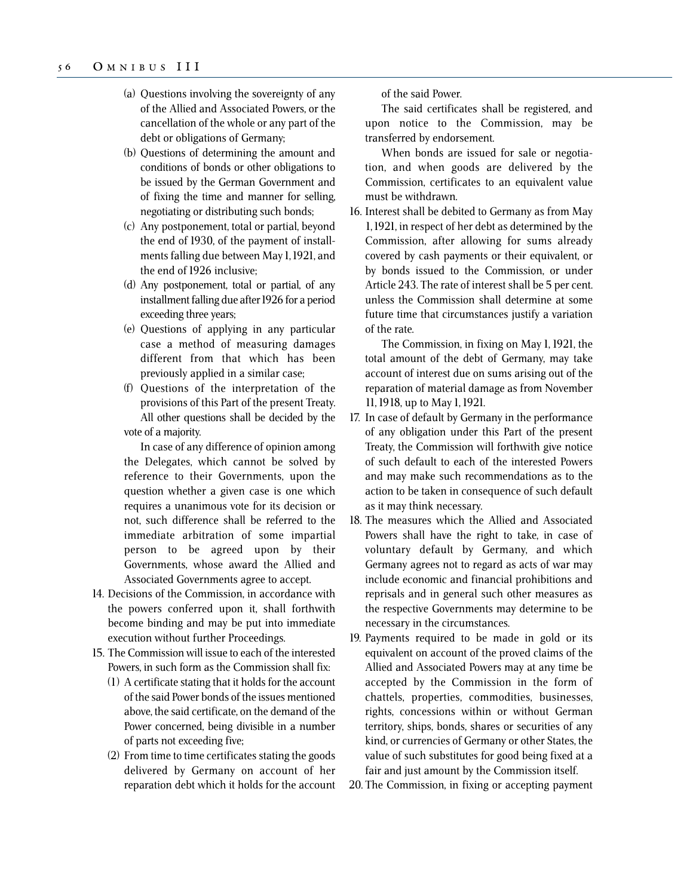- (a) Questions involving the sovereignty of any of the Allied and Associated Powers, or the cancellation of the whole or any part of the debt or obligations of Germany;
- (b) Questions of determining the amount and conditions of bonds or other obligations to be issued by the German Government and of fixing the time and manner for selling, negotiating or distributing such bonds;
- (c) Any postponement, total or partial, beyond the end of 1930, of the payment of installments falling due between May 1, 1921, and the end of 1926 inclusive;
- (d) Any postponement, total or partial, of any installment falling due after 1926 for a period exceeding three years;
- (e) Questions of applying in any particular case a method of measuring damages different from that which has been previously applied in a similar case;
- (f) Questions of the interpretation of the provisions of this Part of the present Treaty. All other questions shall be decided by the vote of a majority.

In case of any difference of opinion among the Delegates, which cannot be solved by reference to their Governments, upon the question whether a given case is one which requires a unanimous vote for its decision or not, such difference shall be referred to the immediate arbitration of some impartial person to be agreed upon by their Governments, whose award the Allied and Associated Governments agree to accept.

- 14. Decisions of the Commission, in accordance with the powers conferred upon it, shall forthwith become binding and may be put into immediate execution without further Proceedings.
- 15. The Commission will issue to each of the interested Powers, in such form as the Commission shall fix:
	- (1) A certificate stating that it holds for the account of the said Power bonds of the issues mentioned above, the said certificate, on the demand of the Power concerned, being divisible in a number of parts not exceeding five;
	- (2) From time to time certificates stating the goods delivered by Germany on account of her reparation debt which it holds for the account

of the said Power.

The said certificates shall be registered, and upon notice to the Commission, may be transferred by endorsement.

When bonds are issued for sale or negotiation, and when goods are delivered by the Commission, certificates to an equivalent value must be withdrawn.

16. Interest shall be debited to Germany as from May 1, 1921, in respect of her debt as determined by the Commission, after allowing for sums already covered by cash payments or their equivalent, or by bonds issued to the Commission, or under Article 243. The rate of interest shall be 5 per cent. unless the Commission shall determine at some future time that circumstances justify a variation of the rate.

The Commission, in fixing on May 1, 1921, the total amount of the debt of Germany, may take account of interest due on sums arising out of the reparation of material damage as from November 11, 1918, up to May 1, 1921.

- 17. In case of default by Germany in the performance of any obligation under this Part of the present Treaty, the Commission will forthwith give notice of such default to each of the interested Powers and may make such recommendations as to the action to be taken in consequence of such default as it may think necessary.
- 18. The measures which the Allied and Associated Powers shall have the right to take, in case of voluntary default by Germany, and which Germany agrees not to regard as acts of war may include economic and financial prohibitions and reprisals and in general such other measures as the respective Governments may determine to be necessary in the circumstances.
- 19. Payments required to be made in gold or its equivalent on account of the proved claims of the Allied and Associated Powers may at any time be accepted by the Commission in the form of chattels, properties, commodities, businesses, rights, concessions within or without German territory, ships, bonds, shares or securities of any kind, or currencies of Germany or other States, the value of such substitutes for good being fixed at a fair and just amount by the Commission itself.

20. The Commission, in fixing or accepting payment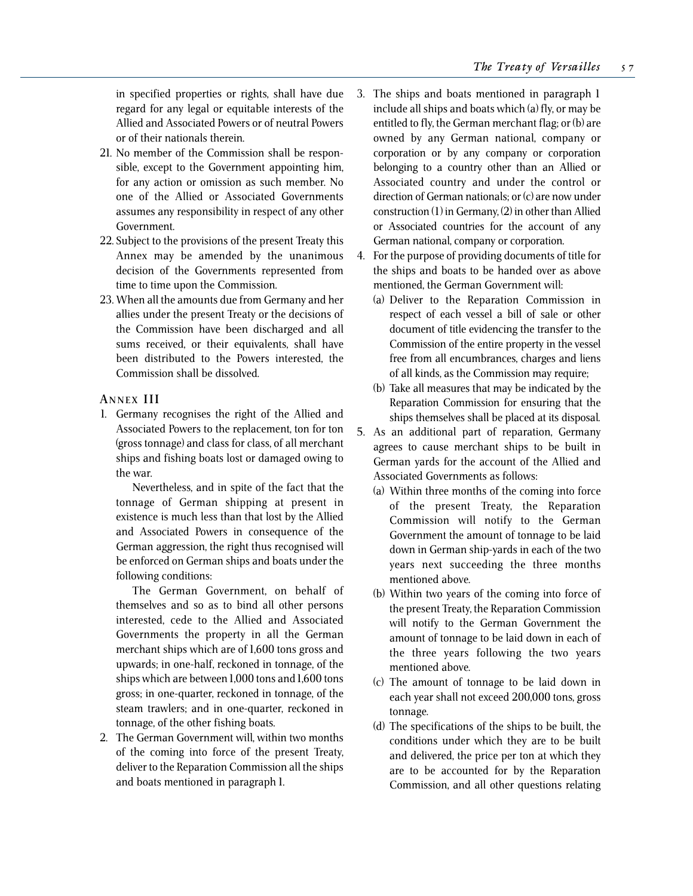in specified properties or rights, shall have due regard for any legal or equitable interests of the Allied and Associated Powers or of neutral Powers or of their nationals therein.

- 21. No member of the Commission shall be responsible, except to the Government appointing him, for any action or omission as such member. No one of the Allied or Associated Governments assumes any responsibility in respect of any other Government.
- 22. Subject to the provisions of the present Treaty this Annex may be amended by the unanimous decision of the Governments represented from time to time upon the Commission.
- 23. When all the amounts due from Germany and her allies under the present Treaty or the decisions of the Commission have been discharged and all sums received, or their equivalents, shall have been distributed to the Powers interested, the Commission shall be dissolved.

## **A NNEX III**

1. Germany recognises the right of the Allied and Associated Powers to the replacement, ton for ton (gross tonnage) and class for class, of all merchant ships and fishing boats lost or damaged owing to the war.

Nevertheless, and in spite of the fact that the tonnage of German shipping at present in existence is much less than that lost by the Allied and Associated Powers in consequence of the German aggression, the right thus recognised will be enforced on German ships and boats under the following conditions:

The German Government, on behalf of themselves and so as to bind all other persons interested, cede to the Allied and Associated Governments the property in all the German merchant ships which are of 1,600 tons gross and upwards; in one-half, reckoned in tonnage, of the ships which are between 1,000 tons and 1,600 tons gross; in one-quarter, reckoned in tonnage, of the steam trawlers; and in one-quarter, reckoned in tonnage, of the other fishing boats.

2. The German Government will, within two months of the coming into force of the present Treaty, deliver to the Reparation Commission all the ships and boats mentioned in paragraph 1.

- 3. The ships and boats mentioned in paragraph 1 include all ships and boats which (a) fly, or may be entitled to fly, the German merchant flag; or (b) are owned by any German national, company or corporation or by any company or corporation belonging to a country other than an Allied or Associated country and under the control or direction of German nationals; or (c) are now under construction (1) in Germany, (2) in other than Allied or Associated countries for the account of any German national, company or corporation.
- 4. For the purpose of providing documents of title for the ships and boats to be handed over as above mentioned, the German Government will:
	- (a) Deliver to the Reparation Commission in respect of each vessel a bill of sale or other document of title evidencing the transfer to the Commission of the entire property in the vessel free from all encumbrances, charges and liens of all kinds, as the Commission may require;
	- (b) Take all measures that may be indicated by the Reparation Commission for ensuring that the ships themselves shall be placed at its disposal.
- 5. As an additional part of reparation, Germany agrees to cause merchant ships to be built in German yards for the account of the Allied and Associated Governments as follows:
	- (a) Within three months of the coming into force of the present Treaty, the Reparation Commission will notify to the German Government the amount of tonnage to be laid down in German ship-yards in each of the two years next succeeding the three months mentioned above.
	- (b) Within two years of the coming into force of the present Treaty, the Reparation Commission will notify to the German Government the amount of tonnage to be laid down in each of the three years following the two years mentioned above.
	- (c) The amount of tonnage to be laid down in each year shall not exceed 200,000 tons, gross tonnage.
	- (d) The specifications of the ships to be built, the conditions under which they are to be built and delivered, the price per ton at which they are to be accounted for by the Reparation Commission, and all other questions relating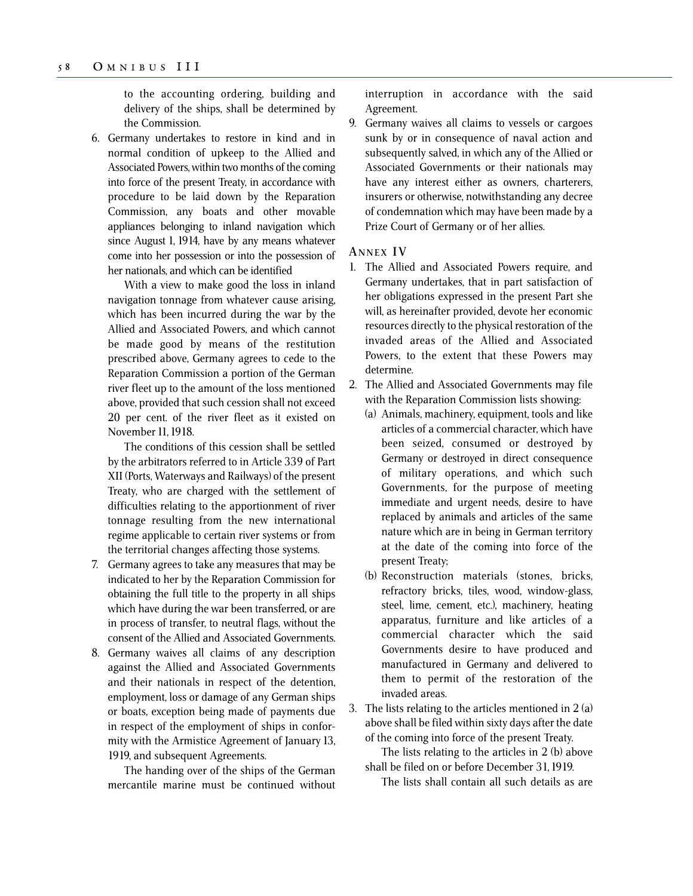to the accounting ordering, building and delivery of the ships, shall be determined by the Commission.

6. Germany undertakes to restore in kind and in normal condition of upkeep to the Allied and Associated Powers, within two months of the coming into force of the present Treaty, in accordance with procedure to be laid down by the Reparation Commission, any boats and other movable appliances belonging to inland navigation which since August 1, 1914, have by any means whatever come into her possession or into the possession of her nationals, and which can be identified

With a view to make good the loss in inland navigation tonnage from whatever cause arising, which has been incurred during the war by the Allied and Associated Powers, and which cannot be made good by means of the restitution prescribed above, Germany agrees to cede to the Reparation Commission a portion of the German river fleet up to the amount of the loss mentioned above, provided that such cession shall not exceed 20 per cent. of the river fleet as it existed on November 11, 1918.

The conditions of this cession shall be settled by the arbitrators referred to in Article 339 of Part XII (Ports, Waterways and Railways) of the present Treaty, who are charged with the settlement of difficulties relating to the apportionment of river tonnage resulting from the new international regime applicable to certain river systems or from the territorial changes affecting those systems.

- 7. Germany agrees to take any measures that may be indicated to her by the Reparation Commission for obtaining the full title to the property in all ships which have during the war been transferred, or are in process of transfer, to neutral flags, without the consent of the Allied and Associated Governments.
- 8. Germany waives all claims of any description against the Allied and Associated Governments and their nationals in respect of the detention, employment, loss or damage of any German ships or boats, exception being made of payments due in respect of the employment of ships in conformity with the Armistice Agreement of January 13, 1919, and subsequent Agreements.

The handing over of the ships of the German mercantile marine must be continued without interruption in accordance with the said Agreement.

9. Germany waives all claims to vessels or cargoes sunk by or in consequence of naval action and subsequently salved, in which any of the Allied or Associated Governments or their nationals may have any interest either as owners, charterers, insurers or otherwise, notwithstanding any decree of condemnation which may have been made by a Prize Court of Germany or of her allies.

### **A NNEX I V**

- 1. The Allied and Associated Powers require, and Germany undertakes, that in part satisfaction of her obligations expressed in the present Part she will, as hereinafter provided, devote her economic resources directly to the physical restoration of the invaded areas of the Allied and Associated Powers, to the extent that these Powers may determine.
- 2. The Allied and Associated Governments may file with the Reparation Commission lists showing:
	- (a) Animals, machinery, equipment, tools and like articles of a commercial character, which have been seized, consumed or destroyed by Germany or destroyed in direct consequence of military operations, and which such Governments, for the purpose of meeting immediate and urgent needs, desire to have replaced by animals and articles of the same nature which are in being in German territory at the date of the coming into force of the present Treaty;
	- (b) Reconstruction materials (stones, bricks, refractory bricks, tiles, wood, window-glass, steel, lime, cement, etc.), machinery, heating apparatus, furniture and like articles of a commercial character which the said Governments desire to have produced and manufactured in Germany and delivered to them to permit of the restoration of the invaded areas.

3. The lists relating to the articles mentioned in 2 (a) above shall be filed within sixty days after the date of the coming into force of the present Treaty.

The lists relating to the articles in 2 (b) above shall be filed on or before December 31, 1919.

The lists shall contain all such details as are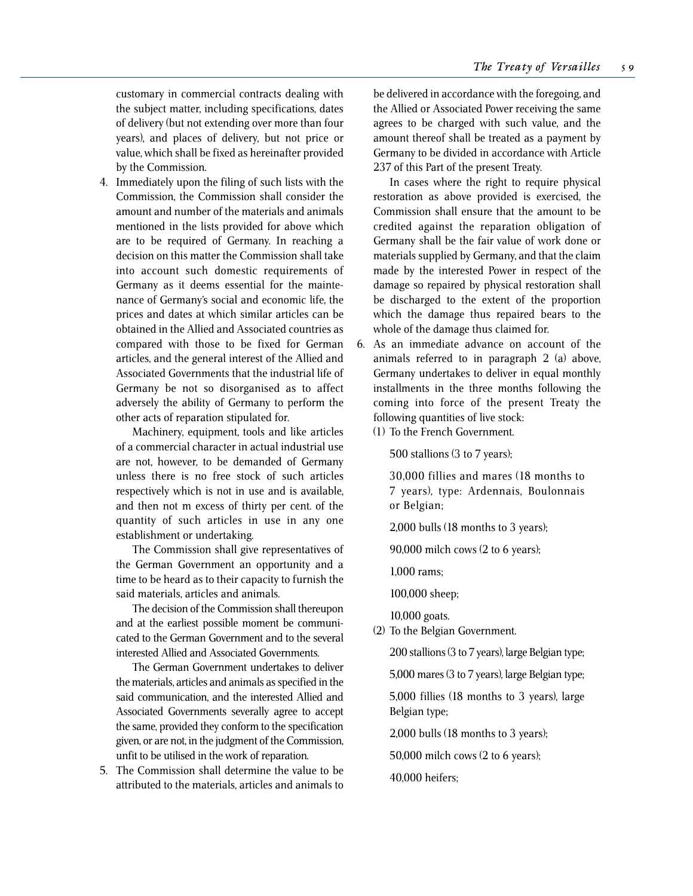customary in commercial contracts dealing with the subject matter, including specifications, dates of delivery (but not extending over more than four years), and places of delivery, but not price or value, which shall be fixed as hereinafter provided by the Commission.

4. Immediately upon the filing of such lists with the Commission, the Commission shall consider the amount and number of the materials and animals mentioned in the lists provided for above which are to be required of Germany. In reaching a decision on this matter the Commission shall take into account such domestic requirements of Germany as it deems essential for the maintenance of Germany's social and economic life, the prices and dates at which similar articles can be obtained in the Allied and Associated countries as compared with those to be fixed for German articles, and the general interest of the Allied and Associated Governments that the industrial life of Germany be not so disorganised as to affect adversely the ability of Germany to perform the other acts of reparation stipulated for.

Machinery, equipment, tools and like articles of a commercial character in actual industrial use are not, however, to be demanded of Germany unless there is no free stock of such articles respectively which is not in use and is available, and then not m excess of thirty per cent. of the quantity of such articles in use in any one establishment or undertaking.

The Commission shall give representatives of the German Government an opportunity and a time to be heard as to their capacity to furnish the said materials, articles and animals.

The decision of the Commission shall thereupon and at the earliest possible moment be communicated to the German Government and to the several interested Allied and Associated Governments.

The German Government undertakes to deliver the materials, articles and animals as specified in the said communication, and the interested Allied and Associated Governments severally agree to accept the same, provided they conform to the specification given, or are not, in the judgment of the Commission, unfit to be utilised in the work of reparation.

5. The Commission shall determine the value to be attributed to the materials, articles and animals to

be delivered in accordance with the foregoing, and the Allied or Associated Power receiving the same agrees to be charged with such value, and the amount thereof shall be treated as a payment by Germany to be divided in accordance with Article 237 of this Part of the present Treaty.

In cases where the right to require physical restoration as above provided is exercised, the Commission shall ensure that the amount to be credited against the reparation obligation of Germany shall be the fair value of work done or materials supplied by Germany, and that the claim made by the interested Power in respect of the damage so repaired by physical restoration shall be discharged to the extent of the proportion which the damage thus repaired bears to the whole of the damage thus claimed for.

6. As an immediate advance on account of the animals referred to in paragraph 2 (a) above, Germany undertakes to deliver in equal monthly installments in the three months following the coming into force of the present Treaty the following quantities of live stock:

(1) To the French Government.

500 stallions (3 to 7 years);

30,000 fillies and mares (18 months to 7 years), type: Ardennais, Boulonnais or Belgian;

2,000 bulls (18 months to 3 years);

90,000 milch cows (2 to 6 years);

1,000 rams;

100,000 sheep;

10,000 goats.

(2) To the Belgian Government.

200 stallions (3 to 7 years), large Belgian type;

5,000 mares (3 to 7 years), large Belgian type;

5,000 fillies (18 months to 3 years), large Belgian type;

2,000 bulls (18 months to 3 years);

50,000 milch cows (2 to 6 years);

40,000 heifers;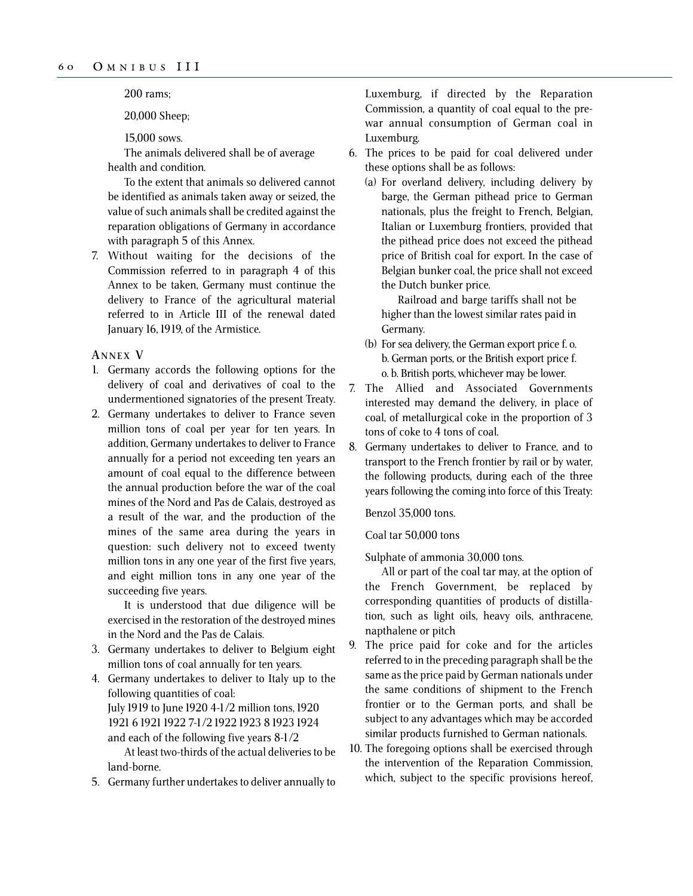200 rams;

20,000 Sheep;

15,000 sows.

The animals delivered shall be of average health and condition.

To the extent that animals so delivered cannot be identified as animals taken away or seized, the value of such animals shall be credited against the reparation obligations of Germany in accordance with paragraph 5 of this Annex.

7. Without waiting for the decisions of the Commission referred to in paragraph 4 of this Annex to be taken, Germany must continue the delivery to France of the agricultural material referred to in Article III of the renewal dated January 16, 1919, of the Armistice.

**A NNEX V**

- 1. Germany accords the following options for the delivery of coal and derivatives of coal to the undermentioned signatories of the present Treaty.
- 2. Germany undertakes to deliver to France seven million tons of coal per year for ten years. In addition, Germany undertakes to deliver to France annually for a period not exceeding ten years an amount of coal equal to the difference between the annual production before the war of the coal mines of the Nord and Pas de Calais, destroyed as a result of the war, and the production of the mines of the same area during the years in question: such delivery not to exceed twenty million tons in any one year of the first five years, and eight million tons in any one year of the succeeding five years.

It is understood that due diligence will be exercised in the restoration of the destroyed mines in the Nord and the Pas de Calais.

3. Germany undertakes to deliver to Belgium eight million tons of coal annually for ten years.

4. Germany undertakes to deliver to Italy up to the following quantities of coal: July 1919 to June 1920 4-1/2 million tons, 1920 1921 6 19211922 7-1/2 1922 1923 8 1923 1924 and each of the following five years 8-1/2

At least two-thirds of the actual deliveries to be land-borne.

5. Germany further undertakes to deliver annually to

Luxemburg, if directed by the Reparation Commission, a quantity of coal equal to the prewar annual consumption of German coal in Luxemburg.

- 6. The prices to be paid for coal delivered under these options shall be as follows:
	- (a) For overland delivery, including delivery by barge, the German pithead price to German nationals, plus the freight to French, Belgian, Italian or Luxemburg frontiers, provided that the pithead price does not exceed the pithead price of British coal for export. In the case of Belgian bunker coal, the price shall not exceed the Dutch bunker price.

Railroad and barge tariffs shall not be higher than the lowest similar rates paid in Germany.

- (b) For sea delivery, the German export price f. o. b. German ports, or the British export price f. o. b. British ports, whichever may be lower.
- 7. The Allied and Associated Governments interested may demand the delivery, in place of coal, of metallurgical coke in the proportion of 3 tons of coke to 4 tons of coal.
- 8. Germany undertakes to deliver to France, and to transport to the French frontier by rail or by water, the following products, during each of the three years following the coming into force of this Treaty:

Benzol 35,000 tons.

Coal tar 50,000 tons

Sulphate of ammonia 30,000 tons.

All or part of the coal tar may, at the option of the French Government, be replaced by corresponding quantities of products of distillation, such as light oils, heavy oils, anthracene, napthalene or pitch

- 9. The price paid for coke and for the articles referred to in the preceding paragraph shall be the same as the price paid by German nationals under the same conditions of shipment to the French frontier or to the German ports, and shall be subject to any advantages which may be accorded similar products furnished to German nationals.
- 10. The foregoing options shall be exercised through the intervention of the Reparation Commission, which, subject to the specific provisions hereof,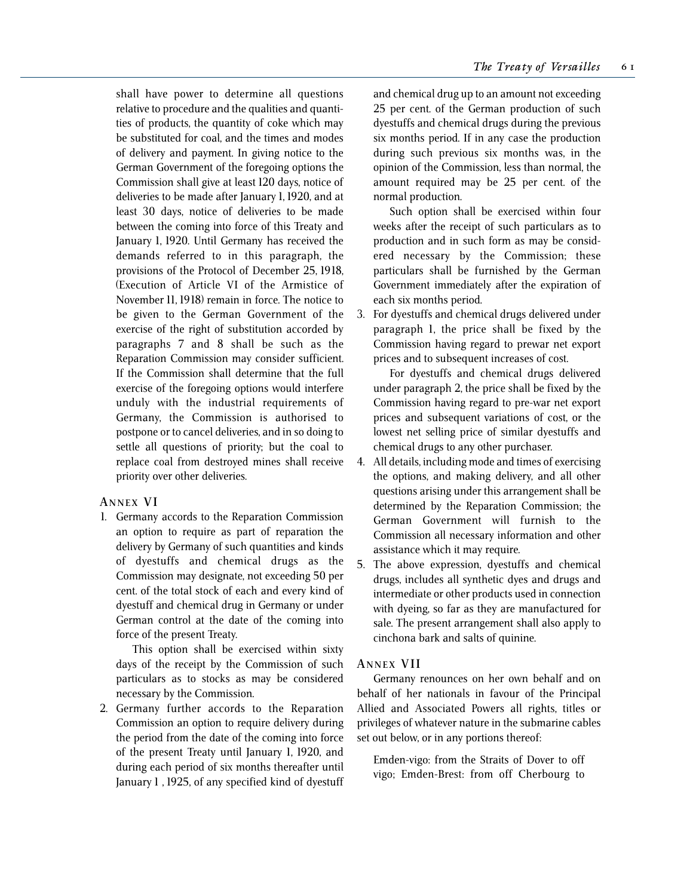shall have power to determine all questions relative to procedure and the qualities and quantities of products, the quantity of coke which may be substituted for coal, and the times and modes of delivery and payment. In giving notice to the German Government of the foregoing options the Commission shall give at least 120 days, notice of deliveries to be made after January 1, 1920, and at least 30 days, notice of deliveries to be made between the coming into force of this Treaty and January 1, 1920. Until Germany has received the demands referred to in this paragraph, the provisions of the Protocol of December 25, 1918, (Execution of Article VI of the Armistice of November 11, 1918) remain in force. The notice to be given to the German Government of the exercise of the right of substitution accorded by paragraphs 7 and 8 shall be such as the Reparation Commission may consider sufficient. If the Commission shall determine that the full exercise of the foregoing options would interfere unduly with the industrial requirements of Germany, the Commission is authorised to postpone or to cancel deliveries, and in so doing to settle all questions of priority; but the coal to replace coal from destroyed mines shall receive priority over other deliveries.

## **A NNEX V I**

1. Germany accords to the Reparation Commission an option to require as part of reparation the delivery by Germany of such quantities and kinds of dyestuffs and chemical drugs as the Commission may designate, not exceeding 50 per cent. of the total stock of each and every kind of dyestuff and chemical drug in Germany or under German control at the date of the coming into force of the present Treaty.

This option shall be exercised within sixty days of the receipt by the Commission of such particulars as to stocks as may be considered necessary by the Commission.

2. Germany further accords to the Reparation Commission an option to require delivery during the period from the date of the coming into force of the present Treaty until January 1, 1920, and during each period of six months thereafter until January 1 , 1925, of any specified kind of dyestuff

and chemical drug up to an amount not exceeding 25 per cent. of the German production of such dyestuffs and chemical drugs during the previous six months period. If in any case the production during such previous six months was, in the opinion of the Commission, less than normal, the amount required may be 25 per cent. of the normal production.

Such option shall be exercised within four weeks after the receipt of such particulars as to production and in such form as may be considered necessary by the Commission; these particulars shall be furnished by the German Government immediately after the expiration of each six months period.

3. For dyestuffs and chemical drugs delivered under paragraph 1, the price shall be fixed by the Commission having regard to prewar net export prices and to subsequent increases of cost.

For dyestuffs and chemical drugs delivered under paragraph 2, the price shall be fixed by the Commission having regard to pre-war net export prices and subsequent variations of cost, or the lowest net selling price of similar dyestuffs and chemical drugs to any other purchaser.

- 4. All details, including mode and times of exercising the options, and making delivery, and all other questions arising under this arrangement shall be determined by the Reparation Commission; the German Government will furnish to the Commission all necessary information and other assistance which it may require.
- 5. The above expression, dyestuffs and chemical drugs, includes all synthetic dyes and drugs and intermediate or other products used in connection with dyeing, so far as they are manufactured for sale. The present arrangement shall also apply to cinchona bark and salts of quinine.

## **A NNEX VII**

Germany renounces on her own behalf and on behalf of her nationals in favour of the Principal Allied and Associated Powers all rights, titles or privileges of whatever nature in the submarine cables set out below, or in any portions thereof:

Emden-vigo: from the Straits of Dover to off vigo; Emden-Brest: from off Cherbourg to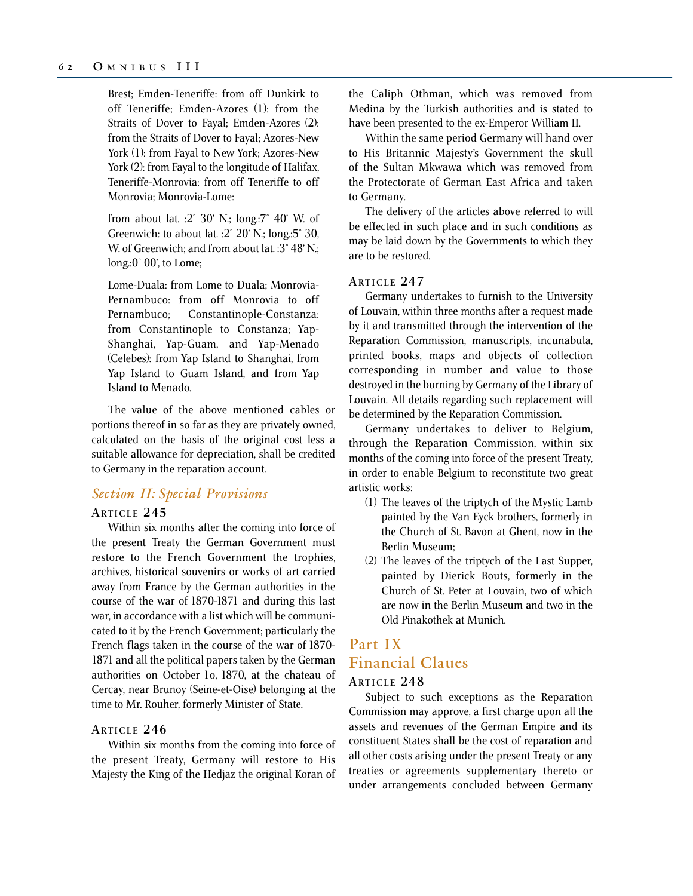Brest; Emden-Teneriffe: from off Dunkirk to off Teneriffe; Emden-Azores (1): from the Straits of Dover to Fayal; Emden-Azores (2): from the Straits of Dover to Fayal; Azores-New York (1): from Fayal to New York; Azores-New York (2): from Fayal to the longitude of Halifax, Teneriffe-Monrovia: from off Teneriffe to off Monrovia; Monrovia-Lome:

from about lat. :2° 30' N.; long.:7° 40' W. of Greenwich: to about lat. :2° 20' N.; long.:5° 30, W. of Greenwich; and from about lat. : 3° 48' N.; long.:0° 00', to Lome;

Lome-Duala: from Lome to Duala; Monrovia-Pernambuco: from off Monrovia to off Pernambuco; Constantinople-Constanza: from Constantinople to Constanza; Yap-Shanghai, Yap-Guam, and Yap-Menado (Celebes): from Yap Island to Shanghai, from Yap Island to Guam Island, and from Yap Island to Menado.

The value of the above mentioned cables or portions thereof in so far as they are privately owned, calculated on the basis of the original cost less a suitable allowance for depreciation, shall be credited to Germany in the reparation account.

## *Section II: Special Provisions*

## **ARTICLE 245**

Within six months after the coming into force of the present Treaty the German Government must restore to the French Government the trophies, archives, historical souvenirs or works of art carried away from France by the German authorities in the course of the war of 1870-1871 and during this last war, in accordance with a list which will be communicated to it by the French Government; particularly the French flags taken in the course of the war of 1870- 1871 and all the political papers taken by the German authorities on October 1o, 1870, at the chateau of Cercay, near Brunoy (Seine-et-Oise) belonging at the time to Mr. Rouher, formerly Minister of State.

### **ARTICLE 246**

Within six months from the coming into force of the present Treaty, Germany will restore to His Majesty the King of the Hedjaz the original Koran of the Caliph Othman, which was removed from Medina by the Turkish authorities and is stated to have been presented to the ex-Emperor William II.

Within the same period Germany will hand over to His Britannic Majesty's Government the skull of the Sultan Mkwawa which was removed from the Protectorate of German East Africa and taken to Germany.

The delivery of the articles above referred to will be effected in such place and in such conditions as may be laid down by the Governments to which they are to be restored.

#### **ARTICLE 247**

Germany undertakes to furnish to the University of Louvain, within three months after a request made by it and transmitted through the intervention of the Reparation Commission, manuscripts, incunabula, printed books, maps and objects of collection corresponding in number and value to those destroyed in the burning by Germany of the Library of Louvain. All details regarding such replacement will be determined by the Reparation Commission.

Germany undertakes to deliver to Belgium, through the Reparation Commission, within six months of the coming into force of the present Treaty, in order to enable Belgium to reconstitute two great artistic works:

- (1) The leaves of the triptych of the Mystic Lamb painted by the Van Eyck brothers, formerly in the Church of St. Bavon at Ghent, now in the Berlin Museum;
- (2) The leaves of the triptych of the Last Supper, painted by Dierick Bouts, formerly in the Church of St. Peter at Louvain, two of which are now in the Berlin Museum and two in the Old Pinakothek at Munich.

# Part IX Financial Claues

## **ARTICLE 248**

Subject to such exceptions as the Reparation Commission may approve, a first charge upon all the assets and revenues of the German Empire and its constituent States shall be the cost of reparation and all other costs arising under the present Treaty or any treaties or agreements supplementary thereto or under arrangements concluded between Germany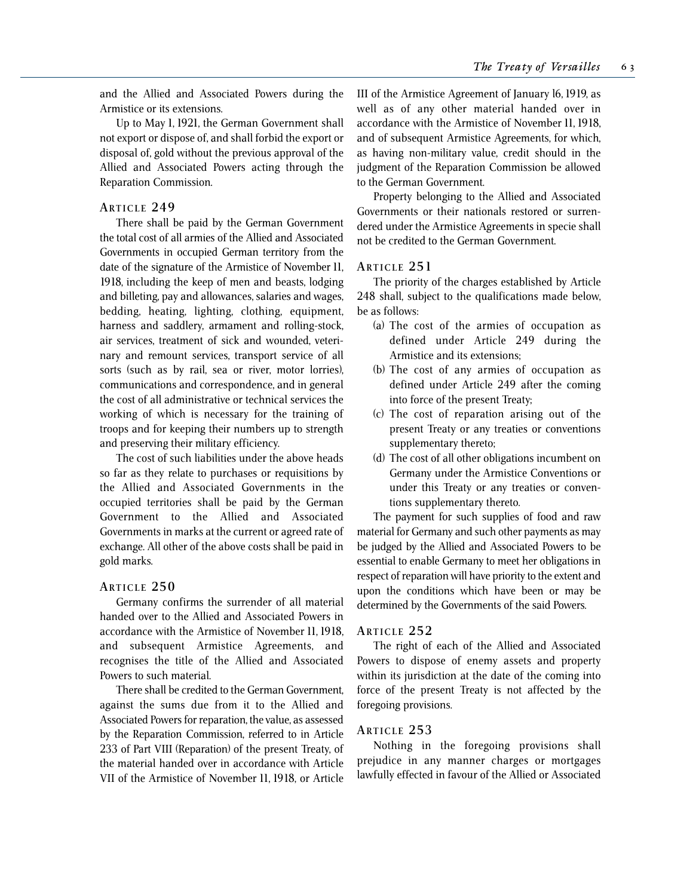and the Allied and Associated Powers during the Armistice or its extensions.

Up to May 1, 1921, the German Government shall not export or dispose of, and shall forbid the export or disposal of, gold without the previous approval of the Allied and Associated Powers acting through the Reparation Commission.

### **ARTICLE 249**

There shall be paid by the German Government the total cost of all armies of the Allied and Associated Governments in occupied German territory from the date of the signature of the Armistice of November 11, 1918, including the keep of men and beasts, lodging and billeting, pay and allowances, salaries and wages, bedding, heating, lighting, clothing, equipment, harness and saddlery, armament and rolling-stock, air services, treatment of sick and wounded, veterinary and remount services, transport service of all sorts (such as by rail, sea or river, motor lorries), communications and correspondence, and in general the cost of all administrative or technical services the working of which is necessary for the training of troops and for keeping their numbers up to strength and preserving their military efficiency.

The cost of such liabilities under the above heads so far as they relate to purchases or requisitions by the Allied and Associated Governments in the occupied territories shall be paid by the German Government to the Allied and Associated Governments in marks at the current or agreed rate of exchange. All other of the above costs shall be paid in gold marks.

## **ARTICLE 250**

Germany confirms the surrender of all material handed over to the Allied and Associated Powers in accordance with the Armistice of November 11, 1918, and subsequent Armistice Agreements, and recognises the title of the Allied and Associated Powers to such material.

There shall be credited to the German Government, against the sums due from it to the Allied and Associated Powers for reparation, the value, as assessed by the Reparation Commission, referred to in Article 233 of Part VIII (Reparation) of the present Treaty, of the material handed over in accordance with Article VII of the Armistice of November 11, 1918, or Article

III of the Armistice Agreement of January l6, 1919, as well as of any other material handed over in accordance with the Armistice of November 11, 1918, and of subsequent Armistice Agreements, for which, as having non-military value, credit should in the judgment of the Reparation Commission be allowed to the German Government.

Property belonging to the Allied and Associated Governments or their nationals restored or surrendered under the Armistice Agreements in specie shall not be credited to the German Government.

### **ARTICLE 251**

The priority of the charges established by Article 248 shall, subject to the qualifications made below, be as follows:

- (a) The cost of the armies of occupation as defined under Article 249 during the Armistice and its extensions;
- (b) The cost of any armies of occupation as defined under Article 249 after the coming into force of the present Treaty;
- (c) The cost of reparation arising out of the present Treaty or any treaties or conventions supplementary thereto;
- (d) The cost of all other obligations incumbent on Germany under the Armistice Conventions or under this Treaty or any treaties or conventions supplementary thereto.

The payment for such supplies of food and raw material for Germany and such other payments as may be judged by the Allied and Associated Powers to be essential to enable Germany to meet her obligations in respect of reparation will have priority to the extent and upon the conditions which have been or may be determined by the Governments of the said Powers.

### **ARTICLE 252**

The right of each of the Allied and Associated Powers to dispose of enemy assets and property within its jurisdiction at the date of the coming into force of the present Treaty is not affected by the foregoing provisions.

## **ARTICLE 253**

Nothing in the foregoing provisions shall prejudice in any manner charges or mortgages lawfully effected in favour of the Allied or Associated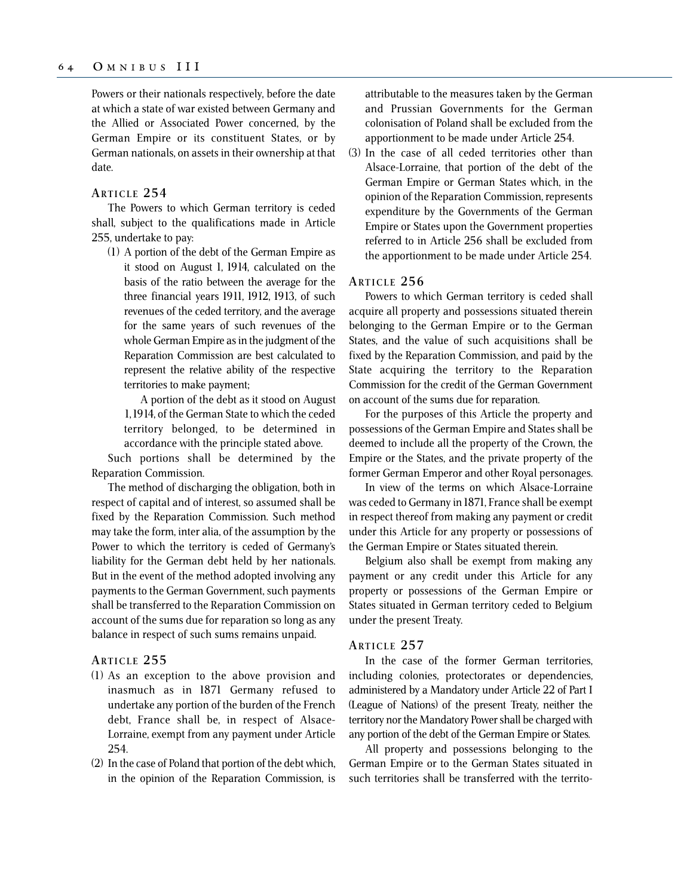Powers or their nationals respectively, before the date at which a state of war existed between Germany and the Allied or Associated Power concerned, by the German Empire or its constituent States, or by German nationals, on assets in their ownership at that date.

## **ARTICLE 254**

The Powers to which German territory is ceded shall, subject to the qualifications made in Article 255, undertake to pay:

(1) A portion of the debt of the German Empire as it stood on August 1, 1914, calculated on the basis of the ratio between the average for the three financial years 1911, 1912, 1913, of such revenues of the ceded territory, and the average for the same years of such revenues of the whole German Empire as in the judgment of the Reparation Commission are best calculated to represent the relative ability of the respective territories to make payment;

A portion of the debt as it stood on August 1, 1914, of the German State to which the ceded territory belonged, to be determined in accordance with the principle stated above.

Such portions shall be determined by the Reparation Commission.

The method of discharging the obligation, both in respect of capital and of interest, so assumed shall be fixed by the Reparation Commission. Such method may take the form, inter alia, of the assumption by the Power to which the territory is ceded of Germany's liability for the German debt held by her nationals. But in the event of the method adopted involving any payments to the German Government, such payments shall be transferred to the Reparation Commission on account of the sums due for reparation so long as any balance in respect of such sums remains unpaid.

### **ARTICLE 255**

- (1) As an exception to the above provision and inasmuch as in 1871 Germany refused to undertake any portion of the burden of the French debt, France shall be, in respect of Alsace-Lorraine, exempt from any payment under Article 254.
- (2) In the case of Poland that portion of the debt which, in the opinion of the Reparation Commission, is

attributable to the measures taken by the German and Prussian Governments for the German colonisation of Poland shall be excluded from the apportionment to be made under Article 254.

(3) In the case of all ceded territories other than Alsace-Lorraine, that portion of the debt of the German Empire or German States which, in the opinion of the Reparation Commission, represents expenditure by the Governments of the German Empire or States upon the Government properties referred to in Article 256 shall be excluded from the apportionment to be made under Article 254.

### **ARTICLE 256**

Powers to which German territory is ceded shall acquire all property and possessions situated therein belonging to the German Empire or to the German States, and the value of such acquisitions shall be fixed by the Reparation Commission, and paid by the State acquiring the territory to the Reparation Commission for the credit of the German Government on account of the sums due for reparation.

For the purposes of this Article the property and possessions of the German Empire and States shall be deemed to include all the property of the Crown, the Empire or the States, and the private property of the former German Emperor and other Royal personages.

In view of the terms on which Alsace-Lorraine was ceded to Germany in 1871, France shall be exempt in respect thereof from making any payment or credit under this Article for any property or possessions of the German Empire or States situated therein.

Belgium also shall be exempt from making any payment or any credit under this Article for any property or possessions of the German Empire or States situated in German territory ceded to Belgium under the present Treaty.

### **ARTICLE 257**

In the case of the former German territories, including colonies, protectorates or dependencies, administered by a Mandatory under Article 22 of Part I (League of Nations) of the present Treaty, neither the territory nor the Mandatory Power shall be charged with any portion of the debt of the German Empire or States.

All property and possessions belonging to the German Empire or to the German States situated in such territories shall be transferred with the territo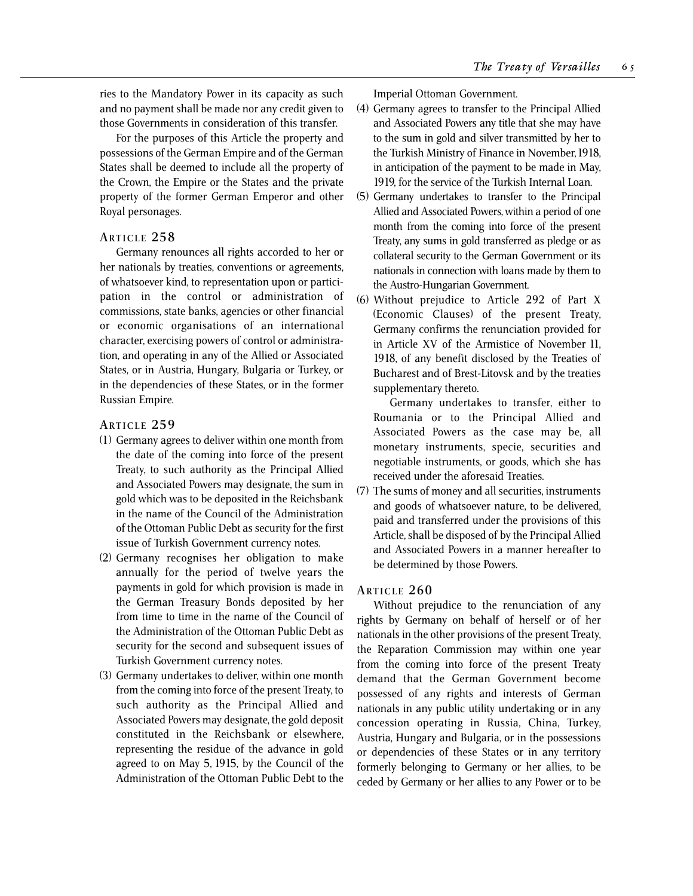ries to the Mandatory Power in its capacity as such and no payment shall be made nor any credit given to those Governments in consideration of this transfer.

For the purposes of this Article the property and possessions of the German Empire and of the German States shall be deemed to include all the property of the Crown, the Empire or the States and the private property of the former German Emperor and other Royal personages.

## **ARTICLE 258**

Germany renounces all rights accorded to her or her nationals by treaties, conventions or agreements, of whatsoever kind, to representation upon or participation in the control or administration of commissions, state banks, agencies or other financial or economic organisations of an international character, exercising powers of control or administration, and operating in any of the Allied or Associated States, or in Austria, Hungary, Bulgaria or Turkey, or in the dependencies of these States, or in the former Russian Empire.

## **ARTICLE 259**

- (1) Germany agrees to deliver within one month from the date of the coming into force of the present Treaty, to such authority as the Principal Allied and Associated Powers may designate, the sum in gold which was to be deposited in the Reichsbank in the name of the Council of the Administration of the Ottoman Public Debt as security for the first issue of Turkish Government currency notes.
- (2) Germany recognises her obligation to make annually for the period of twelve years the payments in gold for which provision is made in the German Treasury Bonds deposited by her from time to time in the name of the Council of the Administration of the Ottoman Public Debt as security for the second and subsequent issues of Turkish Government currency notes.
- (3) Germany undertakes to deliver, within one month from the coming into force of the present Treaty, to such authority as the Principal Allied and Associated Powers may designate, the gold deposit constituted in the Reichsbank or elsewhere, representing the residue of the advance in gold agreed to on May 5, 1915, by the Council of the Administration of the Ottoman Public Debt to the

Imperial Ottoman Government.

- (4) Germany agrees to transfer to the Principal Allied and Associated Powers any title that she may have to the sum in gold and silver transmitted by her to the Turkish Ministry of Finance in November, 1918, in anticipation of the payment to be made in May, 1919, for the service of the Turkish Internal Loan.
- (5) Germany undertakes to transfer to the Principal Allied and Associated Powers, within a period of one month from the coming into force of the present Treaty, any sums in gold transferred as pledge or as collateral security to the German Government or its nationals in connection with loans made by them to the Austro-Hungarian Government.
- (6) Without prejudice to Article 292 of Part X (Economic Clauses) of the present Treaty, Germany confirms the renunciation provided for in Article XV of the Armistice of November 11, 1918, of any benefit disclosed by the Treaties of Bucharest and of Brest-Litovsk and by the treaties supplementary thereto.

Germany undertakes to transfer, either to Roumania or to the Principal Allied and Associated Powers as the case may be, all monetary instruments, specie, securities and negotiable instruments, or goods, which she has received under the aforesaid Treaties.

(7) The sums of money and all securities, instruments and goods of whatsoever nature, to be delivered, paid and transferred under the provisions of this Article, shall be disposed of by the Principal Allied and Associated Powers in a manner hereafter to be determined by those Powers.

## **ARTICLE 260**

Without prejudice to the renunciation of any rights by Germany on behalf of herself or of her nationals in the other provisions of the present Treaty, the Reparation Commission may within one year from the coming into force of the present Treaty demand that the German Government become possessed of any rights and interests of German nationals in any public utility undertaking or in any concession operating in Russia, China, Turkey, Austria, Hungary and Bulgaria, or in the possessions or dependencies of these States or in any territory formerly belonging to Germany or her allies, to be ceded by Germany or her allies to any Power or to be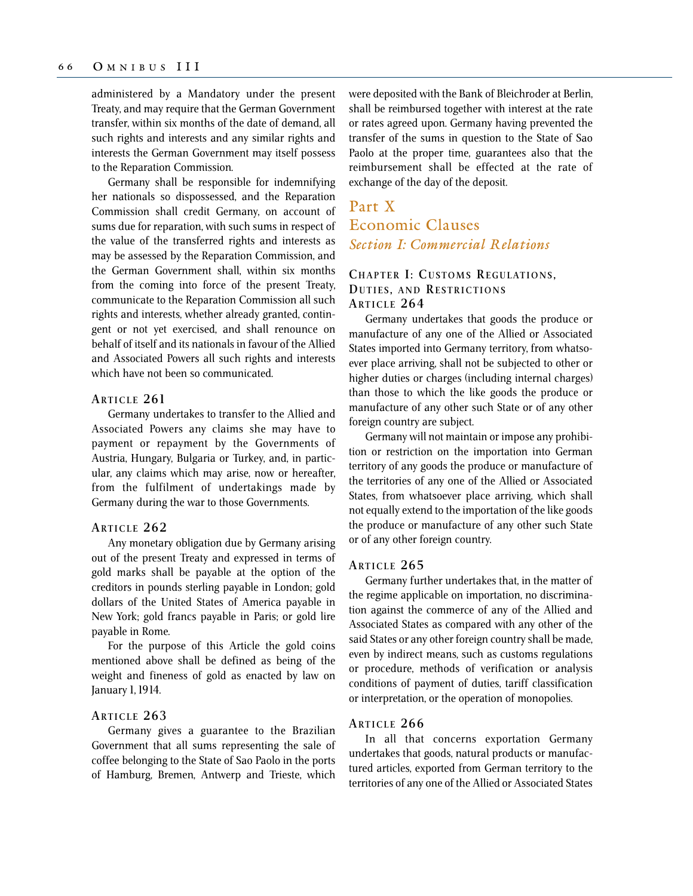administered by a Mandatory under the present Treaty, and may require that the German Government transfer, within six months of the date of demand, all such rights and interests and any similar rights and interests the German Government may itself possess to the Reparation Commission.

Germany shall be responsible for indemnifying her nationals so dispossessed, and the Reparation Commission shall credit Germany, on account of sums due for reparation, with such sums in respect of the value of the transferred rights and interests as may be assessed by the Reparation Commission, and the German Government shall, within six months from the coming into force of the present Treaty, communicate to the Reparation Commission all such rights and interests, whether already granted, contingent or not yet exercised, and shall renounce on behalf of itself and its nationals in favour of the Allied and Associated Powers all such rights and interests which have not been so communicated.

## **ARTICLE 261**

Germany undertakes to transfer to the Allied and Associated Powers any claims she may have to payment or repayment by the Governments of Austria, Hungary, Bulgaria or Turkey, and, in particular, any claims which may arise, now or hereafter, from the fulfilment of undertakings made by Germany during the war to those Governments.

#### **ARTICLE 262**

Any monetary obligation due by Germany arising out of the present Treaty and expressed in terms of gold marks shall be payable at the option of the creditors in pounds sterling payable in London; gold dollars of the United States of America payable in New York; gold francs payable in Paris; or gold lire payable in Rome.

For the purpose of this Article the gold coins mentioned above shall be defined as being of the weight and fineness of gold as enacted by law on January 1, 1914.

### **ARTICLE 263**

Germany gives a guarantee to the Brazilian Government that all sums representing the sale of coffee belonging to the State of Sao Paolo in the ports of Hamburg, Bremen, Antwerp and Trieste, which were deposited with the Bank of Bleichroder at Berlin, shall be reimbursed together with interest at the rate or rates agreed upon. Germany having prevented the transfer of the sums in question to the State of Sao Paolo at the proper time, guarantees also that the reimbursement shall be effected at the rate of exchange of the day of the deposit.

# Part X Economic Clauses *Section I: Commercial Relations*

## **CHAPTER I: CUSTOMS REGULATIONS , DUTIES , AND RESTRICTIONS ARTICLE 264**

Germany undertakes that goods the produce or manufacture of any one of the Allied or Associated States imported into Germany territory, from whatsoever place arriving, shall not be subjected to other or higher duties or charges (including internal charges) than those to which the like goods the produce or manufacture of any other such State or of any other foreign country are subject.

Germany will not maintain or impose any prohibition or restriction on the importation into German territory of any goods the produce or manufacture of the territories of any one of the Allied or Associated States, from whatsoever place arriving, which shall not equally extend to the importation of the like goods the produce or manufacture of any other such State or of any other foreign country.

### **ARTICLE 265**

Germany further undertakes that, in the matter of the regime applicable on importation, no discrimination against the commerce of any of the Allied and Associated States as compared with any other of the said States or any other foreign country shall be made, even by indirect means, such as customs regulations or procedure, methods of verification or analysis conditions of payment of duties, tariff classification or interpretation, or the operation of monopolies.

### **ARTICLE 266**

In all that concerns exportation Germany undertakes that goods, natural products or manufactured articles, exported from German territory to the territories of any one of the Allied or Associated States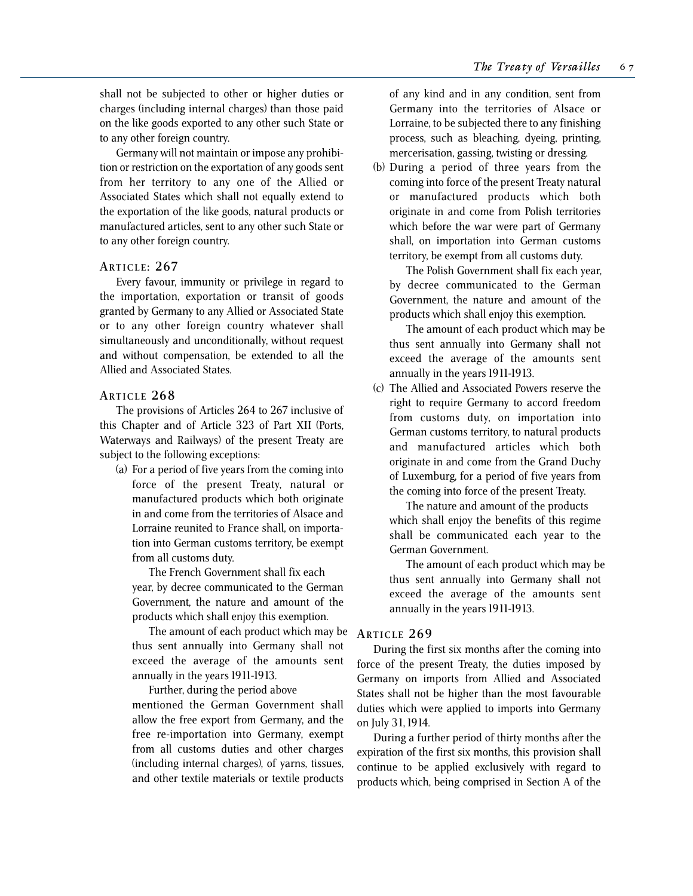shall not be subjected to other or higher duties or charges (including internal charges) than those paid on the like goods exported to any other such State or to any other foreign country.

Germany will not maintain or impose any prohibition or restriction on the exportation of any goods sent from her territory to any one of the Allied or Associated States which shall not equally extend to the exportation of the like goods, natural products or manufactured articles, sent to any other such State or to any other foreign country.

### **ARTICLE : 267**

Every favour, immunity or privilege in regard to the importation, exportation or transit of goods granted by Germany to any Allied or Associated State or to any other foreign country whatever shall simultaneously and unconditionally, without request and without compensation, be extended to all the Allied and Associated States.

### **ARTICLE 268**

The provisions of Articles 264 to 267 inclusive of this Chapter and of Article 323 of Part XII (Ports, Waterways and Railways) of the present Treaty are subject to the following exceptions:

(a) For a period of five years from the coming into force of the present Treaty, natural or manufactured products which both originate in and come from the territories of Alsace and Lorraine reunited to France shall, on importation into German customs territory, be exempt from all customs duty.

The French Government shall fix each year, by decree communicated to the German Government, the nature and amount of the products which shall enjoy this exemption.

The amount of each product which may be thus sent annually into Germany shall not exceed the average of the amounts sent annually in the years 1911-1913.

Further, during the period above mentioned the German Government shall allow the free export from Germany, and the free re-importation into Germany, exempt from all customs duties and other charges (including internal charges), of yarns, tissues, and other textile materials or textile products

of any kind and in any condition, sent from Germany into the territories of Alsace or Lorraine, to be subjected there to any finishing process, such as bleaching, dyeing, printing, mercerisation, gassing, twisting or dressing.

(b) During a period of three years from the coming into force of the present Treaty natural or manufactured products which both originate in and come from Polish territories which before the war were part of Germany shall, on importation into German customs territory, be exempt from all customs duty.

The Polish Government shall fix each year, by decree communicated to the German Government, the nature and amount of the products which shall enjoy this exemption.

The amount of each product which may be thus sent annually into Germany shall not exceed the average of the amounts sent annually in the years 1911-1913.

(c) The Allied and Associated Powers reserve the right to require Germany to accord freedom from customs duty, on importation into German customs territory, to natural products and manufactured articles which both originate in and come from the Grand Duchy of Luxemburg, for a period of five years from the coming into force of the present Treaty.

The nature and amount of the products which shall enjoy the benefits of this regime shall be communicated each year to the German Government.

The amount of each product which may be thus sent annually into Germany shall not exceed the average of the amounts sent annually in the years 1911-1913.

## **ARTICLE 269**

During the first six months after the coming into force of the present Treaty, the duties imposed by Germany on imports from Allied and Associated States shall not be higher than the most favourable duties which were applied to imports into Germany on July 31, 1914.

During a further period of thirty months after the expiration of the first six months, this provision shall continue to be applied exclusively with regard to products which, being comprised in Section A of the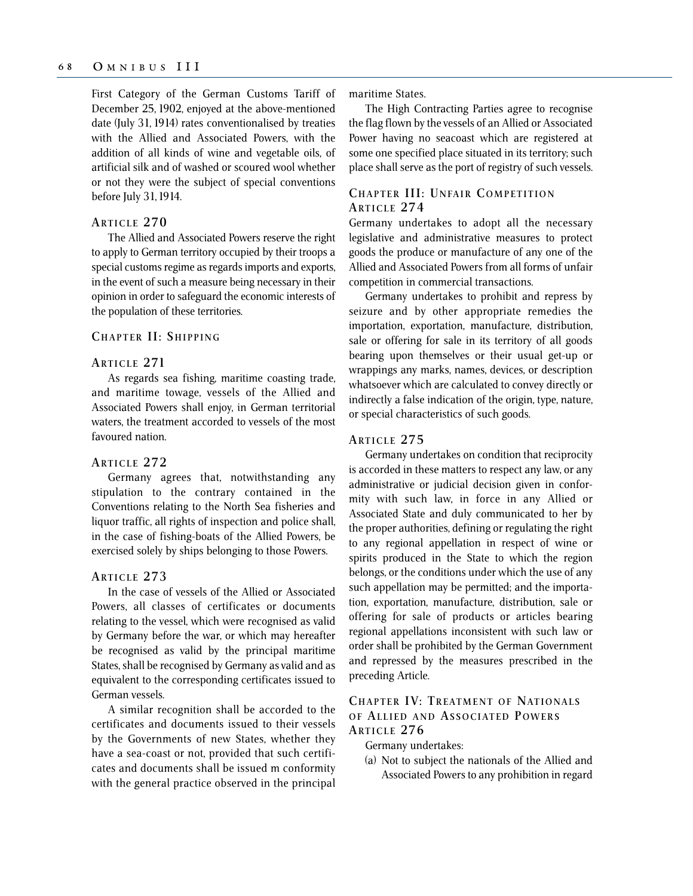First Category of the German Customs Tariff of December 25, 1902, enjoyed at the above-mentioned date (July 31, 1914) rates conventionalised by treaties with the Allied and Associated Powers, with the addition of all kinds of wine and vegetable oils, of artificial silk and of washed or scoured wool whether or not they were the subject of special conventions before July 31, 1914.

### **ARTICLE 270**

The Allied and Associated Powers reserve the right to apply to German territory occupied by their troops a special customs regime as regards imports and exports, in the event of such a measure being necessary in their opinion in order to safeguard the economic interests of the population of these territories.

### **CHAPTER II: SHIPPING**

## **ARTICLE 271**

As regards sea fishing, maritime coasting trade, and maritime towage, vessels of the Allied and Associated Powers shall enjoy, in German territorial waters, the treatment accorded to vessels of the most favoured nation.

#### **ARTICLE 272**

Germany agrees that, notwithstanding any stipulation to the contrary contained in the Conventions relating to the North Sea fisheries and liquor traffic, all rights of inspection and police shall, in the case of fishing-boats of the Allied Powers, be exercised solely by ships belonging to those Powers.

## **ARTICLE 273**

In the case of vessels of the Allied or Associated Powers, all classes of certificates or documents relating to the vessel, which were recognised as valid by Germany before the war, or which may hereafter be recognised as valid by the principal maritime States, shall be recognised by Germany as valid and as equivalent to the corresponding certificates issued to German vessels.

A similar recognition shall be accorded to the certificates and documents issued to their vessels by the Governments of new States, whether they have a sea-coast or not, provided that such certificates and documents shall be issued m conformity with the general practice observed in the principal maritime States.

The High Contracting Parties agree to recognise the flag flown by the vessels of an Allied or Associated Power having no seacoast which are registered at some one specified place situated in its territory; such place shall serve as the port of registry of such vessels.

## **CHAPTER III: U NFAIR COMPETITION ARTICLE 274**

Germany undertakes to adopt all the necessary legislative and administrative measures to protect goods the produce or manufacture of any one of the Allied and Associated Powers from all forms of unfair competition in commercial transactions.

Germany undertakes to prohibit and repress by seizure and by other appropriate remedies the importation, exportation, manufacture, distribution, sale or offering for sale in its territory of all goods bearing upon themselves or their usual get-up or wrappings any marks, names, devices, or description whatsoever which are calculated to convey directly or indirectly a false indication of the origin, type, nature, or special characteristics of such goods.

## **ARTICLE 275**

Germany undertakes on condition that reciprocity is accorded in these matters to respect any law, or any administrative or judicial decision given in conformity with such law, in force in any Allied or Associated State and duly communicated to her by the proper authorities, defining or regulating the right to any regional appellation in respect of wine or spirits produced in the State to which the region belongs, or the conditions under which the use of any such appellation may be permitted; and the importation, exportation, manufacture, distribution, sale or offering for sale of products or articles bearing regional appellations inconsistent with such law or order shall be prohibited by the German Government and repressed by the measures prescribed in the preceding Article.

## **CHAPTER IV: TREATMENT OF NATIONALS O F ALLIED AND ASSOCIATED POWERS ARTICLE 276**

Germany undertakes:

(a) Not to subject the nationals of the Allied and Associated Powers to any prohibition in regard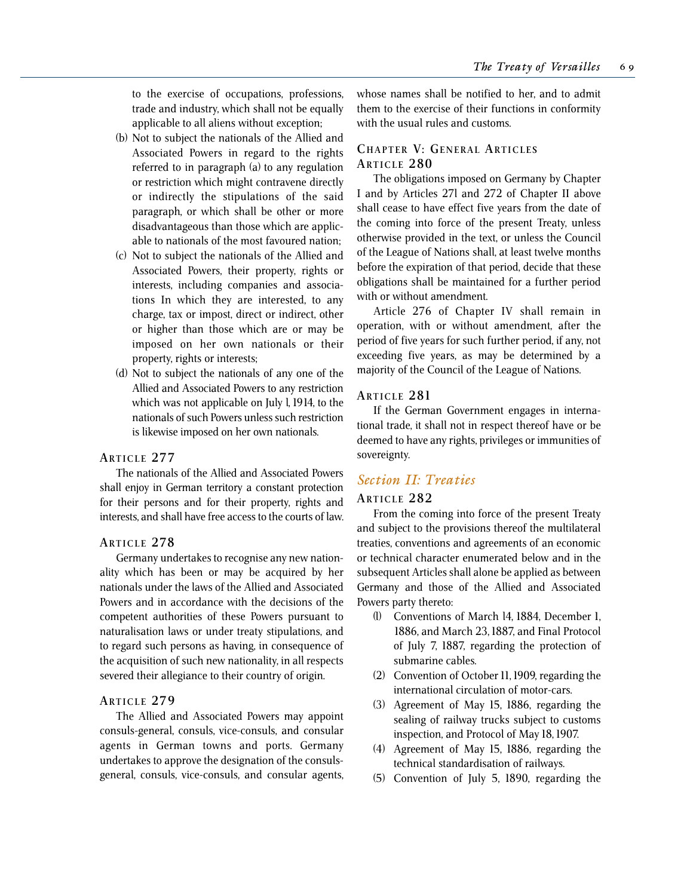to the exercise of occupations, professions, trade and industry, which shall not be equally applicable to all aliens without exception;

- (b) Not to subject the nationals of the Allied and Associated Powers in regard to the rights referred to in paragraph (a) to any regulation or restriction which might contravene directly or indirectly the stipulations of the said paragraph, or which shall be other or more disadvantageous than those which are applicable to nationals of the most favoured nation;
- (c) Not to subject the nationals of the Allied and Associated Powers, their property, rights or interests, including companies and associations In which they are interested, to any charge, tax or impost, direct or indirect, other or higher than those which are or may be imposed on her own nationals or their property, rights or interests;
- (d) Not to subject the nationals of any one of the Allied and Associated Powers to any restriction which was not applicable on July l, 1914, to the nationals of such Powers unless such restriction is likewise imposed on her own nationals.

### **ARTICLE 277**

The nationals of the Allied and Associated Powers shall enjoy in German territory a constant protection for their persons and for their property, rights and interests, and shall have free access to the courts of law.

### **ARTICLE 278**

Germany undertakes to recognise any new nationality which has been or may be acquired by her nationals under the laws of the Allied and Associated Powers and in accordance with the decisions of the competent authorities of these Powers pursuant to naturalisation laws or under treaty stipulations, and to regard such persons as having, in consequence of the acquisition of such new nationality, in all respects severed their allegiance to their country of origin.

## **ARTICLE 279**

The Allied and Associated Powers may appoint consuls-general, consuls, vice-consuls, and consular agents in German towns and ports. Germany undertakes to approve the designation of the consulsgeneral, consuls, vice-consuls, and consular agents, whose names shall be notified to her, and to admit them to the exercise of their functions in conformity with the usual rules and customs.

## **CHAPTER V: GENERAL ARTICLES ARTICLE 280**

The obligations imposed on Germany by Chapter I and by Articles 27l and 272 of Chapter II above shall cease to have effect five years from the date of the coming into force of the present Treaty, unless otherwise provided in the text, or unless the Council of the League of Nations shall, at least twelve months before the expiration of that period, decide that these obligations shall be maintained for a further period with or without amendment.

Article 276 of Chapter IV shall remain in operation, with or without amendment, after the period of five years for such further period, if any, not exceeding five years, as may be determined by a majority of the Council of the League of Nations.

## **ARTICLE 281**

If the German Government engages in international trade, it shall not in respect thereof have or be deemed to have any rights, privileges or immunities of sovereignty.

## *Section II: Treaties*

## **ARTICLE 282**

From the coming into force of the present Treaty and subject to the provisions thereof the multilateral treaties, conventions and agreements of an economic or technical character enumerated below and in the subsequent Articles shall alone be applied as between Germany and those of the Allied and Associated Powers party thereto:

- (l) Conventions of March l4, 1884, December 1, 1886, and March 23, 1887, and Final Protocol of July 7, 1887, regarding the protection of submarine cables.
- (2) Convention of October 11, 1909, regarding the international circulation of motor-cars.
- (3) Agreement of May 15, 1886, regarding the sealing of railway trucks subject to customs inspection, and Protocol of May 18, 1907.
- (4) Agreement of May 15, 1886, regarding the technical standardisation of railways.
- (5) Convention of July 5, 1890, regarding the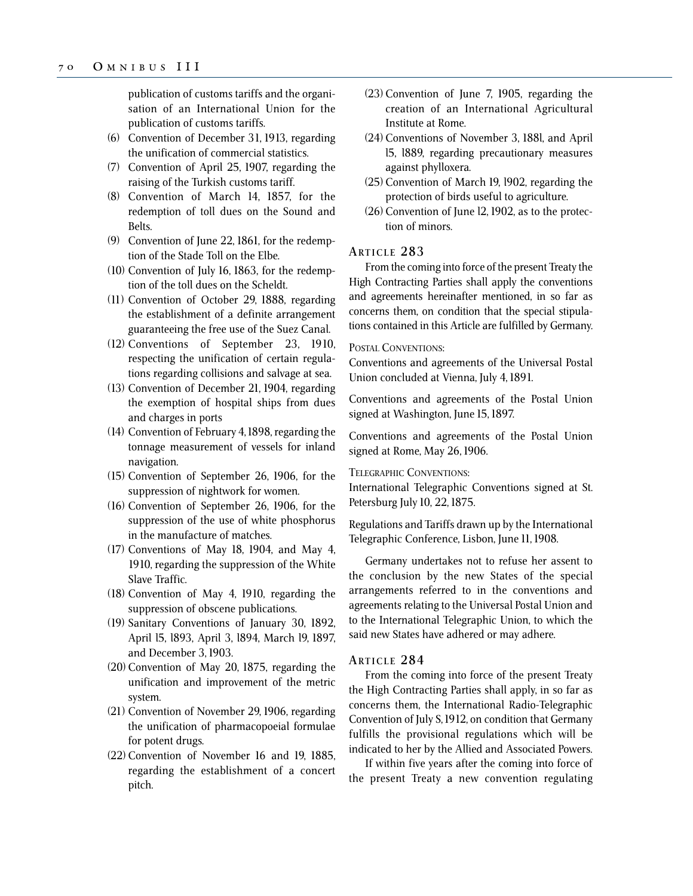publication of customs tariffs and the organisation of an International Union for the publication of customs tariffs.

- (6) Convention of December 31, 1913, regarding the unification of commercial statistics.
- (7) Convention of April 25, 1907, regarding the raising of the Turkish customs tariff.
- (8) Convention of March 14, 1857, for the redemption of toll dues on the Sound and Belts.
- (9) Convention of June 22, 1861, for the redemption of the Stade Toll on the Elbe.
- (10) Convention of July 16, 1863, for the redemption of the toll dues on the Scheldt.
- (11) Convention of October 29, 1888, regarding the establishment of a definite arrangement guaranteeing the free use of the Suez Canal.
- (12) Conventions of September 23, 1910, respecting the unification of certain regulations regarding collisions and salvage at sea.
- (13) Convention of December 21, 1904, regarding the exemption of hospital ships from dues and charges in ports
- (14) Convention of February 4, 1898, regarding the tonnage measurement of vessels for inland navigation.
- (15) Convention of September 26, 1906, for the suppression of nightwork for women.
- (16) Convention of September 26, 1906, for the suppression of the use of white phosphorus in the manufacture of matches.
- (17) Conventions of May 18, 1904, and May 4, 1910, regarding the suppression of the White Slave Traffic.
- (18) Convention of May 4, 1910, regarding the suppression of obscene publications.
- (19) Sanitary Conventions of January 30, 1892, April l5, l893, April 3, l894, March l9, 1897, and December 3, 1903.
- (20) Convention of May 20, 1875, regarding the unification and improvement of the metric system.
- (21) Convention of November 29, 1906, regarding the unification of pharmacopoeial formulae for potent drugs.
- (22) Convention of November 16 and 19, 1885, regarding the establishment of a concert pitch.
- (23) Convention of June 7, 1905, regarding the creation of an International Agricultural Institute at Rome.
- (24) Conventions of November 3, 188l, and April l5, l889, regarding precautionary measures against phylloxera.
- (25) Convention of March 19, l902, regarding the protection of birds useful to agriculture.
- (26) Convention of June l2, 1902, as to the protection of minors.

### **ARTICLE 283**

From the coming into force of the present Treaty the High Contracting Parties shall apply the conventions and agreements hereinafter mentioned, in so far as concerns them, on condition that the special stipulations contained in this Article are fulfilled by Germany.

### POSTAL CONVENTIONS:

Conventions and agreements of the Universal Postal Union concluded at Vienna, July 4, 1891.

Conventions and agreements of the Postal Union signed at Washington, June 15, 1897.

Conventions and agreements of the Postal Union signed at Rome, May 26, 1906.

#### TELEGRAPHIC CONVENTIONS:

International Telegraphic Conventions signed at St. Petersburg July 10, 22, 1875.

Regulations and Tariffs drawn up by the International Telegraphic Conference, Lisbon, June 11, 1908.

Germany undertakes not to refuse her assent to the conclusion by the new States of the special arrangements referred to in the conventions and agreements relating to the Universal Postal Union and to the International Telegraphic Union, to which the said new States have adhered or may adhere.

## **ARTICLE 284**

From the coming into force of the present Treaty the High Contracting Parties shall apply, in so far as concerns them, the International Radio-Telegraphic Convention of July S, 1912, on condition that Germany fulfills the provisional regulations which will be indicated to her by the Allied and Associated Powers.

If within five years after the coming into force of the present Treaty a new convention regulating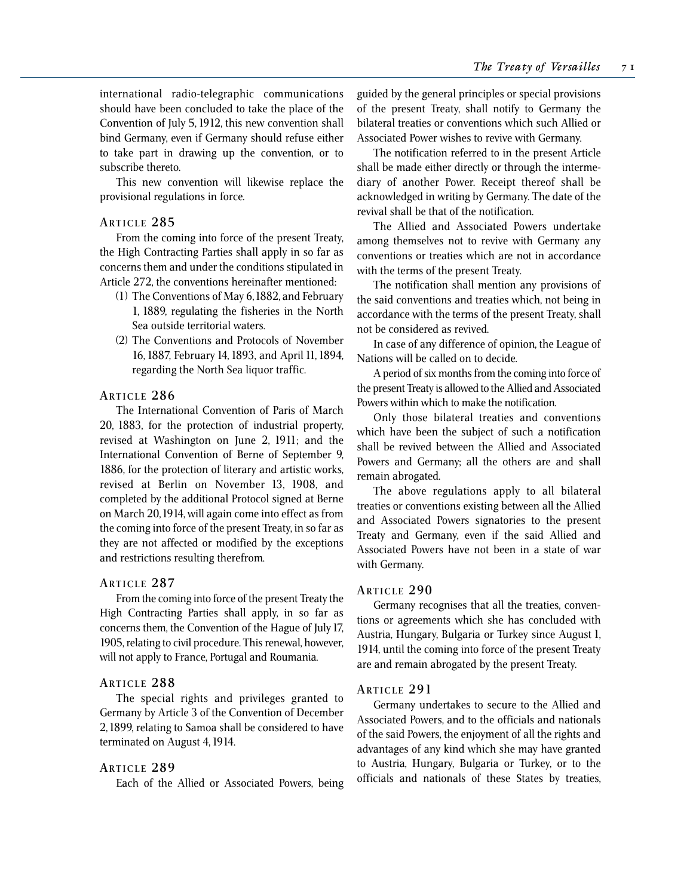international radio-telegraphic communications should have been concluded to take the place of the Convention of July 5, 1912, this new convention shall bind Germany, even if Germany should refuse either to take part in drawing up the convention, or to subscribe thereto.

This new convention will likewise replace the provisional regulations in force.

## **ARTICLE 285**

From the coming into force of the present Treaty, the High Contracting Parties shall apply in so far as concerns them and under the conditions stipulated in Article 272, the conventions hereinafter mentioned:

- (1) The Conventions of May 6, 1882, and February 1, 1889, regulating the fisheries in the North Sea outside territorial waters.
- (2) The Conventions and Protocols of November 16, 1887, February 14, 1893, and April 11, 1894, regarding the North Sea liquor traffic.

## **ARTICLE 286**

The International Convention of Paris of March 20, 1883, for the protection of industrial property, revised at Washington on June 2, 1911; and the International Convention of Berne of September 9, 1886, for the protection of literary and artistic works, revised at Berlin on November 13, 1908, and completed by the additional Protocol signed at Berne on March 20, 1914, will again come into effect as from the coming into force of the present Treaty, in so far as they are not affected or modified by the exceptions and restrictions resulting therefrom.

## **ARTICLE 287**

From the coming into force of the present Treaty the High Contracting Parties shall apply, in so far as concerns them, the Convention of the Hague of July 17, 1905, relating to civil procedure. This renewal, however, will not apply to France, Portugal and Roumania.

## **ARTICLE 288**

The special rights and privileges granted to Germany by Article 3 of the Convention of December 2, 1899, relating to Samoa shall be considered to have terminated on August 4, 1914.

### **ARTICLE 289**

Each of the Allied or Associated Powers, being

guided by the general principles or special provisions of the present Treaty, shall notify to Germany the bilateral treaties or conventions which such Allied or Associated Power wishes to revive with Germany.

The notification referred to in the present Article shall be made either directly or through the intermediary of another Power. Receipt thereof shall be acknowledged in writing by Germany. The date of the revival shall be that of the notification.

The Allied and Associated Powers undertake among themselves not to revive with Germany any conventions or treaties which are not in accordance with the terms of the present Treaty.

The notification shall mention any provisions of the said conventions and treaties which, not being in accordance with the terms of the present Treaty, shall not be considered as revived.

In case of any difference of opinion, the League of Nations will be called on to decide.

A period of six months from the coming into force of the present Treaty is allowed to the Allied and Associated Powers within which to make the notification.

Only those bilateral treaties and conventions which have been the subject of such a notification shall be revived between the Allied and Associated Powers and Germany; all the others are and shall remain abrogated.

The above regulations apply to all bilateral treaties or conventions existing between all the Allied and Associated Powers signatories to the present Treaty and Germany, even if the said Allied and Associated Powers have not been in a state of war with Germany.

## **ARTICLE 290**

Germany recognises that all the treaties, conventions or agreements which she has concluded with Austria, Hungary, Bulgaria or Turkey since August 1, 1914, until the coming into force of the present Treaty are and remain abrogated by the present Treaty.

### **ARTICLE 291**

Germany undertakes to secure to the Allied and Associated Powers, and to the officials and nationals of the said Powers, the enjoyment of all the rights and advantages of any kind which she may have granted to Austria, Hungary, Bulgaria or Turkey, or to the officials and nationals of these States by treaties,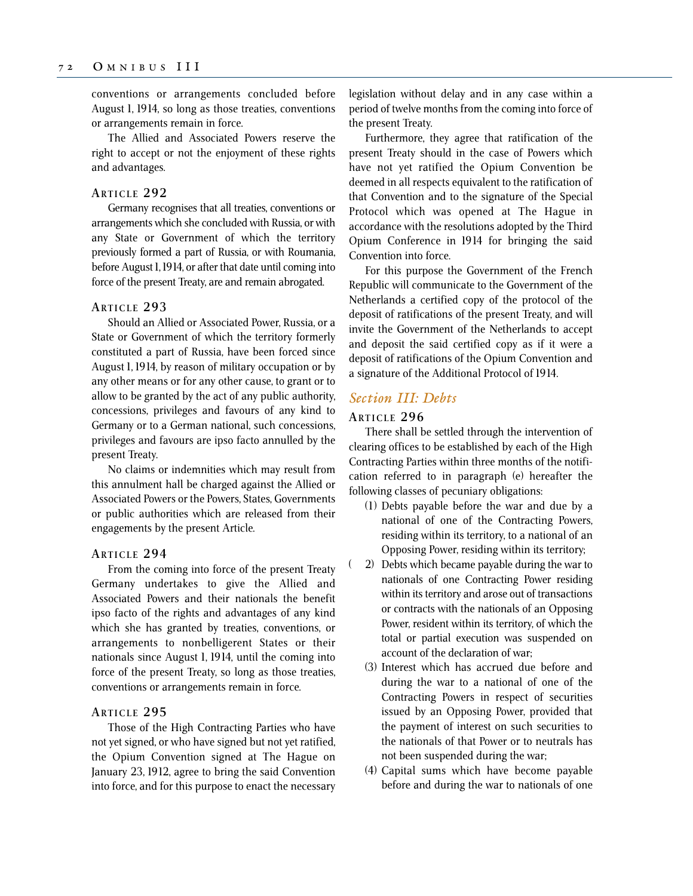conventions or arrangements concluded before August 1, 1914, so long as those treaties, conventions or arrangements remain in force.

The Allied and Associated Powers reserve the right to accept or not the enjoyment of these rights and advantages.

### **ARTICLE 292**

Germany recognises that all treaties, conventions or arrangements which she concluded with Russia, or with any State or Government of which the territory previously formed a part of Russia, or with Roumania, before August 1, 1914, or after that date until coming into force of the present Treaty, are and remain abrogated.

### **ARTICLE 293**

Should an Allied or Associated Power, Russia, or a State or Government of which the territory formerly constituted a part of Russia, have been forced since August 1, 1914, by reason of military occupation or by any other means or for any other cause, to grant or to allow to be granted by the act of any public authority, concessions, privileges and favours of any kind to Germany or to a German national, such concessions, privileges and favours are ipso facto annulled by the present Treaty.

No claims or indemnities which may result from this annulment hall be charged against the Allied or Associated Powers or the Powers, States, Governments or public authorities which are released from their engagements by the present Article.

### **ARTICLE 294**

From the coming into force of the present Treaty Germany undertakes to give the Allied and Associated Powers and their nationals the benefit ipso facto of the rights and advantages of any kind which she has granted by treaties, conventions, or arrangements to nonbelligerent States or their nationals since August 1, 1914, until the coming into force of the present Treaty, so long as those treaties, conventions or arrangements remain in force.

### **ARTICLE 295**

Those of the High Contracting Parties who have not yet signed, or who have signed but not yet ratified, the Opium Convention signed at The Hague on January 23, 1912, agree to bring the said Convention into force, and for this purpose to enact the necessary legislation without delay and in any case within a period of twelve months from the coming into force of the present Treaty.

Furthermore, they agree that ratification of the present Treaty should in the case of Powers which have not yet ratified the Opium Convention be deemed in all respects equivalent to the ratification of that Convention and to the signature of the Special Protocol which was opened at The Hague in accordance with the resolutions adopted by the Third Opium Conference in 1914 for bringing the said Convention into force.

For this purpose the Government of the French Republic will communicate to the Government of the Netherlands a certified copy of the protocol of the deposit of ratifications of the present Treaty, and will invite the Government of the Netherlands to accept and deposit the said certified copy as if it were a deposit of ratifications of the Opium Convention and a signature of the Additional Protocol of 1914.

## *Section III: Debts*

## **ARTICLE 296**

There shall be settled through the intervention of clearing offices to be established by each of the High Contracting Parties within three months of the notification referred to in paragraph (e) hereafter the following classes of pecuniary obligations:

- (1) Debts payable before the war and due by a national of one of the Contracting Powers, residing within its territory, to a national of an Opposing Power, residing within its territory;
- ( 2) Debts which became payable during the war to nationals of one Contracting Power residing within its territory and arose out of transactions or contracts with the nationals of an Opposing Power, resident within its territory, of which the total or partial execution was suspended on account of the declaration of war;
	- (3) Interest which has accrued due before and during the war to a national of one of the Contracting Powers in respect of securities issued by an Opposing Power, provided that the payment of interest on such securities to the nationals of that Power or to neutrals has not been suspended during the war;
	- (4) Capital sums which have become payable before and during the war to nationals of one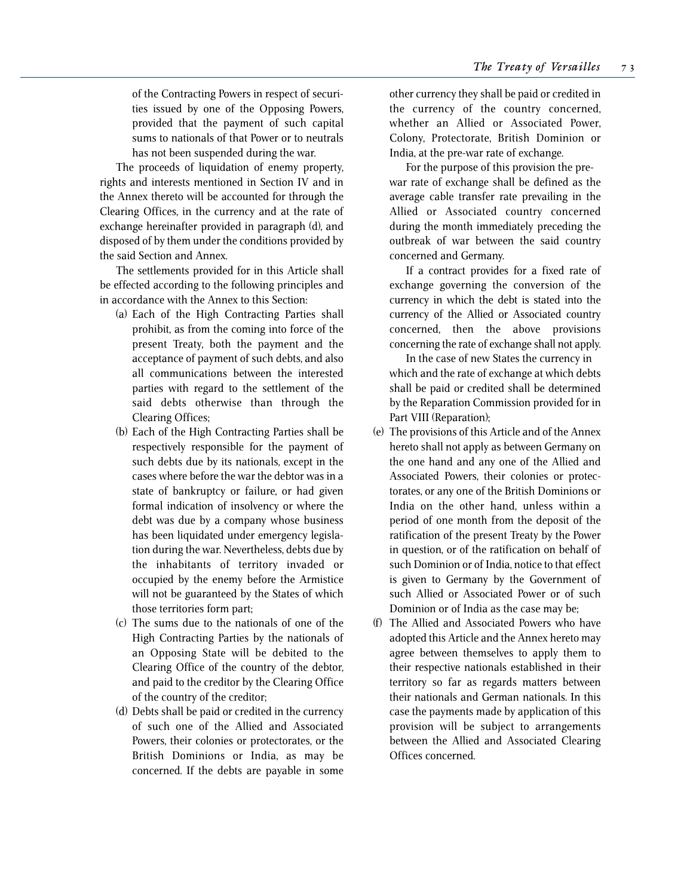of the Contracting Powers in respect of securities issued by one of the Opposing Powers, provided that the payment of such capital sums to nationals of that Power or to neutrals has not been suspended during the war.

The proceeds of liquidation of enemy property, rights and interests mentioned in Section IV and in the Annex thereto will be accounted for through the Clearing Offices, in the currency and at the rate of exchange hereinafter provided in paragraph (d), and disposed of by them under the conditions provided by the said Section and Annex.

The settlements provided for in this Article shall be effected according to the following principles and in accordance with the Annex to this Section:

- (a) Each of the High Contracting Parties shall prohibit, as from the coming into force of the present Treaty, both the payment and the acceptance of payment of such debts, and also all communications between the interested parties with regard to the settlement of the said debts otherwise than through the Clearing Offices;
- (b) Each of the High Contracting Parties shall be respectively responsible for the payment of such debts due by its nationals, except in the cases where before the war the debtor was in a state of bankruptcy or failure, or had given formal indication of insolvency or where the debt was due by a company whose business has been liquidated under emergency legislation during the war. Nevertheless, debts due by the inhabitants of territory invaded or occupied by the enemy before the Armistice will not be guaranteed by the States of which those territories form part;
- (c) The sums due to the nationals of one of the High Contracting Parties by the nationals of an Opposing State will be debited to the Clearing Office of the country of the debtor, and paid to the creditor by the Clearing Office of the country of the creditor;
- (d) Debts shall be paid or credited in the currency of such one of the Allied and Associated Powers, their colonies or protectorates, or the British Dominions or India, as may be concerned. If the debts are payable in some

other currency they shall be paid or credited in the currency of the country concerned, whether an Allied or Associated Power, Colony, Protectorate, British Dominion or India, at the pre-war rate of exchange.

For the purpose of this provision the prewar rate of exchange shall be defined as the average cable transfer rate prevailing in the Allied or Associated country concerned during the month immediately preceding the outbreak of war between the said country concerned and Germany.

If a contract provides for a fixed rate of exchange governing the conversion of the currency in which the debt is stated into the currency of the Allied or Associated country concerned, then the above provisions concerning the rate of exchange shall not apply.

In the case of new States the currency in which and the rate of exchange at which debts shall be paid or credited shall be determined by the Reparation Commission provided for in Part VIII (Reparation);

- (e) The provisions of this Article and of the Annex hereto shall not apply as between Germany on the one hand and any one of the Allied and Associated Powers, their colonies or protectorates, or any one of the British Dominions or India on the other hand, unless within a period of one month from the deposit of the ratification of the present Treaty by the Power in question, or of the ratification on behalf of such Dominion or of India, notice to that effect is given to Germany by the Government of such Allied or Associated Power or of such Dominion or of India as the case may be;
- (f) The Allied and Associated Powers who have adopted this Article and the Annex hereto may agree between themselves to apply them to their respective nationals established in their territory so far as regards matters between their nationals and German nationals. In this case the payments made by application of this provision will be subject to arrangements between the Allied and Associated Clearing Offices concerned.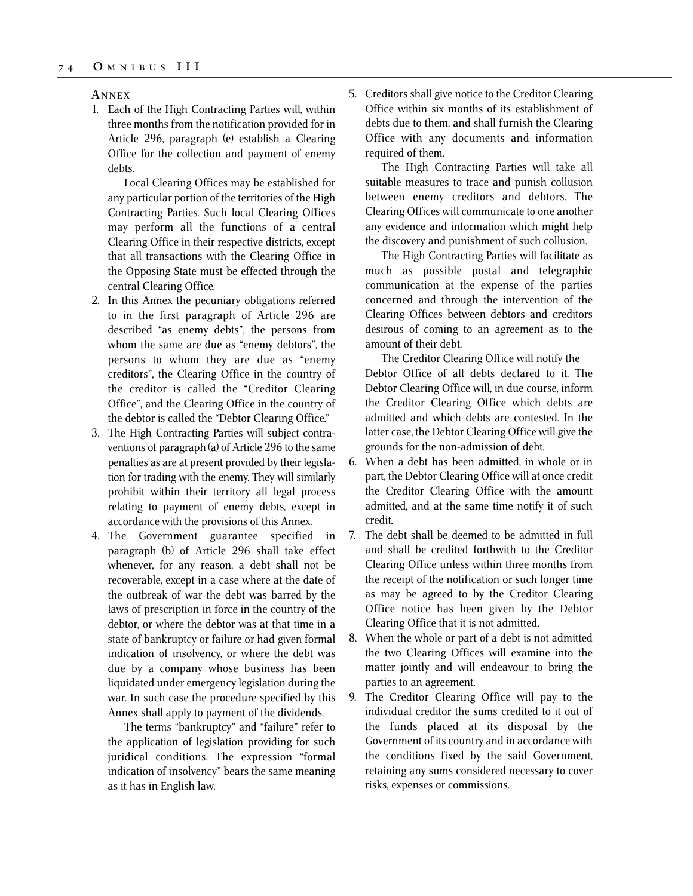#### **A NNEX**

1. Each of the High Contracting Parties will, within three months from the notification provided for in Article 296, paragraph (e) establish a Clearing Office for the collection and payment of enemy debts.

Local Clearing Offices may be established for any particular portion of the territories of the High Contracting Parties. Such local Clearing Offices may perform all the functions of a central Clearing Office in their respective districts, except that all transactions with the Clearing Office in the Opposing State must be effected through the central Clearing Office.

- 2. In this Annex the pecuniary obligations referred to in the first paragraph of Article 296 are described "as enemy debts", the persons from whom the same are due as "enemy debtors", the persons to whom they are due as "enemy creditors", the Clearing Office in the country of the creditor is called the "Creditor Clearing Office", and the Clearing Office in the country of the debtor is called the "Debtor Clearing Office."
- 3. The High Contracting Parties will subject contraventions of paragraph (a) of Article 296 to the same penalties as are at present provided by their legislation for trading with the enemy. They will similarly prohibit within their territory all legal process relating to payment of enemy debts, except in accordance with the provisions of this Annex.
- 4. The Government guarantee specified in paragraph (b) of Article 296 shall take effect whenever, for any reason, a debt shall not be recoverable, except in a case where at the date of the outbreak of war the debt was barred by the laws of prescription in force in the country of the debtor, or where the debtor was at that time in a state of bankruptcy or failure or had given formal indication of insolvency, or where the debt was due by a company whose business has been liquidated under emergency legislation during the war. In such case the procedure specified by this Annex shall apply to payment of the dividends.

The terms "bankruptcy" and "failure" refer to the application of legislation providing for such juridical conditions. The expression "formal indication of insolvency" bears the same meaning as it has in English law.

5. Creditors shall give notice to the Creditor Clearing Office within six months of its establishment of debts due to them, and shall furnish the Clearing Office with any documents and information required of them.

The High Contracting Parties will take all suitable measures to trace and punish collusion between enemy creditors and debtors. The Clearing Offices will communicate to one another any evidence and information which might help the discovery and punishment of such collusion.

The High Contracting Parties will facilitate as much as possible postal and telegraphic communication at the expense of the parties concerned and through the intervention of the Clearing Offices between debtors and creditors desirous of coming to an agreement as to the amount of their debt.

The Creditor Clearing Office will notify the Debtor Office of all debts declared to it. The Debtor Clearing Office will, in due course, inform the Creditor Clearing Office which debts are admitted and which debts are contested. In the latter case, the Debtor Clearing Office will give the grounds for the non-admission of debt.

- 6. When a debt has been admitted, in whole or in part, the Debtor Clearing Office will at once credit the Creditor Clearing Office with the amount admitted, and at the same time notify it of such credit.
- 7. The debt shall be deemed to be admitted in full and shall be credited forthwith to the Creditor Clearing Office unless within three months from the receipt of the notification or such longer time as may be agreed to by the Creditor Clearing Office notice has been given by the Debtor Clearing Office that it is not admitted.
- 8. When the whole or part of a debt is not admitted the two Clearing Offices will examine into the matter jointly and will endeavour to bring the parties to an agreement.
- 9. The Creditor Clearing Office will pay to the individual creditor the sums credited to it out of the funds placed at its disposal by the Government of its country and in accordance with the conditions fixed by the said Government, retaining any sums considered necessary to cover risks, expenses or commissions.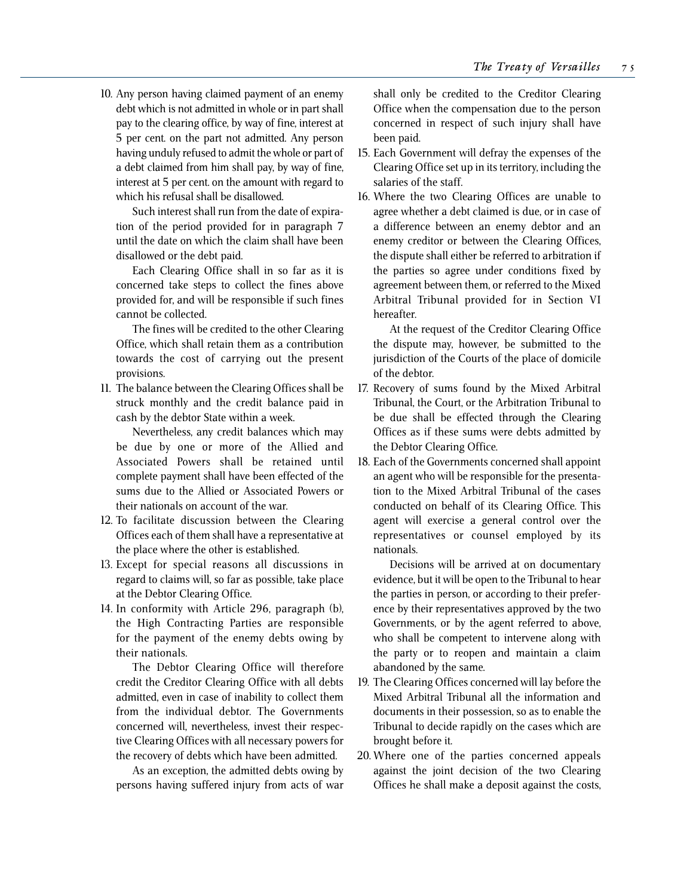10. Any person having claimed payment of an enemy debt which is not admitted in whole or in part shall pay to the clearing office, by way of fine, interest at 5 per cent. on the part not admitted. Any person having unduly refused to admit the whole or part of a debt claimed from him shall pay, by way of fine, interest at 5 per cent. on the amount with regard to which his refusal shall be disallowed.

Such interest shall run from the date of expiration of the period provided for in paragraph 7 until the date on which the claim shall have been disallowed or the debt paid.

Each Clearing Office shall in so far as it is concerned take steps to collect the fines above provided for, and will be responsible if such fines cannot be collected.

The fines will be credited to the other Clearing Office, which shall retain them as a contribution towards the cost of carrying out the present provisions.

11. The balance between the Clearing Offices shall be struck monthly and the credit balance paid in cash by the debtor State within a week.

Nevertheless, any credit balances which may be due by one or more of the Allied and Associated Powers shall be retained until complete payment shall have been effected of the sums due to the Allied or Associated Powers or their nationals on account of the war.

- 12. To facilitate discussion between the Clearing Offices each of them shall have a representative at the place where the other is established.
- 13. Except for special reasons all discussions in regard to claims will, so far as possible, take place at the Debtor Clearing Office.
- 14. In conformity with Article 296, paragraph (b), the High Contracting Parties are responsible for the payment of the enemy debts owing by their nationals.

The Debtor Clearing Office will therefore credit the Creditor Clearing Office with all debts admitted, even in case of inability to collect them from the individual debtor. The Governments concerned will, nevertheless, invest their respective Clearing Offices with all necessary powers for the recovery of debts which have been admitted.

As an exception, the admitted debts owing by persons having suffered injury from acts of war

shall only be credited to the Creditor Clearing Office when the compensation due to the person concerned in respect of such injury shall have been paid.

- 15. Each Government will defray the expenses of the Clearing Office set up in its territory, including the salaries of the staff.
- 16. Where the two Clearing Offices are unable to agree whether a debt claimed is due, or in case of a difference between an enemy debtor and an enemy creditor or between the Clearing Offices, the dispute shall either be referred to arbitration if the parties so agree under conditions fixed by agreement between them, or referred to the Mixed Arbitral Tribunal provided for in Section VI hereafter.

At the request of the Creditor Clearing Office the dispute may, however, be submitted to the jurisdiction of the Courts of the place of domicile of the debtor.

- 17. Recovery of sums found by the Mixed Arbitral Tribunal, the Court, or the Arbitration Tribunal to be due shall be effected through the Clearing Offices as if these sums were debts admitted by the Debtor Clearing Office.
- 18. Each of the Governments concerned shall appoint an agent who will be responsible for the presentation to the Mixed Arbitral Tribunal of the cases conducted on behalf of its Clearing Office. This agent will exercise a general control over the representatives or counsel employed by its nationals.

Decisions will be arrived at on documentary evidence, but it will be open to the Tribunal to hear the parties in person, or according to their preference by their representatives approved by the two Governments, or by the agent referred to above, who shall be competent to intervene along with the party or to reopen and maintain a claim abandoned by the same.

- 19. The Clearing Offices concerned will lay before the Mixed Arbitral Tribunal all the information and documents in their possession, so as to enable the Tribunal to decide rapidly on the cases which are brought before it.
- 20. Where one of the parties concerned appeals against the joint decision of the two Clearing Offices he shall make a deposit against the costs,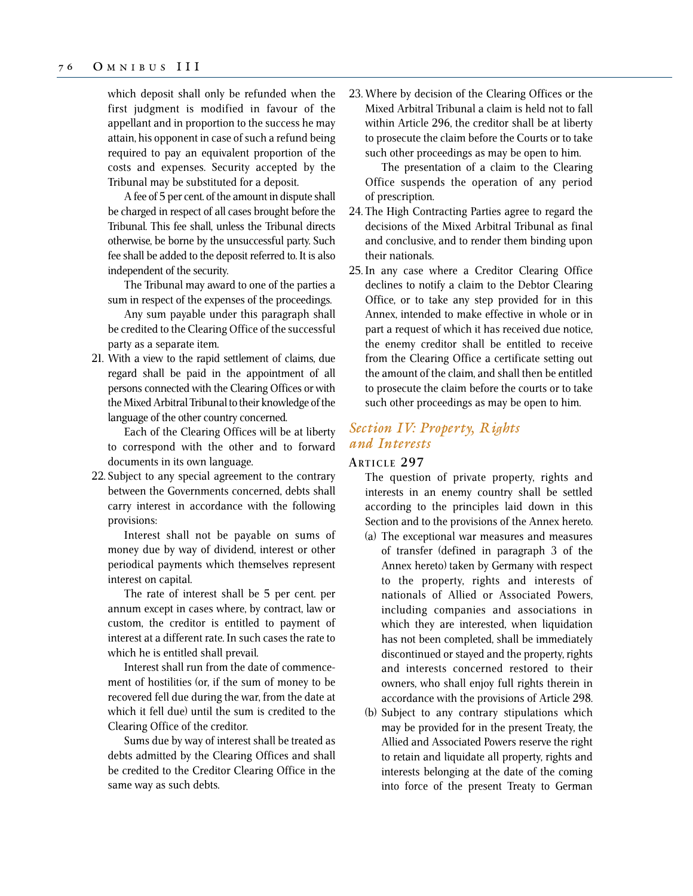which deposit shall only be refunded when the first judgment is modified in favour of the appellant and in proportion to the success he may attain, his opponent in case of such a refund being required to pay an equivalent proportion of the costs and expenses. Security accepted by the Tribunal may be substituted for a deposit.

A fee of 5 per cent. of the amount in dispute shall be charged in respect of all cases brought before the Tribunal. This fee shall, unless the Tribunal directs otherwise, be borne by the unsuccessful party. Such fee shall be added to the deposit referred to. It is also independent of the security.

The Tribunal may award to one of the parties a sum in respect of the expenses of the proceedings.

Any sum payable under this paragraph shall be credited to the Clearing Office of the successful party as a separate item.

21. With a view to the rapid settlement of claims, due regard shall be paid in the appointment of all persons connected with the Clearing Offices or with the Mixed Arbitral Tribunal to their knowledge of the language of the other country concerned.

Each of the Clearing Offices will be at liberty to correspond with the other and to forward documents in its own language.

22. Subject to any special agreement to the contrary between the Governments concerned, debts shall carry interest in accordance with the following provisions:

Interest shall not be payable on sums of money due by way of dividend, interest or other periodical payments which themselves represent interest on capital.

The rate of interest shall be 5 per cent. per annum except in cases where, by contract, law or custom, the creditor is entitled to payment of interest at a different rate. In such cases the rate to which he is entitled shall prevail.

Interest shall run from the date of commencement of hostilities (or, if the sum of money to be recovered fell due during the war, from the date at which it fell due) until the sum is credited to the Clearing Office of the creditor.

Sums due by way of interest shall be treated as debts admitted by the Clearing Offices and shall be credited to the Creditor Clearing Office in the same way as such debts.

23. Where by decision of the Clearing Offices or the Mixed Arbitral Tribunal a claim is held not to fall within Article 296, the creditor shall be at liberty to prosecute the claim before the Courts or to take such other proceedings as may be open to him.

The presentation of a claim to the Clearing Office suspends the operation of any period of prescription.

- 24. The High Contracting Parties agree to regard the decisions of the Mixed Arbitral Tribunal as final and conclusive, and to render them binding upon their nationals.
- 25. In any case where a Creditor Clearing Office declines to notify a claim to the Debtor Clearing Office, or to take any step provided for in this Annex, intended to make effective in whole or in part a request of which it has received due notice, the enemy creditor shall be entitled to receive from the Clearing Office a certificate setting out the amount of the claim, and shall then be entitled to prosecute the claim before the courts or to take such other proceedings as may be open to him.

# *Section IV: Property, Rights and Interests*

## **ARTICLE 297**

The question of private property, rights and interests in an enemy country shall be settled according to the principles laid down in this Section and to the provisions of the Annex hereto.

- (a) The exceptional war measures and measures of transfer (defined in paragraph 3 of the Annex hereto) taken by Germany with respect to the property, rights and interests of nationals of Allied or Associated Powers, including companies and associations in which they are interested, when liquidation has not been completed, shall be immediately discontinued or stayed and the property, rights and interests concerned restored to their owners, who shall enjoy full rights therein in accordance with the provisions of Article 298.
- (b) Subject to any contrary stipulations which may be provided for in the present Treaty, the Allied and Associated Powers reserve the right to retain and liquidate all property, rights and interests belonging at the date of the coming into force of the present Treaty to German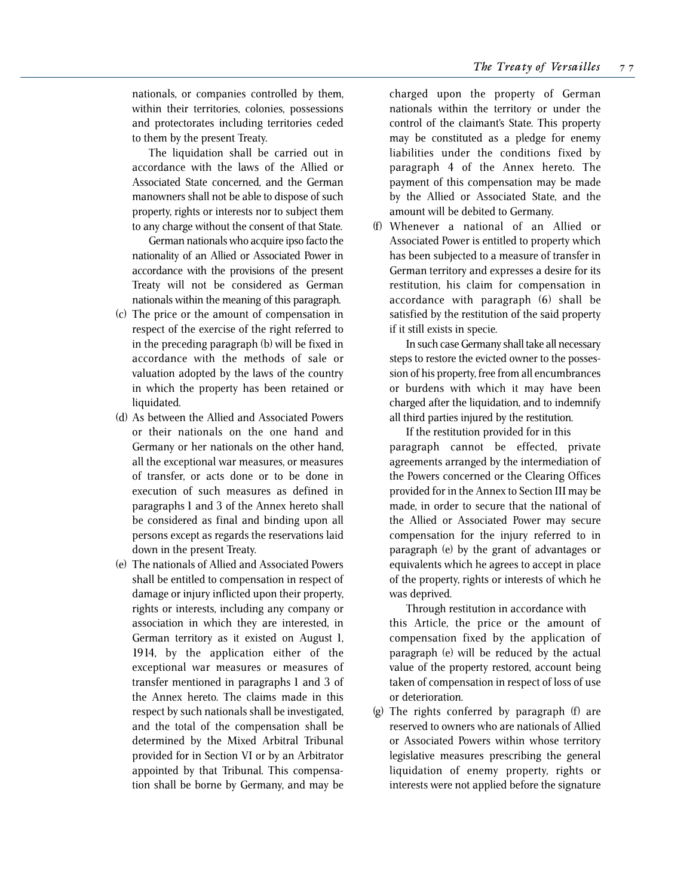nationals, or companies controlled by them, within their territories, colonies, possessions and protectorates including territories ceded to them by the present Treaty.

The liquidation shall be carried out in accordance with the laws of the Allied or Associated State concerned, and the German manowners shall not be able to dispose of such property, rights or interests nor to subject them to any charge without the consent of that State.

German nationals who acquire ipso facto the nationality of an Allied or Associated Power in accordance with the provisions of the present Treaty will not be considered as German nationals within the meaning of this paragraph.

- (c) The price or the amount of compensation in respect of the exercise of the right referred to in the preceding paragraph (b) will be fixed in accordance with the methods of sale or valuation adopted by the laws of the country in which the property has been retained or liquidated.
- (d) As between the Allied and Associated Powers or their nationals on the one hand and Germany or her nationals on the other hand, all the exceptional war measures, or measures of transfer, or acts done or to be done in execution of such measures as defined in paragraphs 1 and 3 of the Annex hereto shall be considered as final and binding upon all persons except as regards the reservations laid down in the present Treaty.
- (e) The nationals of Allied and Associated Powers shall be entitled to compensation in respect of damage or injury inflicted upon their property, rights or interests, including any company or association in which they are interested, in German territory as it existed on August 1, 1914, by the application either of the exceptional war measures or measures of transfer mentioned in paragraphs 1 and 3 of the Annex hereto. The claims made in this respect by such nationals shall be investigated, and the total of the compensation shall be determined by the Mixed Arbitral Tribunal provided for in Section VI or by an Arbitrator appointed by that Tribunal. This compensation shall be borne by Germany, and may be

charged upon the property of German nationals within the territory or under the control of the claimant's State. This property may be constituted as a pledge for enemy liabilities under the conditions fixed by paragraph 4 of the Annex hereto. The payment of this compensation may be made by the Allied or Associated State, and the amount will be debited to Germany.

(f) Whenever a national of an Allied or Associated Power is entitled to property which has been subjected to a measure of transfer in German territory and expresses a desire for its restitution, his claim for compensation in accordance with paragraph (6) shall be satisfied by the restitution of the said property if it still exists in specie.

In such case Germany shall take all necessary steps to restore the evicted owner to the possession of his property, free from all encumbrances or burdens with which it may have been charged after the liquidation, and to indemnify all third parties injured by the restitution.

If the restitution provided for in this paragraph cannot be effected, private agreements arranged by the intermediation of the Powers concerned or the Clearing Offices provided for in the Annex to Section III may be made, in order to secure that the national of the Allied or Associated Power may secure compensation for the injury referred to in paragraph (e) by the grant of advantages or equivalents which he agrees to accept in place of the property, rights or interests of which he was deprived.

Through restitution in accordance with this Article, the price or the amount of compensation fixed by the application of paragraph (e) will be reduced by the actual value of the property restored, account being taken of compensation in respect of loss of use or deterioration.

(g) The rights conferred by paragraph (f) are reserved to owners who are nationals of Allied or Associated Powers within whose territory legislative measures prescribing the general liquidation of enemy property, rights or interests were not applied before the signature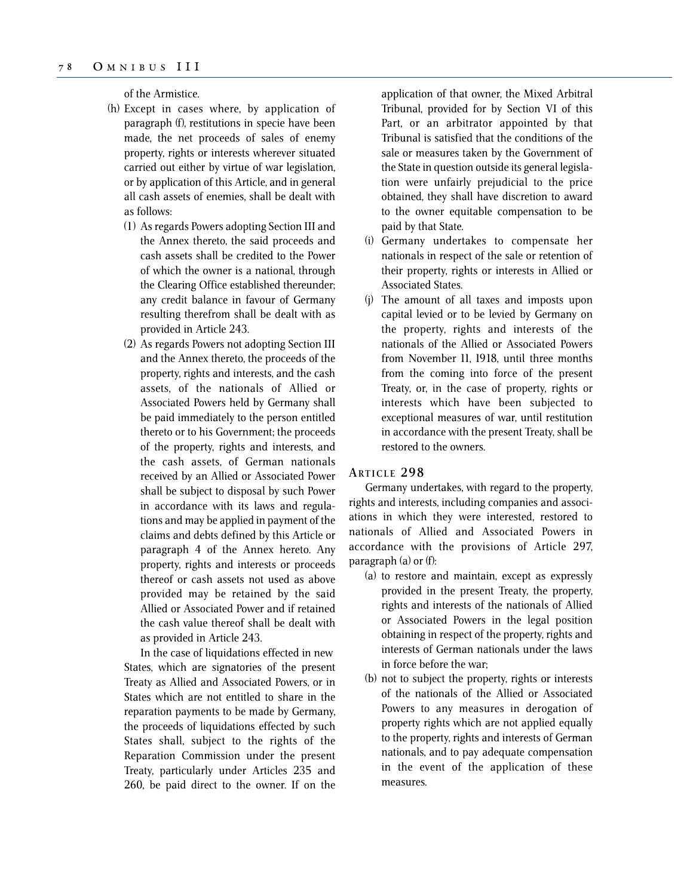of the Armistice.

- (h) Except in cases where, by application of paragraph (f), restitutions in specie have been made, the net proceeds of sales of enemy property, rights or interests wherever situated carried out either by virtue of war legislation, or by application of this Article, and in general all cash assets of enemies, shall be dealt with as follows:
	- (1) As regards Powers adopting Section III and the Annex thereto, the said proceeds and cash assets shall be credited to the Power of which the owner is a national, through the Clearing Office established thereunder; any credit balance in favour of Germany resulting therefrom shall be dealt with as provided in Article 243.
	- (2) As regards Powers not adopting Section III and the Annex thereto, the proceeds of the property, rights and interests, and the cash assets, of the nationals of Allied or Associated Powers held by Germany shall be paid immediately to the person entitled thereto or to his Government; the proceeds of the property, rights and interests, and the cash assets, of German nationals received by an Allied or Associated Power shall be subject to disposal by such Power in accordance with its laws and regulations and may be applied in payment of the claims and debts defined by this Article or paragraph 4 of the Annex hereto. Any property, rights and interests or proceeds thereof or cash assets not used as above provided may be retained by the said Allied or Associated Power and if retained the cash value thereof shall be dealt with as provided in Article 243.

In the case of liquidations effected in new States, which are signatories of the present Treaty as Allied and Associated Powers, or in States which are not entitled to share in the reparation payments to be made by Germany, the proceeds of liquidations effected by such States shall, subject to the rights of the Reparation Commission under the present Treaty, particularly under Articles 235 and 260, be paid direct to the owner. If on the application of that owner, the Mixed Arbitral Tribunal, provided for by Section VI of this Part, or an arbitrator appointed by that Tribunal is satisfied that the conditions of the sale or measures taken by the Government of the State in question outside its general legislation were unfairly prejudicial to the price obtained, they shall have discretion to award to the owner equitable compensation to be paid by that State.

- (i) Germany undertakes to compensate her nationals in respect of the sale or retention of their property, rights or interests in Allied or Associated States.
- (j) The amount of all taxes and imposts upon capital levied or to be levied by Germany on the property, rights and interests of the nationals of the Allied or Associated Powers from November 11, 1918, until three months from the coming into force of the present Treaty, or, in the case of property, rights or interests which have been subjected to exceptional measures of war, until restitution in accordance with the present Treaty, shall be restored to the owners.

## **ARTICLE 298**

Germany undertakes, with regard to the property, rights and interests, including companies and associations in which they were interested, restored to nationals of Allied and Associated Powers in accordance with the provisions of Article 297, paragraph (a) or (f):

- (a) to restore and maintain, except as expressly provided in the present Treaty, the property, rights and interests of the nationals of Allied or Associated Powers in the legal position obtaining in respect of the property, rights and interests of German nationals under the laws in force before the war;
- (b) not to subject the property, rights or interests of the nationals of the Allied or Associated Powers to any measures in derogation of property rights which are not applied equally to the property, rights and interests of German nationals, and to pay adequate compensation in the event of the application of these measures.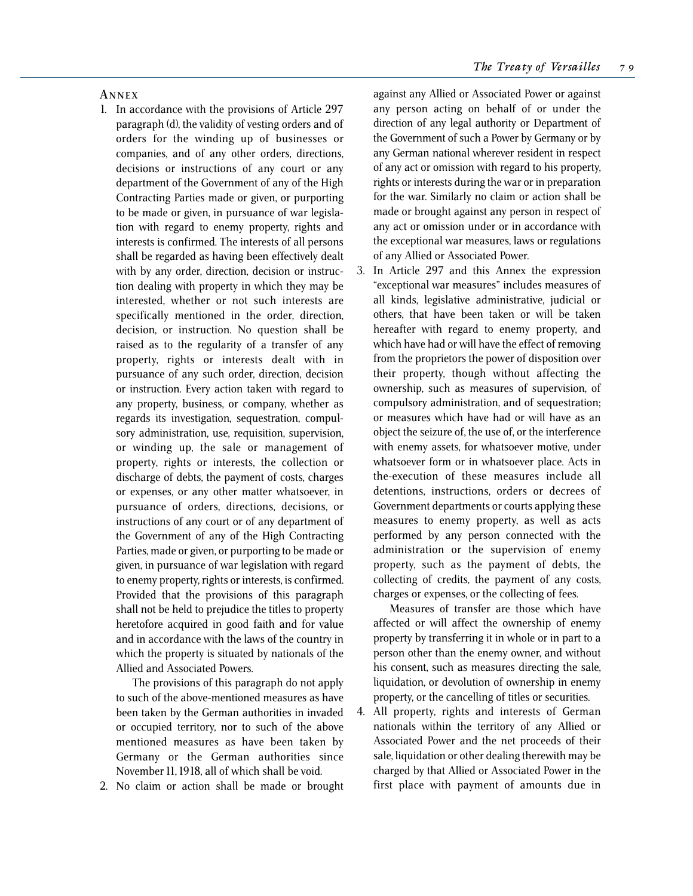### **A NNEX**

- 1. In accordance with the provisions of Article 297 paragraph (d), the validity of vesting orders and of orders for the winding up of businesses or companies, and of any other orders, directions, decisions or instructions of any court or any department of the Government of any of the High Contracting Parties made or given, or purporting to be made or given, in pursuance of war legislation with regard to enemy property, rights and interests is confirmed. The interests of all persons shall be regarded as having been effectively dealt with by any order, direction, decision or instruction dealing with property in which they may be interested, whether or not such interests are specifically mentioned in the order, direction, decision, or instruction. No question shall be raised as to the regularity of a transfer of any property, rights or interests dealt with in pursuance of any such order, direction, decision or instruction. Every action taken with regard to any property, business, or company, whether as regards its investigation, sequestration, compulsory administration, use, requisition, supervision, or winding up, the sale or management of property, rights or interests, the collection or discharge of debts, the payment of costs, charges or expenses, or any other matter whatsoever, in pursuance of orders, directions, decisions, or instructions of any court or of any department of the Government of any of the High Contracting Parties, made or given, or purporting to be made or given, in pursuance of war legislation with regard to enemy property, rights or interests, is confirmed. Provided that the provisions of this paragraph shall not be held to prejudice the titles to property heretofore acquired in good faith and for value and in accordance with the laws of the country in which the property is situated by nationals of the Allied and Associated Powers.
	- The provisions of this paragraph do not apply to such of the above-mentioned measures as have been taken by the German authorities in invaded or occupied territory, nor to such of the above mentioned measures as have been taken by Germany or the German authorities since November 11, 1918, all of which shall be void.
- 2. No claim or action shall be made or brought

against any Allied or Associated Power or against any person acting on behalf of or under the direction of any legal authority or Department of the Government of such a Power by Germany or by any German national wherever resident in respect of any act or omission with regard to his property, rights or interests during the war or in preparation for the war. Similarly no claim or action shall be made or brought against any person in respect of any act or omission under or in accordance with the exceptional war measures, laws or regulations of any Allied or Associated Power.

3. In Article 297 and this Annex the expression "exceptional war measures" includes measures of all kinds, legislative administrative, judicial or others, that have been taken or will be taken hereafter with regard to enemy property, and which have had or will have the effect of removing from the proprietors the power of disposition over their property, though without affecting the ownership, such as measures of supervision, of compulsory administration, and of sequestration; or measures which have had or will have as an object the seizure of, the use of, or the interference with enemy assets, for whatsoever motive, under whatsoever form or in whatsoever place. Acts in the-execution of these measures include all detentions, instructions, orders or decrees of Government departments or courts applying these measures to enemy property, as well as acts performed by any person connected with the administration or the supervision of enemy property, such as the payment of debts, the collecting of credits, the payment of any costs, charges or expenses, or the collecting of fees.

Measures of transfer are those which have affected or will affect the ownership of enemy property by transferring it in whole or in part to a person other than the enemy owner, and without his consent, such as measures directing the sale, liquidation, or devolution of ownership in enemy property, or the cancelling of titles or securities.

4. All property, rights and interests of German nationals within the territory of any Allied or Associated Power and the net proceeds of their sale, liquidation or other dealing therewith may be charged by that Allied or Associated Power in the first place with payment of amounts due in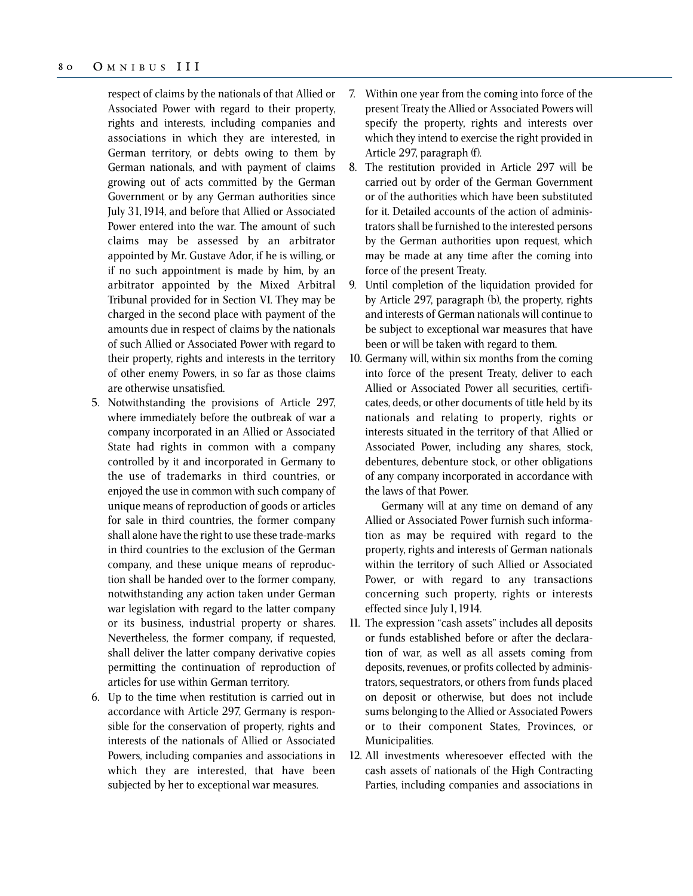respect of claims by the nationals of that Allied or Associated Power with regard to their property, rights and interests, including companies and associations in which they are interested, in German territory, or debts owing to them by German nationals, and with payment of claims growing out of acts committed by the German Government or by any German authorities since July 31, 1914, and before that Allied or Associated Power entered into the war. The amount of such claims may be assessed by an arbitrator appointed by Mr. Gustave Ador, if he is willing, or if no such appointment is made by him, by an arbitrator appointed by the Mixed Arbitral Tribunal provided for in Section VI. They may be charged in the second place with payment of the amounts due in respect of claims by the nationals of such Allied or Associated Power with regard to their property, rights and interests in the territory of other enemy Powers, in so far as those claims are otherwise unsatisfied.

- 5. Notwithstanding the provisions of Article 297, where immediately before the outbreak of war a company incorporated in an Allied or Associated State had rights in common with a company controlled by it and incorporated in Germany to the use of trademarks in third countries, or enjoyed the use in common with such company of unique means of reproduction of goods or articles for sale in third countries, the former company shall alone have the right to use these trade-marks in third countries to the exclusion of the German company, and these unique means of reproduction shall be handed over to the former company, notwithstanding any action taken under German war legislation with regard to the latter company or its business, industrial property or shares. Nevertheless, the former company, if requested, shall deliver the latter company derivative copies permitting the continuation of reproduction of articles for use within German territory.
- 6. Up to the time when restitution is carried out in accordance with Article 297, Germany is responsible for the conservation of property, rights and interests of the nationals of Allied or Associated Powers, including companies and associations in which they are interested, that have been subjected by her to exceptional war measures.
- 7. Within one year from the coming into force of the present Treaty the Allied or Associated Powers will specify the property, rights and interests over which they intend to exercise the right provided in Article 297, paragraph (f).
- 8. The restitution provided in Article 297 will be carried out by order of the German Government or of the authorities which have been substituted for it. Detailed accounts of the action of administrators shall be furnished to the interested persons by the German authorities upon request, which may be made at any time after the coming into force of the present Treaty.
- 9. Until completion of the liquidation provided for by Article 297, paragraph (b), the property, rights and interests of German nationals will continue to be subject to exceptional war measures that have been or will be taken with regard to them.
- 10. Germany will, within six months from the coming into force of the present Treaty, deliver to each Allied or Associated Power all securities, certificates, deeds, or other documents of title held by its nationals and relating to property, rights or interests situated in the territory of that Allied or Associated Power, including any shares, stock, debentures, debenture stock, or other obligations of any company incorporated in accordance with the laws of that Power.

Germany will at any time on demand of any Allied or Associated Power furnish such information as may be required with regard to the property, rights and interests of German nationals within the territory of such Allied or Associated Power, or with regard to any transactions concerning such property, rights or interests effected since July 1, 1914.

- 11. The expression "cash assets" includes all deposits or funds established before or after the declaration of war, as well as all assets coming from deposits, revenues, or profits collected by administrators, sequestrators, or others from funds placed on deposit or otherwise, but does not include sums belonging to the Allied or Associated Powers or to their component States, Provinces, or Municipalities.
- 12. All investments wheresoever effected with the cash assets of nationals of the High Contracting Parties, including companies and associations in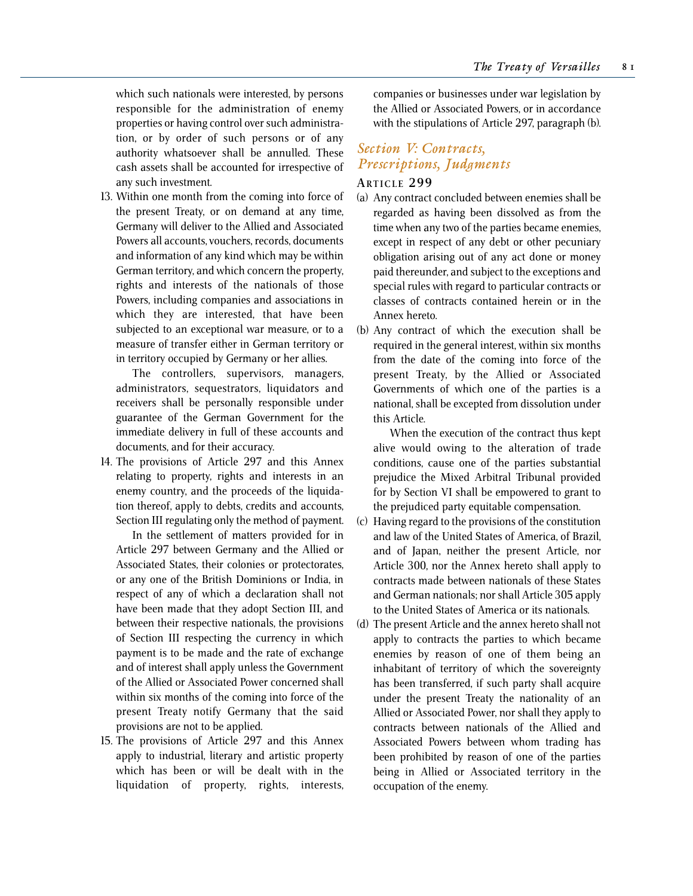which such nationals were interested, by persons responsible for the administration of enemy properties or having control over such administration, or by order of such persons or of any authority whatsoever shall be annulled. These cash assets shall be accounted for irrespective of any such investment.

13. Within one month from the coming into force of the present Treaty, or on demand at any time, Germany will deliver to the Allied and Associated Powers all accounts, vouchers, records, documents and information of any kind which may be within German territory, and which concern the property, rights and interests of the nationals of those Powers, including companies and associations in which they are interested, that have been subjected to an exceptional war measure, or to a measure of transfer either in German territory or in territory occupied by Germany or her allies.

The controllers, supervisors, managers, administrators, sequestrators, liquidators and receivers shall be personally responsible under guarantee of the German Government for the immediate delivery in full of these accounts and documents, and for their accuracy.

14. The provisions of Article 297 and this Annex relating to property, rights and interests in an enemy country, and the proceeds of the liquidation thereof, apply to debts, credits and accounts, Section III regulating only the method of payment.

In the settlement of matters provided for in Article 297 between Germany and the Allied or Associated States, their colonies or protectorates, or any one of the British Dominions or India, in respect of any of which a declaration shall not have been made that they adopt Section III, and between their respective nationals, the provisions of Section III respecting the currency in which payment is to be made and the rate of exchange and of interest shall apply unless the Government of the Allied or Associated Power concerned shall within six months of the coming into force of the present Treaty notify Germany that the said provisions are not to be applied.

15. The provisions of Article 297 and this Annex apply to industrial, literary and artistic property which has been or will be dealt with in the liquidation of property, rights, interests,

companies or businesses under war legislation by the Allied or Associated Powers, or in accordance with the stipulations of Article 297, paragraph (b).

# *Section V: Contracts, Prescriptions, Judgments*

## **ARTICLE 299**

- (a) Any contract concluded between enemies shall be regarded as having been dissolved as from the time when any two of the parties became enemies, except in respect of any debt or other pecuniary obligation arising out of any act done or money paid thereunder, and subject to the exceptions and special rules with regard to particular contracts or classes of contracts contained herein or in the Annex hereto.
- (b) Any contract of which the execution shall be required in the general interest, within six months from the date of the coming into force of the present Treaty, by the Allied or Associated Governments of which one of the parties is a national, shall be excepted from dissolution under this Article.

When the execution of the contract thus kept alive would owing to the alteration of trade conditions, cause one of the parties substantial prejudice the Mixed Arbitral Tribunal provided for by Section VI shall be empowered to grant to the prejudiced party equitable compensation.

- (c) Having regard to the provisions of the constitution and law of the United States of America, of Brazil, and of Japan, neither the present Article, nor Article 300, nor the Annex hereto shall apply to contracts made between nationals of these States and German nationals; nor shall Article 305 apply to the United States of America or its nationals.
- (d) The present Article and the annex hereto shall not apply to contracts the parties to which became enemies by reason of one of them being an inhabitant of territory of which the sovereignty has been transferred, if such party shall acquire under the present Treaty the nationality of an Allied or Associated Power, nor shall they apply to contracts between nationals of the Allied and Associated Powers between whom trading has been prohibited by reason of one of the parties being in Allied or Associated territory in the occupation of the enemy.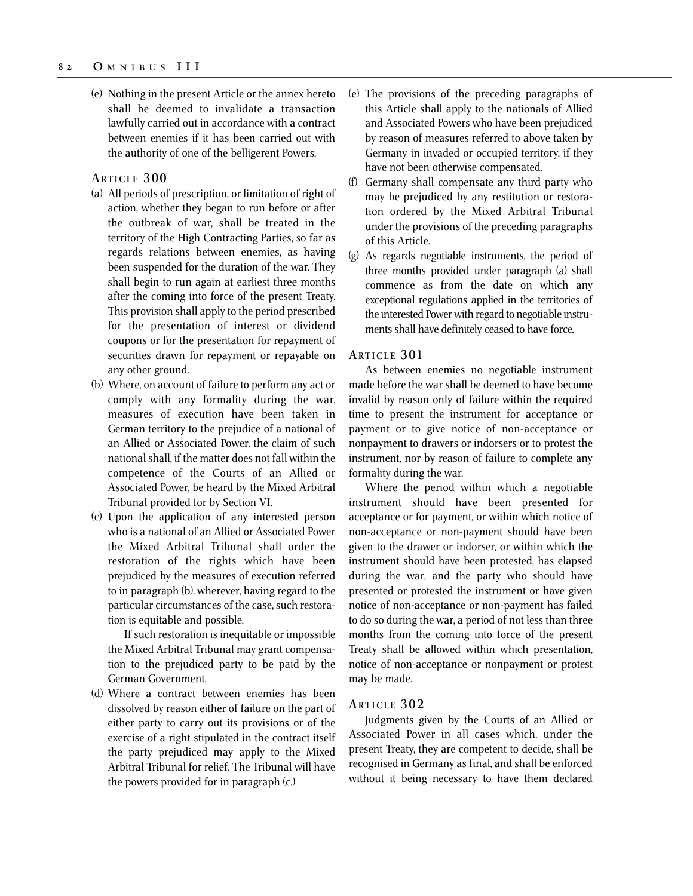(e) Nothing in the present Article or the annex hereto shall be deemed to invalidate a transaction lawfully carried out in accordance with a contract between enemies if it has been carried out with the authority of one of the belligerent Powers.

#### **ARTICLE 300**

- (a) All periods of prescription, or limitation of right of action, whether they began to run before or after the outbreak of war, shall be treated in the territory of the High Contracting Parties, so far as regards relations between enemies, as having been suspended for the duration of the war. They shall begin to run again at earliest three months after the coming into force of the present Treaty. This provision shall apply to the period prescribed for the presentation of interest or dividend coupons or for the presentation for repayment of securities drawn for repayment or repayable on any other ground.
- (b) Where, on account of failure to perform any act or comply with any formality during the war, measures of execution have been taken in German territory to the prejudice of a national of an Allied or Associated Power, the claim of such national shall, if the matter does not fall within the competence of the Courts of an Allied or Associated Power, be heard by the Mixed Arbitral Tribunal provided for by Section VI.
- (c) Upon the application of any interested person who is a national of an Allied or Associated Power the Mixed Arbitral Tribunal shall order the restoration of the rights which have been prejudiced by the measures of execution referred to in paragraph (b), wherever, having regard to the particular circumstances of the case, such restoration is equitable and possible.

If such restoration is inequitable or impossible the Mixed Arbitral Tribunal may grant compensation to the prejudiced party to be paid by the German Government.

(d) Where a contract between enemies has been dissolved by reason either of failure on the part of either party to carry out its provisions or of the exercise of a right stipulated in the contract itself the party prejudiced may apply to the Mixed Arbitral Tribunal for relief. The Tribunal will have the powers provided for in paragraph (c.)

- (e) The provisions of the preceding paragraphs of this Article shall apply to the nationals of Allied and Associated Powers who have been prejudiced by reason of measures referred to above taken by Germany in invaded or occupied territory, if they have not been otherwise compensated.
- (f) Germany shall compensate any third party who may be prejudiced by any restitution or restoration ordered by the Mixed Arbitral Tribunal under the provisions of the preceding paragraphs of this Article.
- (g) As regards negotiable instruments, the period of three months provided under paragraph (a) shall commence as from the date on which any exceptional regulations applied in the territories of the interested Power with regard to negotiable instruments shall have definitely ceased to have force.

### **ARTICLE 301**

As between enemies no negotiable instrument made before the war shall be deemed to have become invalid by reason only of failure within the required time to present the instrument for acceptance or payment or to give notice of non-acceptance or nonpayment to drawers or indorsers or to protest the instrument, nor by reason of failure to complete any formality during the war.

Where the period within which a negotiable instrument should have been presented for acceptance or for payment, or within which notice of non-acceptance or non-payment should have been given to the drawer or indorser, or within which the instrument should have been protested, has elapsed during the war, and the party who should have presented or protested the instrument or have given notice of non-acceptance or non-payment has failed to do so during the war, a period of not less than three months from the coming into force of the present Treaty shall be allowed within which presentation, notice of non-acceptance or nonpayment or protest may be made.

## **ARTICLE 302**

Judgments given by the Courts of an Allied or Associated Power in all cases which, under the present Treaty, they are competent to decide, shall be recognised in Germany as final, and shall be enforced without it being necessary to have them declared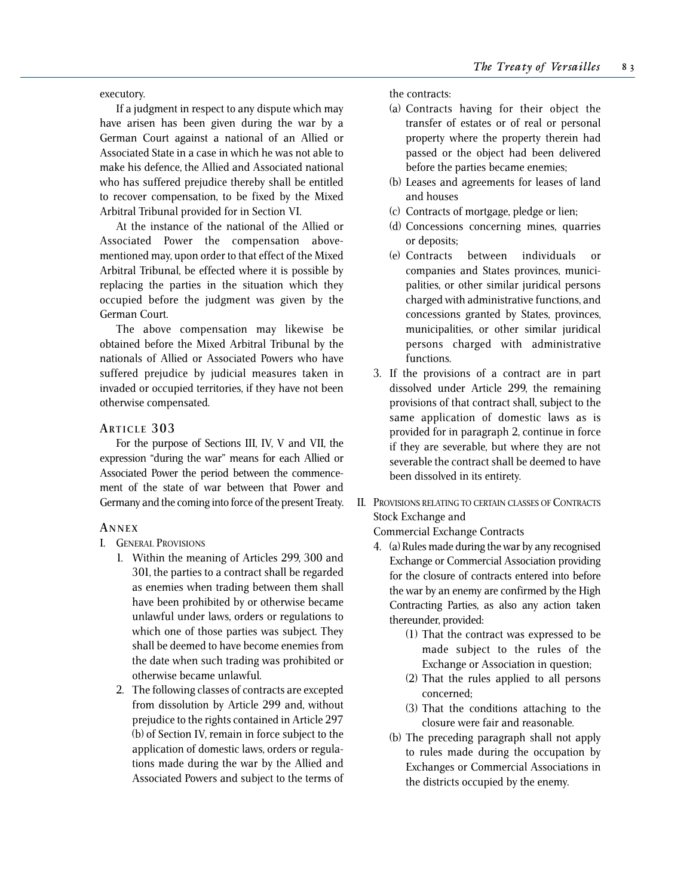executory.

If a judgment in respect to any dispute which may have arisen has been given during the war by a German Court against a national of an Allied or Associated State in a case in which he was not able to make his defence, the Allied and Associated national who has suffered prejudice thereby shall be entitled to recover compensation, to be fixed by the Mixed Arbitral Tribunal provided for in Section VI.

At the instance of the national of the Allied or Associated Power the compensation abovementioned may, upon order to that effect of the Mixed Arbitral Tribunal, be effected where it is possible by replacing the parties in the situation which they occupied before the judgment was given by the German Court.

The above compensation may likewise be obtained before the Mixed Arbitral Tribunal by the nationals of Allied or Associated Powers who have suffered prejudice by judicial measures taken in invaded or occupied territories, if they have not been otherwise compensated.

## **ARTICLE 303**

For the purpose of Sections III, IV, V and VII, the expression "during the war" means for each Allied or Associated Power the period between the commencement of the state of war between that Power and Germany and the coming into force of the present Treaty.

## **A NNEX**

## I. GENERAL PROVISIONS

- 1. Within the meaning of Articles 299, 300 and 301, the parties to a contract shall be regarded as enemies when trading between them shall have been prohibited by or otherwise became unlawful under laws, orders or regulations to which one of those parties was subject. They shall be deemed to have become enemies from the date when such trading was prohibited or otherwise became unlawful.
- 2. The following classes of contracts are excepted from dissolution by Article 299 and, without prejudice to the rights contained in Article 297 (b) of Section IV, remain in force subject to the application of domestic laws, orders or regulations made during the war by the Allied and Associated Powers and subject to the terms of

the contracts:

- (a) Contracts having for their object the transfer of estates or of real or personal property where the property therein had passed or the object had been delivered before the parties became enemies;
- (b) Leases and agreements for leases of land and houses
- (c) Contracts of mortgage, pledge or lien;
- (d) Concessions concerning mines, quarries or deposits;
- (e) Contracts between individuals or companies and States provinces, municipalities, or other similar juridical persons charged with administrative functions, and concessions granted by States, provinces, municipalities, or other similar juridical persons charged with administrative functions.
- 3. If the provisions of a contract are in part dissolved under Article 299, the remaining provisions of that contract shall, subject to the same application of domestic laws as is provided for in paragraph 2, continue in force if they are severable, but where they are not severable the contract shall be deemed to have been dissolved in its entirety.
- II. PROVISIONS RELATING TO CERTAIN CLASSES OF CONTRACTS Stock Exchange and

Commercial Exchange Contracts

- 4. (a) Rules made during the war by any recognised Exchange or Commercial Association providing for the closure of contracts entered into before the war by an enemy are confirmed by the High Contracting Parties, as also any action taken thereunder, provided:
	- (1) That the contract was expressed to be made subject to the rules of the Exchange or Association in question;
	- (2) That the rules applied to all persons concerned;
	- (3) That the conditions attaching to the closure were fair and reasonable.
	- (b) The preceding paragraph shall not apply to rules made during the occupation by Exchanges or Commercial Associations in the districts occupied by the enemy.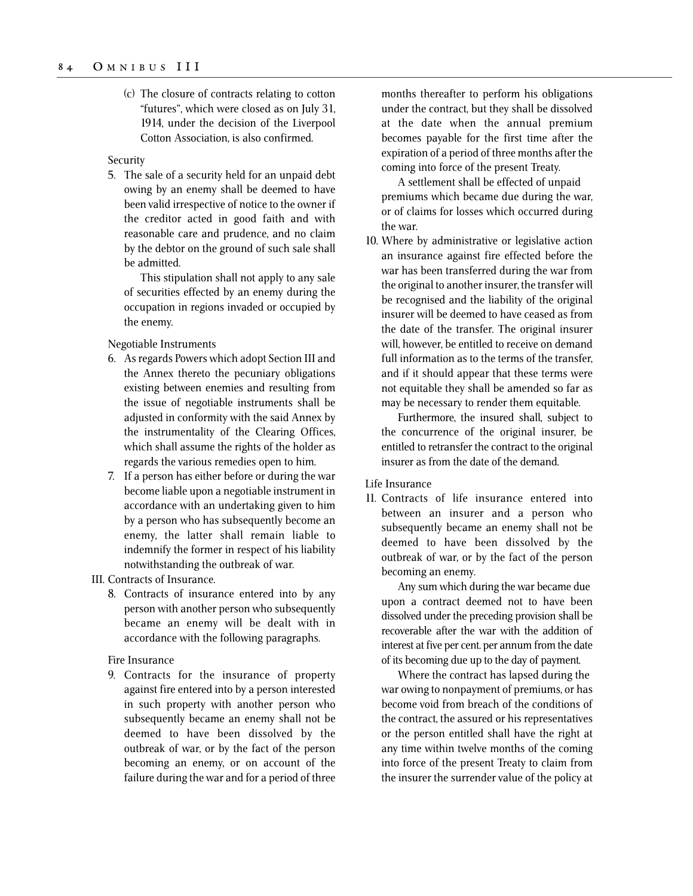(c) The closure of contracts relating to cotton "futures", which were closed as on July 31, 1914, under the decision of the Liverpool Cotton Association, is also confirmed.

#### Security

5. The sale of a security held for an unpaid debt owing by an enemy shall be deemed to have been valid irrespective of notice to the owner if the creditor acted in good faith and with reasonable care and prudence, and no claim by the debtor on the ground of such sale shall be admitted.

This stipulation shall not apply to any sale of securities effected by an enemy during the occupation in regions invaded or occupied by the enemy.

#### Negotiable Instruments

- 6. As regards Powers which adopt Section III and the Annex thereto the pecuniary obligations existing between enemies and resulting from the issue of negotiable instruments shall be adjusted in conformity with the said Annex by the instrumentality of the Clearing Offices, which shall assume the rights of the holder as regards the various remedies open to him.
- 7. If a person has either before or during the war become liable upon a negotiable instrument in accordance with an undertaking given to him by a person who has subsequently become an enemy, the latter shall remain liable to indemnify the former in respect of his liability notwithstanding the outbreak of war.
- III. Contracts of Insurance.
	- 8. Contracts of insurance entered into by any person with another person who subsequently became an enemy will be dealt with in accordance with the following paragraphs.

## Fire Insurance

9. Contracts for the insurance of property against fire entered into by a person interested in such property with another person who subsequently became an enemy shall not be deemed to have been dissolved by the outbreak of war, or by the fact of the person becoming an enemy, or on account of the failure during the war and for a period of three months thereafter to perform his obligations under the contract, but they shall be dissolved at the date when the annual premium becomes payable for the first time after the expiration of a period of three months after the coming into force of the present Treaty.

A settlement shall be effected of unpaid premiums which became due during the war, or of claims for losses which occurred during the war.

10. Where by administrative or legislative action an insurance against fire effected before the war has been transferred during the war from the original to another insurer, the transfer will be recognised and the liability of the original insurer will be deemed to have ceased as from the date of the transfer. The original insurer will, however, be entitled to receive on demand full information as to the terms of the transfer, and if it should appear that these terms were not equitable they shall be amended so far as may be necessary to render them equitable.

Furthermore, the insured shall, subject to the concurrence of the original insurer, be entitled to retransfer the contract to the original insurer as from the date of the demand.

## Life Insurance

11. Contracts of life insurance entered into between an insurer and a person who subsequently became an enemy shall not be deemed to have been dissolved by the outbreak of war, or by the fact of the person becoming an enemy.

Any sum which during the war became due upon a contract deemed not to have been dissolved under the preceding provision shall be recoverable after the war with the addition of interest at five per cent. per annum from the date of its becoming due up to the day of payment.

Where the contract has lapsed during the war owing to nonpayment of premiums, or has become void from breach of the conditions of the contract, the assured or his representatives or the person entitled shall have the right at any time within twelve months of the coming into force of the present Treaty to claim from the insurer the surrender value of the policy at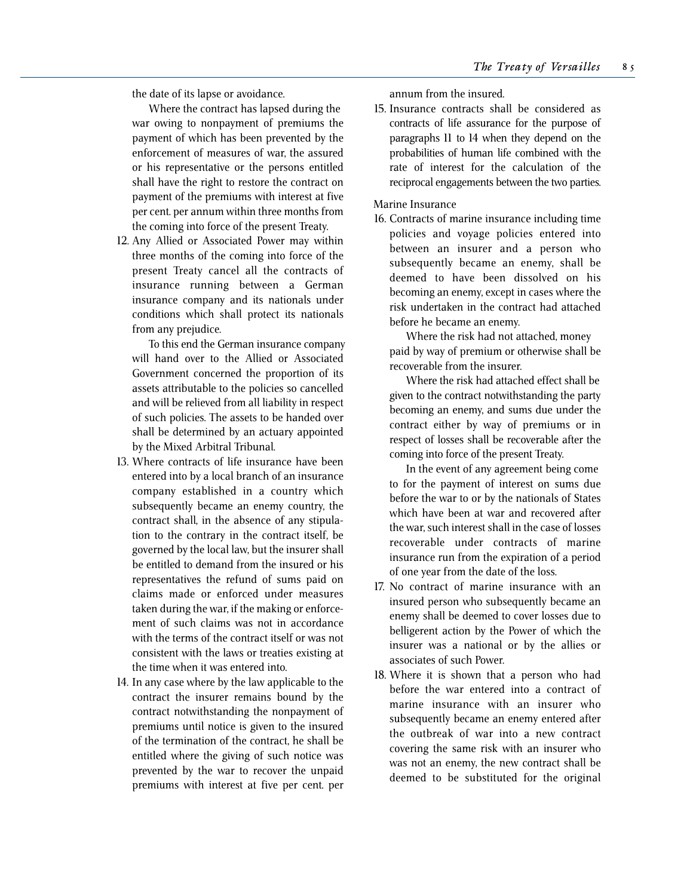the date of its lapse or avoidance.

Where the contract has lapsed during the war owing to nonpayment of premiums the payment of which has been prevented by the enforcement of measures of war, the assured or his representative or the persons entitled shall have the right to restore the contract on payment of the premiums with interest at five per cent. per annum within three months from the coming into force of the present Treaty.

12. Any Allied or Associated Power may within three months of the coming into force of the present Treaty cancel all the contracts of insurance running between a German insurance company and its nationals under conditions which shall protect its nationals from any prejudice.

To this end the German insurance company will hand over to the Allied or Associated Government concerned the proportion of its assets attributable to the policies so cancelled and will be relieved from all liability in respect of such policies. The assets to be handed over shall be determined by an actuary appointed by the Mixed Arbitral Tribunal.

- 13. Where contracts of life insurance have been entered into by a local branch of an insurance company established in a country which subsequently became an enemy country, the contract shall, in the absence of any stipulation to the contrary in the contract itself, be governed by the local law, but the insurer shall be entitled to demand from the insured or his representatives the refund of sums paid on claims made or enforced under measures taken during the war, if the making or enforcement of such claims was not in accordance with the terms of the contract itself or was not consistent with the laws or treaties existing at the time when it was entered into.
- 14. In any case where by the law applicable to the contract the insurer remains bound by the contract notwithstanding the nonpayment of premiums until notice is given to the insured of the termination of the contract, he shall be entitled where the giving of such notice was prevented by the war to recover the unpaid premiums with interest at five per cent. per

annum from the insured.

15. Insurance contracts shall be considered as contracts of life assurance for the purpose of paragraphs 11 to 14 when they depend on the probabilities of human life combined with the rate of interest for the calculation of the reciprocal engagements between the two parties.

## Marine Insurance

16. Contracts of marine insurance including time policies and voyage policies entered into between an insurer and a person who subsequently became an enemy, shall be deemed to have been dissolved on his becoming an enemy, except in cases where the risk undertaken in the contract had attached before he became an enemy.

Where the risk had not attached, money paid by way of premium or otherwise shall be recoverable from the insurer.

Where the risk had attached effect shall be given to the contract notwithstanding the party becoming an enemy, and sums due under the contract either by way of premiums or in respect of losses shall be recoverable after the coming into force of the present Treaty.

In the event of any agreement being come to for the payment of interest on sums due before the war to or by the nationals of States which have been at war and recovered after the war, such interest shall in the case of losses recoverable under contracts of marine insurance run from the expiration of a period of one year from the date of the loss.

- 17. No contract of marine insurance with an insured person who subsequently became an enemy shall be deemed to cover losses due to belligerent action by the Power of which the insurer was a national or by the allies or associates of such Power.
- 18. Where it is shown that a person who had before the war entered into a contract of marine insurance with an insurer who subsequently became an enemy entered after the outbreak of war into a new contract covering the same risk with an insurer who was not an enemy, the new contract shall be deemed to be substituted for the original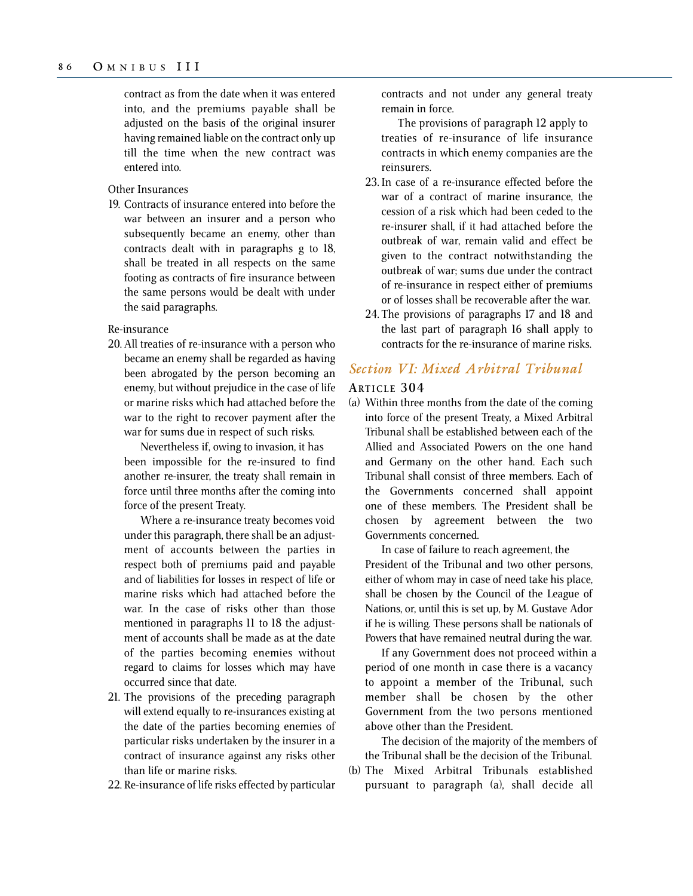contract as from the date when it was entered into, and the premiums payable shall be adjusted on the basis of the original insurer having remained liable on the contract only up till the time when the new contract was entered into.

Other Insurances

19. Contracts of insurance entered into before the war between an insurer and a person who subsequently became an enemy, other than contracts dealt with in paragraphs g to 18, shall be treated in all respects on the same footing as contracts of fire insurance between the same persons would be dealt with under the said paragraphs.

Re-insurance

20. All treaties of re-insurance with a person who became an enemy shall be regarded as having been abrogated by the person becoming an enemy, but without prejudice in the case of life or marine risks which had attached before the war to the right to recover payment after the war for sums due in respect of such risks.

Nevertheless if, owing to invasion, it has been impossible for the re-insured to find another re-insurer, the treaty shall remain in force until three months after the coming into force of the present Treaty.

Where a re-insurance treaty becomes void under this paragraph, there shall be an adjustment of accounts between the parties in respect both of premiums paid and payable and of liabilities for losses in respect of life or marine risks which had attached before the war. In the case of risks other than those mentioned in paragraphs 11 to 18 the adjustment of accounts shall be made as at the date of the parties becoming enemies without regard to claims for losses which may have occurred since that date.

- 21. The provisions of the preceding paragraph will extend equally to re-insurances existing at the date of the parties becoming enemies of particular risks undertaken by the insurer in a contract of insurance against any risks other than life or marine risks.
- 22. Re-insurance of life risks effected by particular

contracts and not under any general treaty remain in force.

The provisions of paragraph 12 apply to treaties of re-insurance of life insurance contracts in which enemy companies are the reinsurers.

- 23. In case of a re-insurance effected before the war of a contract of marine insurance, the cession of a risk which had been ceded to the re-insurer shall, if it had attached before the outbreak of war, remain valid and effect be given to the contract notwithstanding the outbreak of war; sums due under the contract of re-insurance in respect either of premiums or of losses shall be recoverable after the war.
- 24. The provisions of paragraphs 17 and 18 and the last part of paragraph 16 shall apply to contracts for the re-insurance of marine risks.

# *Section VI: Mixed Arbitral Tribunal*

## **ARTICLE 304**

(a) Within three months from the date of the coming into force of the present Treaty, a Mixed Arbitral Tribunal shall be established between each of the Allied and Associated Powers on the one hand and Germany on the other hand. Each such Tribunal shall consist of three members. Each of the Governments concerned shall appoint one of these members. The President shall be chosen by agreement between the two Governments concerned.

In case of failure to reach agreement, the President of the Tribunal and two other persons, either of whom may in case of need take his place, shall be chosen by the Council of the League of Nations, or, until this is set up, by M. Gustave Ador if he is willing. These persons shall be nationals of Powers that have remained neutral during the war.

If any Government does not proceed within a period of one month in case there is a vacancy to appoint a member of the Tribunal, such member shall be chosen by the other Government from the two persons mentioned above other than the President.

The decision of the majority of the members of the Tribunal shall be the decision of the Tribunal.

(b) The Mixed Arbitral Tribunals established pursuant to paragraph (a), shall decide all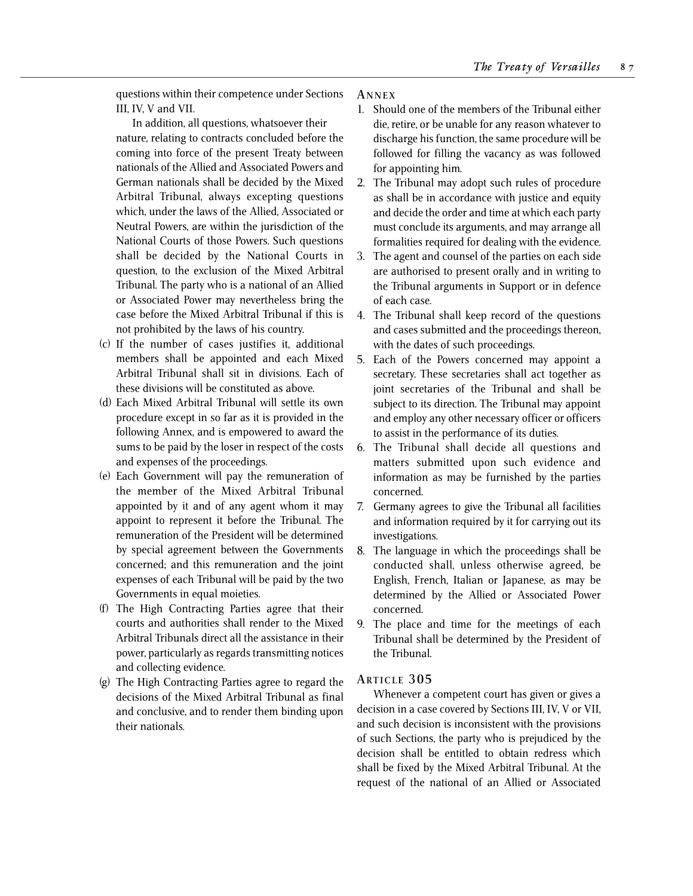questions within their competence under Sections III, IV, V and VII.

In addition, all questions, whatsoever their nature, relating to contracts concluded before the coming into force of the present Treaty between nationals of the Allied and Associated Powers and German nationals shall be decided by the Mixed Arbitral Tribunal, always excepting questions which, under the laws of the Allied, Associated or Neutral Powers, are within the jurisdiction of the National Courts of those Powers. Such questions shall be decided by the National Courts in question, to the exclusion of the Mixed Arbitral Tribunal. The party who is a national of an Allied or Associated Power may nevertheless bring the case before the Mixed Arbitral Tribunal if this is not prohibited by the laws of his country.

- (c) If the number of cases justifies it, additional members shall be appointed and each Mixed Arbitral Tribunal shall sit in divisions. Each of these divisions will be constituted as above.
- (d) Each Mixed Arbitral Tribunal will settle its own procedure except in so far as it is provided in the following Annex, and is empowered to award the sums to be paid by the loser in respect of the costs and expenses of the proceedings.
- (e) Each Government will pay the remuneration of the member of the Mixed Arbitral Tribunal appointed by it and of any agent whom it may appoint to represent it before the Tribunal. The remuneration of the President will be determined by special agreement between the Governments concerned; and this remuneration and the joint expenses of each Tribunal will be paid by the two Governments in equal moieties.
- (f) The High Contracting Parties agree that their courts and authorities shall render to the Mixed Arbitral Tribunals direct all the assistance in their power, particularly as regards transmitting notices and collecting evidence.
- (g) The High Contracting Parties agree to regard the decisions of the Mixed Arbitral Tribunal as final and conclusive, and to render them binding upon their nationals.

#### **A NNEX**

- 1. Should one of the members of the Tribunal either die, retire, or be unable for any reason whatever to discharge his function, the same procedure will be followed for filling the vacancy as was followed for appointing him.
- 2. The Tribunal may adopt such rules of procedure as shall be in accordance with justice and equity and decide the order and time at which each party must conclude its arguments, and may arrange all formalities required for dealing with the evidence.
- 3. The agent and counsel of the parties on each side are authorised to present orally and in writing to the Tribunal arguments in Support or in defence of each case.
- 4. The Tribunal shall keep record of the questions and cases submitted and the proceedings thereon, with the dates of such proceedings.
- 5. Each of the Powers concerned may appoint a secretary. These secretaries shall act together as joint secretaries of the Tribunal and shall be subject to its direction. The Tribunal may appoint and employ any other necessary officer or officers to assist in the performance of its duties.
- 6. The Tribunal shall decide all questions and matters submitted upon such evidence and information as may be furnished by the parties concerned.
- 7. Germany agrees to give the Tribunal all facilities and information required by it for carrying out its investigations.
- 8. The language in which the proceedings shall be conducted shall, unless otherwise agreed, be English, French, Italian or Japanese, as may be determined by the Allied or Associated Power concerned.
- 9. The place and time for the meetings of each Tribunal shall be determined by the President of the Tribunal.

## **ARTICLE 305**

Whenever a competent court has given or gives a decision in a case covered by Sections III, IV, V or VII, and such decision is inconsistent with the provisions of such Sections, the party who is prejudiced by the decision shall be entitled to obtain redress which shall be fixed by the Mixed Arbitral Tribunal. At the request of the national of an Allied or Associated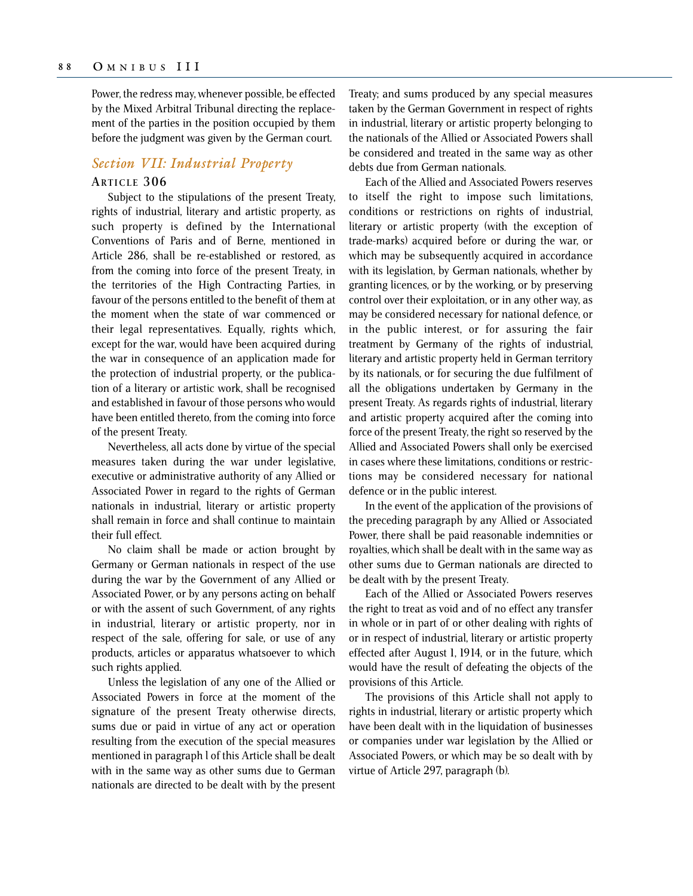Power, the redress may, whenever possible, be effected by the Mixed Arbitral Tribunal directing the replacement of the parties in the position occupied by them before the judgment was given by the German court.

## *Section VII: Industrial Property*

## **ARTICLE 306**

Subject to the stipulations of the present Treaty, rights of industrial, literary and artistic property, as such property is defined by the International Conventions of Paris and of Berne, mentioned in Article 286, shall be re-established or restored, as from the coming into force of the present Treaty, in the territories of the High Contracting Parties, in favour of the persons entitled to the benefit of them at the moment when the state of war commenced or their legal representatives. Equally, rights which, except for the war, would have been acquired during the war in consequence of an application made for the protection of industrial property, or the publication of a literary or artistic work, shall be recognised and established in favour of those persons who would have been entitled thereto, from the coming into force of the present Treaty.

Nevertheless, all acts done by virtue of the special measures taken during the war under legislative, executive or administrative authority of any Allied or Associated Power in regard to the rights of German nationals in industrial, literary or artistic property shall remain in force and shall continue to maintain their full effect.

No claim shall be made or action brought by Germany or German nationals in respect of the use during the war by the Government of any Allied or Associated Power, or by any persons acting on behalf or with the assent of such Government, of any rights in industrial, literary or artistic property, nor in respect of the sale, offering for sale, or use of any products, articles or apparatus whatsoever to which such rights applied.

Unless the legislation of any one of the Allied or Associated Powers in force at the moment of the signature of the present Treaty otherwise directs, sums due or paid in virtue of any act or operation resulting from the execution of the special measures mentioned in paragraph l of this Article shall be dealt with in the same way as other sums due to German nationals are directed to be dealt with by the present Treaty; and sums produced by any special measures taken by the German Government in respect of rights in industrial, literary or artistic property belonging to the nationals of the Allied or Associated Powers shall be considered and treated in the same way as other debts due from German nationals.

Each of the Allied and Associated Powers reserves to itself the right to impose such limitations, conditions or restrictions on rights of industrial, literary or artistic property (with the exception of trade-marks) acquired before or during the war, or which may be subsequently acquired in accordance with its legislation, by German nationals, whether by granting licences, or by the working, or by preserving control over their exploitation, or in any other way, as may be considered necessary for national defence, or in the public interest, or for assuring the fair treatment by Germany of the rights of industrial, literary and artistic property held in German territory by its nationals, or for securing the due fulfilment of all the obligations undertaken by Germany in the present Treaty. As regards rights of industrial, literary and artistic property acquired after the coming into force of the present Treaty, the right so reserved by the Allied and Associated Powers shall only be exercised in cases where these limitations, conditions or restrictions may be considered necessary for national defence or in the public interest.

In the event of the application of the provisions of the preceding paragraph by any Allied or Associated Power, there shall be paid reasonable indemnities or royalties, which shall be dealt with in the same way as other sums due to German nationals are directed to be dealt with by the present Treaty.

Each of the Allied or Associated Powers reserves the right to treat as void and of no effect any transfer in whole or in part of or other dealing with rights of or in respect of industrial, literary or artistic property effected after August 1, 1914, or in the future, which would have the result of defeating the objects of the provisions of this Article.

The provisions of this Article shall not apply to rights in industrial, literary or artistic property which have been dealt with in the liquidation of businesses or companies under war legislation by the Allied or Associated Powers, or which may be so dealt with by virtue of Article 297, paragraph (b).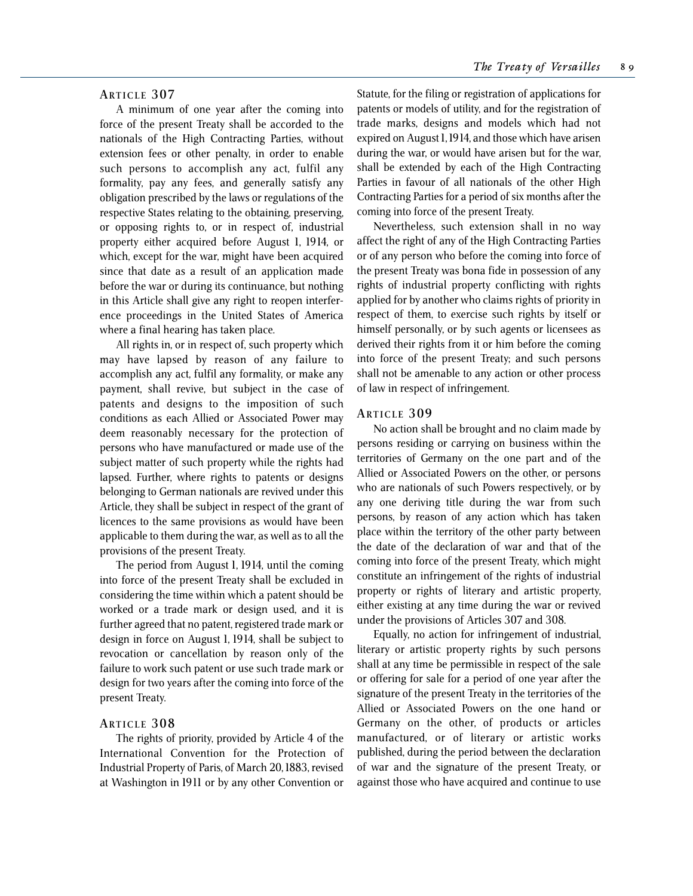## **ARTICLE 307**

A minimum of one year after the coming into force of the present Treaty shall be accorded to the nationals of the High Contracting Parties, without extension fees or other penalty, in order to enable such persons to accomplish any act, fulfil any formality, pay any fees, and generally satisfy any obligation prescribed by the laws or regulations of the respective States relating to the obtaining, preserving, or opposing rights to, or in respect of, industrial property either acquired before August 1, 1914, or which, except for the war, might have been acquired since that date as a result of an application made before the war or during its continuance, but nothing in this Article shall give any right to reopen interference proceedings in the United States of America where a final hearing has taken place.

All rights in, or in respect of, such property which may have lapsed by reason of any failure to accomplish any act, fulfil any formality, or make any payment, shall revive, but subject in the case of patents and designs to the imposition of such conditions as each Allied or Associated Power may deem reasonably necessary for the protection of persons who have manufactured or made use of the subject matter of such property while the rights had lapsed. Further, where rights to patents or designs belonging to German nationals are revived under this Article, they shall be subject in respect of the grant of licences to the same provisions as would have been applicable to them during the war, as well as to all the provisions of the present Treaty.

The period from August 1, 1914, until the coming into force of the present Treaty shall be excluded in considering the time within which a patent should be worked or a trade mark or design used, and it is further agreed that no patent, registered trade mark or design in force on August 1, 1914, shall be subject to revocation or cancellation by reason only of the failure to work such patent or use such trade mark or design for two years after the coming into force of the present Treaty.

#### **ARTICLE 308**

The rights of priority, provided by Article 4 of the International Convention for the Protection of Industrial Property of Paris, of March 20, 1883, revised at Washington in 1911 or by any other Convention or

Statute, for the filing or registration of applications for patents or models of utility, and for the registration of trade marks, designs and models which had not expired on August 1, 1914, and those which have arisen during the war, or would have arisen but for the war, shall be extended by each of the High Contracting Parties in favour of all nationals of the other High Contracting Parties for a period of six months after the coming into force of the present Treaty.

Nevertheless, such extension shall in no way affect the right of any of the High Contracting Parties or of any person who before the coming into force of the present Treaty was bona fide in possession of any rights of industrial property conflicting with rights applied for by another who claims rights of priority in respect of them, to exercise such rights by itself or himself personally, or by such agents or licensees as derived their rights from it or him before the coming into force of the present Treaty; and such persons shall not be amenable to any action or other process of law in respect of infringement.

#### **ARTICLE 309**

No action shall be brought and no claim made by persons residing or carrying on business within the territories of Germany on the one part and of the Allied or Associated Powers on the other, or persons who are nationals of such Powers respectively, or by any one deriving title during the war from such persons, by reason of any action which has taken place within the territory of the other party between the date of the declaration of war and that of the coming into force of the present Treaty, which might constitute an infringement of the rights of industrial property or rights of literary and artistic property, either existing at any time during the war or revived under the provisions of Articles 307 and 308.

Equally, no action for infringement of industrial, literary or artistic property rights by such persons shall at any time be permissible in respect of the sale or offering for sale for a period of one year after the signature of the present Treaty in the territories of the Allied or Associated Powers on the one hand or Germany on the other, of products or articles manufactured, or of literary or artistic works published, during the period between the declaration of war and the signature of the present Treaty, or against those who have acquired and continue to use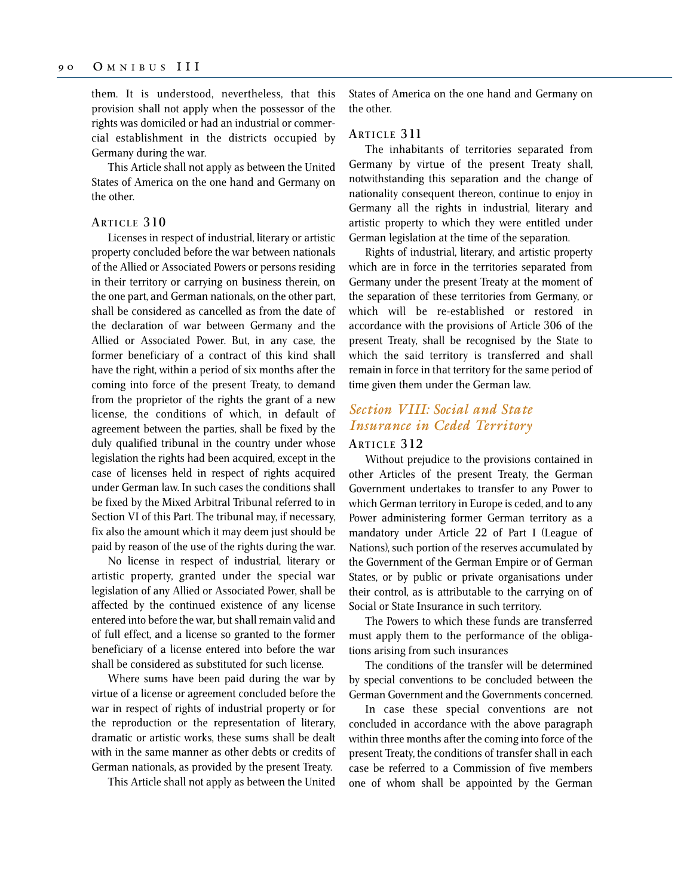them. It is understood, nevertheless, that this provision shall not apply when the possessor of the rights was domiciled or had an industrial or commercial establishment in the districts occupied by Germany during the war.

This Article shall not apply as between the United States of America on the one hand and Germany on the other.

#### **ARTICLE 310**

Licenses in respect of industrial, literary or artistic property concluded before the war between nationals of the Allied or Associated Powers or persons residing in their territory or carrying on business therein, on the one part, and German nationals, on the other part, shall be considered as cancelled as from the date of the declaration of war between Germany and the Allied or Associated Power. But, in any case, the former beneficiary of a contract of this kind shall have the right, within a period of six months after the coming into force of the present Treaty, to demand from the proprietor of the rights the grant of a new license, the conditions of which, in default of agreement between the parties, shall be fixed by the duly qualified tribunal in the country under whose legislation the rights had been acquired, except in the case of licenses held in respect of rights acquired under German law. In such cases the conditions shall be fixed by the Mixed Arbitral Tribunal referred to in Section VI of this Part. The tribunal may, if necessary, fix also the amount which it may deem just should be paid by reason of the use of the rights during the war.

No license in respect of industrial, literary or artistic property, granted under the special war legislation of any Allied or Associated Power, shall be affected by the continued existence of any license entered into before the war, but shall remain valid and of full effect, and a license so granted to the former beneficiary of a license entered into before the war shall be considered as substituted for such license.

Where sums have been paid during the war by virtue of a license or agreement concluded before the war in respect of rights of industrial property or for the reproduction or the representation of literary, dramatic or artistic works, these sums shall be dealt with in the same manner as other debts or credits of German nationals, as provided by the present Treaty.

This Article shall not apply as between the United

States of America on the one hand and Germany on the other.

#### **ARTICLE 3 11**

The inhabitants of territories separated from Germany by virtue of the present Treaty shall, notwithstanding this separation and the change of nationality consequent thereon, continue to enjoy in Germany all the rights in industrial, literary and artistic property to which they were entitled under German legislation at the time of the separation.

Rights of industrial, literary, and artistic property which are in force in the territories separated from Germany under the present Treaty at the moment of the separation of these territories from Germany, or which will be re-established or restored in accordance with the provisions of Article 306 of the present Treaty, shall be recognised by the State to which the said territory is transferred and shall remain in force in that territory for the same period of time given them under the German law.

## *Section VIII: Social and State Insurance in Ceded Territory*

### **ARTICLE 312**

Without prejudice to the provisions contained in other Articles of the present Treaty, the German Government undertakes to transfer to any Power to which German territory in Europe is ceded, and to any Power administering former German territory as a mandatory under Article 22 of Part I (League of Nations), such portion of the reserves accumulated by the Government of the German Empire or of German States, or by public or private organisations under their control, as is attributable to the carrying on of Social or State Insurance in such territory.

The Powers to which these funds are transferred must apply them to the performance of the obligations arising from such insurances

The conditions of the transfer will be determined by special conventions to be concluded between the German Government and the Governments concerned.

In case these special conventions are not concluded in accordance with the above paragraph within three months after the coming into force of the present Treaty, the conditions of transfer shall in each case be referred to a Commission of five members one of whom shall be appointed by the German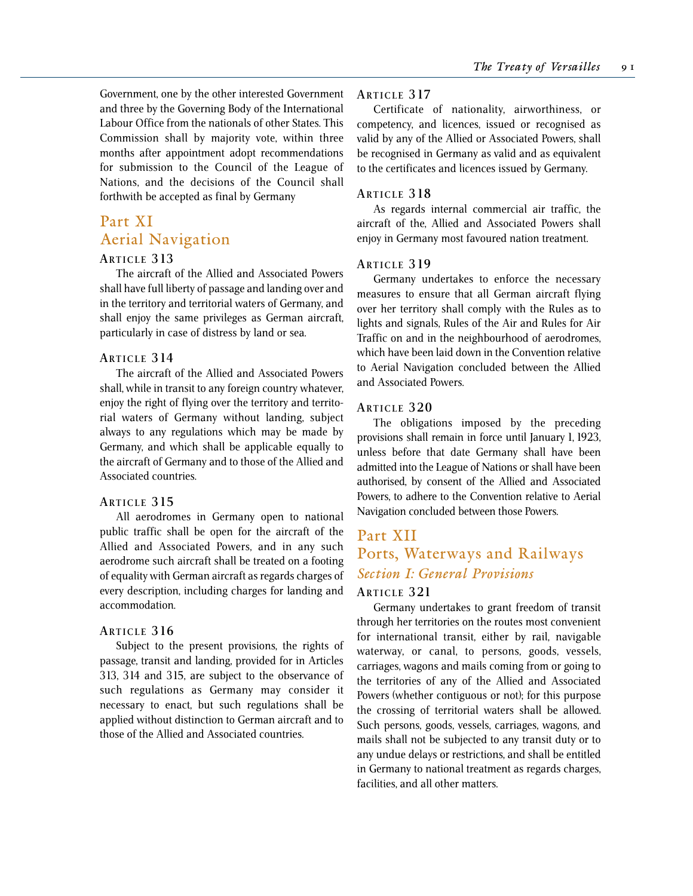Government, one by the other interested Government and three by the Governing Body of the International Labour Office from the nationals of other States. This Commission shall by majority vote, within three months after appointment adopt recommendations for submission to the Council of the League of Nations, and the decisions of the Council shall forthwith be accepted as final by Germany

# Part XI Aerial Navigation

#### **ARTICLE 313**

The aircraft of the Allied and Associated Powers shall have full liberty of passage and landing over and in the territory and territorial waters of Germany, and shall enjoy the same privileges as German aircraft, particularly in case of distress by land or sea.

#### **ARTICLE 3 14**

The aircraft of the Allied and Associated Powers shall, while in transit to any foreign country whatever, enjoy the right of flying over the territory and territorial waters of Germany without landing, subject always to any regulations which may be made by Germany, and which shall be applicable equally to the aircraft of Germany and to those of the Allied and Associated countries.

#### **ARTICLE 315**

All aerodromes in Germany open to national public traffic shall be open for the aircraft of the Allied and Associated Powers, and in any such aerodrome such aircraft shall be treated on a footing of equality with German aircraft as regards charges of every description, including charges for landing and accommodation.

## **ARTICLE 316**

Subject to the present provisions, the rights of passage, transit and landing, provided for in Articles 313, 314 and 315, are subject to the observance of such regulations as Germany may consider it necessary to enact, but such regulations shall be applied without distinction to German aircraft and to those of the Allied and Associated countries.

### **ARTICLE 317**

Certificate of nationality, airworthiness, or competency, and licences, issued or recognised as valid by any of the Allied or Associated Powers, shall be recognised in Germany as valid and as equivalent to the certificates and licences issued by Germany.

#### **ARTICLE 318**

As regards internal commercial air traffic, the aircraft of the, Allied and Associated Powers shall enjoy in Germany most favoured nation treatment.

### **ARTICLE 319**

Germany undertakes to enforce the necessary measures to ensure that all German aircraft flying over her territory shall comply with the Rules as to lights and signals, Rules of the Air and Rules for Air Traffic on and in the neighbourhood of aerodromes, which have been laid down in the Convention relative to Aerial Navigation concluded between the Allied and Associated Powers.

#### **ARTICLE 320**

The obligations imposed by the preceding provisions shall remain in force until January 1, 1923, unless before that date Germany shall have been admitted into the League of Nations or shall have been authorised, by consent of the Allied and Associated Powers, to adhere to the Convention relative to Aerial Navigation concluded between those Powers.

# Part XII Ports, Waterways and Railways *Section I: General Provisions*

## **ARTICLE 321**

Germany undertakes to grant freedom of transit through her territories on the routes most convenient for international transit, either by rail, navigable waterway, or canal, to persons, goods, vessels, carriages, wagons and mails coming from or going to the territories of any of the Allied and Associated Powers (whether contiguous or not); for this purpose the crossing of territorial waters shall be allowed. Such persons, goods, vessels, carriages, wagons, and mails shall not be subjected to any transit duty or to any undue delays or restrictions, and shall be entitled in Germany to national treatment as regards charges, facilities, and all other matters.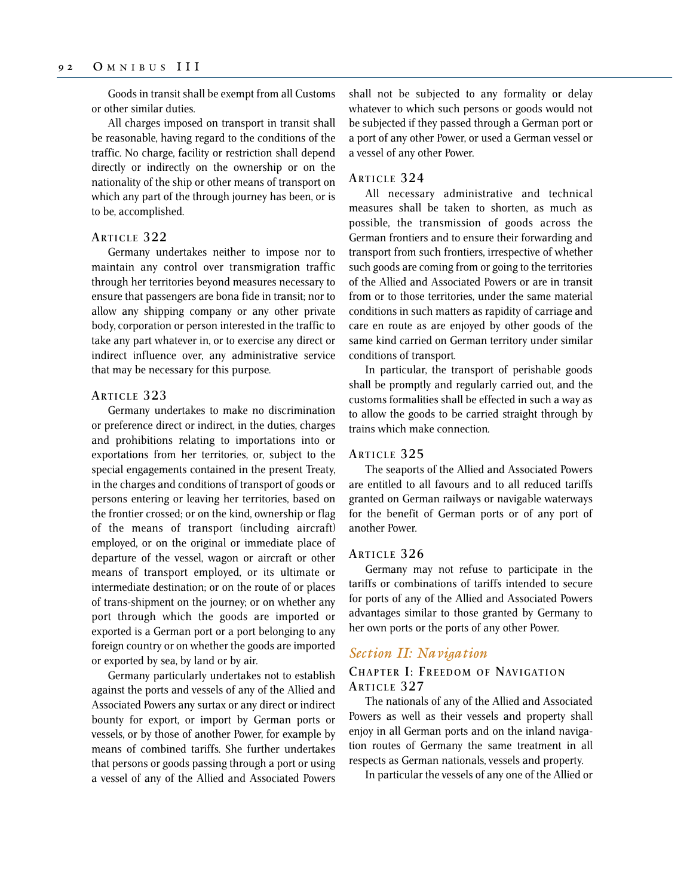Goods in transit shall be exempt from all Customs or other similar duties.

All charges imposed on transport in transit shall be reasonable, having regard to the conditions of the traffic. No charge, facility or restriction shall depend directly or indirectly on the ownership or on the nationality of the ship or other means of transport on which any part of the through journey has been, or is to be, accomplished.

## **ARTICLE 322**

Germany undertakes neither to impose nor to maintain any control over transmigration traffic through her territories beyond measures necessary to ensure that passengers are bona fide in transit; nor to allow any shipping company or any other private body, corporation or person interested in the traffic to take any part whatever in, or to exercise any direct or indirect influence over, any administrative service that may be necessary for this purpose.

## **ARTICLE 323**

Germany undertakes to make no discrimination or preference direct or indirect, in the duties, charges and prohibitions relating to importations into or exportations from her territories, or, subject to the special engagements contained in the present Treaty, in the charges and conditions of transport of goods or persons entering or leaving her territories, based on the frontier crossed; or on the kind, ownership or flag of the means of transport (including aircraft) employed, or on the original or immediate place of departure of the vessel, wagon or aircraft or other means of transport employed, or its ultimate or intermediate destination; or on the route of or places of trans-shipment on the journey; or on whether any port through which the goods are imported or exported is a German port or a port belonging to any foreign country or on whether the goods are imported or exported by sea, by land or by air.

Germany particularly undertakes not to establish against the ports and vessels of any of the Allied and Associated Powers any surtax or any direct or indirect bounty for export, or import by German ports or vessels, or by those of another Power, for example by means of combined tariffs. She further undertakes that persons or goods passing through a port or using a vessel of any of the Allied and Associated Powers shall not be subjected to any formality or delay whatever to which such persons or goods would not be subjected if they passed through a German port or a port of any other Power, or used a German vessel or a vessel of any other Power.

#### **ARTICLE 324**

All necessary administrative and technical measures shall be taken to shorten, as much as possible, the transmission of goods across the German frontiers and to ensure their forwarding and transport from such frontiers, irrespective of whether such goods are coming from or going to the territories of the Allied and Associated Powers or are in transit from or to those territories, under the same material conditions in such matters as rapidity of carriage and care en route as are enjoyed by other goods of the same kind carried on German territory under similar conditions of transport.

In particular, the transport of perishable goods shall be promptly and regularly carried out, and the customs formalities shall be effected in such a way as to allow the goods to be carried straight through by trains which make connection.

#### **ARTICLE 325**

The seaports of the Allied and Associated Powers are entitled to all favours and to all reduced tariffs granted on German railways or navigable waterways for the benefit of German ports or of any port of another Power.

#### **ARTICLE 326**

Germany may not refuse to participate in the tariffs or combinations of tariffs intended to secure for ports of any of the Allied and Associated Powers advantages similar to those granted by Germany to her own ports or the ports of any other Power.

## *Section II: Navigation*

## **CHAPTER I: FREEDOM OF NAVIGATION ARTICLE 327**

The nationals of any of the Allied and Associated Powers as well as their vessels and property shall enjoy in all German ports and on the inland navigation routes of Germany the same treatment in all respects as German nationals, vessels and property.

In particular the vessels of any one of the Allied or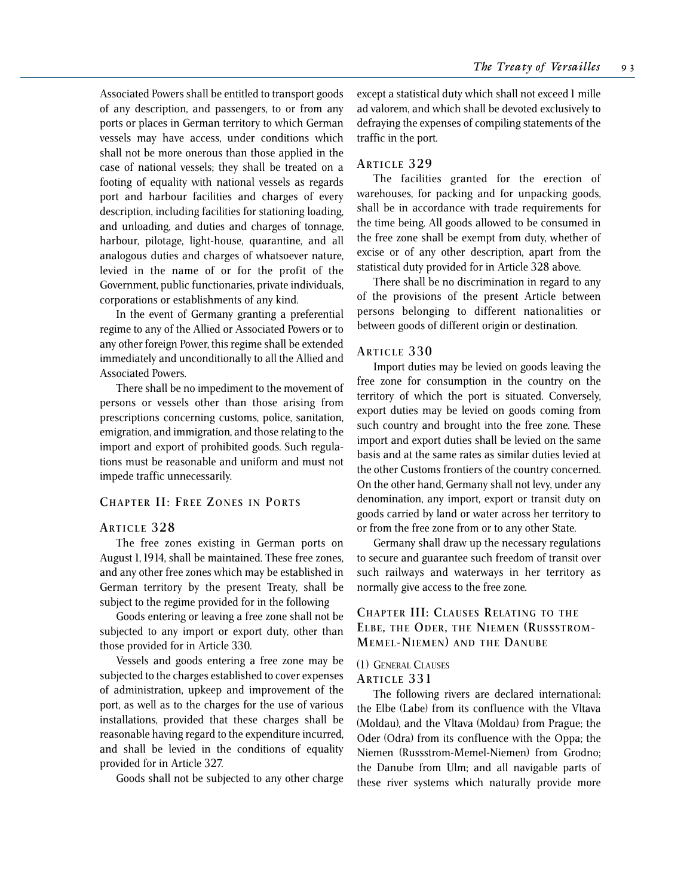Associated Powers shall be entitled to transport goods of any description, and passengers, to or from any ports or places in German territory to which German vessels may have access, under conditions which shall not be more onerous than those applied in the case of national vessels; they shall be treated on a footing of equality with national vessels as regards port and harbour facilities and charges of every description, including facilities for stationing loading, and unloading, and duties and charges of tonnage, harbour, pilotage, light-house, quarantine, and all analogous duties and charges of whatsoever nature, levied in the name of or for the profit of the Government, public functionaries, private individuals, corporations or establishments of any kind.

In the event of Germany granting a preferential regime to any of the Allied or Associated Powers or to any other foreign Power, this regime shall be extended immediately and unconditionally to all the Allied and Associated Powers.

There shall be no impediment to the movement of persons or vessels other than those arising from prescriptions concerning customs, police, sanitation, emigration, and immigration, and those relating to the import and export of prohibited goods. Such regulations must be reasonable and uniform and must not impede traffic unnecessarily.

#### **CHAPTER II: FREE ZONES IN PORTS**

#### **ARTICLE 328**

The free zones existing in German ports on August 1, 1914, shall be maintained. These free zones, and any other free zones which may be established in German territory by the present Treaty, shall be subject to the regime provided for in the following

Goods entering or leaving a free zone shall not be subjected to any import or export duty, other than those provided for in Article 330.

Vessels and goods entering a free zone may be subjected to the charges established to cover expenses of administration, upkeep and improvement of the port, as well as to the charges for the use of various installations, provided that these charges shall be reasonable having regard to the expenditure incurred, and shall be levied in the conditions of equality provided for in Article 327.

Goods shall not be subjected to any other charge

except a statistical duty which shall not exceed 1 mille ad valorem, and which shall be devoted exclusively to defraying the expenses of compiling statements of the traffic in the port.

## **ARTICLE 329**

The facilities granted for the erection of warehouses, for packing and for unpacking goods, shall be in accordance with trade requirements for the time being. All goods allowed to be consumed in the free zone shall be exempt from duty, whether of excise or of any other description, apart from the statistical duty provided for in Article 328 above.

There shall be no discrimination in regard to any of the provisions of the present Article between persons belonging to different nationalities or between goods of different origin or destination.

#### **ARTICLE 330**

Import duties may be levied on goods leaving the free zone for consumption in the country on the territory of which the port is situated. Conversely, export duties may be levied on goods coming from such country and brought into the free zone. These import and export duties shall be levied on the same basis and at the same rates as similar duties levied at the other Customs frontiers of the country concerned. On the other hand, Germany shall not levy, under any denomination, any import, export or transit duty on goods carried by land or water across her territory to or from the free zone from or to any other State.

Germany shall draw up the necessary regulations to secure and guarantee such freedom of transit over such railways and waterways in her territory as normally give access to the free zone.

## **CHAPTER III: CLAUSES RELATING TO THE ELBE, THE ODER, THE NIEMEN (RUSSSTROM-MEMEL-NIEMEN) AND THE DANUBE**

#### (1) GENERAL CLAUSES

## **ARTICLE 331**

The following rivers are declared international: the Elbe (Labe) from its confluence with the Vltava (Moldau), and the Vltava (Moldau) from Prague; the Oder (Odra) from its confluence with the Oppa; the Niemen (Russstrom-Memel-Niemen) from Grodno; the Danube from Ulm; and all navigable parts of these river systems which naturally provide more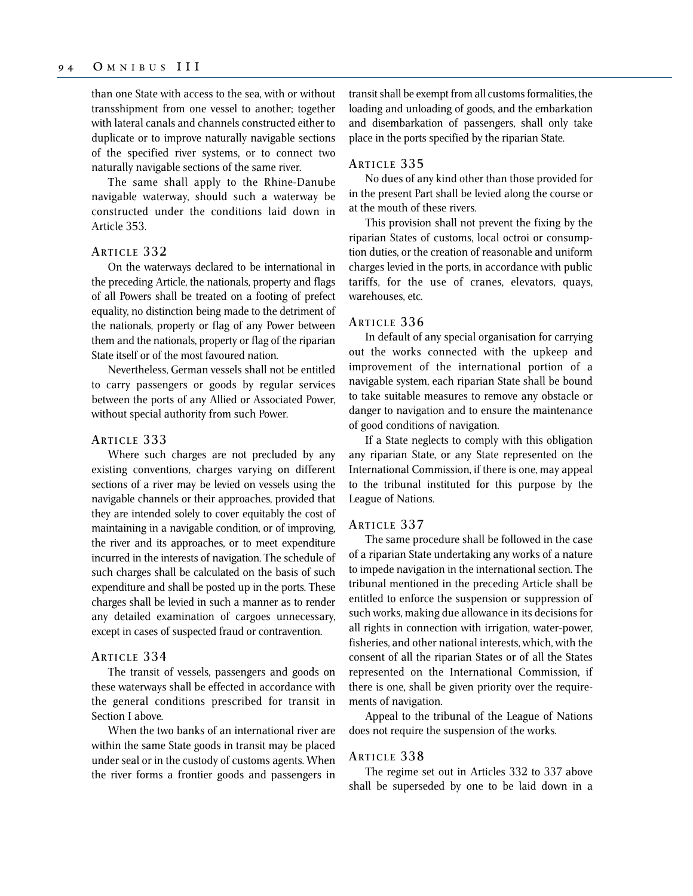than one State with access to the sea, with or without transshipment from one vessel to another; together with lateral canals and channels constructed either to duplicate or to improve naturally navigable sections of the specified river systems, or to connect two naturally navigable sections of the same river.

The same shall apply to the Rhine-Danube navigable waterway, should such a waterway be constructed under the conditions laid down in Article 353.

#### **ARTICLE 332**

On the waterways declared to be international in the preceding Article, the nationals, property and flags of all Powers shall be treated on a footing of prefect equality, no distinction being made to the detriment of the nationals, property or flag of any Power between them and the nationals, property or flag of the riparian State itself or of the most favoured nation.

Nevertheless, German vessels shall not be entitled to carry passengers or goods by regular services between the ports of any Allied or Associated Power, without special authority from such Power.

### **ARTICLE 333**

Where such charges are not precluded by any existing conventions, charges varying on different sections of a river may be levied on vessels using the navigable channels or their approaches, provided that they are intended solely to cover equitably the cost of maintaining in a navigable condition, or of improving, the river and its approaches, or to meet expenditure incurred in the interests of navigation. The schedule of such charges shall be calculated on the basis of such expenditure and shall be posted up in the ports. These charges shall be levied in such a manner as to render any detailed examination of cargoes unnecessary, except in cases of suspected fraud or contravention.

#### **ARTICLE 334**

The transit of vessels, passengers and goods on these waterways shall be effected in accordance with the general conditions prescribed for transit in Section I above.

When the two banks of an international river are within the same State goods in transit may be placed under seal or in the custody of customs agents. When the river forms a frontier goods and passengers in transit shall be exempt from all customs formalities, the loading and unloading of goods, and the embarkation and disembarkation of passengers, shall only take place in the ports specified by the riparian State.

### **ARTICLE 335**

No dues of any kind other than those provided for in the present Part shall be levied along the course or at the mouth of these rivers.

This provision shall not prevent the fixing by the riparian States of customs, local octroi or consumption duties, or the creation of reasonable and uniform charges levied in the ports, in accordance with public tariffs, for the use of cranes, elevators, quays, warehouses, etc.

#### **ARTICLE 336**

In default of any special organisation for carrying out the works connected with the upkeep and improvement of the international portion of a navigable system, each riparian State shall be bound to take suitable measures to remove any obstacle or danger to navigation and to ensure the maintenance of good conditions of navigation.

If a State neglects to comply with this obligation any riparian State, or any State represented on the International Commission, if there is one, may appeal to the tribunal instituted for this purpose by the League of Nations.

## **ARTICLE 337**

The same procedure shall be followed in the case of a riparian State undertaking any works of a nature to impede navigation in the international section. The tribunal mentioned in the preceding Article shall be entitled to enforce the suspension or suppression of such works, making due allowance in its decisions for all rights in connection with irrigation, water-power, fisheries, and other national interests, which, with the consent of all the riparian States or of all the States represented on the International Commission, if there is one, shall be given priority over the requirements of navigation.

Appeal to the tribunal of the League of Nations does not require the suspension of the works.

#### **ARTICLE 338**

The regime set out in Articles 332 to 337 above shall be superseded by one to be laid down in a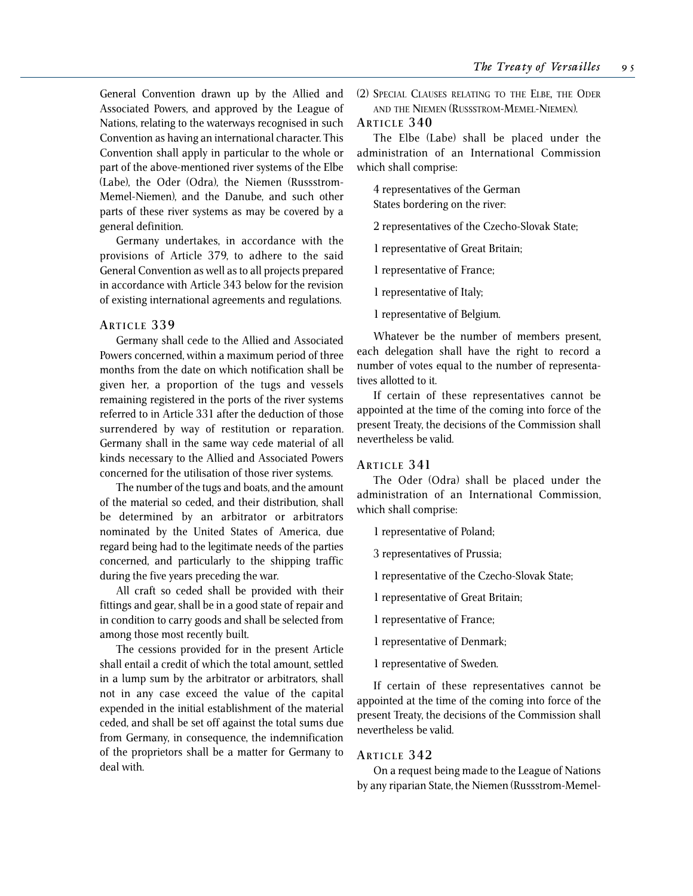General Convention drawn up by the Allied and Associated Powers, and approved by the League of Nations, relating to the waterways recognised in such Convention as having an international character. This Convention shall apply in particular to the whole or part of the above-mentioned river systems of the Elbe (Labe), the Oder (Odra), the Niemen (Russstrom-Memel-Niemen), and the Danube, and such other parts of these river systems as may be covered by a general definition.

Germany undertakes, in accordance with the provisions of Article 379, to adhere to the said General Convention as well as to all projects prepared in accordance with Article 343 below for the revision of existing international agreements and regulations.

#### **ARTICLE 339**

Germany shall cede to the Allied and Associated Powers concerned, within a maximum period of three months from the date on which notification shall be given her, a proportion of the tugs and vessels remaining registered in the ports of the river systems referred to in Article 331 after the deduction of those surrendered by way of restitution or reparation. Germany shall in the same way cede material of all kinds necessary to the Allied and Associated Powers concerned for the utilisation of those river systems.

The number of the tugs and boats, and the amount of the material so ceded, and their distribution, shall be determined by an arbitrator or arbitrators nominated by the United States of America, due regard being had to the legitimate needs of the parties concerned, and particularly to the shipping traffic during the five years preceding the war.

All craft so ceded shall be provided with their fittings and gear, shall be in a good state of repair and in condition to carry goods and shall be selected from among those most recently built.

The cessions provided for in the present Article shall entail a credit of which the total amount, settled in a lump sum by the arbitrator or arbitrators, shall not in any case exceed the value of the capital expended in the initial establishment of the material ceded, and shall be set off against the total sums due from Germany, in consequence, the indemnification of the proprietors shall be a matter for Germany to deal with.

(2) SPECIAL CLAUSES RELATING TO THE ELBE, THE ODER AND THE NIEMEN (RUSSSTROM-MEMEL-NIEMEN).

## **ARTICLE 340**

The Elbe (Labe) shall be placed under the administration of an International Commission which shall comprise:

4 representatives of the German States bordering on the river:

2 representatives of the Czecho-Slovak State;

1 representative of Great Britain;

1 representative of France;

1 representative of Italy;

1 representative of Belgium.

Whatever be the number of members present, each delegation shall have the right to record a number of votes equal to the number of representatives allotted to it.

If certain of these representatives cannot be appointed at the time of the coming into force of the present Treaty, the decisions of the Commission shall nevertheless be valid.

## **ARTICLE 341**

The Oder (Odra) shall be placed under the administration of an International Commission, which shall comprise:

1 representative of Poland;

3 representatives of Prussia;

1 representative of the Czecho-Slovak State;

1 representative of Great Britain;

1 representative of France;

1 representative of Denmark;

1 representative of Sweden.

If certain of these representatives cannot be appointed at the time of the coming into force of the present Treaty, the decisions of the Commission shall nevertheless be valid.

### **ARTICLE 342**

On a request being made to the League of Nations by any riparian State, the Niemen (Russstrom-Memel-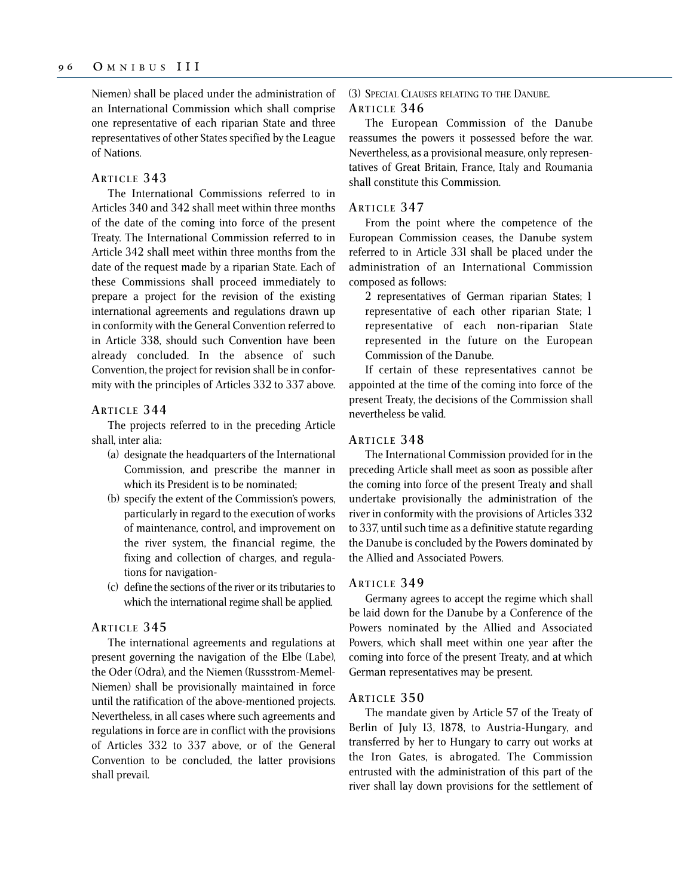Niemen) shall be placed under the administration of an International Commission which shall comprise one representative of each riparian State and three representatives of other States specified by the League of Nations.

#### **ARTICLE 343**

The International Commissions referred to in Articles 340 and 342 shall meet within three months of the date of the coming into force of the present Treaty. The International Commission referred to in Article 342 shall meet within three months from the date of the request made by a riparian State. Each of these Commissions shall proceed immediately to prepare a project for the revision of the existing international agreements and regulations drawn up in conformity with the General Convention referred to in Article 338, should such Convention have been already concluded. In the absence of such Convention, the project for revision shall be in conformity with the principles of Articles 332 to 337 above.

## **ARTICLE 344**

The projects referred to in the preceding Article shall, inter alia:

- (a) designate the headquarters of the International Commission, and prescribe the manner in which its President is to be nominated;
- (b) specify the extent of the Commission's powers, particularly in regard to the execution of works of maintenance, control, and improvement on the river system, the financial regime, the fixing and collection of charges, and regulations for navigation-
- (c) define the sections of the river or its tributaries to which the international regime shall be applied.

## **ARTICLE 345**

The international agreements and regulations at present governing the navigation of the Elbe (Labe), the Oder (Odra), and the Niemen (Russstrom-Memel-Niemen) shall be provisionally maintained in force until the ratification of the above-mentioned projects. Nevertheless, in all cases where such agreements and regulations in force are in conflict with the provisions of Articles 332 to 337 above, or of the General Convention to be concluded, the latter provisions shall prevail.

(3) SPECIAL CLAUSES RELATING TO THE DANUBE. **ARTICLE 346**

The European Commission of the Danube reassumes the powers it possessed before the war. Nevertheless, as a provisional measure, only representatives of Great Britain, France, Italy and Roumania shall constitute this Commission.

## **ARTICLE 347**

From the point where the competence of the European Commission ceases, the Danube system referred to in Article 33l shall be placed under the administration of an International Commission composed as follows:

2 representatives of German riparian States; 1 representative of each other riparian State; 1 representative of each non-riparian State represented in the future on the European Commission of the Danube.

If certain of these representatives cannot be appointed at the time of the coming into force of the present Treaty, the decisions of the Commission shall nevertheless be valid.

### **ARTICLE 348**

The International Commission provided for in the preceding Article shall meet as soon as possible after the coming into force of the present Treaty and shall undertake provisionally the administration of the river in conformity with the provisions of Articles 332 to 337, until such time as a definitive statute regarding the Danube is concluded by the Powers dominated by the Allied and Associated Powers.

#### **ARTICLE 349**

Germany agrees to accept the regime which shall be laid down for the Danube by a Conference of the Powers nominated by the Allied and Associated Powers, which shall meet within one year after the coming into force of the present Treaty, and at which German representatives may be present.

#### **ARTICLE 350**

The mandate given by Article 57 of the Treaty of Berlin of July 13, 1878, to Austria-Hungary, and transferred by her to Hungary to carry out works at the Iron Gates, is abrogated. The Commission entrusted with the administration of this part of the river shall lay down provisions for the settlement of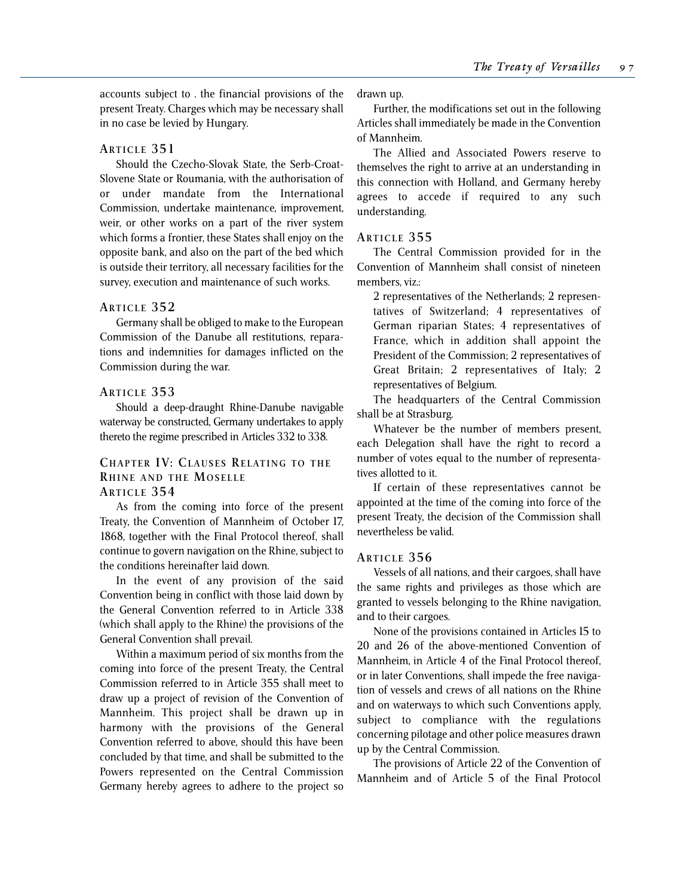accounts subject to . the financial provisions of the present Treaty. Charges which may be necessary shall in no case be levied by Hungary.

## **ARTICLE 351**

Should the Czecho-Slovak State, the Serb-Croat-Slovene State or Roumania, with the authorisation of or under mandate from the International Commission, undertake maintenance, improvement, weir, or other works on a part of the river system which forms a frontier, these States shall enjoy on the opposite bank, and also on the part of the bed which is outside their territory, all necessary facilities for the survey, execution and maintenance of such works.

## **ARTICLE 352**

Germany shall be obliged to make to the European Commission of the Danube all restitutions, reparations and indemnities for damages inflicted on the Commission during the war.

## **ARTICLE 353**

Should a deep-draught Rhine-Danube navigable waterway be constructed, Germany undertakes to apply thereto the regime prescribed in Articles 332 to 338.

## **CHAPTER IV: CLAUSES RELATING TO THE RHINE AND THE MOSELLE**

## **ARTICLE 354**

As from the coming into force of the present Treaty, the Convention of Mannheim of October 17, 1868, together with the Final Protocol thereof, shall continue to govern navigation on the Rhine, subject to the conditions hereinafter laid down.

In the event of any provision of the said Convention being in conflict with those laid down by the General Convention referred to in Article 338 (which shall apply to the Rhine) the provisions of the General Convention shall prevail.

Within a maximum period of six months from the coming into force of the present Treaty, the Central Commission referred to in Article 355 shall meet to draw up a project of revision of the Convention of Mannheim. This project shall be drawn up in harmony with the provisions of the General Convention referred to above, should this have been concluded by that time, and shall be submitted to the Powers represented on the Central Commission Germany hereby agrees to adhere to the project so

drawn up.

Further, the modifications set out in the following Articles shall immediately be made in the Convention of Mannheim.

The Allied and Associated Powers reserve to themselves the right to arrive at an understanding in this connection with Holland, and Germany hereby agrees to accede if required to any such understanding.

## **ARTICLE 355**

The Central Commission provided for in the Convention of Mannheim shall consist of nineteen members, viz.:

2 representatives of the Netherlands; 2 representatives of Switzerland; 4 representatives of German riparian States; 4 representatives of France, which in addition shall appoint the President of the Commission; 2 representatives of Great Britain; 2 representatives of Italy; 2 representatives of Belgium.

The headquarters of the Central Commission shall be at Strasburg.

Whatever be the number of members present, each Delegation shall have the right to record a number of votes equal to the number of representatives allotted to it.

If certain of these representatives cannot be appointed at the time of the coming into force of the present Treaty, the decision of the Commission shall nevertheless be valid.

#### **ARTICLE 356**

Vessels of all nations, and their cargoes, shall have the same rights and privileges as those which are granted to vessels belonging to the Rhine navigation, and to their cargoes.

None of the provisions contained in Articles 15 to 20 and 26 of the above-mentioned Convention of Mannheim, in Article 4 of the Final Protocol thereof, or in later Conventions, shall impede the free navigation of vessels and crews of all nations on the Rhine and on waterways to which such Conventions apply, subject to compliance with the regulations concerning pilotage and other police measures drawn up by the Central Commission.

The provisions of Article 22 of the Convention of Mannheim and of Article 5 of the Final Protocol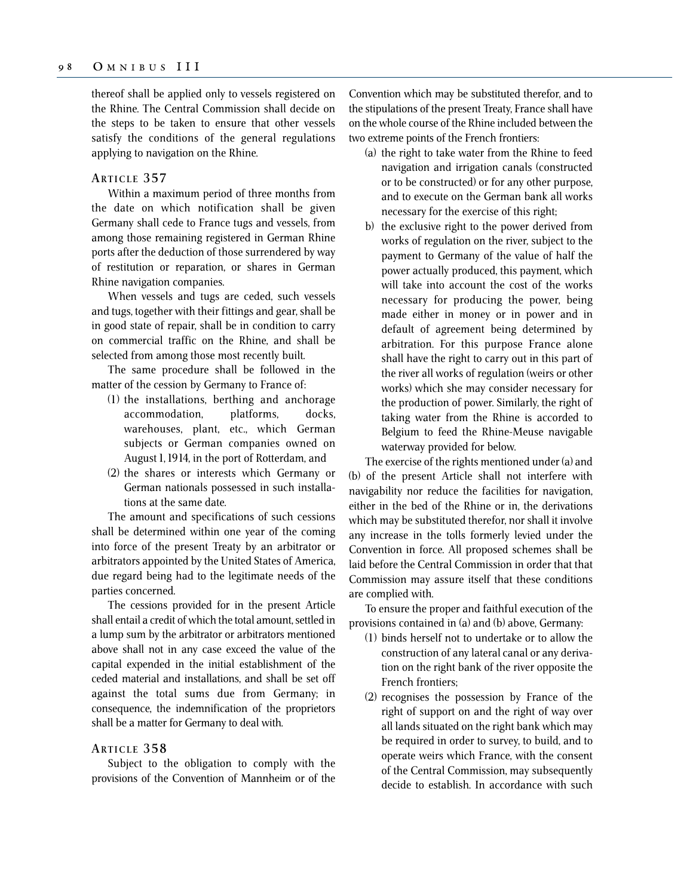thereof shall be applied only to vessels registered on the Rhine. The Central Commission shall decide on the steps to be taken to ensure that other vessels satisfy the conditions of the general regulations applying to navigation on the Rhine.

#### **ARTICLE 357**

Within a maximum period of three months from the date on which notification shall be given Germany shall cede to France tugs and vessels, from among those remaining registered in German Rhine ports after the deduction of those surrendered by way of restitution or reparation, or shares in German Rhine navigation companies.

When vessels and tugs are ceded, such vessels and tugs, together with their fittings and gear, shall be in good state of repair, shall be in condition to carry on commercial traffic on the Rhine, and shall be selected from among those most recently built.

The same procedure shall be followed in the matter of the cession by Germany to France of:

- (1) the installations, berthing and anchorage accommodation, platforms, docks, warehouses, plant, etc., which German subjects or German companies owned on August 1, 1914, in the port of Rotterdam, and
- (2) the shares or interests which Germany or German nationals possessed in such installations at the same date.

The amount and specifications of such cessions shall be determined within one year of the coming into force of the present Treaty by an arbitrator or arbitrators appointed by the United States of America, due regard being had to the legitimate needs of the parties concerned.

The cessions provided for in the present Article shall entail a credit of which the total amount, settled in a lump sum by the arbitrator or arbitrators mentioned above shall not in any case exceed the value of the capital expended in the initial establishment of the ceded material and installations, and shall be set off against the total sums due from Germany; in consequence, the indemnification of the proprietors shall be a matter for Germany to deal with.

## **ARTICLE 358**

Subject to the obligation to comply with the provisions of the Convention of Mannheim or of the Convention which may be substituted therefor, and to the stipulations of the present Treaty, France shall have on the whole course of the Rhine included between the two extreme points of the French frontiers:

- (a) the right to take water from the Rhine to feed navigation and irrigation canals (constructed or to be constructed) or for any other purpose, and to execute on the German bank all works necessary for the exercise of this right;
- b) the exclusive right to the power derived from works of regulation on the river, subject to the payment to Germany of the value of half the power actually produced, this payment, which will take into account the cost of the works necessary for producing the power, being made either in money or in power and in default of agreement being determined by arbitration. For this purpose France alone shall have the right to carry out in this part of the river all works of regulation (weirs or other works) which she may consider necessary for the production of power. Similarly, the right of taking water from the Rhine is accorded to Belgium to feed the Rhine-Meuse navigable waterway provided for below.

The exercise of the rights mentioned under (a) and (b) of the present Article shall not interfere with navigability nor reduce the facilities for navigation, either in the bed of the Rhine or in, the derivations which may be substituted therefor, nor shall it involve any increase in the tolls formerly levied under the Convention in force. All proposed schemes shall be laid before the Central Commission in order that that Commission may assure itself that these conditions are complied with.

To ensure the proper and faithful execution of the provisions contained in (a) and (b) above, Germany:

- (1) binds herself not to undertake or to allow the construction of any lateral canal or any derivation on the right bank of the river opposite the French frontiers;
- (2) recognises the possession by France of the right of support on and the right of way over all lands situated on the right bank which may be required in order to survey, to build, and to operate weirs which France, with the consent of the Central Commission, may subsequently decide to establish. In accordance with such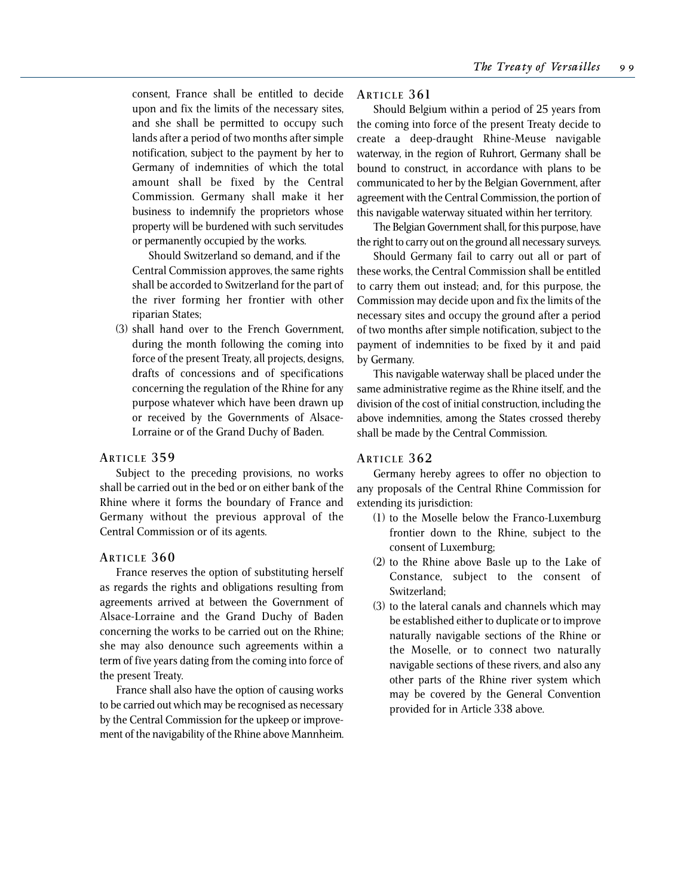consent, France shall be entitled to decide upon and fix the limits of the necessary sites, and she shall be permitted to occupy such lands after a period of two months after simple notification, subject to the payment by her to Germany of indemnities of which the total amount shall be fixed by the Central Commission. Germany shall make it her business to indemnify the proprietors whose property will be burdened with such servitudes or permanently occupied by the works.

Should Switzerland so demand, and if the Central Commission approves, the same rights shall be accorded to Switzerland for the part of the river forming her frontier with other riparian States;

(3) shall hand over to the French Government, during the month following the coming into force of the present Treaty, all projects, designs, drafts of concessions and of specifications concerning the regulation of the Rhine for any purpose whatever which have been drawn up or received by the Governments of Alsace-Lorraine or of the Grand Duchy of Baden.

#### **ARTICLE 359**

Subject to the preceding provisions, no works shall be carried out in the bed or on either bank of the Rhine where it forms the boundary of France and Germany without the previous approval of the Central Commission or of its agents.

#### **ARTICLE 360**

France reserves the option of substituting herself as regards the rights and obligations resulting from agreements arrived at between the Government of Alsace-Lorraine and the Grand Duchy of Baden concerning the works to be carried out on the Rhine; she may also denounce such agreements within a term of five years dating from the coming into force of the present Treaty.

France shall also have the option of causing works to be carried out which may be recognised as necessary by the Central Commission for the upkeep or improvement of the navigability of the Rhine above Mannheim.

### **ARTICLE 361**

Should Belgium within a period of 25 years from the coming into force of the present Treaty decide to create a deep-draught Rhine-Meuse navigable waterway, in the region of Ruhrort, Germany shall be bound to construct, in accordance with plans to be communicated to her by the Belgian Government, after agreement with the Central Commission, the portion of this navigable waterway situated within her territory.

The Belgian Government shall, for this purpose, have the right to carry out on the ground all necessary surveys.

Should Germany fail to carry out all or part of these works, the Central Commission shall be entitled to carry them out instead; and, for this purpose, the Commission may decide upon and fix the limits of the necessary sites and occupy the ground after a period of two months after simple notification, subject to the payment of indemnities to be fixed by it and paid by Germany.

This navigable waterway shall be placed under the same administrative regime as the Rhine itself, and the division of the cost of initial construction, including the above indemnities, among the States crossed thereby shall be made by the Central Commission.

## **ARTICLE 362**

Germany hereby agrees to offer no objection to any proposals of the Central Rhine Commission for extending its jurisdiction:

- (1) to the Moselle below the Franco-Luxemburg frontier down to the Rhine, subject to the consent of Luxemburg;
- (2) to the Rhine above Basle up to the Lake of Constance, subject to the consent of Switzerland;
- (3) to the lateral canals and channels which may be established either to duplicate or to improve naturally navigable sections of the Rhine or the Moselle, or to connect two naturally navigable sections of these rivers, and also any other parts of the Rhine river system which may be covered by the General Convention provided for in Article 338 above.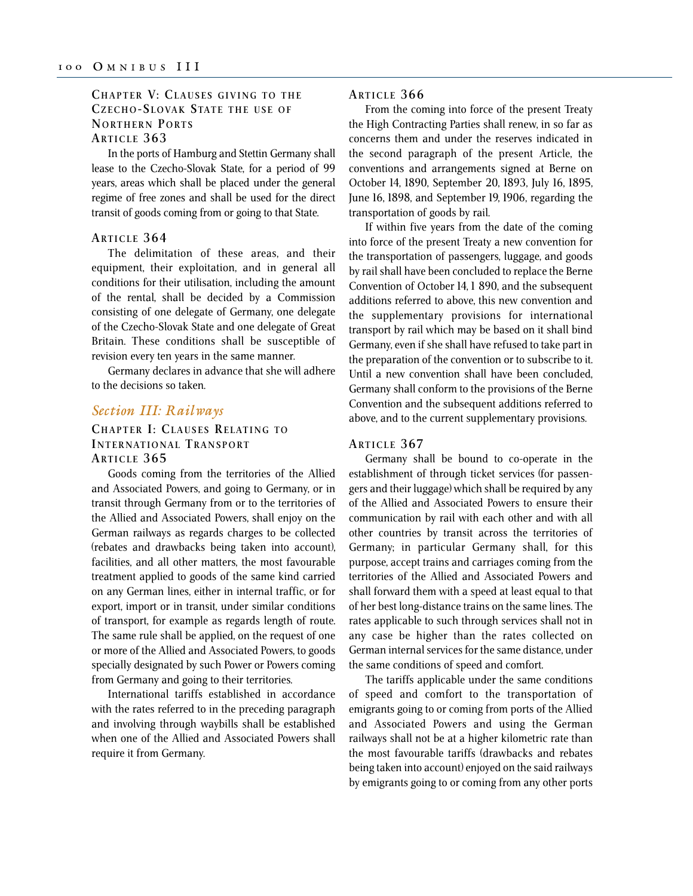## **CHAPTER V: CLAUSES GIVING TO THE CZECHO- S LOVAK STATE THE USE OF NORTHERN PORTS ARTICLE 363**

In the ports of Hamburg and Stettin Germany shall lease to the Czecho-Slovak State, for a period of 99 years, areas which shall be placed under the general regime of free zones and shall be used for the direct transit of goods coming from or going to that State.

#### **ARTICLE 364**

The delimitation of these areas, and their equipment, their exploitation, and in general all conditions for their utilisation, including the amount of the rental, shall be decided by a Commission consisting of one delegate of Germany, one delegate of the Czecho-Slovak State and one delegate of Great Britain. These conditions shall be susceptible of revision every ten years in the same manner.

Germany declares in advance that she will adhere to the decisions so taken.

## *Section III: Railways*

## **CHAPTER I: CLAUSES RELATING TO I NTERNATIONAL TRANSPORT ARTICLE 365**

Goods coming from the territories of the Allied and Associated Powers, and going to Germany, or in transit through Germany from or to the territories of the Allied and Associated Powers, shall enjoy on the German railways as regards charges to be collected (rebates and drawbacks being taken into account), facilities, and all other matters, the most favourable treatment applied to goods of the same kind carried on any German lines, either in internal traffic, or for export, import or in transit, under similar conditions of transport, for example as regards length of route. The same rule shall be applied, on the request of one or more of the Allied and Associated Powers, to goods specially designated by such Power or Powers coming from Germany and going to their territories.

International tariffs established in accordance with the rates referred to in the preceding paragraph and involving through waybills shall be established when one of the Allied and Associated Powers shall require it from Germany.

## **ARTICLE 366**

From the coming into force of the present Treaty the High Contracting Parties shall renew, in so far as concerns them and under the reserves indicated in the second paragraph of the present Article, the conventions and arrangements signed at Berne on October 14, 1890, September 20, 1893, July 16, 1895, June 16, 1898, and September 19, 1906, regarding the transportation of goods by rail.

If within five years from the date of the coming into force of the present Treaty a new convention for the transportation of passengers, luggage, and goods by rail shall have been concluded to replace the Berne Convention of October 14, 1 890, and the subsequent additions referred to above, this new convention and the supplementary provisions for international transport by rail which may be based on it shall bind Germany, even if she shall have refused to take part in the preparation of the convention or to subscribe to it. Until a new convention shall have been concluded, Germany shall conform to the provisions of the Berne Convention and the subsequent additions referred to above, and to the current supplementary provisions.

## **ARTICLE 367**

Germany shall be bound to co-operate in the establishment of through ticket services (for passengers and their luggage) which shall be required by any of the Allied and Associated Powers to ensure their communication by rail with each other and with all other countries by transit across the territories of Germany; in particular Germany shall, for this purpose, accept trains and carriages coming from the territories of the Allied and Associated Powers and shall forward them with a speed at least equal to that of her best long-distance trains on the same lines. The rates applicable to such through services shall not in any case be higher than the rates collected on German internal services for the same distance, under the same conditions of speed and comfort.

The tariffs applicable under the same conditions of speed and comfort to the transportation of emigrants going to or coming from ports of the Allied and Associated Powers and using the German railways shall not be at a higher kilometric rate than the most favourable tariffs (drawbacks and rebates being taken into account) enjoyed on the said railways by emigrants going to or coming from any other ports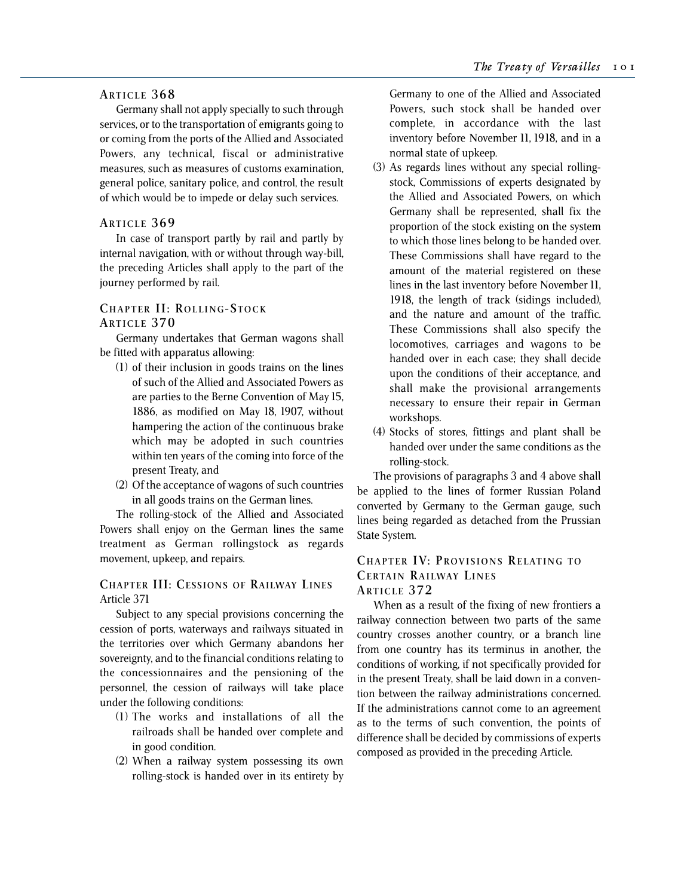## **ARTICLE 368**

Germany shall not apply specially to such through services, or to the transportation of emigrants going to or coming from the ports of the Allied and Associated Powers, any technical, fiscal or administrative measures, such as measures of customs examination, general police, sanitary police, and control, the result of which would be to impede or delay such services.

### **ARTICLE 369**

In case of transport partly by rail and partly by internal navigation, with or without through way-bill, the preceding Articles shall apply to the part of the journey performed by rail.

## **CHAPTER II: ROLLING- STOCK**

## **ARTICLE 370**

Germany undertakes that German wagons shall be fitted with apparatus allowing:

- (1) of their inclusion in goods trains on the lines of such of the Allied and Associated Powers as are parties to the Berne Convention of May 15, 1886, as modified on May 18, 1907, without hampering the action of the continuous brake which may be adopted in such countries within ten years of the coming into force of the present Treaty, and
- (2) Of the acceptance of wagons of such countries in all goods trains on the German lines.

The rolling-stock of the Allied and Associated Powers shall enjoy on the German lines the same treatment as German rollingstock as regards movement, upkeep, and repairs.

## **CHAPTER III: CESSIONS OF RAILWAY LINES** Article 371

Subject to any special provisions concerning the cession of ports, waterways and railways situated in the territories over which Germany abandons her sovereignty, and to the financial conditions relating to the concessionnaires and the pensioning of the personnel, the cession of railways will take place under the following conditions:

- (1) The works and installations of all the railroads shall be handed over complete and in good condition.
- (2) When a railway system possessing its own rolling-stock is handed over in its entirety by

Germany to one of the Allied and Associated Powers, such stock shall be handed over complete, in accordance with the last inventory before November 11, 1918, and in a normal state of upkeep.

- (3) As regards lines without any special rollingstock, Commissions of experts designated by the Allied and Associated Powers, on which Germany shall be represented, shall fix the proportion of the stock existing on the system to which those lines belong to be handed over. These Commissions shall have regard to the amount of the material registered on these lines in the last inventory before November 11, 1918, the length of track (sidings included), and the nature and amount of the traffic. These Commissions shall also specify the locomotives, carriages and wagons to be handed over in each case; they shall decide upon the conditions of their acceptance, and shall make the provisional arrangements necessary to ensure their repair in German workshops.
- (4) Stocks of stores, fittings and plant shall be handed over under the same conditions as the rolling-stock.

The provisions of paragraphs 3 and 4 above shall be applied to the lines of former Russian Poland converted by Germany to the German gauge, such lines being regarded as detached from the Prussian State System.

## **CHAPTER IV: PROVISIONS RELATING TO CERTAIN RAILWAY LINES ARTICLE 372**

When as a result of the fixing of new frontiers a railway connection between two parts of the same country crosses another country, or a branch line from one country has its terminus in another, the conditions of working, if not specifically provided for in the present Treaty, shall be laid down in a convention between the railway administrations concerned. If the administrations cannot come to an agreement as to the terms of such convention, the points of difference shall be decided by commissions of experts composed as provided in the preceding Article.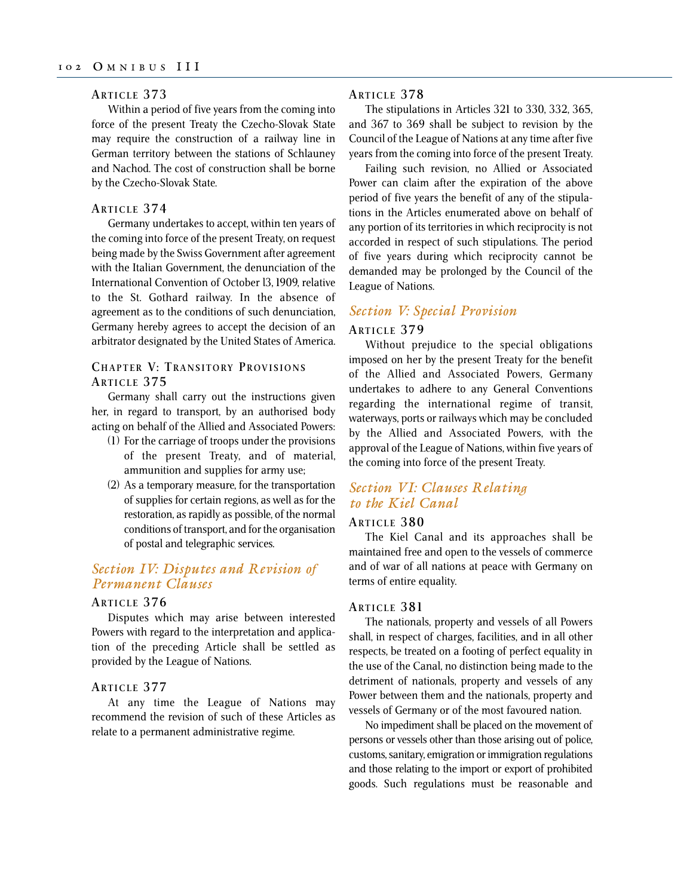#### **ARTICLE 373**

Within a period of five years from the coming into force of the present Treaty the Czecho-Slovak State may require the construction of a railway line in German territory between the stations of Schlauney and Nachod. The cost of construction shall be borne by the Czecho-Slovak State.

#### **ARTICLE 374**

Germany undertakes to accept, within ten years of the coming into force of the present Treaty, on request being made by the Swiss Government after agreement with the Italian Government, the denunciation of the International Convention of October l3, 1909, relative to the St. Gothard railway. In the absence of agreement as to the conditions of such denunciation, Germany hereby agrees to accept the decision of an arbitrator designated by the United States of America.

## **CHAPTER V: TRANSITORY PROVISIONS ARTICLE 375**

Germany shall carry out the instructions given her, in regard to transport, by an authorised body acting on behalf of the Allied and Associated Powers:

- (1) For the carriage of troops under the provisions of the present Treaty, and of material, ammunition and supplies for army use;
- (2) As a temporary measure, for the transportation of supplies for certain regions, as well as for the restoration, as rapidly as possible, of the normal conditions of transport, and for the organisation of postal and telegraphic services.

## *Section IV: Disputes and Revision of Permanent Clauses*

#### **ARTICLE 376**

Disputes which may arise between interested Powers with regard to the interpretation and application of the preceding Article shall be settled as provided by the League of Nations.

#### **ARTICLE 377**

At any time the League of Nations may recommend the revision of such of these Articles as relate to a permanent administrative regime.

## **ARTICLE 378**

The stipulations in Articles 321 to 330, 332, 365, and 367 to 369 shall be subject to revision by the Council of the League of Nations at any time after five years from the coming into force of the present Treaty.

Failing such revision, no Allied or Associated Power can claim after the expiration of the above period of five years the benefit of any of the stipulations in the Articles enumerated above on behalf of any portion of its territories in which reciprocity is not accorded in respect of such stipulations. The period of five years during which reciprocity cannot be demanded may be prolonged by the Council of the League of Nations.

## *Section V: Special Provision*

## **ARTICLE 379**

Without prejudice to the special obligations imposed on her by the present Treaty for the benefit of the Allied and Associated Powers, Germany undertakes to adhere to any General Conventions regarding the international regime of transit, waterways, ports or railways which may be concluded by the Allied and Associated Powers, with the approval of the League of Nations, within five years of the coming into force of the present Treaty.

# *Section VI: Clauses Relating to the Kiel Canal*

## **ARTICLE 380**

The Kiel Canal and its approaches shall be maintained free and open to the vessels of commerce and of war of all nations at peace with Germany on terms of entire equality.

## **ARTICLE 381**

The nationals, property and vessels of all Powers shall, in respect of charges, facilities, and in all other respects, be treated on a footing of perfect equality in the use of the Canal, no distinction being made to the detriment of nationals, property and vessels of any Power between them and the nationals, property and vessels of Germany or of the most favoured nation.

No impediment shall be placed on the movement of persons or vessels other than those arising out of police, customs, sanitary, emigration or immigration regulations and those relating to the import or export of prohibited goods. Such regulations must be reasonable and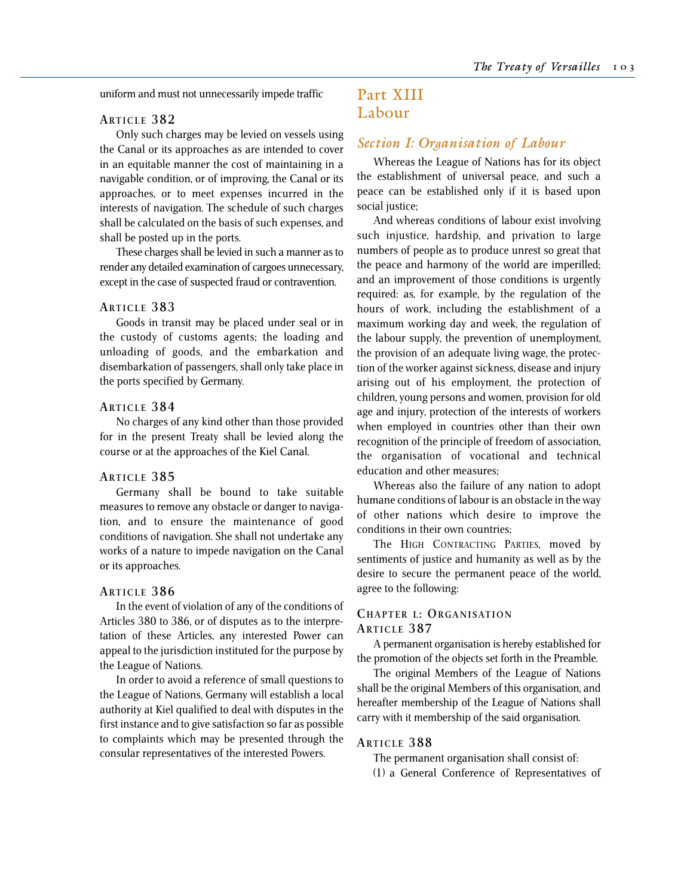uniform and must not unnecessarily impede traffic

## **ARTICLE 382**

Only such charges may be levied on vessels using the Canal or its approaches as are intended to cover in an equitable manner the cost of maintaining in a navigable condition, or of improving, the Canal or its approaches, or to meet expenses incurred in the interests of navigation. The schedule of such charges shall be calculated on the basis of such expenses, and shall be posted up in the ports.

These charges shall be levied in such a manner as to render any detailed examination of cargoes unnecessary, except in the case of suspected fraud or contravention.

### **ARTICLE 383**

Goods in transit may be placed under seal or in the custody of customs agents; the loading and unloading of goods, and the embarkation and disembarkation of passengers, shall only take place in the ports specified by Germany.

#### **ARTICLE 384**

No charges of any kind other than those provided for in the present Treaty shall be levied along the course or at the approaches of the Kiel Canal.

#### **ARTICLE 385**

Germany shall be bound to take suitable measures to remove any obstacle or danger to navigation, and to ensure the maintenance of good conditions of navigation. She shall not undertake any works of a nature to impede navigation on the Canal or its approaches.

## **ARTICLE 386**

In the event of violation of any of the conditions of Articles 380 to 386, or of disputes as to the interpretation of these Articles, any interested Power can appeal to the jurisdiction instituted for the purpose by the League of Nations.

In order to avoid a reference of small questions to the League of Nations, Germany will establish a local authority at Kiel qualified to deal with disputes in the first instance and to give satisfaction so far as possible to complaints which may be presented through the consular representatives of the interested Powers.

# Part XIII Labour

## *Section I: Organisation of Labour*

Whereas the League of Nations has for its object the establishment of universal peace, and such a peace can be established only if it is based upon social justice;

And whereas conditions of labour exist involving such injustice, hardship, and privation to large numbers of people as to produce unrest so great that the peace and harmony of the world are imperilled; and an improvement of those conditions is urgently required: as, for example, by the regulation of the hours of work, including the establishment of a maximum working day and week, the regulation of the labour supply, the prevention of unemployment, the provision of an adequate living wage, the protection of the worker against sickness, disease and injury arising out of his employment, the protection of children, young persons and women, provision for old age and injury, protection of the interests of workers when employed in countries other than their own recognition of the principle of freedom of association, the organisation of vocational and technical education and other measures;

Whereas also the failure of any nation to adopt humane conditions of labour is an obstacle in the way of other nations which desire to improve the conditions in their own countries;

The HIGH CONTRACTING PARTIES, moved by sentiments of justice and humanity as well as by the desire to secure the permanent peace of the world, agree to the following:

## **CHAPTER L: ORGANISATION ARTICLE 387**

A permanent organisation is hereby established for the promotion of the objects set forth in the Preamble.

The original Members of the League of Nations shall be the original Members of this organisation, and hereafter membership of the League of Nations shall carry with it membership of the said organisation.

#### **ARTICLE 388**

The permanent organisation shall consist of:

(1) a General Conference of Representatives of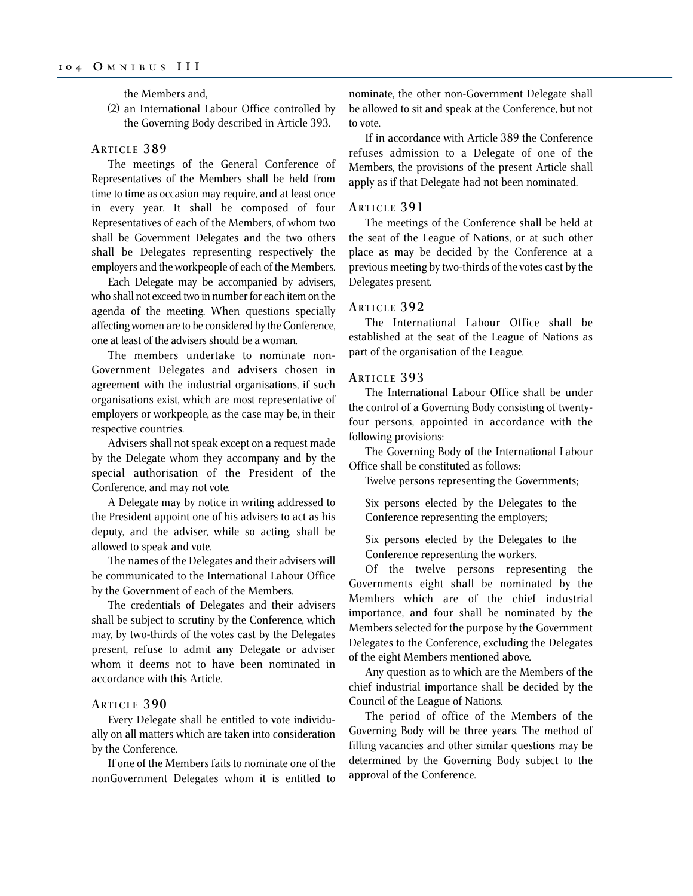the Members and,

(2) an International Labour Office controlled by the Governing Body described in Article 393.

### **ARTICLE 389**

The meetings of the General Conference of Representatives of the Members shall be held from time to time as occasion may require, and at least once in every year. It shall be composed of four Representatives of each of the Members, of whom two shall be Government Delegates and the two others shall be Delegates representing respectively the employers and the workpeople of each of the Members.

Each Delegate may be accompanied by advisers, who shall not exceed two in number for each item on the agenda of the meeting. When questions specially affecting women are to be considered by the Conference, one at least of the advisers should be a woman.

The members undertake to nominate non-Government Delegates and advisers chosen in agreement with the industrial organisations, if such organisations exist, which are most representative of employers or workpeople, as the case may be, in their respective countries.

Advisers shall not speak except on a request made by the Delegate whom they accompany and by the special authorisation of the President of the Conference, and may not vote.

A Delegate may by notice in writing addressed to the President appoint one of his advisers to act as his deputy, and the adviser, while so acting, shall be allowed to speak and vote.

The names of the Delegates and their advisers will be communicated to the International Labour Office by the Government of each of the Members.

The credentials of Delegates and their advisers shall be subject to scrutiny by the Conference, which may, by two-thirds of the votes cast by the Delegates present, refuse to admit any Delegate or adviser whom it deems not to have been nominated in accordance with this Article.

## **ARTICLE 390**

Every Delegate shall be entitled to vote individually on all matters which are taken into consideration by the Conference.

If one of the Members fails to nominate one of the nonGovernment Delegates whom it is entitled to nominate, the other non-Government Delegate shall be allowed to sit and speak at the Conference, but not to vote.

If in accordance with Article 389 the Conference refuses admission to a Delegate of one of the Members, the provisions of the present Article shall apply as if that Delegate had not been nominated.

#### **ARTICLE 391**

The meetings of the Conference shall be held at the seat of the League of Nations, or at such other place as may be decided by the Conference at a previous meeting by two-thirds of the votes cast by the Delegates present.

#### **ARTICLE 392**

The International Labour Office shall be established at the seat of the League of Nations as part of the organisation of the League.

#### **ARTICLE 393**

The International Labour Office shall be under the control of a Governing Body consisting of twentyfour persons, appointed in accordance with the following provisions:

The Governing Body of the International Labour Office shall be constituted as follows:

Twelve persons representing the Governments;

Six persons elected by the Delegates to the Conference representing the employers;

Six persons elected by the Delegates to the Conference representing the workers.

Of the twelve persons representing the Governments eight shall be nominated by the Members which are of the chief industrial importance, and four shall be nominated by the Members selected for the purpose by the Government Delegates to the Conference, excluding the Delegates of the eight Members mentioned above.

Any question as to which are the Members of the chief industrial importance shall be decided by the Council of the League of Nations.

The period of office of the Members of the Governing Body will be three years. The method of filling vacancies and other similar questions may be determined by the Governing Body subject to the approval of the Conference.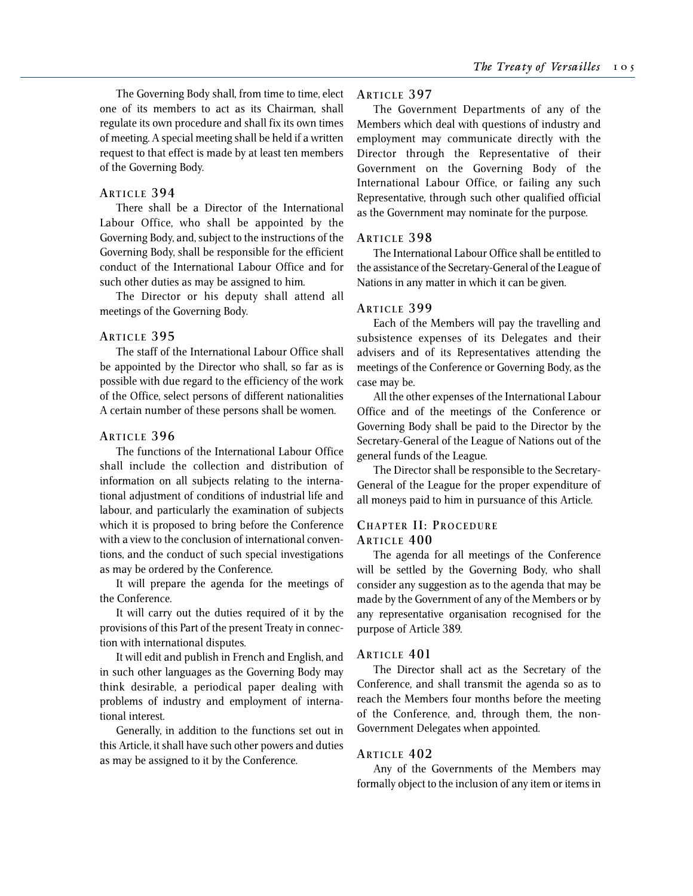The Governing Body shall, from time to time, elect one of its members to act as its Chairman, shall regulate its own procedure and shall fix its own times of meeting. A special meeting shall be held if a written request to that effect is made by at least ten members of the Governing Body.

#### **ARTICLE 394**

There shall be a Director of the International Labour Office, who shall be appointed by the Governing Body, and, subject to the instructions of the Governing Body, shall be responsible for the efficient conduct of the International Labour Office and for such other duties as may be assigned to him.

The Director or his deputy shall attend all meetings of the Governing Body.

#### **ARTICLE 395**

The staff of the International Labour Office shall be appointed by the Director who shall, so far as is possible with due regard to the efficiency of the work of the Office, select persons of different nationalities A certain number of these persons shall be women.

#### **ARTICLE 396**

The functions of the International Labour Office shall include the collection and distribution of information on all subjects relating to the international adjustment of conditions of industrial life and labour, and particularly the examination of subjects which it is proposed to bring before the Conference with a view to the conclusion of international conventions, and the conduct of such special investigations as may be ordered by the Conference.

It will prepare the agenda for the meetings of the Conference.

It will carry out the duties required of it by the provisions of this Part of the present Treaty in connection with international disputes.

It will edit and publish in French and English, and in such other languages as the Governing Body may think desirable, a periodical paper dealing with problems of industry and employment of international interest.

Generally, in addition to the functions set out in this Article, it shall have such other powers and duties as may be assigned to it by the Conference.

#### **ARTICLE 397**

The Government Departments of any of the Members which deal with questions of industry and employment may communicate directly with the Director through the Representative of their Government on the Governing Body of the International Labour Office, or failing any such Representative, through such other qualified official as the Government may nominate for the purpose.

#### **ARTICLE 398**

The International Labour Office shall be entitled to the assistance of the Secretary-General of the League of Nations in any matter in which it can be given.

#### **ARTICLE 399**

Each of the Members will pay the travelling and subsistence expenses of its Delegates and their advisers and of its Representatives attending the meetings of the Conference or Governing Body, as the case may be.

All the other expenses of the International Labour Office and of the meetings of the Conference or Governing Body shall be paid to the Director by the Secretary-General of the League of Nations out of the general funds of the League.

The Director shall be responsible to the Secretary-General of the League for the proper expenditure of all moneys paid to him in pursuance of this Article.

## **CHAPTER II: PROCEDURE ARTICLE 400**

The agenda for all meetings of the Conference will be settled by the Governing Body, who shall consider any suggestion as to the agenda that may be made by the Government of any of the Members or by any representative organisation recognised for the purpose of Article 389.

#### **ARTICLE 401**

The Director shall act as the Secretary of the Conference, and shall transmit the agenda so as to reach the Members four months before the meeting of the Conference, and, through them, the non-Government Delegates when appointed.

#### **ARTICLE 402**

Any of the Governments of the Members may formally object to the inclusion of any item or items in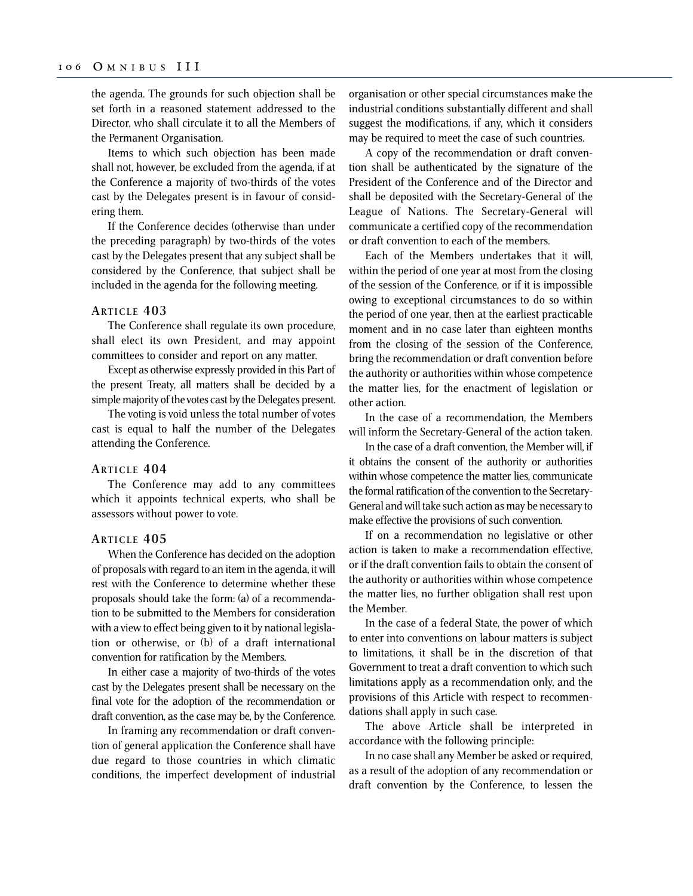the agenda. The grounds for such objection shall be set forth in a reasoned statement addressed to the Director, who shall circulate it to all the Members of the Permanent Organisation.

Items to which such objection has been made shall not, however, be excluded from the agenda, if at the Conference a majority of two-thirds of the votes cast by the Delegates present is in favour of considering them.

If the Conference decides (otherwise than under the preceding paragraph) by two-thirds of the votes cast by the Delegates present that any subject shall be considered by the Conference, that subject shall be included in the agenda for the following meeting.

## **ARTICLE 403**

The Conference shall regulate its own procedure, shall elect its own President, and may appoint committees to consider and report on any matter.

Except as otherwise expressly provided in this Part of the present Treaty, all matters shall be decided by a simple majority of the votes cast by the Delegates present.

The voting is void unless the total number of votes cast is equal to half the number of the Delegates attending the Conference.

#### **ARTICLE 404**

The Conference may add to any committees which it appoints technical experts, who shall be assessors without power to vote.

#### **ARTICLE 405**

When the Conference has decided on the adoption of proposals with regard to an item in the agenda, it will rest with the Conference to determine whether these proposals should take the form: (a) of a recommendation to be submitted to the Members for consideration with a view to effect being given to it by national legislation or otherwise, or (b) of a draft international convention for ratification by the Members.

In either case a majority of two-thirds of the votes cast by the Delegates present shall be necessary on the final vote for the adoption of the recommendation or draft convention, as the case may be, by the Conference.

In framing any recommendation or draft convention of general application the Conference shall have due regard to those countries in which climatic conditions, the imperfect development of industrial organisation or other special circumstances make the industrial conditions substantially different and shall suggest the modifications, if any, which it considers may be required to meet the case of such countries.

A copy of the recommendation or draft convention shall be authenticated by the signature of the President of the Conference and of the Director and shall be deposited with the Secretary-General of the League of Nations. The Secretary-General will communicate a certified copy of the recommendation or draft convention to each of the members.

Each of the Members undertakes that it will, within the period of one year at most from the closing of the session of the Conference, or if it is impossible owing to exceptional circumstances to do so within the period of one year, then at the earliest practicable moment and in no case later than eighteen months from the closing of the session of the Conference, bring the recommendation or draft convention before the authority or authorities within whose competence the matter lies, for the enactment of legislation or other action.

In the case of a recommendation, the Members will inform the Secretary-General of the action taken.

In the case of a draft convention, the Member will, if it obtains the consent of the authority or authorities within whose competence the matter lies, communicate the formal ratification of the convention to the Secretary-General and will take such action as may be necessary to make effective the provisions of such convention.

If on a recommendation no legislative or other action is taken to make a recommendation effective, or if the draft convention fails to obtain the consent of the authority or authorities within whose competence the matter lies, no further obligation shall rest upon the Member.

In the case of a federal State, the power of which to enter into conventions on labour matters is subject to limitations, it shall be in the discretion of that Government to treat a draft convention to which such limitations apply as a recommendation only, and the provisions of this Article with respect to recommendations shall apply in such case.

The above Article shall be interpreted in accordance with the following principle:

In no case shall any Member be asked or required, as a result of the adoption of any recommendation or draft convention by the Conference, to lessen the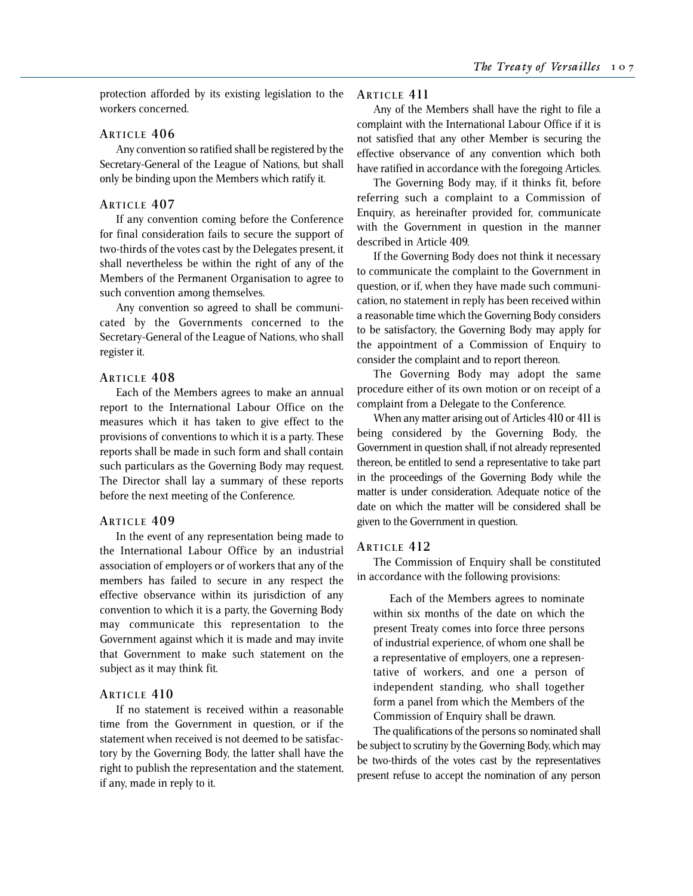protection afforded by its existing legislation to the workers concerned.

#### **ARTICLE 406**

Any convention so ratified shall be registered by the Secretary-General of the League of Nations, but shall only be binding upon the Members which ratify it.

## **ARTICLE 407**

If any convention coming before the Conference for final consideration fails to secure the support of two-thirds of the votes cast by the Delegates present, it shall nevertheless be within the right of any of the Members of the Permanent Organisation to agree to such convention among themselves.

Any convention so agreed to shall be communicated by the Governments concerned to the Secretary-General of the League of Nations, who shall register it.

## **ARTICLE 408**

Each of the Members agrees to make an annual report to the International Labour Office on the measures which it has taken to give effect to the provisions of conventions to which it is a party. These reports shall be made in such form and shall contain such particulars as the Governing Body may request. The Director shall lay a summary of these reports before the next meeting of the Conference.

## **ARTICLE 409**

In the event of any representation being made to the International Labour Office by an industrial association of employers or of workers that any of the members has failed to secure in any respect the effective observance within its jurisdiction of any convention to which it is a party, the Governing Body may communicate this representation to the Government against which it is made and may invite that Government to make such statement on the subject as it may think fit.

## **ARTICLE 410**

If no statement is received within a reasonable time from the Government in question, or if the statement when received is not deemed to be satisfactory by the Governing Body, the latter shall have the right to publish the representation and the statement, if any, made in reply to it.

### **ARTICLE 411**

Any of the Members shall have the right to file a complaint with the International Labour Office if it is not satisfied that any other Member is securing the effective observance of any convention which both have ratified in accordance with the foregoing Articles.

The Governing Body may, if it thinks fit, before referring such a complaint to a Commission of Enquiry, as hereinafter provided for, communicate with the Government in question in the manner described in Article 409.

If the Governing Body does not think it necessary to communicate the complaint to the Government in question, or if, when they have made such communication, no statement in reply has been received within a reasonable time which the Governing Body considers to be satisfactory, the Governing Body may apply for the appointment of a Commission of Enquiry to consider the complaint and to report thereon.

The Governing Body may adopt the same procedure either of its own motion or on receipt of a complaint from a Delegate to the Conference.

When any matter arising out of Articles 410 or 411 is being considered by the Governing Body, the Government in question shall, if not already represented thereon, be entitled to send a representative to take part in the proceedings of the Governing Body while the matter is under consideration. Adequate notice of the date on which the matter will be considered shall be given to the Government in question.

## **ARTICLE 412**

The Commission of Enquiry shall be constituted in accordance with the following provisions:

Each of the Members agrees to nominate within six months of the date on which the present Treaty comes into force three persons of industrial experience, of whom one shall be a representative of employers, one a representative of workers, and one a person of independent standing, who shall together form a panel from which the Members of the Commission of Enquiry shall be drawn.

The qualifications of the persons so nominated shall be subject to scrutiny by the Governing Body, which may be two-thirds of the votes cast by the representatives present refuse to accept the nomination of any person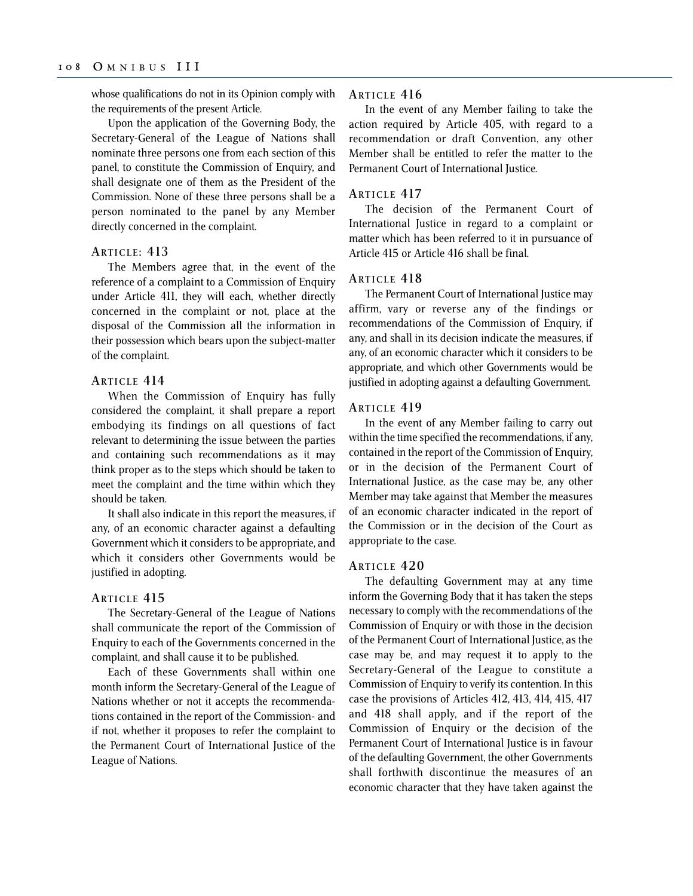whose qualifications do not in its Opinion comply with the requirements of the present Article.

Upon the application of the Governing Body, the Secretary-General of the League of Nations shall nominate three persons one from each section of this panel, to constitute the Commission of Enquiry, and shall designate one of them as the President of the Commission. None of these three persons shall be a person nominated to the panel by any Member directly concerned in the complaint.

## **ARTICLE : 413**

The Members agree that, in the event of the reference of a complaint to a Commission of Enquiry under Article 411, they will each, whether directly concerned in the complaint or not, place at the disposal of the Commission all the information in their possession which bears upon the subject-matter of the complaint.

## **ARTICLE 414**

When the Commission of Enquiry has fully considered the complaint, it shall prepare a report embodying its findings on all questions of fact relevant to determining the issue between the parties and containing such recommendations as it may think proper as to the steps which should be taken to meet the complaint and the time within which they should be taken.

It shall also indicate in this report the measures, if any, of an economic character against a defaulting Government which it considers to be appropriate, and which it considers other Governments would be justified in adopting.

#### **ARTICLE 415**

The Secretary-General of the League of Nations shall communicate the report of the Commission of Enquiry to each of the Governments concerned in the complaint, and shall cause it to be published.

Each of these Governments shall within one month inform the Secretary-General of the League of Nations whether or not it accepts the recommendations contained in the report of the Commission- and if not, whether it proposes to refer the complaint to the Permanent Court of International Justice of the League of Nations.

## **ARTICLE 416**

In the event of any Member failing to take the action required by Article 405, with regard to a recommendation or draft Convention, any other Member shall be entitled to refer the matter to the Permanent Court of International Justice.

#### **ARTICLE 417**

The decision of the Permanent Court of International Justice in regard to a complaint or matter which has been referred to it in pursuance of Article 415 or Article 416 shall be final.

## **ARTICLE 418**

The Permanent Court of International Justice may affirm, vary or reverse any of the findings or recommendations of the Commission of Enquiry, if any, and shall in its decision indicate the measures, if any, of an economic character which it considers to be appropriate, and which other Governments would be justified in adopting against a defaulting Government.

#### **ARTICLE 419**

In the event of any Member failing to carry out within the time specified the recommendations, if any, contained in the report of the Commission of Enquiry, or in the decision of the Permanent Court of International Justice, as the case may be, any other Member may take against that Member the measures of an economic character indicated in the report of the Commission or in the decision of the Court as appropriate to the case.

## **ARTICLE 420**

The defaulting Government may at any time inform the Governing Body that it has taken the steps necessary to comply with the recommendations of the Commission of Enquiry or with those in the decision of the Permanent Court of International Justice, as the case may be, and may request it to apply to the Secretary-General of the League to constitute a Commission of Enquiry to verify its contention. In this case the provisions of Articles 412, 413, 414, 415, 417 and 418 shall apply, and if the report of the Commission of Enquiry or the decision of the Permanent Court of International Justice is in favour of the defaulting Government, the other Governments shall forthwith discontinue the measures of an economic character that they have taken against the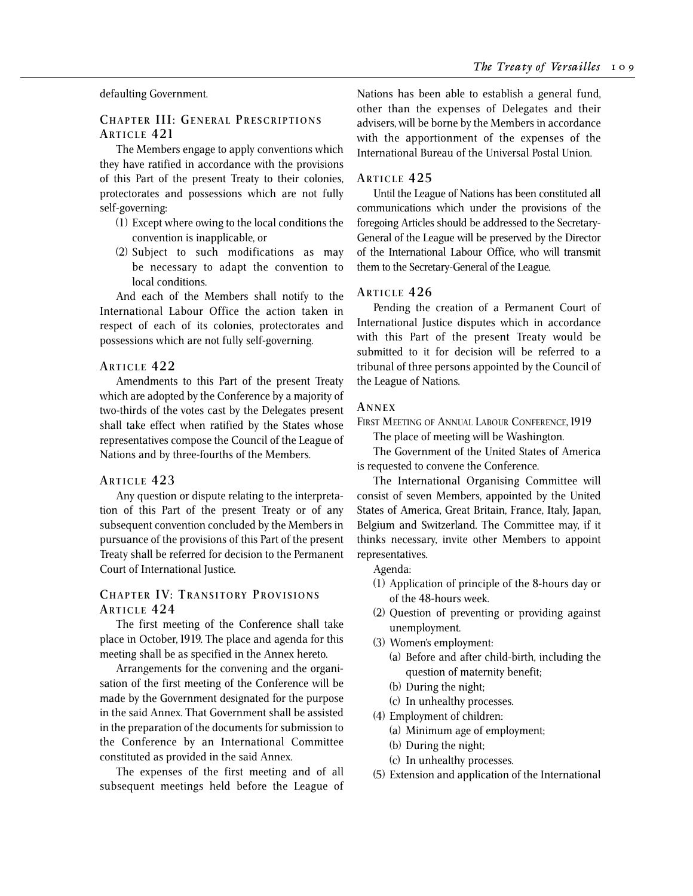# defaulting Government.

# **CHAPTER III: GENERAL PRESCRIPTIONS ARTICLE 421**

The Members engage to apply conventions which they have ratified in accordance with the provisions of this Part of the present Treaty to their colonies, protectorates and possessions which are not fully self-governing:

- (1) Except where owing to the local conditions the convention is inapplicable, or
- (2) Subject to such modifications as may be necessary to adapt the convention to local conditions.

And each of the Members shall notify to the International Labour Office the action taken in respect of each of its colonies, protectorates and possessions which are not fully self-governing.

# **ARTICLE 422**

Amendments to this Part of the present Treaty which are adopted by the Conference by a majority of two-thirds of the votes cast by the Delegates present shall take effect when ratified by the States whose representatives compose the Council of the League of Nations and by three-fourths of the Members.

#### **ARTICLE 423**

Any question or dispute relating to the interpretation of this Part of the present Treaty or of any subsequent convention concluded by the Members in pursuance of the provisions of this Part of the present Treaty shall be referred for decision to the Permanent Court of International Justice.

# **CHAPTER IV: TRANSITORY PROVISIONS ARTICLE 424**

The first meeting of the Conference shall take place in October, 1919. The place and agenda for this meeting shall be as specified in the Annex hereto.

Arrangements for the convening and the organisation of the first meeting of the Conference will be made by the Government designated for the purpose in the said Annex. That Government shall be assisted in the preparation of the documents for submission to the Conference by an International Committee constituted as provided in the said Annex.

The expenses of the first meeting and of all subsequent meetings held before the League of

Nations has been able to establish a general fund, other than the expenses of Delegates and their advisers, will be borne by the Members in accordance with the apportionment of the expenses of the International Bureau of the Universal Postal Union.

# **ARTICLE 425**

Until the League of Nations has been constituted all communications which under the provisions of the foregoing Articles should be addressed to the Secretary-General of the League will be preserved by the Director of the International Labour Office, who will transmit them to the Secretary-General of the League.

# **ARTICLE 426**

Pending the creation of a Permanent Court of International Justice disputes which in accordance with this Part of the present Treaty would be submitted to it for decision will be referred to a tribunal of three persons appointed by the Council of the League of Nations.

# **A NNEX**

FIRST MEETING OF ANNUAL LABOUR CONFERENCE, 1919

The place of meeting will be Washington.

The Government of the United States of America is requested to convene the Conference.

The International Organising Committee will consist of seven Members, appointed by the United States of America, Great Britain, France, Italy, Japan, Belgium and Switzerland. The Committee may, if it thinks necessary, invite other Members to appoint representatives.

Agenda:

- (1) Application of principle of the 8-hours day or of the 48-hours week.
- (2) Question of preventing or providing against unemployment.
- (3) Women's employment:
	- (a) Before and after child-birth, including the question of maternity benefit;
	- (b) During the night;
	- (c) In unhealthy processes.
- (4) Employment of children:
	- (a) Minimum age of employment;
	- (b) During the night;
	- (c) In unhealthy processes.
- (5) Extension and application of the International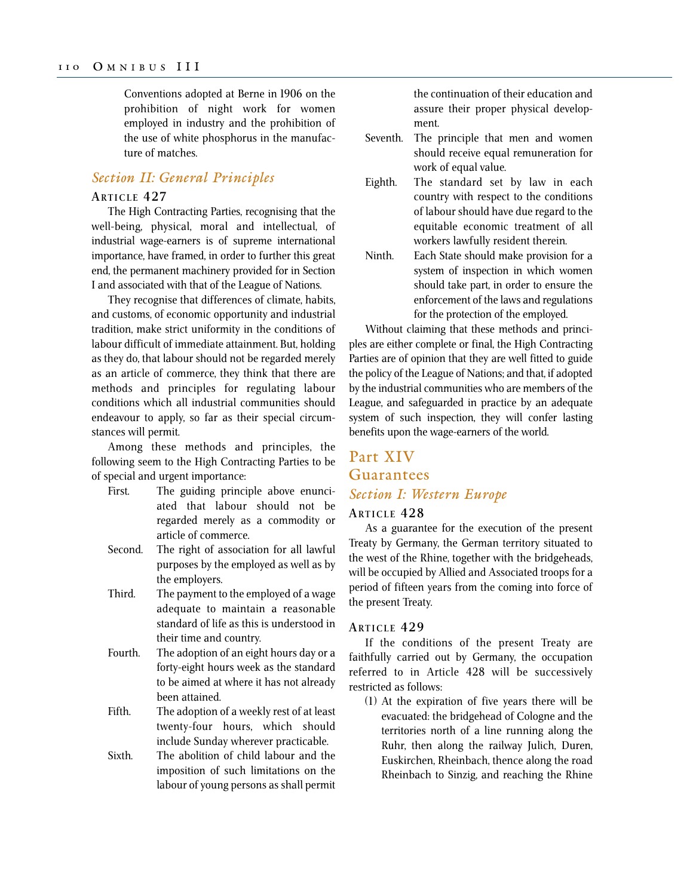Conventions adopted at Berne in 1906 on the prohibition of night work for women employed in industry and the prohibition of the use of white phosphorus in the manufacture of matches.

# *Section II: General Principles*

#### **ARTICLE 427**

The High Contracting Parties, recognising that the well-being, physical, moral and intellectual, of industrial wage-earners is of supreme international importance, have framed, in order to further this great end, the permanent machinery provided for in Section I and associated with that of the League of Nations.

They recognise that differences of climate, habits, and customs, of economic opportunity and industrial tradition, make strict uniformity in the conditions of labour difficult of immediate attainment. But, holding as they do, that labour should not be regarded merely as an article of commerce, they think that there are methods and principles for regulating labour conditions which all industrial communities should endeavour to apply, so far as their special circumstances will permit.

Among these methods and principles, the following seem to the High Contracting Parties to be of special and urgent importance:

- First. The guiding principle above enunciated that labour should not be regarded merely as a commodity or article of commerce.
- Second. The right of association for all lawful purposes by the employed as well as by the employers.
- Third. The payment to the employed of a wage adequate to maintain a reasonable standard of life as this is understood in their time and country.
- Fourth. The adoption of an eight hours day or a forty-eight hours week as the standard to be aimed at where it has not already been attained.
- Fifth. The adoption of a weekly rest of at least twenty-four hours, which should include Sunday wherever practicable.
- Sixth. The abolition of child labour and the imposition of such limitations on the labour of young persons as shall permit

the continuation of their education and assure their proper physical development.

- Seventh. The principle that men and women should receive equal remuneration for work of equal value.
- Eighth. The standard set by law in each country with respect to the conditions of labour should have due regard to the equitable economic treatment of all workers lawfully resident therein.
- Ninth. Each State should make provision for a system of inspection in which women should take part, in order to ensure the enforcement of the laws and regulations for the protection of the employed.

Without claiming that these methods and principles are either complete or final, the High Contracting Parties are of opinion that they are well fitted to guide the policy of the League of Nations; and that, if adopted by the industrial communities who are members of the League, and safeguarded in practice by an adequate system of such inspection, they will confer lasting benefits upon the wage-earners of the world.

# Part XIV Guarantees *Section I: Western Europe*

# **ARTICLE 428**

As a guarantee for the execution of the present Treaty by Germany, the German territory situated to the west of the Rhine, together with the bridgeheads, will be occupied by Allied and Associated troops for a period of fifteen years from the coming into force of the present Treaty.

#### **ARTICLE 429**

If the conditions of the present Treaty are faithfully carried out by Germany, the occupation referred to in Article 428 will be successively restricted as follows:

(1) At the expiration of five years there will be evacuated: the bridgehead of Cologne and the territories north of a line running along the Ruhr, then along the railway Julich, Duren, Euskirchen, Rheinbach, thence along the road Rheinbach to Sinzig, and reaching the Rhine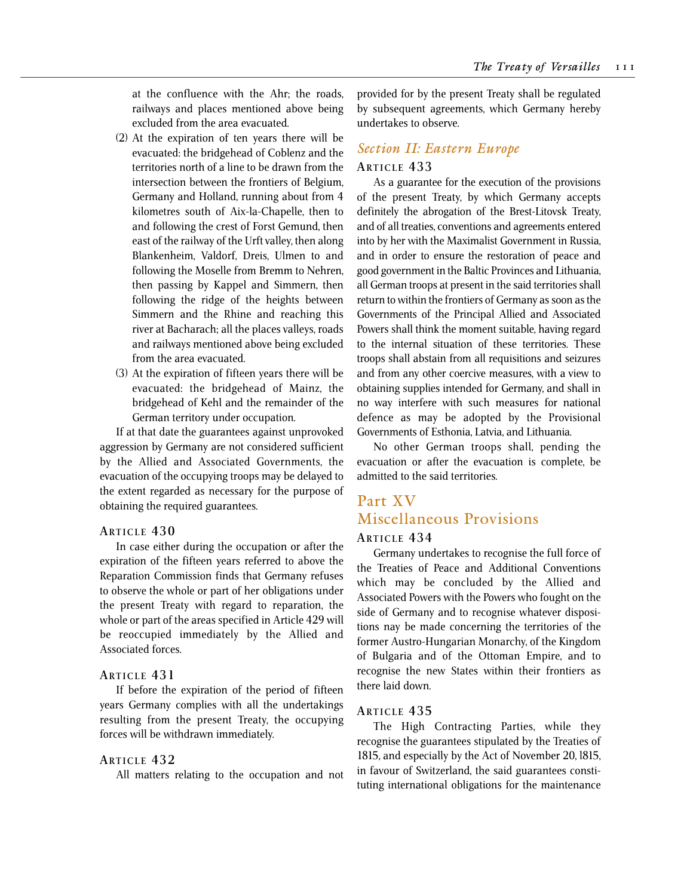at the confluence with the Ahr; the roads, railways and places mentioned above being excluded from the area evacuated.

- (2) At the expiration of ten years there will be evacuated: the bridgehead of Coblenz and the territories north of a line to be drawn from the intersection between the frontiers of Belgium, Germany and Holland, running about from 4 kilometres south of Aix-la-Chapelle, then to and following the crest of Forst Gemund, then east of the railway of the Urft valley, then along Blankenheim, Valdorf, Dreis, Ulmen to and following the Moselle from Bremm to Nehren, then passing by Kappel and Simmern, then following the ridge of the heights between Simmern and the Rhine and reaching this river at Bacharach; all the places valleys, roads and railways mentioned above being excluded from the area evacuated.
- (3) At the expiration of fifteen years there will be evacuated: the bridgehead of Mainz, the bridgehead of Kehl and the remainder of the German territory under occupation.

If at that date the guarantees against unprovoked aggression by Germany are not considered sufficient by the Allied and Associated Governments, the evacuation of the occupying troops may be delayed to the extent regarded as necessary for the purpose of obtaining the required guarantees.

#### **ARTICLE 430**

In case either during the occupation or after the expiration of the fifteen years referred to above the Reparation Commission finds that Germany refuses to observe the whole or part of her obligations under the present Treaty with regard to reparation, the whole or part of the areas specified in Article 429 will be reoccupied immediately by the Allied and Associated forces.

#### **ARTICLE 431**

If before the expiration of the period of fifteen years Germany complies with all the undertakings resulting from the present Treaty, the occupying forces will be withdrawn immediately.

# **ARTICLE 432**

All matters relating to the occupation and not

provided for by the present Treaty shall be regulated by subsequent agreements, which Germany hereby undertakes to observe.

# *Section II: Eastern Europe*

#### **ARTICLE 433**

As a guarantee for the execution of the provisions of the present Treaty, by which Germany accepts definitely the abrogation of the Brest-Litovsk Treaty, and of all treaties, conventions and agreements entered into by her with the Maximalist Government in Russia, and in order to ensure the restoration of peace and good government in the Baltic Provinces and Lithuania, all German troops at present in the said territories shall return to within the frontiers of Germany as soon as the Governments of the Principal Allied and Associated Powers shall think the moment suitable, having regard to the internal situation of these territories. These troops shall abstain from all requisitions and seizures and from any other coercive measures, with a view to obtaining supplies intended for Germany, and shall in no way interfere with such measures for national defence as may be adopted by the Provisional Governments of Esthonia, Latvia, and Lithuania.

No other German troops shall, pending the evacuation or after the evacuation is complete, be admitted to the said territories.

# Part XV Miscellaneous Provisions

# **ARTICLE 434**

Germany undertakes to recognise the full force of the Treaties of Peace and Additional Conventions which may be concluded by the Allied and Associated Powers with the Powers who fought on the side of Germany and to recognise whatever dispositions nay be made concerning the territories of the former Austro-Hungarian Monarchy, of the Kingdom of Bulgaria and of the Ottoman Empire, and to recognise the new States within their frontiers as there laid down.

#### **ARTICLE 435**

The High Contracting Parties, while they recognise the guarantees stipulated by the Treaties of 1815, and especially by the Act of November 20, l815, in favour of Switzerland, the said guarantees constituting international obligations for the maintenance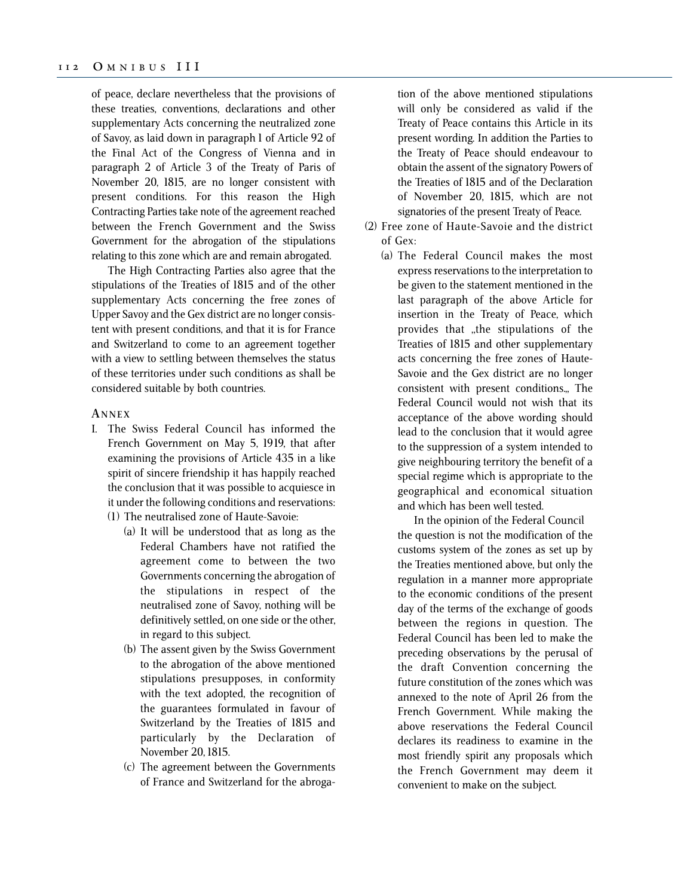of peace, declare nevertheless that the provisions of these treaties, conventions, declarations and other supplementary Acts concerning the neutralized zone of Savoy, as laid down in paragraph 1 of Article 92 of the Final Act of the Congress of Vienna and in paragraph 2 of Article 3 of the Treaty of Paris of November 20, 1815, are no longer consistent with present conditions. For this reason the High Contracting Parties take note of the agreement reached between the French Government and the Swiss Government for the abrogation of the stipulations relating to this zone which are and remain abrogated.

The High Contracting Parties also agree that the stipulations of the Treaties of 1815 and of the other supplementary Acts concerning the free zones of Upper Savoy and the Gex district are no longer consistent with present conditions, and that it is for France and Switzerland to come to an agreement together with a view to settling between themselves the status of these territories under such conditions as shall be considered suitable by both countries.

#### **A NNEX**

- I. The Swiss Federal Council has informed the French Government on May 5, 1919, that after examining the provisions of Article 435 in a like spirit of sincere friendship it has happily reached the conclusion that it was possible to acquiesce in it under the following conditions and reservations: (1) The neutralised zone of Haute-Savoie:
	- (a) It will be understood that as long as the Federal Chambers have not ratified the agreement come to between the two Governments concerning the abrogation of the stipulations in respect of the neutralised zone of Savoy, nothing will be definitively settled, on one side or the other, in regard to this subject.
	- (b) The assent given by the Swiss Government to the abrogation of the above mentioned stipulations presupposes, in conformity with the text adopted, the recognition of the guarantees formulated in favour of Switzerland by the Treaties of 1815 and particularly by the Declaration of November 20, 1815.
	- (c) The agreement between the Governments of France and Switzerland for the abroga-

tion of the above mentioned stipulations will only be considered as valid if the Treaty of Peace contains this Article in its present wording. In addition the Parties to the Treaty of Peace should endeavour to obtain the assent of the signatory Powers of the Treaties of 1815 and of the Declaration of November 20, 1815, which are not signatories of the present Treaty of Peace.

- (2) Free zone of Haute-Savoie and the district of Gex:
	- (a) The Federal Council makes the most express reservations to the interpretation to be given to the statement mentioned in the last paragraph of the above Article for insertion in the Treaty of Peace, which provides that ,,the stipulations of the Treaties of 1815 and other supplementary acts concerning the free zones of Haute-Savoie and the Gex district are no longer consistent with present conditions.,, The Federal Council would not wish that its acceptance of the above wording should lead to the conclusion that it would agree to the suppression of a system intended to give neighbouring territory the benefit of a special regime which is appropriate to the geographical and economical situation and which has been well tested.

In the opinion of the Federal Council the question is not the modification of the customs system of the zones as set up by the Treaties mentioned above, but only the regulation in a manner more appropriate to the economic conditions of the present day of the terms of the exchange of goods between the regions in question. The Federal Council has been led to make the preceding observations by the perusal of the draft Convention concerning the future constitution of the zones which was annexed to the note of April 26 from the French Government. While making the above reservations the Federal Council declares its readiness to examine in the most friendly spirit any proposals which the French Government may deem it convenient to make on the subject.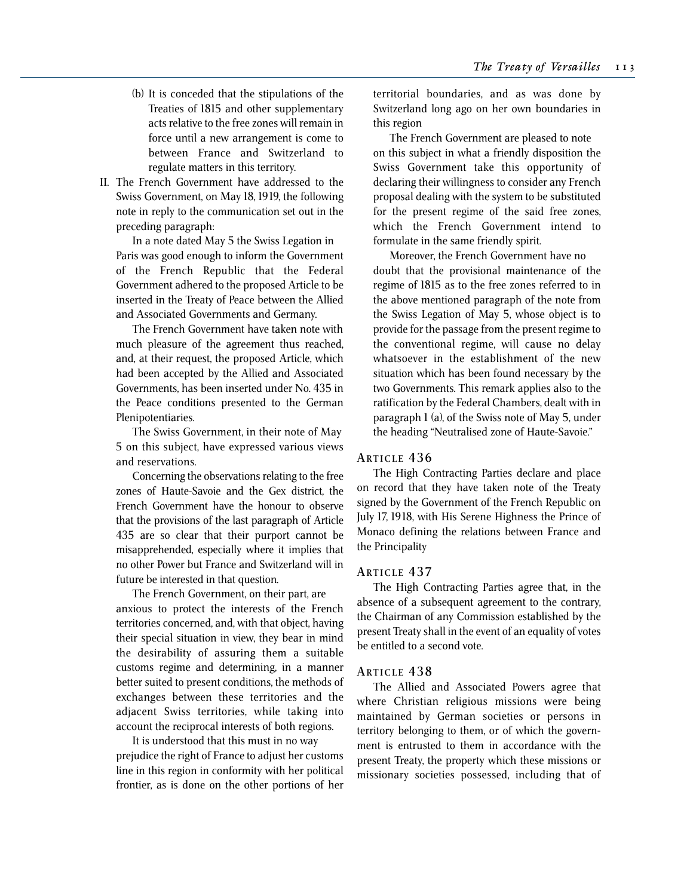- (b) It is conceded that the stipulations of the Treaties of 1815 and other supplementary acts relative to the free zones will remain in force until a new arrangement is come to between France and Switzerland to regulate matters in this territory.
- II. The French Government have addressed to the Swiss Government, on May 18, 1919, the following note in reply to the communication set out in the preceding paragraph:

In a note dated May 5 the Swiss Legation in Paris was good enough to inform the Government of the French Republic that the Federal Government adhered to the proposed Article to be inserted in the Treaty of Peace between the Allied and Associated Governments and Germany.

The French Government have taken note with much pleasure of the agreement thus reached, and, at their request, the proposed Article, which had been accepted by the Allied and Associated Governments, has been inserted under No. 435 in the Peace conditions presented to the German Plenipotentiaries.

The Swiss Government, in their note of May 5 on this subject, have expressed various views and reservations.

Concerning the observations relating to the free zones of Haute-Savoie and the Gex district, the French Government have the honour to observe that the provisions of the last paragraph of Article 435 are so clear that their purport cannot be misapprehended, especially where it implies that no other Power but France and Switzerland will in future be interested in that question.

The French Government, on their part, are anxious to protect the interests of the French territories concerned, and, with that object, having their special situation in view, they bear in mind the desirability of assuring them a suitable customs regime and determining, in a manner better suited to present conditions, the methods of exchanges between these territories and the adjacent Swiss territories, while taking into account the reciprocal interests of both regions.

It is understood that this must in no way prejudice the right of France to adjust her customs line in this region in conformity with her political frontier, as is done on the other portions of her territorial boundaries, and as was done by Switzerland long ago on her own boundaries in this region

The French Government are pleased to note on this subject in what a friendly disposition the Swiss Government take this opportunity of declaring their willingness to consider any French proposal dealing with the system to be substituted for the present regime of the said free zones, which the French Government intend to formulate in the same friendly spirit.

Moreover, the French Government have no doubt that the provisional maintenance of the regime of 1815 as to the free zones referred to in the above mentioned paragraph of the note from the Swiss Legation of May 5, whose object is to provide for the passage from the present regime to the conventional regime, will cause no delay whatsoever in the establishment of the new situation which has been found necessary by the two Governments. This remark applies also to the ratification by the Federal Chambers, dealt with in paragraph 1 (a), of the Swiss note of May 5, under the heading "Neutralised zone of Haute-Savoie."

# **ARTICLE 436**

The High Contracting Parties declare and place on record that they have taken note of the Treaty signed by the Government of the French Republic on July 17, 1918, with His Serene Highness the Prince of Monaco defining the relations between France and the Principality

# **ARTICLE 437**

The High Contracting Parties agree that, in the absence of a subsequent agreement to the contrary, the Chairman of any Commission established by the present Treaty shall in the event of an equality of votes be entitled to a second vote.

#### **ARTICLE 438**

The Allied and Associated Powers agree that where Christian religious missions were being maintained by German societies or persons in territory belonging to them, or of which the government is entrusted to them in accordance with the present Treaty, the property which these missions or missionary societies possessed, including that of